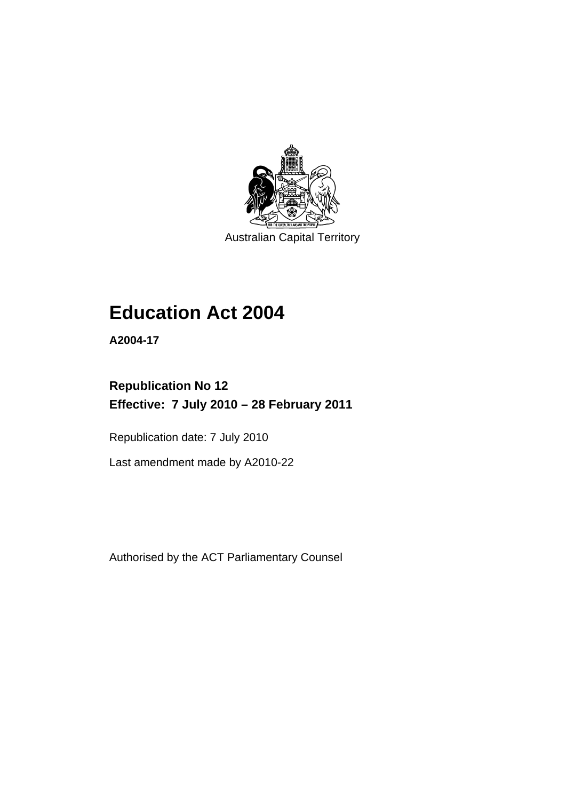

Australian Capital Territory

# **[Education Act 2004](#page-12-0)**

**A2004-17** 

# **Republication No 12 Effective: 7 July 2010 – 28 February 2011**

Republication date: 7 July 2010

Last amendment made by A2010-22

Authorised by the ACT Parliamentary Counsel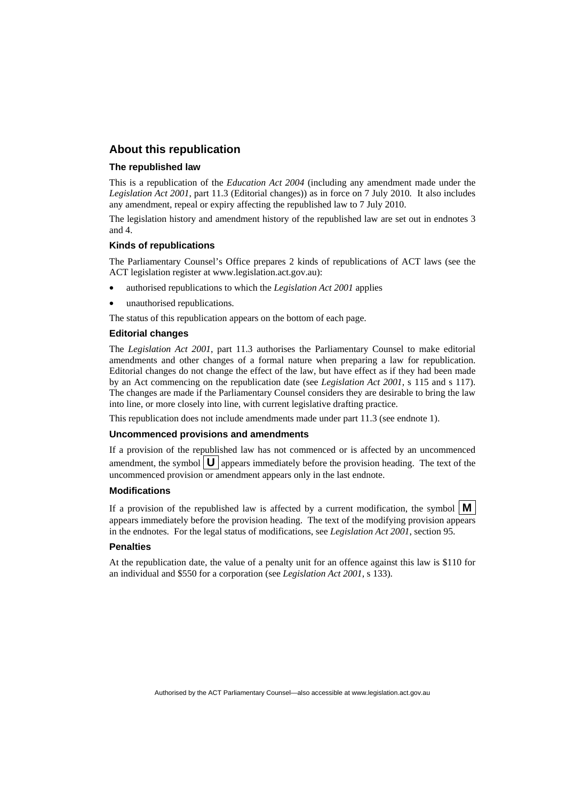# **About this republication**

#### **The republished law**

This is a republication of the *Education Act 2004* (including any amendment made under the *Legislation Act 2001*, part 11.3 (Editorial changes)) as in force on 7 July 2010*.* It also includes any amendment, repeal or expiry affecting the republished law to 7 July 2010.

The legislation history and amendment history of the republished law are set out in endnotes 3 and 4.

#### **Kinds of republications**

The Parliamentary Counsel's Office prepares 2 kinds of republications of ACT laws (see the ACT legislation register at www.legislation.act.gov.au):

- authorised republications to which the *Legislation Act 2001* applies
- unauthorised republications.

The status of this republication appears on the bottom of each page.

#### **Editorial changes**

The *Legislation Act 2001*, part 11.3 authorises the Parliamentary Counsel to make editorial amendments and other changes of a formal nature when preparing a law for republication. Editorial changes do not change the effect of the law, but have effect as if they had been made by an Act commencing on the republication date (see *Legislation Act 2001*, s 115 and s 117). The changes are made if the Parliamentary Counsel considers they are desirable to bring the law into line, or more closely into line, with current legislative drafting practice.

This republication does not include amendments made under part 11.3 (see endnote 1).

#### **Uncommenced provisions and amendments**

If a provision of the republished law has not commenced or is affected by an uncommenced amendment, the symbol  $\mathbf{U}$  appears immediately before the provision heading. The text of the uncommenced provision or amendment appears only in the last endnote.

#### **Modifications**

If a provision of the republished law is affected by a current modification, the symbol  $\mathbf{M}$ appears immediately before the provision heading. The text of the modifying provision appears in the endnotes. For the legal status of modifications, see *Legislation Act 2001*, section 95.

#### **Penalties**

At the republication date, the value of a penalty unit for an offence against this law is \$110 for an individual and \$550 for a corporation (see *Legislation Act 2001*, s 133).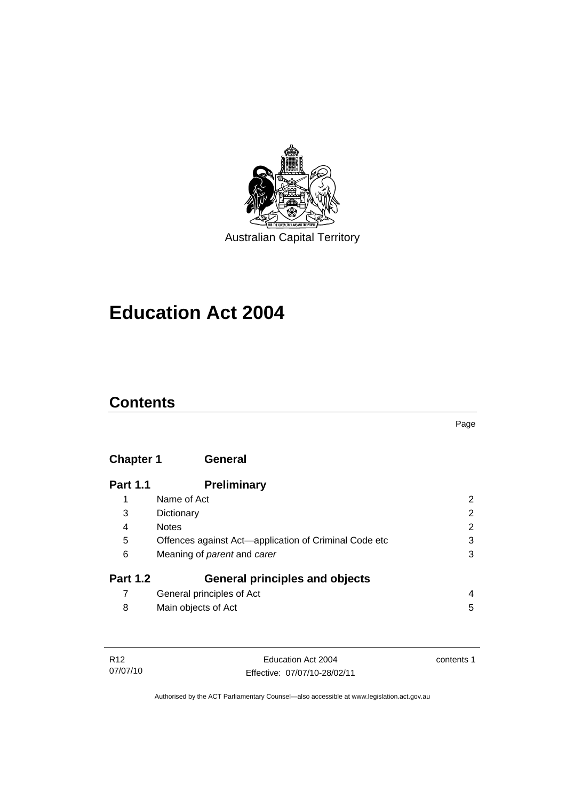

# **[Education Act 2004](#page-12-0)**

# **Contents**

# **Chapter 1 General**

| <b>Part 1.1</b> | <b>Preliminary</b>                                    |   |
|-----------------|-------------------------------------------------------|---|
| 1               | Name of Act                                           | 2 |
| 3               | Dictionary                                            | 2 |
| 4               | <b>Notes</b>                                          | 2 |
| 5               | Offences against Act-application of Criminal Code etc | 3 |
| 6               | Meaning of <i>parent</i> and <i>carer</i>             | 3 |
| <b>Part 1.2</b> | <b>General principles and objects</b>                 |   |
|                 | General principles of Act                             | 4 |
| 8               | Main objects of Act                                   | 5 |

| R12      | Education Act 2004           | contents 1 |
|----------|------------------------------|------------|
| 07/07/10 | Effective: 07/07/10-28/02/11 |            |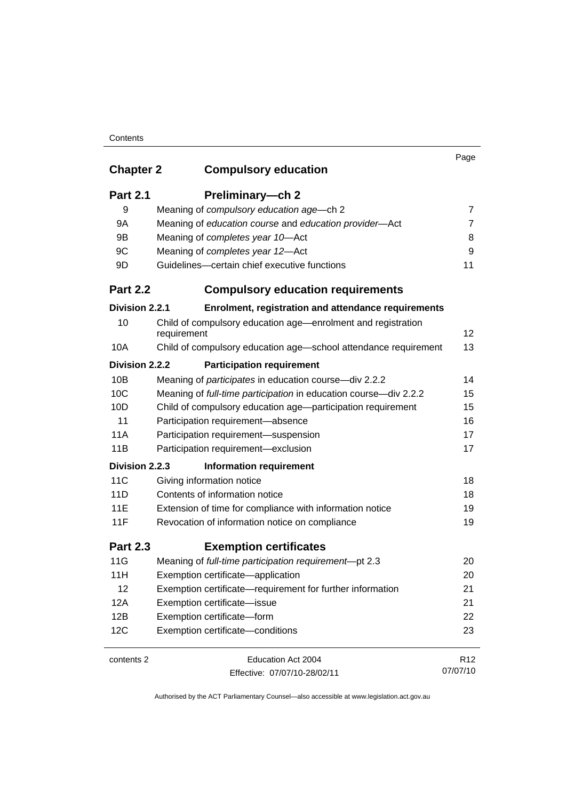## **Contents**

|                  |                                                                             | Page            |
|------------------|-----------------------------------------------------------------------------|-----------------|
| <b>Chapter 2</b> | <b>Compulsory education</b>                                                 |                 |
| <b>Part 2.1</b>  | Preliminary-ch 2                                                            |                 |
| 9                | Meaning of compulsory education age-ch 2                                    | 7               |
| 9A               | Meaning of education course and education provider-Act                      | $\overline{7}$  |
| 9B               | Meaning of completes year 10-Act                                            | 8               |
| 9C               | Meaning of completes year 12-Act                                            | 9               |
| 9D               | Guidelines-certain chief executive functions                                | 11              |
| <b>Part 2.2</b>  | <b>Compulsory education requirements</b>                                    |                 |
| Division 2.2.1   | Enrolment, registration and attendance requirements                         |                 |
| 10               | Child of compulsory education age—enrolment and registration<br>requirement | 12              |
| 10A              | Child of compulsory education age-school attendance requirement             | 13              |
| Division 2.2.2   | <b>Participation requirement</b>                                            |                 |
| 10B              | Meaning of participates in education course-div 2.2.2                       | 14              |
| 10C              | Meaning of full-time participation in education course-div 2.2.2            | 15              |
| 10D              | Child of compulsory education age-participation requirement                 | 15              |
| 11               | Participation requirement-absence                                           | 16              |
| 11A              | Participation requirement-suspension                                        | 17              |
| 11B              | Participation requirement-exclusion                                         | 17              |
| Division 2.2.3   | <b>Information requirement</b>                                              |                 |
| 11C              | Giving information notice                                                   | 18              |
| 11D              | Contents of information notice                                              | 18              |
| 11E              | Extension of time for compliance with information notice                    | 19              |
| 11F              | Revocation of information notice on compliance                              | 19              |
| <b>Part 2.3</b>  | <b>Exemption certificates</b>                                               |                 |
| 11G              | Meaning of full-time participation requirement-pt 2.3                       | 20              |
| 11H              | Exemption certificate-application                                           | 20              |
| 12               | Exemption certificate—requirement for further information                   | 21              |
| 12A              | Exemption certificate-issue                                                 | 21              |
| 12B              | Exemption certificate-form                                                  | 22              |
| 12C              | Exemption certificate-conditions                                            | 23              |
| contents 2       | Education Act 2004                                                          | R <sub>12</sub> |
|                  | Effective: 07/07/10-28/02/11                                                | 07/07/10        |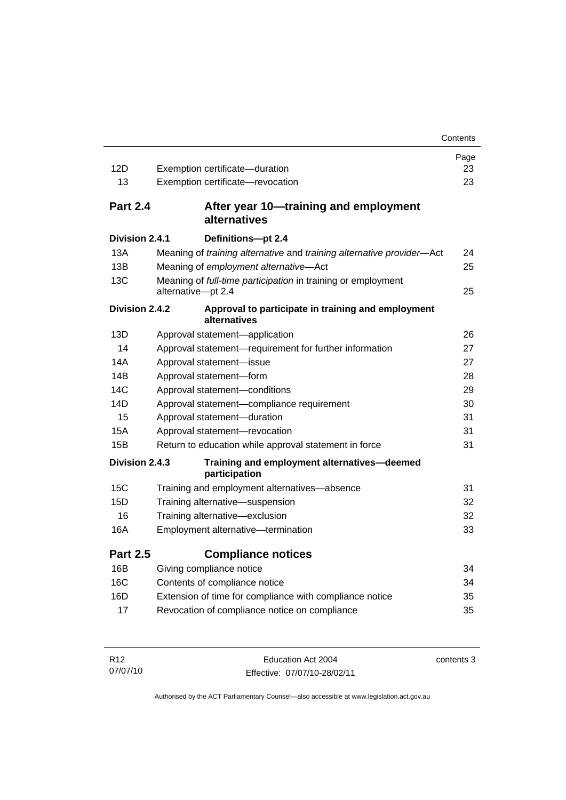|                 |                                                                       | Contents |
|-----------------|-----------------------------------------------------------------------|----------|
|                 |                                                                       | Page     |
| 12D             | Exemption certificate-duration                                        | 23       |
| 13              | Exemption certificate-revocation                                      | 23       |
| <b>Part 2.4</b> | After year 10—training and employment<br>alternatives                 |          |
| Division 2.4.1  | Definitions-pt 2.4                                                    |          |
| 13A             | Meaning of training alternative and training alternative provider-Act | 24       |
| 13B             | Meaning of employment alternative-Act                                 | 25       |
| 13C             | Meaning of full-time participation in training or employment          |          |
|                 | alternative-pt 2.4                                                    | 25       |
| Division 2.4.2  | Approval to participate in training and employment<br>alternatives    |          |
| 13D             | Approval statement-application                                        | 26       |
| 14              | Approval statement-requirement for further information                | 27       |
| 14A             | Approval statement-issue                                              | 27       |
| 14B             | Approval statement-form                                               | 28       |
| 14C             | Approval statement-conditions                                         | 29       |
| 14D             | Approval statement-compliance requirement                             | 30       |
| 15              | Approval statement-duration                                           | 31       |
| 15A             | Approval statement-revocation                                         | 31       |
| 15B             | Return to education while approval statement in force                 | 31       |
| Division 2.4.3  | Training and employment alternatives-deemed<br>participation          |          |
| 15C             | Training and employment alternatives—absence                          | 31       |
| 15D             | Training alternative-suspension                                       | 32       |
| 16              | Training alternative-exclusion                                        | 32       |
| 16A             | Employment alternative-termination                                    | 33       |
| <b>Part 2.5</b> | <b>Compliance notices</b>                                             |          |
| 16B             | Giving compliance notice                                              | 34       |
| 16C             | Contents of compliance notice                                         | 34       |
| 16D             | Extension of time for compliance with compliance notice               | 35       |
| 17              | Revocation of compliance notice on compliance                         | 35       |
|                 |                                                                       |          |

| R <sub>12</sub> | Education Act 2004           | contents 3 |
|-----------------|------------------------------|------------|
| 07/07/10        | Effective: 07/07/10-28/02/11 |            |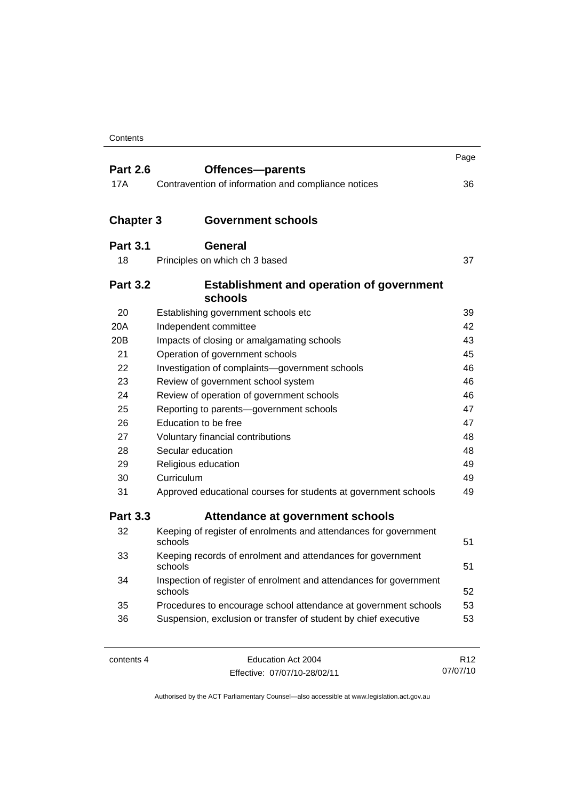| <b>Part 2.6</b>  |                                                                               | Page |  |
|------------------|-------------------------------------------------------------------------------|------|--|
|                  | Offences-parents                                                              |      |  |
| 17A              | Contravention of information and compliance notices                           | 36   |  |
| <b>Chapter 3</b> | <b>Government schools</b>                                                     |      |  |
|                  |                                                                               |      |  |
| <b>Part 3.1</b>  | <b>General</b>                                                                |      |  |
| 18               | Principles on which ch 3 based                                                | 37   |  |
| <b>Part 3.2</b>  | <b>Establishment and operation of government</b><br>schools                   |      |  |
| 20               | Establishing government schools etc                                           | 39   |  |
| 20A              | Independent committee                                                         | 42   |  |
| 20 <sub>B</sub>  | Impacts of closing or amalgamating schools                                    | 43   |  |
| 21               | Operation of government schools                                               | 45   |  |
| 22               | Investigation of complaints-government schools                                | 46   |  |
| 23               | Review of government school system                                            | 46   |  |
| 24               | Review of operation of government schools                                     |      |  |
| 25               | Reporting to parents-government schools                                       |      |  |
| 26               | Education to be free                                                          | 47   |  |
| 27               | Voluntary financial contributions                                             | 48   |  |
| 28               | Secular education                                                             | 48   |  |
| 29               | Religious education                                                           | 49   |  |
| 30               | Curriculum                                                                    | 49   |  |
| 31               | Approved educational courses for students at government schools               | 49   |  |
| <b>Part 3.3</b>  | Attendance at government schools                                              |      |  |
| 32               | Keeping of register of enrolments and attendances for government<br>schools   | 51   |  |
| 33               | Keeping records of enrolment and attendances for government<br>schools        | 51   |  |
| 34               | Inspection of register of enrolment and attendances for government<br>schools | 52   |  |
| 35               | Procedures to encourage school attendance at government schools               | 53   |  |
| 36               | Suspension, exclusion or transfer of student by chief executive               | 53   |  |
|                  |                                                                               |      |  |

| contents 4 |  |
|------------|--|
|------------|--|

Education Act 2004 Effective: 07/07/10-28/02/11

R12 07/07/10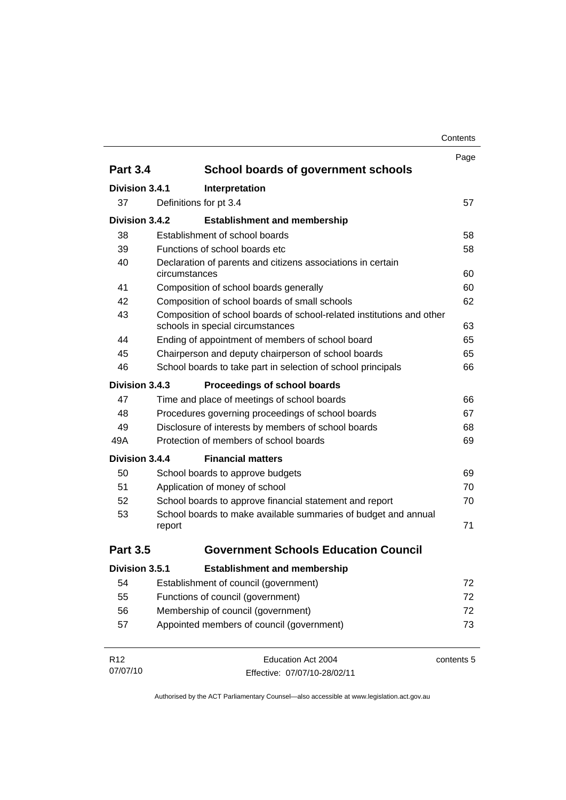| Contents |
|----------|
|----------|

|                             |                                           |                                                                                                           | Page       |
|-----------------------------|-------------------------------------------|-----------------------------------------------------------------------------------------------------------|------------|
| <b>Part 3.4</b>             |                                           | School boards of government schools                                                                       |            |
| Division 3.4.1              |                                           | Interpretation                                                                                            |            |
| 37                          |                                           | Definitions for pt 3.4                                                                                    | 57         |
| Division 3.4.2              |                                           | <b>Establishment and membership</b>                                                                       |            |
| 38                          |                                           | Establishment of school boards                                                                            | 58         |
| 39                          |                                           | Functions of school boards etc.                                                                           | 58         |
| 40                          |                                           | Declaration of parents and citizens associations in certain                                               |            |
|                             | circumstances                             |                                                                                                           | 60         |
| 41                          |                                           | Composition of school boards generally                                                                    | 60         |
| 42                          |                                           | Composition of school boards of small schools                                                             | 62         |
| 43                          |                                           | Composition of school boards of school-related institutions and other<br>schools in special circumstances | 63         |
| 44                          |                                           | Ending of appointment of members of school board                                                          | 65         |
| 45                          |                                           | Chairperson and deputy chairperson of school boards                                                       | 65         |
| 46                          |                                           | School boards to take part in selection of school principals                                              | 66         |
| Division 3.4.3              |                                           | Proceedings of school boards                                                                              |            |
| 47                          |                                           | Time and place of meetings of school boards                                                               | 66         |
| 48                          |                                           | Procedures governing proceedings of school boards                                                         | 67         |
| 49                          |                                           | Disclosure of interests by members of school boards                                                       | 68         |
| 49A                         |                                           | Protection of members of school boards                                                                    | 69         |
| Division 3.4.4              |                                           | <b>Financial matters</b>                                                                                  |            |
| 50                          |                                           | School boards to approve budgets                                                                          | 69         |
| 51                          |                                           | Application of money of school                                                                            | 70         |
| 52                          |                                           | School boards to approve financial statement and report                                                   | 70         |
| 53                          |                                           | School boards to make available summaries of budget and annual                                            |            |
|                             | report                                    |                                                                                                           | 71         |
| <b>Part 3.5</b>             |                                           | <b>Government Schools Education Council</b>                                                               |            |
| Division 3.5.1              |                                           | <b>Establishment and membership</b>                                                                       |            |
| 54                          |                                           | Establishment of council (government)                                                                     | 72         |
| 55                          |                                           | Functions of council (government)                                                                         | 72         |
| 56                          | Membership of council (government)        |                                                                                                           | 72         |
| 57                          | Appointed members of council (government) |                                                                                                           |            |
| R <sub>12</sub><br>07/07/10 |                                           | Education Act 2004                                                                                        | contents 5 |
|                             |                                           | Effective: 07/07/10-28/02/11                                                                              |            |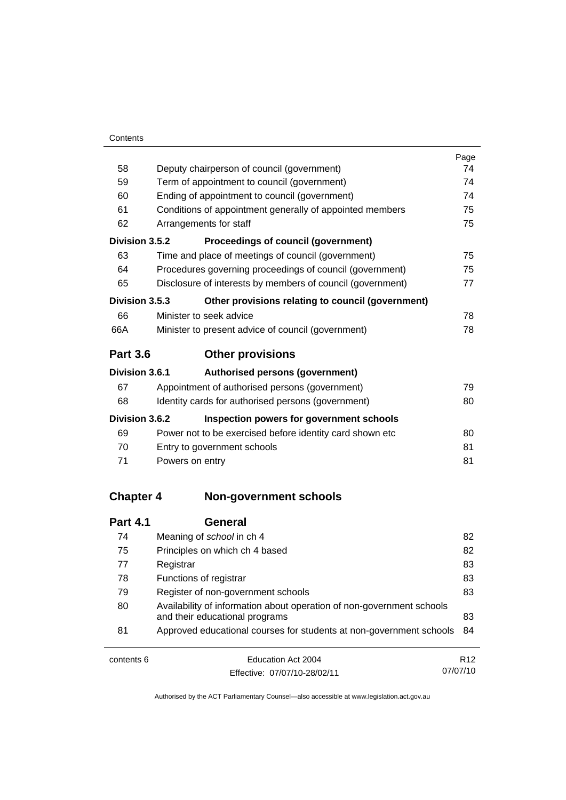|                  |                                                                                                         | Page |  |
|------------------|---------------------------------------------------------------------------------------------------------|------|--|
| 58               | Deputy chairperson of council (government)                                                              |      |  |
| 59               | Term of appointment to council (government)                                                             |      |  |
| 60               | Ending of appointment to council (government)                                                           |      |  |
| 61               | Conditions of appointment generally of appointed members                                                |      |  |
| 62               | Arrangements for staff                                                                                  |      |  |
| Division 3.5.2   | Proceedings of council (government)                                                                     |      |  |
| 63               | Time and place of meetings of council (government)                                                      | 75   |  |
| 64               | Procedures governing proceedings of council (government)                                                | 75   |  |
| 65               | Disclosure of interests by members of council (government)                                              | 77   |  |
| Division 3.5.3   | Other provisions relating to council (government)                                                       |      |  |
| 66               | Minister to seek advice                                                                                 | 78   |  |
| 66A              | Minister to present advice of council (government)                                                      | 78   |  |
| <b>Part 3.6</b>  | <b>Other provisions</b>                                                                                 |      |  |
| Division 3.6.1   | <b>Authorised persons (government)</b>                                                                  |      |  |
| 67               | Appointment of authorised persons (government)                                                          | 79   |  |
| 68               | Identity cards for authorised persons (government)                                                      | 80   |  |
| Division 3.6.2   | Inspection powers for government schools                                                                |      |  |
| 69               | Power not to be exercised before identity card shown etc                                                | 80   |  |
| 70               | Entry to government schools                                                                             | 81   |  |
| 71               | Powers on entry                                                                                         | 81   |  |
| <b>Chapter 4</b> | <b>Non-government schools</b>                                                                           |      |  |
|                  |                                                                                                         |      |  |
| <b>Part 4.1</b>  | <b>General</b>                                                                                          |      |  |
| 74               | Meaning of school in ch 4                                                                               | 82   |  |
| 75               | Principles on which ch 4 based                                                                          | 82   |  |
| 77               | Registrar                                                                                               | 83   |  |
| 78               | Functions of registrar                                                                                  | 83   |  |
| 79               | Register of non-government schools                                                                      | 83   |  |
| 80               | Availability of information about operation of non-government schools<br>and their educational programs | 83   |  |

81 Approved educational courses for students at non-government schools [84](#page-95-0)

| contents 6 | Education Act 2004           | R <sub>12</sub> |
|------------|------------------------------|-----------------|
|            | Effective: 07/07/10-28/02/11 | 07/07/10        |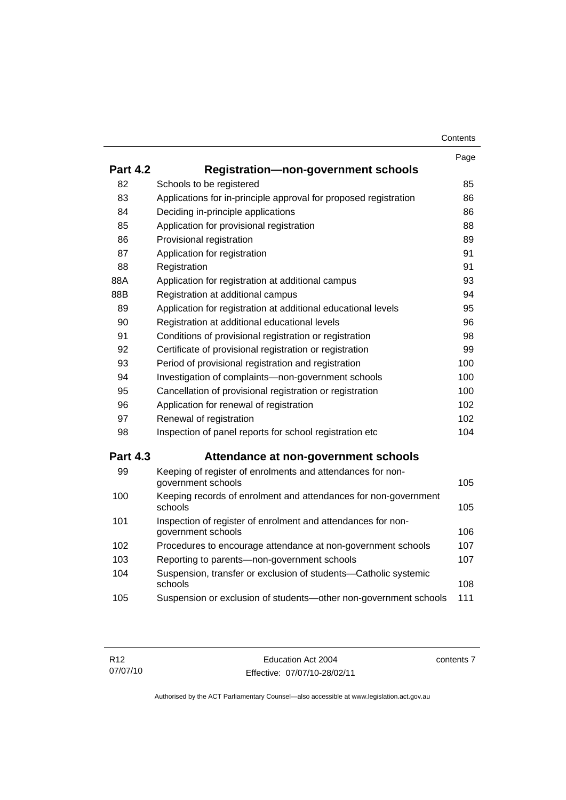|                 |                                                                                    | Page |
|-----------------|------------------------------------------------------------------------------------|------|
| <b>Part 4.2</b> | <b>Registration-non-government schools</b>                                         |      |
| 82              | Schools to be registered                                                           | 85   |
| 83              | Applications for in-principle approval for proposed registration                   | 86   |
| 84              | Deciding in-principle applications                                                 | 86   |
| 85              | Application for provisional registration                                           | 88   |
| 86              | Provisional registration                                                           | 89   |
| 87              | Application for registration                                                       | 91   |
| 88              | Registration                                                                       | 91   |
| 88A             | Application for registration at additional campus                                  | 93   |
| 88B             | Registration at additional campus                                                  | 94   |
| 89              | Application for registration at additional educational levels                      | 95   |
| 90              | Registration at additional educational levels                                      | 96   |
| 91              | Conditions of provisional registration or registration                             | 98   |
| 92              | Certificate of provisional registration or registration                            | 99   |
| 93              | Period of provisional registration and registration                                | 100  |
| 94              | Investigation of complaints-non-government schools                                 | 100  |
| 95              | Cancellation of provisional registration or registration                           | 100  |
| 96              | Application for renewal of registration                                            | 102  |
| 97              | Renewal of registration                                                            | 102  |
| 98              | Inspection of panel reports for school registration etc                            | 104  |
| <b>Part 4.3</b> | Attendance at non-government schools                                               |      |
| 99              | Keeping of register of enrolments and attendances for non-<br>government schools   | 105  |
| 100             | Keeping records of enrolment and attendances for non-government<br>schools         | 105  |
| 101             | Inspection of register of enrolment and attendances for non-<br>government schools | 106  |
| 102             | Procedures to encourage attendance at non-government schools                       | 107  |
| 103             | Reporting to parents-non-government schools                                        | 107  |
| 104             | Suspension, transfer or exclusion of students-Catholic systemic<br>schools         | 108  |
| 105             | Suspension or exclusion of students-other non-government schools                   | 111  |

contents 7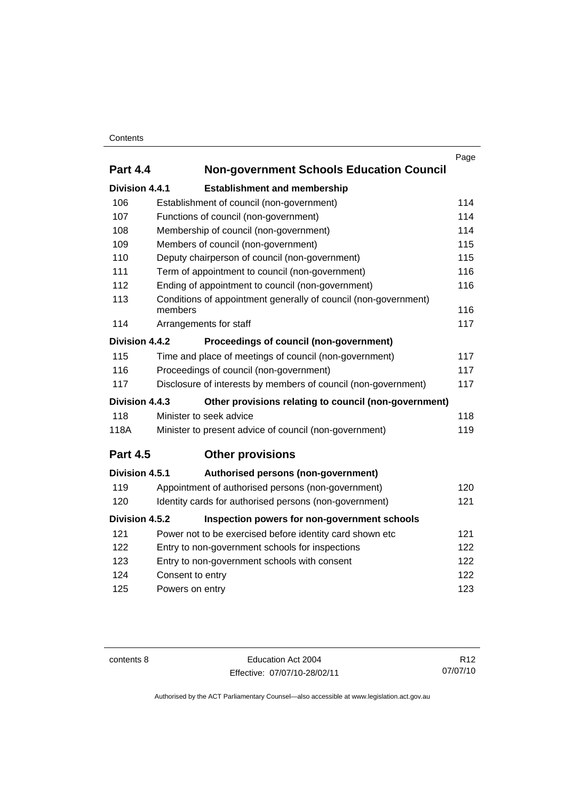## **Contents**

|                 |                                                                 | Page |
|-----------------|-----------------------------------------------------------------|------|
| <b>Part 4.4</b> | <b>Non-government Schools Education Council</b>                 |      |
| Division 4.4.1  | <b>Establishment and membership</b>                             |      |
| 106             | Establishment of council (non-government)                       | 114  |
| 107             | Functions of council (non-government)                           | 114  |
| 108             | Membership of council (non-government)                          | 114  |
| 109             | Members of council (non-government)                             | 115  |
| 110             | Deputy chairperson of council (non-government)                  | 115  |
| 111             | Term of appointment to council (non-government)                 | 116  |
| 112             | Ending of appointment to council (non-government)               | 116  |
| 113             | Conditions of appointment generally of council (non-government) |      |
|                 | members                                                         | 116  |
| 114             | Arrangements for staff                                          | 117  |
| Division 4.4.2  | Proceedings of council (non-government)                         |      |
| 115             | Time and place of meetings of council (non-government)          | 117  |
| 116             | Proceedings of council (non-government)                         | 117  |
| 117             | Disclosure of interests by members of council (non-government)  | 117  |
| Division 4.4.3  | Other provisions relating to council (non-government)           |      |
| 118             | Minister to seek advice                                         | 118  |
| 118A            | Minister to present advice of council (non-government)          | 119  |
| <b>Part 4.5</b> | <b>Other provisions</b>                                         |      |
| Division 4.5.1  | Authorised persons (non-government)                             |      |
| 119             | Appointment of authorised persons (non-government)              | 120  |
| 120             | Identity cards for authorised persons (non-government)          | 121  |
| Division 4.5.2  | Inspection powers for non-government schools                    |      |
| 121             | Power not to be exercised before identity card shown etc        | 121  |
| 122             | Entry to non-government schools for inspections                 | 122  |
| 123             | 122<br>Entry to non-government schools with consent             |      |
| 124             | Consent to entry                                                | 122  |
| 125             | Powers on entry                                                 | 123  |
|                 |                                                                 |      |

contents 8 Education Act 2004 Effective: 07/07/10-28/02/11

R12 07/07/10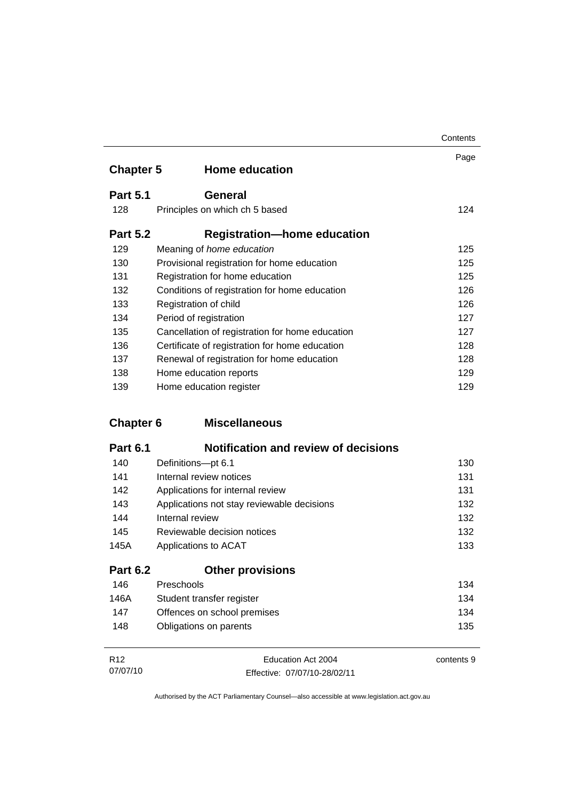|                  |                                                 | Contents |
|------------------|-------------------------------------------------|----------|
| <b>Chapter 5</b> | <b>Home education</b>                           | Page     |
| <b>Part 5.1</b>  | General                                         |          |
| 128              | Principles on which ch 5 based                  | 124      |
| <b>Part 5.2</b>  | <b>Registration-home education</b>              |          |
| 129              | Meaning of home education                       | 125      |
| 130              | Provisional registration for home education     | 125      |
| 131              | Registration for home education                 | 125      |
| 132              | Conditions of registration for home education   | 126      |
| 133              | Registration of child                           | 126      |
| 134              | Period of registration                          | 127      |
| 135              | Cancellation of registration for home education | 127      |
| 136              | Certificate of registration for home education  | 128      |
| 137              | Renewal of registration for home education      | 128      |
| 138              | Home education reports                          | 129      |
| 139              | Home education register                         | 129      |

# **Chapter 6 Miscellaneous**

| <b>Part 6.1</b> | <b>Notification and review of decisions</b> |     |
|-----------------|---------------------------------------------|-----|
| 140             | Definitions-pt 6.1                          | 130 |
| 141             | Internal review notices                     | 131 |
| 142             | Applications for internal review            | 131 |
| 143             | Applications not stay reviewable decisions  | 132 |
| 144             | Internal review                             | 132 |
| 145             | Reviewable decision notices                 | 132 |
| 145A            | Applications to ACAT                        | 133 |
| <b>Part 6.2</b> | <b>Other provisions</b>                     |     |
| 146             | Preschools                                  | 134 |
| 146A            | Student transfer register                   | 134 |
| 147             | Offences on school premises                 | 134 |

| R <sub>12</sub> | Education Act 2004           | contents 9 |
|-----------------|------------------------------|------------|
| 07/07/10        | Effective: 07/07/10-28/02/11 |            |

148 Obligations on parents [135](#page-146-0)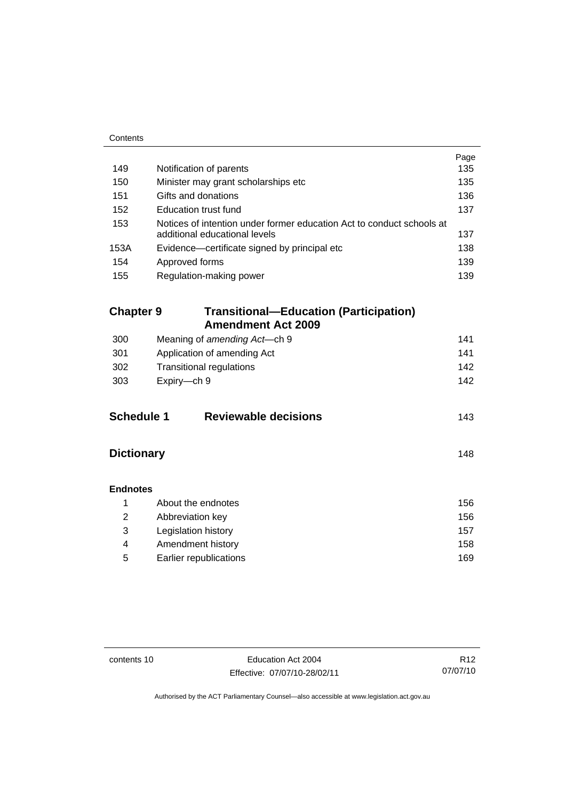| Contents          |                                                                                                        |      |
|-------------------|--------------------------------------------------------------------------------------------------------|------|
|                   |                                                                                                        | Page |
| 149               | Notification of parents                                                                                | 135  |
| 150               | Minister may grant scholarships etc                                                                    | 135  |
| 151               | Gifts and donations                                                                                    | 136  |
| 152               | <b>Education trust fund</b>                                                                            | 137  |
| 153               | Notices of intention under former education Act to conduct schools at<br>additional educational levels | 137  |
| 153A              | Evidence—certificate signed by principal etc                                                           | 138  |
| 154               | Approved forms                                                                                         | 139  |
| 155               | Regulation-making power                                                                                | 139  |
|                   |                                                                                                        |      |
| <b>Chapter 9</b>  | <b>Transitional-Education (Participation)</b>                                                          |      |
|                   | <b>Amendment Act 2009</b>                                                                              |      |
| 300               | Meaning of amending Act-ch 9                                                                           | 141  |
| 301               | Application of amending Act                                                                            | 141  |
| 302               | <b>Transitional regulations</b><br>142                                                                 |      |
| 303               | Expiry-ch 9                                                                                            | 142  |
|                   |                                                                                                        |      |
| <b>Schedule 1</b> | <b>Reviewable decisions</b>                                                                            | 143  |
|                   |                                                                                                        |      |
| <b>Dictionary</b> |                                                                                                        | 148  |
|                   |                                                                                                        |      |
| <b>Endnotes</b>   |                                                                                                        |      |
| 1                 | About the endnotes                                                                                     | 156  |
| $\overline{2}$    | Abbreviation key                                                                                       | 156  |
| 3                 | Legislation history                                                                                    | 157  |
| 4                 | Amendment history                                                                                      | 158  |
| 5                 | Earlier republications                                                                                 | 169  |

L.

contents 10 Education Act 2004 Effective: 07/07/10-28/02/11

R12 07/07/10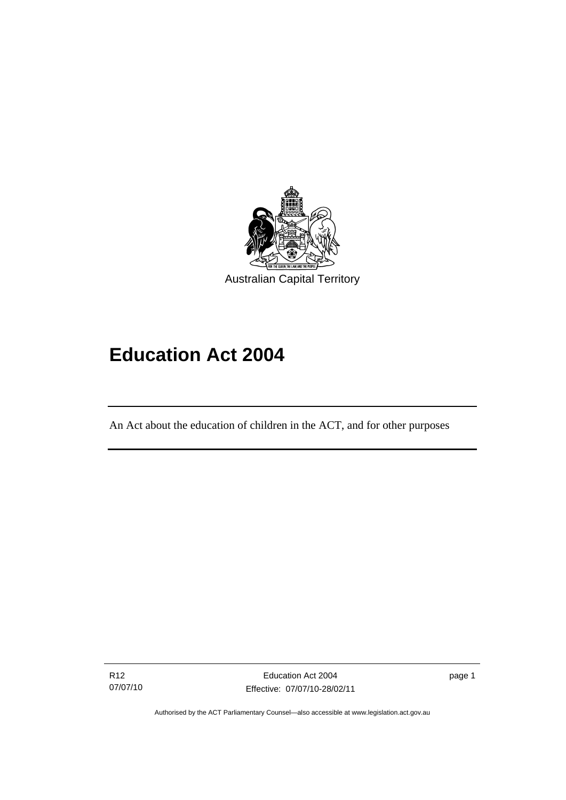<span id="page-12-0"></span>

# **Education Act 2004**

An Act about the education of children in the ACT, and for other purposes

R12 07/07/10

l

page 1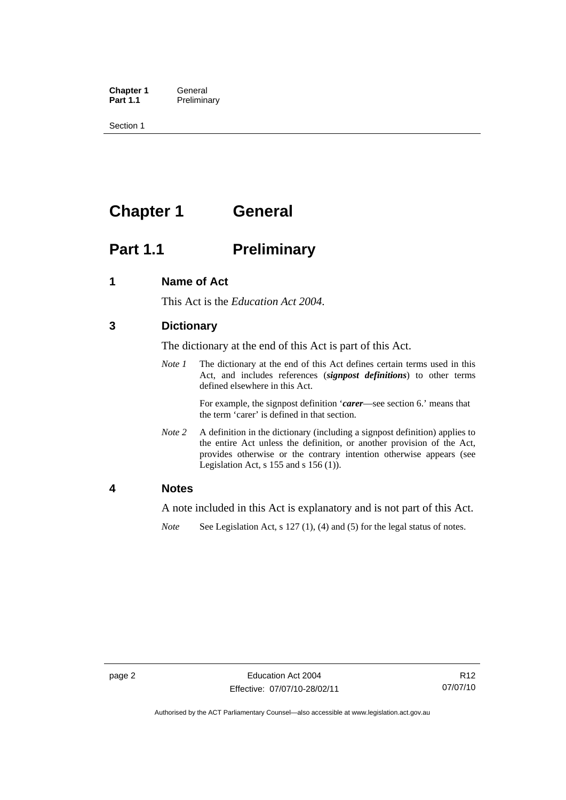<span id="page-13-0"></span>**Chapter 1 General**<br>**Part 1.1 Prelimina Preliminary** 

Section 1

# **Chapter 1 General**

# **Part 1.1** Preliminary

## **1 Name of Act**

This Act is the *Education Act 2004*.

# **3 Dictionary**

The dictionary at the end of this Act is part of this Act.

*Note 1* The dictionary at the end of this Act defines certain terms used in this Act, and includes references (*signpost definitions*) to other terms defined elsewhere in this Act.

> For example, the signpost definition '*carer*—see section 6.' means that the term 'carer' is defined in that section.

*Note 2* A definition in the dictionary (including a signpost definition) applies to the entire Act unless the definition, or another provision of the Act, provides otherwise or the contrary intention otherwise appears (see Legislation Act,  $s$  155 and  $s$  156 (1)).

#### **4 Notes**

A note included in this Act is explanatory and is not part of this Act.

*Note* See Legislation Act, s 127 (1), (4) and (5) for the legal status of notes.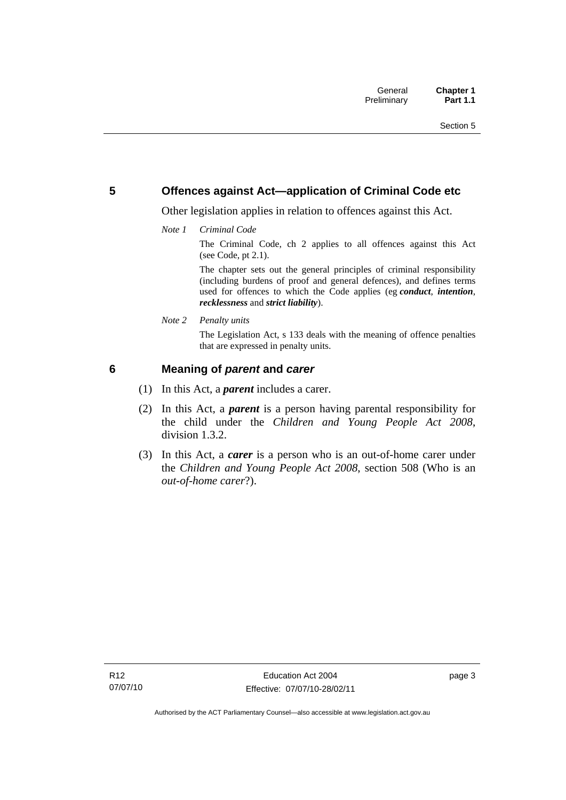# <span id="page-14-0"></span>**5 Offences against Act—application of Criminal Code etc**

Other legislation applies in relation to offences against this Act.

*Note 1 Criminal Code*

The Criminal Code, ch 2 applies to all offences against this Act (see Code, pt 2.1).

The chapter sets out the general principles of criminal responsibility (including burdens of proof and general defences), and defines terms used for offences to which the Code applies (eg *conduct*, *intention*, *recklessness* and *strict liability*).

*Note 2 Penalty units* 

The Legislation Act, s 133 deals with the meaning of offence penalties that are expressed in penalty units.

# **6 Meaning of** *parent* **and** *carer*

- (1) In this Act, a *parent* includes a carer.
- (2) In this Act, a *parent* is a person having parental responsibility for the child under the *Children and Young People Act 2008*, division 1.3.2.
- (3) In this Act, a *carer* is a person who is an out-of-home carer under the *Children and Young People Act 2008*, section 508 (Who is an *out-of-home carer*?).

page 3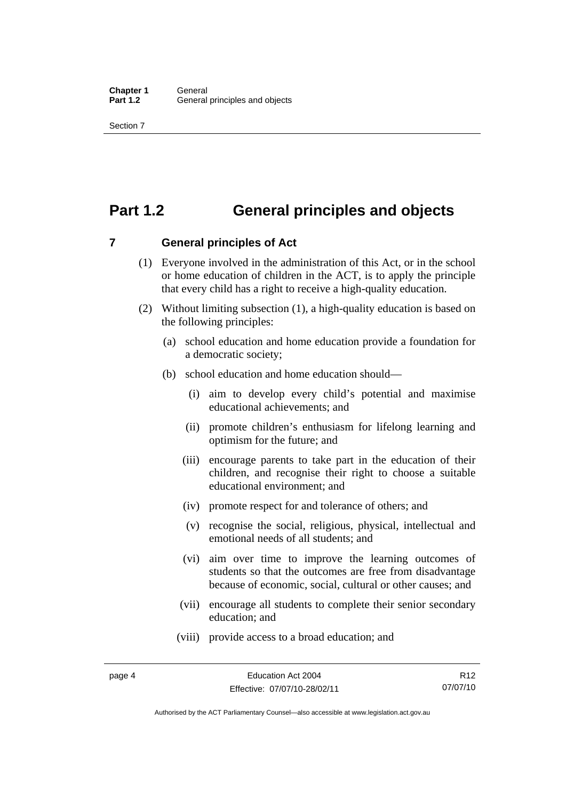# <span id="page-15-0"></span>**Part 1.2 General principles and objects**

**7 General principles of Act** 

- (1) Everyone involved in the administration of this Act, or in the school or home education of children in the ACT, is to apply the principle that every child has a right to receive a high-quality education.
- (2) Without limiting subsection (1), a high-quality education is based on the following principles:
	- (a) school education and home education provide a foundation for a democratic society;
	- (b) school education and home education should—
		- (i) aim to develop every child's potential and maximise educational achievements; and
		- (ii) promote children's enthusiasm for lifelong learning and optimism for the future; and
		- (iii) encourage parents to take part in the education of their children, and recognise their right to choose a suitable educational environment; and
		- (iv) promote respect for and tolerance of others; and
		- (v) recognise the social, religious, physical, intellectual and emotional needs of all students; and
		- (vi) aim over time to improve the learning outcomes of students so that the outcomes are free from disadvantage because of economic, social, cultural or other causes; and
		- (vii) encourage all students to complete their senior secondary education; and
		- (viii) provide access to a broad education; and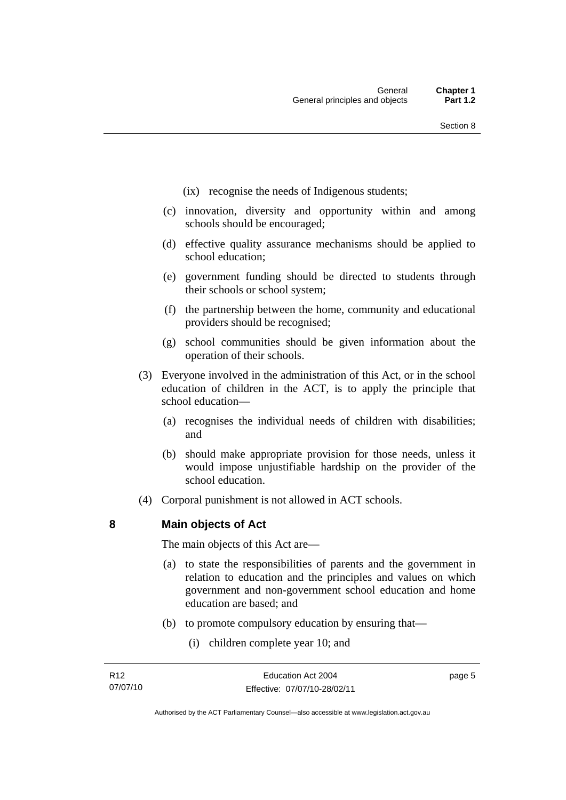- <span id="page-16-0"></span>(ix) recognise the needs of Indigenous students;
- (c) innovation, diversity and opportunity within and among schools should be encouraged;
- (d) effective quality assurance mechanisms should be applied to school education;
- (e) government funding should be directed to students through their schools or school system;
- (f) the partnership between the home, community and educational providers should be recognised;
- (g) school communities should be given information about the operation of their schools.
- (3) Everyone involved in the administration of this Act, or in the school education of children in the ACT, is to apply the principle that school education—
	- (a) recognises the individual needs of children with disabilities; and
	- (b) should make appropriate provision for those needs, unless it would impose unjustifiable hardship on the provider of the school education.
- (4) Corporal punishment is not allowed in ACT schools.

**8 Main objects of Act** 

The main objects of this Act are—

- (a) to state the responsibilities of parents and the government in relation to education and the principles and values on which government and non-government school education and home education are based; and
- (b) to promote compulsory education by ensuring that—
	- (i) children complete year 10; and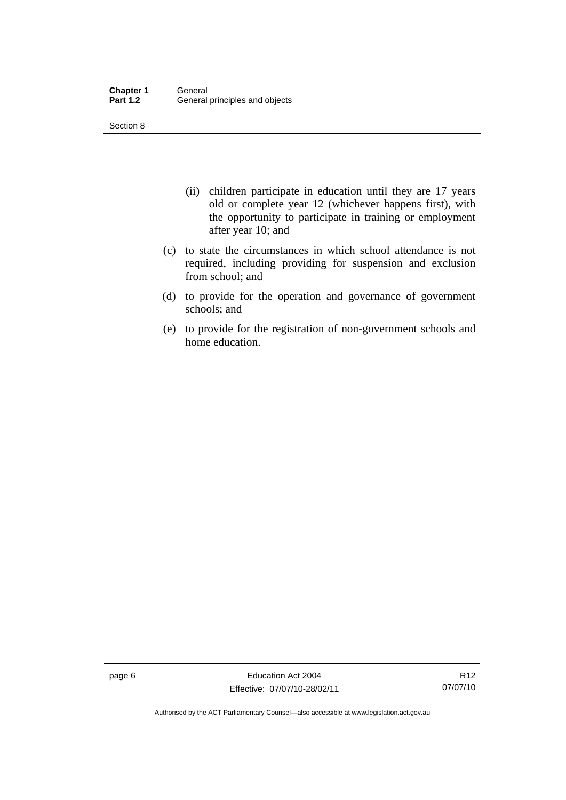Section 8

- (ii) children participate in education until they are 17 years old or complete year 12 (whichever happens first), with the opportunity to participate in training or employment after year 10; and
- (c) to state the circumstances in which school attendance is not required, including providing for suspension and exclusion from school; and
- (d) to provide for the operation and governance of government schools; and
- (e) to provide for the registration of non-government schools and home education.

page 6 **Education Act 2004** Effective: 07/07/10-28/02/11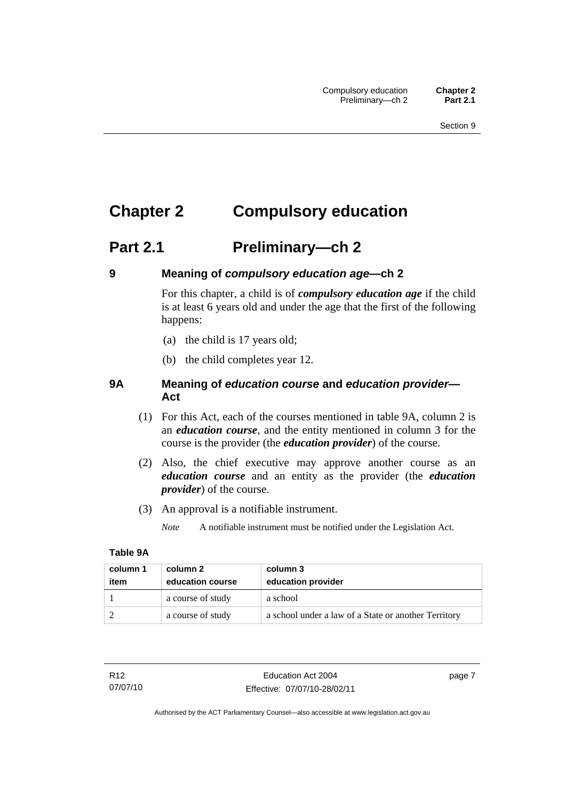# <span id="page-18-0"></span>**Chapter 2 Compulsory education**

# **Part 2.1 Preliminary—ch 2**

# **9 Meaning of** *compulsory education age***—ch 2**

For this chapter, a child is of *compulsory education age* if the child is at least 6 years old and under the age that the first of the following happens:

- (a) the child is 17 years old;
- (b) the child completes year 12.

# **9A Meaning of** *education course* **and** *education provider***— Act**

- (1) For this Act, each of the courses mentioned in table 9A, column 2 is an *education course*, and the entity mentioned in column 3 for the course is the provider (the *education provider*) of the course.
- (2) Also, the chief executive may approve another course as an *education course* and an entity as the provider (the *education provider*) of the course.
- (3) An approval is a notifiable instrument.

*Note* A notifiable instrument must be notified under the Legislation Act.

#### **Table 9A**

| column 1<br>item | column 2<br>education course | column 3<br>education provider                       |
|------------------|------------------------------|------------------------------------------------------|
|                  | a course of study            | a school                                             |
|                  | a course of study            | a school under a law of a State or another Territory |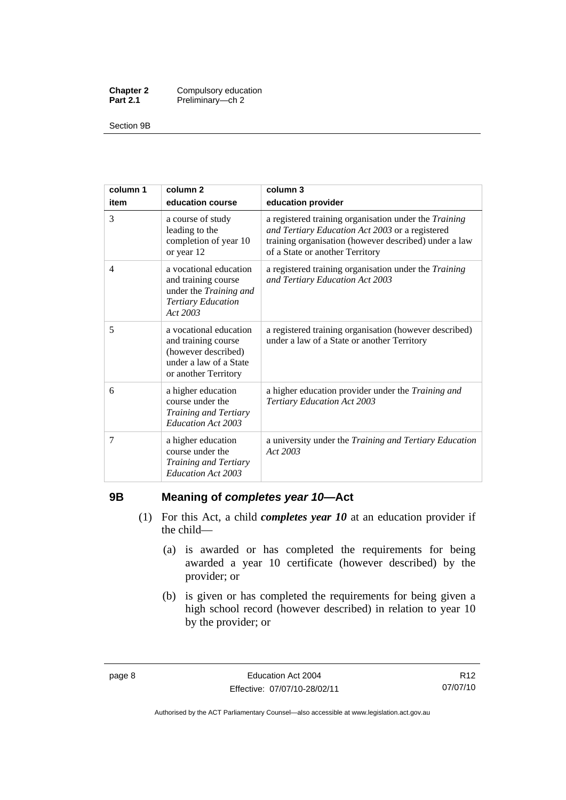<span id="page-19-0"></span>

| <b>Chapter 2</b> | Compulsory education |
|------------------|----------------------|
| <b>Part 2.1</b>  | Preliminary-ch 2     |

Section 9B

| column 1 | column <sub>2</sub>                                                                                                    | column 3                                                                                                                                                                                             |
|----------|------------------------------------------------------------------------------------------------------------------------|------------------------------------------------------------------------------------------------------------------------------------------------------------------------------------------------------|
| item     | education course                                                                                                       | education provider                                                                                                                                                                                   |
| 3        | a course of study<br>leading to the<br>completion of year 10<br>or year 12                                             | a registered training organisation under the Training<br>and Tertiary Education Act 2003 or a registered<br>training organisation (however described) under a law<br>of a State or another Territory |
| 4        | a vocational education<br>and training course<br>under the Training and<br><b>Tertiary Education</b><br>Act 2003       | a registered training organisation under the Training<br>and Tertiary Education Act 2003                                                                                                             |
| 5        | a vocational education<br>and training course<br>(however described)<br>under a law of a State<br>or another Territory | a registered training organisation (however described)<br>under a law of a State or another Territory                                                                                                |
| 6        | a higher education<br>course under the<br>Training and Tertiary<br>Education Act 2003                                  | a higher education provider under the Training and<br>Tertiary Education Act 2003                                                                                                                    |
| 7        | a higher education<br>course under the<br>Training and Tertiary<br>Education Act 2003                                  | a university under the Training and Tertiary Education<br>Act 2003                                                                                                                                   |

# **9B Meaning of** *completes year 10***—Act**

- (1) For this Act, a child *completes year 10* at an education provider if the child—
	- (a) is awarded or has completed the requirements for being awarded a year 10 certificate (however described) by the provider; or
	- (b) is given or has completed the requirements for being given a high school record (however described) in relation to year 10 by the provider; or

Authorised by the ACT Parliamentary Counsel—also accessible at www.legislation.act.gov.au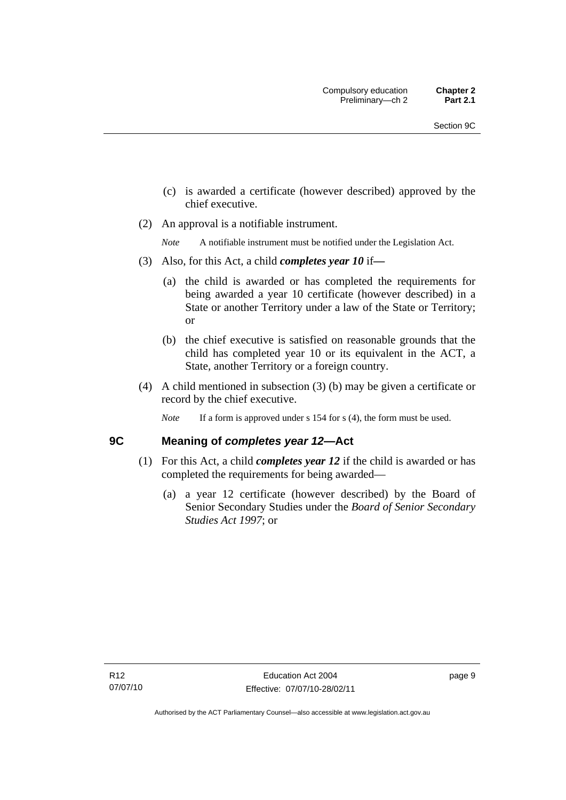- <span id="page-20-0"></span> (c) is awarded a certificate (however described) approved by the chief executive.
- (2) An approval is a notifiable instrument.

*Note* A notifiable instrument must be notified under the Legislation Act.

- (3) Also, for this Act, a child *completes year 10* if*—*
	- (a) the child is awarded or has completed the requirements for being awarded a year 10 certificate (however described) in a State or another Territory under a law of the State or Territory; or
	- (b) the chief executive is satisfied on reasonable grounds that the child has completed year 10 or its equivalent in the ACT, a State, another Territory or a foreign country.
- (4) A child mentioned in subsection (3) (b) may be given a certificate or record by the chief executive.
	- *Note* If a form is approved under s 154 for s (4), the form must be used.

# **9C Meaning of** *completes year 12***—Act**

- (1) For this Act, a child *completes year 12* if the child is awarded or has completed the requirements for being awarded—
	- (a) a year 12 certificate (however described) by the Board of Senior Secondary Studies under the *Board of Senior Secondary Studies Act 1997*; or

page 9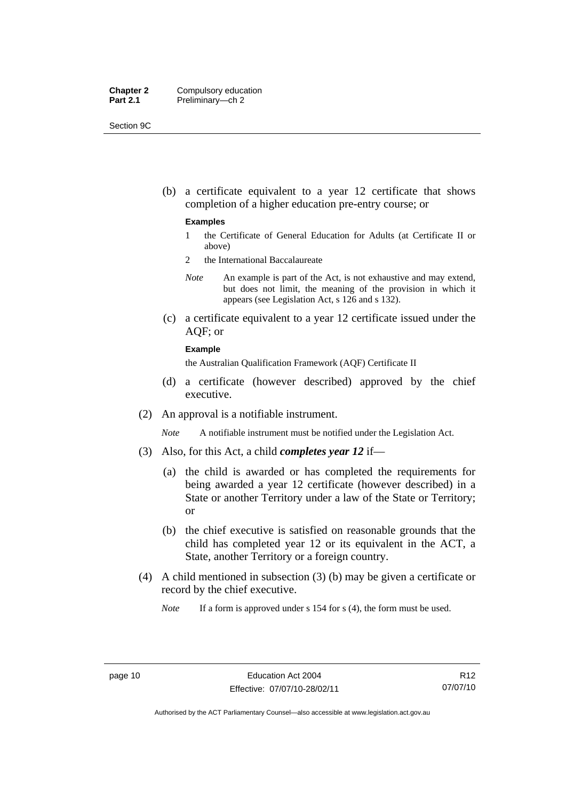| <b>Chapter 2</b> | Compulsory education |
|------------------|----------------------|
| <b>Part 2.1</b>  | Preliminary-ch 2     |

Section 9C

 (b) a certificate equivalent to a year 12 certificate that shows completion of a higher education pre-entry course; or

#### **Examples**

- 1 the Certificate of General Education for Adults (at Certificate II or above)
- 2 the International Baccalaureate
- *Note* An example is part of the Act, is not exhaustive and may extend, but does not limit, the meaning of the provision in which it appears (see Legislation Act, s 126 and s 132).
- (c) a certificate equivalent to a year 12 certificate issued under the AQF; or

#### **Example**

the Australian Qualification Framework (AQF) Certificate II

- (d) a certificate (however described) approved by the chief executive.
- (2) An approval is a notifiable instrument.

*Note* A notifiable instrument must be notified under the Legislation Act.

- (3) Also, for this Act, a child *completes year 12* if—
	- (a) the child is awarded or has completed the requirements for being awarded a year 12 certificate (however described) in a State or another Territory under a law of the State or Territory; or
	- (b) the chief executive is satisfied on reasonable grounds that the child has completed year 12 or its equivalent in the ACT, a State, another Territory or a foreign country.
- (4) A child mentioned in subsection (3) (b) may be given a certificate or record by the chief executive.

*Note* If a form is approved under s 154 for s (4), the form must be used.

R12 07/07/10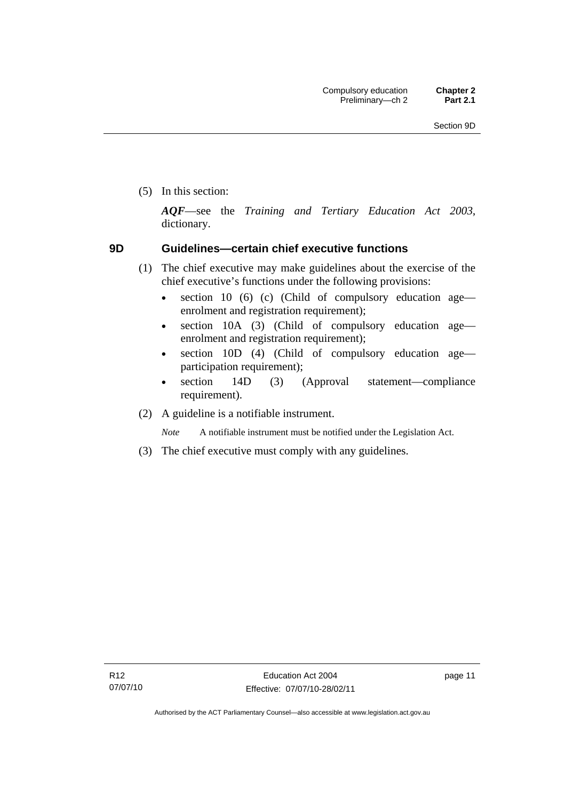<span id="page-22-0"></span>(5) In this section:

*AQF*—see the *Training and Tertiary Education Act 2003*, dictionary.

# **9D Guidelines—certain chief executive functions**

- (1) The chief executive may make guidelines about the exercise of the chief executive's functions under the following provisions:
	- section 10 (6) (c) (Child of compulsory education age enrolment and registration requirement);
	- section 10A (3) (Child of compulsory education age enrolment and registration requirement);
	- section 10D (4) (Child of compulsory education age participation requirement);
	- section 14D (3) (Approval statement—compliance requirement).
- (2) A guideline is a notifiable instrument.

*Note* A notifiable instrument must be notified under the Legislation Act.

(3) The chief executive must comply with any guidelines.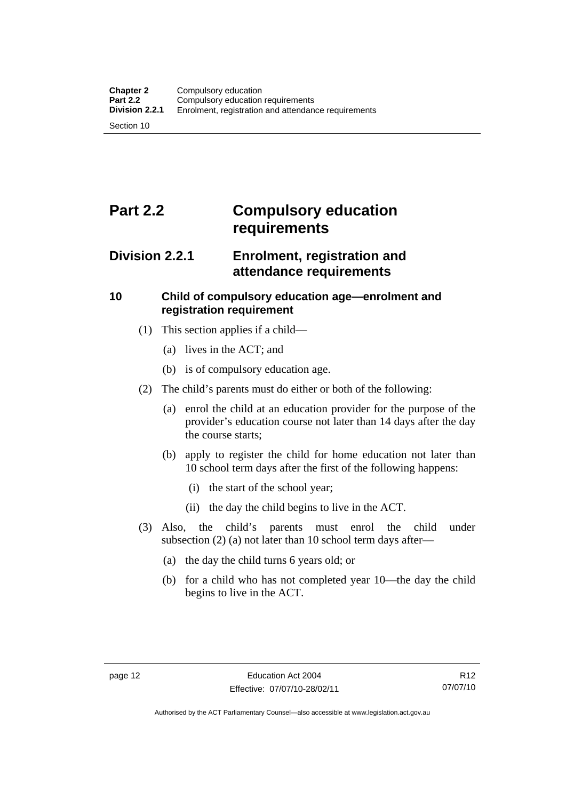# <span id="page-23-0"></span>**Part 2.2 Compulsory education requirements**

# **Division 2.2.1 Enrolment, registration and attendance requirements**

# **10 Child of compulsory education age—enrolment and registration requirement**

- (1) This section applies if a child—
	- (a) lives in the ACT; and
	- (b) is of compulsory education age.
- (2) The child's parents must do either or both of the following:
	- (a) enrol the child at an education provider for the purpose of the provider's education course not later than 14 days after the day the course starts;
	- (b) apply to register the child for home education not later than 10 school term days after the first of the following happens:
		- (i) the start of the school year;
		- (ii) the day the child begins to live in the ACT.
- (3) Also, the child's parents must enrol the child under subsection (2) (a) not later than 10 school term days after—
	- (a) the day the child turns 6 years old; or
	- (b) for a child who has not completed year 10—the day the child begins to live in the ACT.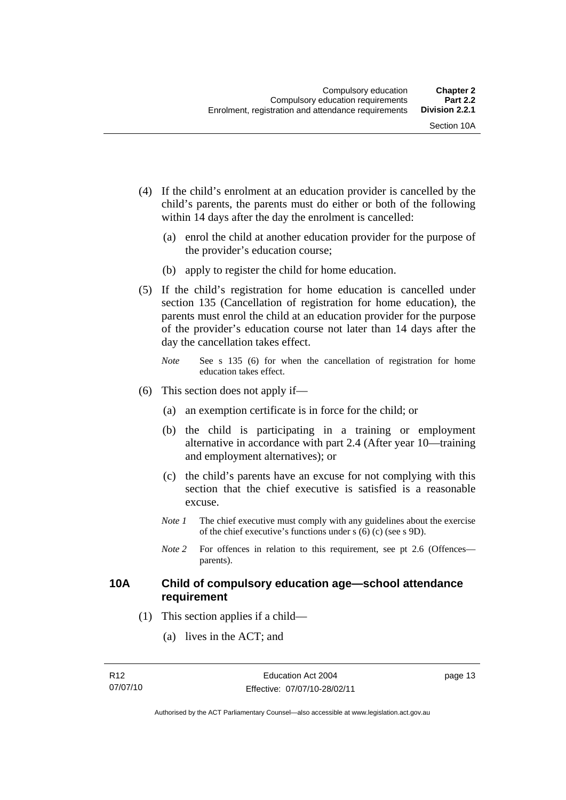- <span id="page-24-0"></span> (4) If the child's enrolment at an education provider is cancelled by the child's parents, the parents must do either or both of the following within 14 days after the day the enrolment is cancelled:
	- (a) enrol the child at another education provider for the purpose of the provider's education course;
	- (b) apply to register the child for home education.
- (5) If the child's registration for home education is cancelled under section 135 (Cancellation of registration for home education), the parents must enrol the child at an education provider for the purpose of the provider's education course not later than 14 days after the day the cancellation takes effect.
	- *Note* See s 135 (6) for when the cancellation of registration for home education takes effect.
- (6) This section does not apply if—
	- (a) an exemption certificate is in force for the child; or
	- (b) the child is participating in a training or employment alternative in accordance with part 2.4 (After year 10—training and employment alternatives); or
	- (c) the child's parents have an excuse for not complying with this section that the chief executive is satisfied is a reasonable excuse.
	- *Note 1* The chief executive must comply with any guidelines about the exercise of the chief executive's functions under s (6) (c) (see s 9D).
	- *Note* 2 For offences in relation to this requirement, see pt 2.6 (Offences parents).

# **10A Child of compulsory education age—school attendance requirement**

- (1) This section applies if a child—
	- (a) lives in the ACT; and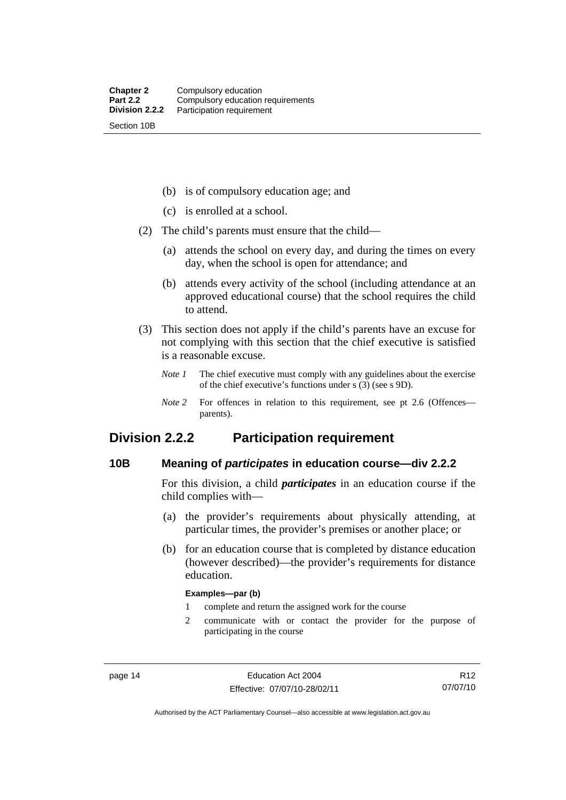<span id="page-25-0"></span>(b) is of compulsory education age; and

- (c) is enrolled at a school.
- (2) The child's parents must ensure that the child—
	- (a) attends the school on every day, and during the times on every day, when the school is open for attendance; and
	- (b) attends every activity of the school (including attendance at an approved educational course) that the school requires the child to attend.
- (3) This section does not apply if the child's parents have an excuse for not complying with this section that the chief executive is satisfied is a reasonable excuse.
	- *Note 1* The chief executive must comply with any guidelines about the exercise of the chief executive's functions under s (3) (see s 9D).
	- *Note* 2 For offences in relation to this requirement, see pt 2.6 (Offences parents).

# **Division 2.2.2 Participation requirement**

# **10B Meaning of** *participates* **in education course—div 2.2.2**

For this division, a child *participates* in an education course if the child complies with—

- (a) the provider's requirements about physically attending, at particular times, the provider's premises or another place; or
- (b) for an education course that is completed by distance education (however described)—the provider's requirements for distance education.

#### **Examples—par (b)**

- 1 complete and return the assigned work for the course
- 2 communicate with or contact the provider for the purpose of participating in the course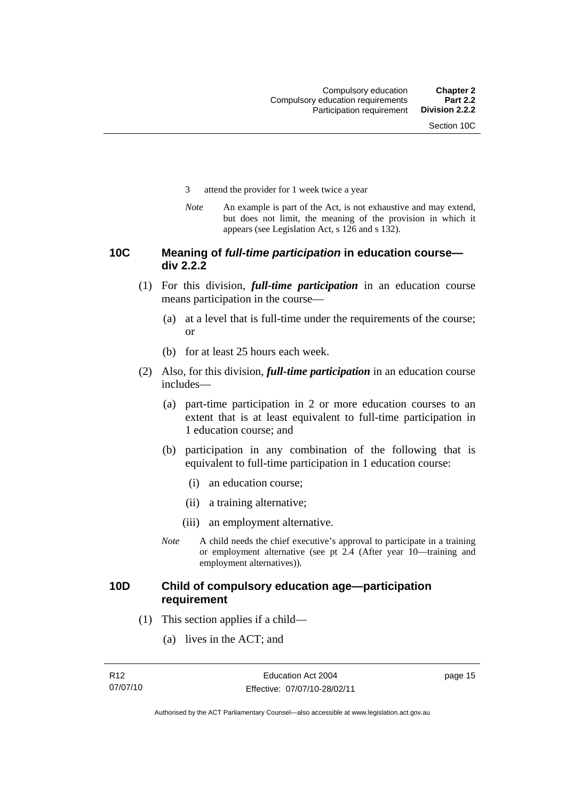- <span id="page-26-0"></span>3 attend the provider for 1 week twice a year
- *Note* An example is part of the Act, is not exhaustive and may extend, but does not limit, the meaning of the provision in which it appears (see Legislation Act, s 126 and s 132).

# **10C Meaning of** *full-time participation* **in education course div 2.2.2**

- (1) For this division, *full-time participation* in an education course means participation in the course—
	- (a) at a level that is full-time under the requirements of the course; or
	- (b) for at least 25 hours each week.
- (2) Also, for this division, *full-time participation* in an education course includes—
	- (a) part-time participation in 2 or more education courses to an extent that is at least equivalent to full-time participation in 1 education course; and
	- (b) participation in any combination of the following that is equivalent to full-time participation in 1 education course:
		- (i) an education course;
		- (ii) a training alternative;
		- (iii) an employment alternative.
	- *Note* A child needs the chief executive's approval to participate in a training or employment alternative (see pt 2.4 (After year 10—training and employment alternatives)).

# **10D Child of compulsory education age—participation requirement**

- (1) This section applies if a child—
	- (a) lives in the ACT; and

page 15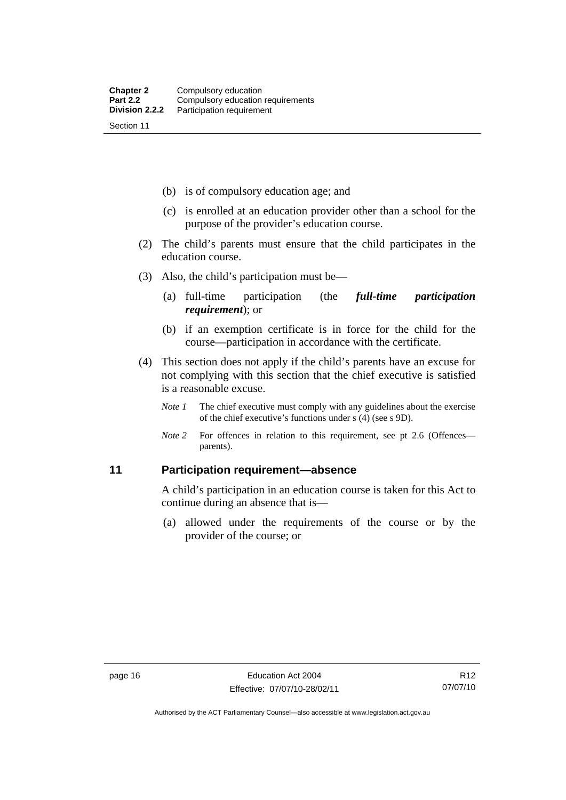<span id="page-27-0"></span>(b) is of compulsory education age; and

- (c) is enrolled at an education provider other than a school for the purpose of the provider's education course.
- (2) The child's parents must ensure that the child participates in the education course.
- (3) Also, the child's participation must be—
	- (a) full-time participation (the *full-time participation requirement*); or
	- (b) if an exemption certificate is in force for the child for the course—participation in accordance with the certificate.
- (4) This section does not apply if the child's parents have an excuse for not complying with this section that the chief executive is satisfied is a reasonable excuse.
	- *Note 1* The chief executive must comply with any guidelines about the exercise of the chief executive's functions under s (4) (see s 9D).
	- *Note 2* For offences in relation to this requirement, see pt 2.6 (Offences parents).

# **11 Participation requirement—absence**

A child's participation in an education course is taken for this Act to continue during an absence that is—

 (a) allowed under the requirements of the course or by the provider of the course; or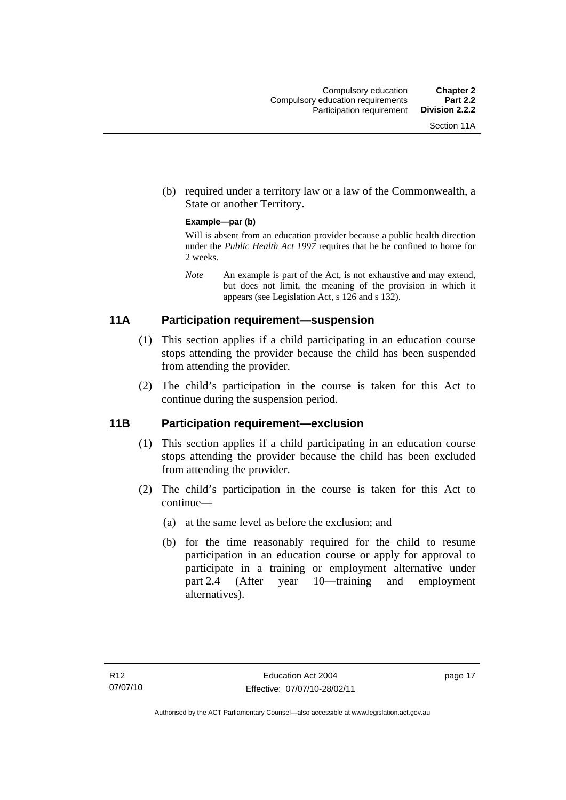<span id="page-28-0"></span> (b) required under a territory law or a law of the Commonwealth, a State or another Territory.

#### **Example—par (b)**

Will is absent from an education provider because a public health direction under the *Public Health Act 1997* requires that he be confined to home for 2 weeks.

*Note* An example is part of the Act, is not exhaustive and may extend, but does not limit, the meaning of the provision in which it appears (see Legislation Act, s 126 and s 132).

# **11A Participation requirement—suspension**

- (1) This section applies if a child participating in an education course stops attending the provider because the child has been suspended from attending the provider.
- (2) The child's participation in the course is taken for this Act to continue during the suspension period.

# **11B Participation requirement—exclusion**

- (1) This section applies if a child participating in an education course stops attending the provider because the child has been excluded from attending the provider.
- (2) The child's participation in the course is taken for this Act to continue—
	- (a) at the same level as before the exclusion; and
	- (b) for the time reasonably required for the child to resume participation in an education course or apply for approval to participate in a training or employment alternative under part 2.4 (After year 10—training and employment alternatives).

page 17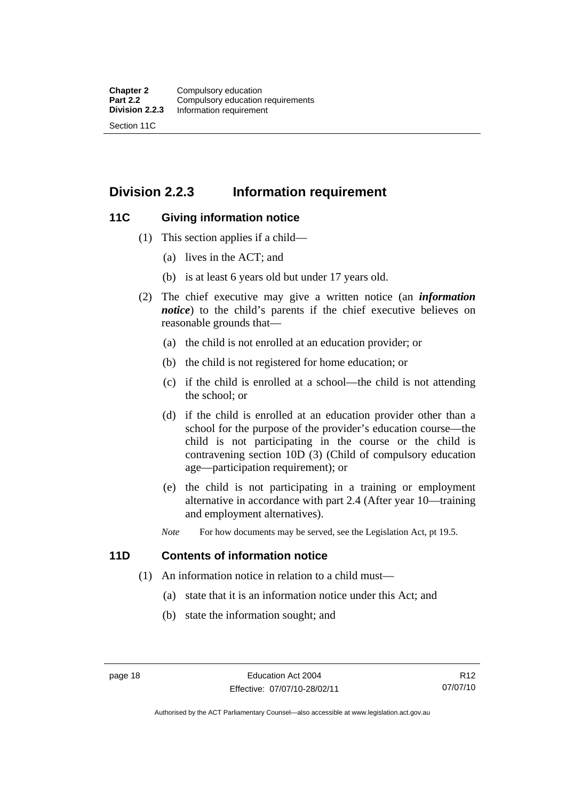# <span id="page-29-0"></span>**Division 2.2.3 Information requirement**

# **11C Giving information notice**

- (1) This section applies if a child—
	- (a) lives in the ACT; and
	- (b) is at least 6 years old but under 17 years old.
- (2) The chief executive may give a written notice (an *information notice*) to the child's parents if the chief executive believes on reasonable grounds that—
	- (a) the child is not enrolled at an education provider; or
	- (b) the child is not registered for home education; or
	- (c) if the child is enrolled at a school—the child is not attending the school; or
	- (d) if the child is enrolled at an education provider other than a school for the purpose of the provider's education course—the child is not participating in the course or the child is contravening section 10D (3) (Child of compulsory education age—participation requirement); or
	- (e) the child is not participating in a training or employment alternative in accordance with part 2.4 (After year 10—training and employment alternatives).
	- *Note* For how documents may be served, see the Legislation Act, pt 19.5.

# **11D Contents of information notice**

- (1) An information notice in relation to a child must—
	- (a) state that it is an information notice under this Act; and
	- (b) state the information sought; and

Authorised by the ACT Parliamentary Counsel—also accessible at www.legislation.act.gov.au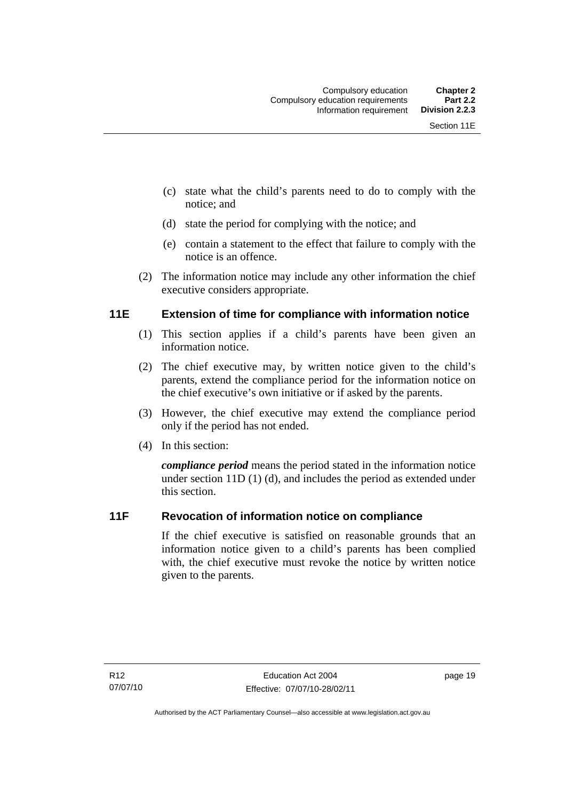- <span id="page-30-0"></span> (c) state what the child's parents need to do to comply with the notice; and
- (d) state the period for complying with the notice; and
- (e) contain a statement to the effect that failure to comply with the notice is an offence.
- (2) The information notice may include any other information the chief executive considers appropriate.

# **11E Extension of time for compliance with information notice**

- (1) This section applies if a child's parents have been given an information notice.
- (2) The chief executive may, by written notice given to the child's parents, extend the compliance period for the information notice on the chief executive's own initiative or if asked by the parents.
- (3) However, the chief executive may extend the compliance period only if the period has not ended.
- (4) In this section:

*compliance period* means the period stated in the information notice under section 11D (1) (d), and includes the period as extended under this section.

# **11F Revocation of information notice on compliance**

If the chief executive is satisfied on reasonable grounds that an information notice given to a child's parents has been complied with, the chief executive must revoke the notice by written notice given to the parents.

page 19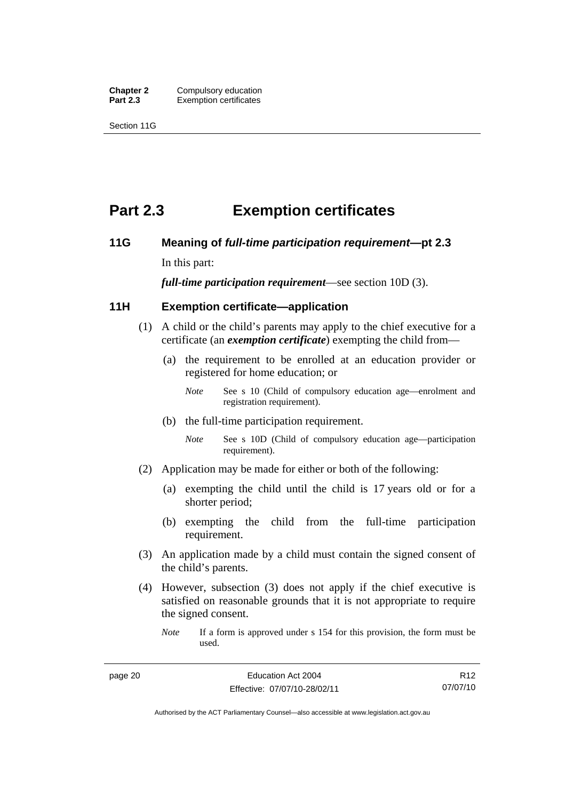<span id="page-31-0"></span>**Chapter 2 Compulsory education**<br>**Part 2.3 Exemption certificates Exemption certificates** 

Section 11G

# **Part 2.3 Exemption certificates**

# **11G Meaning of** *full-time participation requirement***—pt 2.3**

In this part:

*full-time participation requirement*—see section 10D (3).

# **11H Exemption certificate—application**

- (1) A child or the child's parents may apply to the chief executive for a certificate (an *exemption certificate*) exempting the child from—
	- (a) the requirement to be enrolled at an education provider or registered for home education; or
		- *Note* See s 10 (Child of compulsory education age—enrolment and registration requirement).
	- (b) the full-time participation requirement.
		- *Note* See s 10D (Child of compulsory education age—participation requirement).
- (2) Application may be made for either or both of the following:
	- (a) exempting the child until the child is 17 years old or for a shorter period;
	- (b) exempting the child from the full-time participation requirement.
- (3) An application made by a child must contain the signed consent of the child's parents.
- (4) However, subsection (3) does not apply if the chief executive is satisfied on reasonable grounds that it is not appropriate to require the signed consent.

*Note* If a form is approved under s 154 for this provision, the form must be used.

Authorised by the ACT Parliamentary Counsel—also accessible at www.legislation.act.gov.au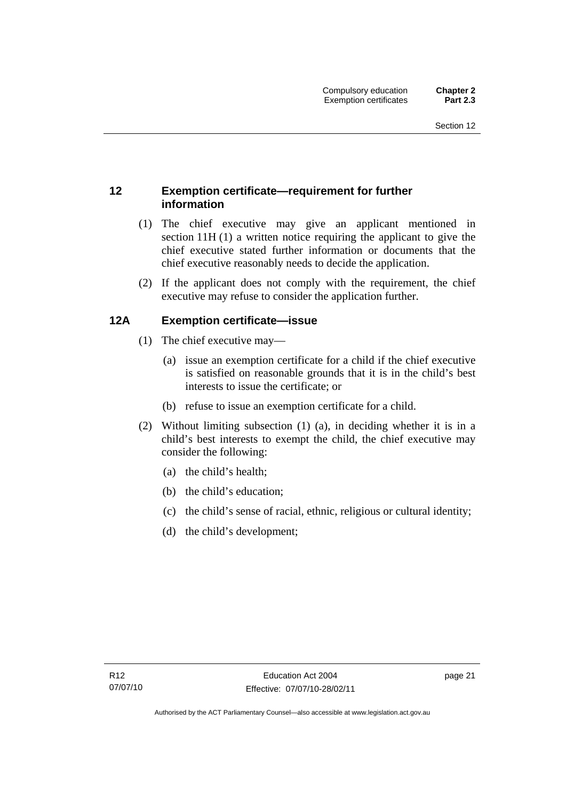# <span id="page-32-0"></span>**12 Exemption certificate—requirement for further information**

- (1) The chief executive may give an applicant mentioned in section 11H (1) a written notice requiring the applicant to give the chief executive stated further information or documents that the chief executive reasonably needs to decide the application.
- (2) If the applicant does not comply with the requirement, the chief executive may refuse to consider the application further.

# **12A Exemption certificate—issue**

- (1) The chief executive may—
	- (a) issue an exemption certificate for a child if the chief executive is satisfied on reasonable grounds that it is in the child's best interests to issue the certificate; or
	- (b) refuse to issue an exemption certificate for a child.
- (2) Without limiting subsection (1) (a), in deciding whether it is in a child's best interests to exempt the child, the chief executive may consider the following:
	- (a) the child's health;
	- (b) the child's education;
	- (c) the child's sense of racial, ethnic, religious or cultural identity;
	- (d) the child's development;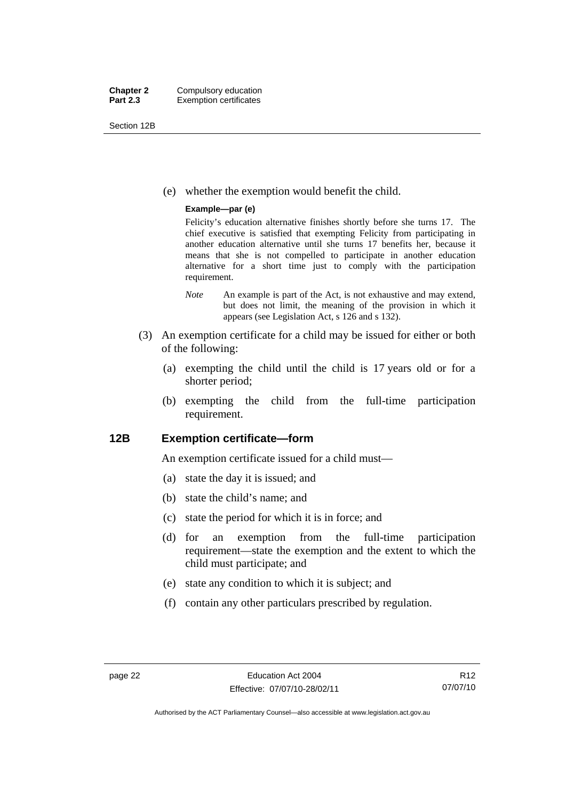<span id="page-33-0"></span>Section 12B

(e) whether the exemption would benefit the child.

#### **Example—par (e)**

Felicity's education alternative finishes shortly before she turns 17. The chief executive is satisfied that exempting Felicity from participating in another education alternative until she turns 17 benefits her, because it means that she is not compelled to participate in another education alternative for a short time just to comply with the participation requirement.

- *Note* An example is part of the Act, is not exhaustive and may extend, but does not limit, the meaning of the provision in which it appears (see Legislation Act, s 126 and s 132).
- (3) An exemption certificate for a child may be issued for either or both of the following:
	- (a) exempting the child until the child is 17 years old or for a shorter period;
	- (b) exempting the child from the full-time participation requirement.

## **12B Exemption certificate—form**

An exemption certificate issued for a child must—

- (a) state the day it is issued; and
- (b) state the child's name; and
- (c) state the period for which it is in force; and
- (d) for an exemption from the full-time participation requirement—state the exemption and the extent to which the child must participate; and
- (e) state any condition to which it is subject; and
- (f) contain any other particulars prescribed by regulation.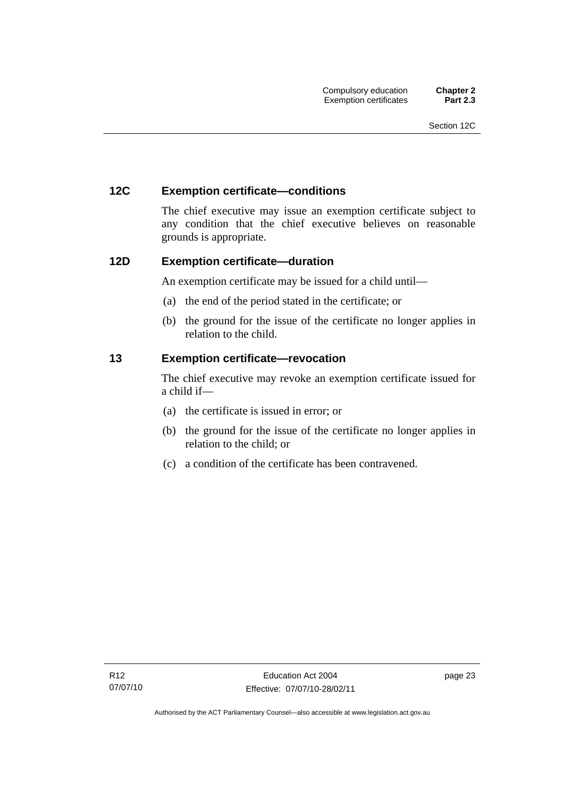# <span id="page-34-0"></span>**12C Exemption certificate—conditions**

The chief executive may issue an exemption certificate subject to any condition that the chief executive believes on reasonable grounds is appropriate.

# **12D Exemption certificate—duration**

An exemption certificate may be issued for a child until—

- (a) the end of the period stated in the certificate; or
- (b) the ground for the issue of the certificate no longer applies in relation to the child.

# **13 Exemption certificate—revocation**

The chief executive may revoke an exemption certificate issued for a child if—

- (a) the certificate is issued in error; or
- (b) the ground for the issue of the certificate no longer applies in relation to the child; or
- (c) a condition of the certificate has been contravened.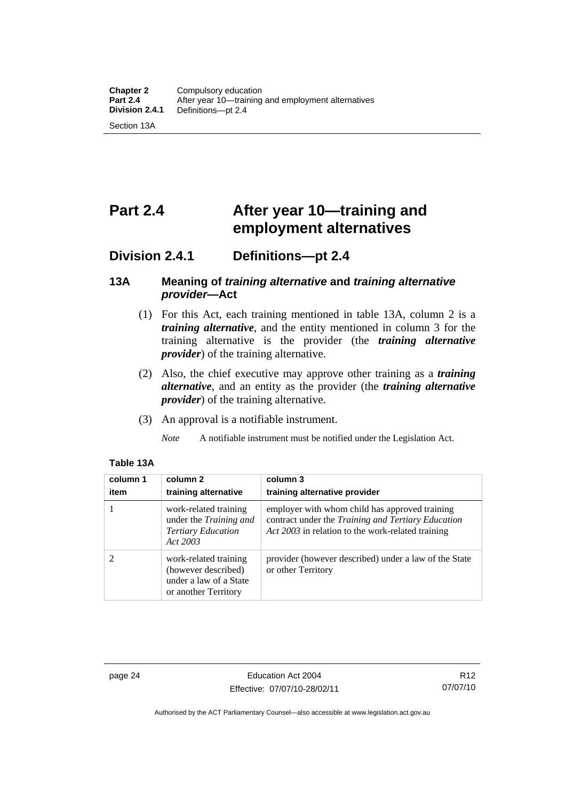# <span id="page-35-0"></span>**Part 2.4 After year 10—training and employment alternatives**

# **Division 2.4.1 Definitions—pt 2.4**

# **13A Meaning of** *training alternative* **and** *training alternative provider***—Act**

- (1) For this Act, each training mentioned in table 13A, column 2 is a *training alternative*, and the entity mentioned in column 3 for the training alternative is the provider (the *training alternative provider*) of the training alternative.
- (2) Also, the chief executive may approve other training as a *training alternative*, and an entity as the provider (the *training alternative provider*) of the training alternative.
- (3) An approval is a notifiable instrument.
	- *Note* A notifiable instrument must be notified under the Legislation Act.

| column 1<br>item | column 2<br>training alternative                                                               | column 3<br>training alternative provider                                                                                                                 |
|------------------|------------------------------------------------------------------------------------------------|-----------------------------------------------------------------------------------------------------------------------------------------------------------|
|                  | work-related training<br>under the Training and<br><b>Tertiary Education</b><br>Act 2003       | employer with whom child has approved training<br>contract under the Training and Tertiary Education<br>Act 2003 in relation to the work-related training |
| 2                | work-related training<br>(however described)<br>under a law of a State<br>or another Territory | provider (however described) under a law of the State<br>or other Territory                                                                               |

#### **Table 13A**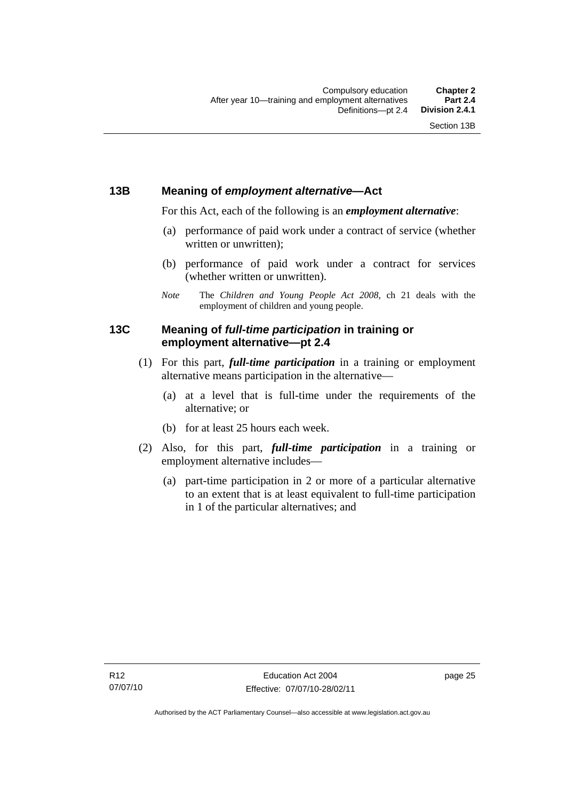## **13B Meaning of** *employment alternative***—Act**

For this Act, each of the following is an *employment alternative*:

- (a) performance of paid work under a contract of service (whether written or unwritten);
- (b) performance of paid work under a contract for services (whether written or unwritten).
- *Note* The *Children and Young People Act 2008*, ch 21 deals with the employment of children and young people.

## **13C Meaning of** *full-time participation* **in training or employment alternative—pt 2.4**

- (1) For this part, *full-time participation* in a training or employment alternative means participation in the alternative—
	- (a) at a level that is full-time under the requirements of the alternative; or
	- (b) for at least 25 hours each week.
- (2) Also, for this part, *full-time participation* in a training or employment alternative includes—
	- (a) part-time participation in 2 or more of a particular alternative to an extent that is at least equivalent to full-time participation in 1 of the particular alternatives; and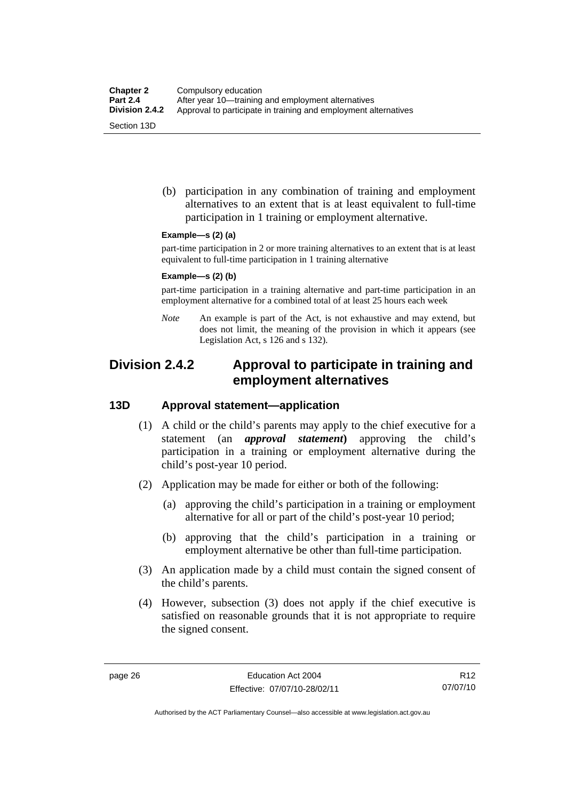(b) participation in any combination of training and employment alternatives to an extent that is at least equivalent to full-time participation in 1 training or employment alternative.

#### **Example—s (2) (a)**

part-time participation in 2 or more training alternatives to an extent that is at least equivalent to full-time participation in 1 training alternative

#### **Example—s (2) (b)**

part-time participation in a training alternative and part-time participation in an employment alternative for a combined total of at least 25 hours each week

*Note* An example is part of the Act, is not exhaustive and may extend, but does not limit, the meaning of the provision in which it appears (see Legislation Act, s 126 and s 132).

# **Division 2.4.2 Approval to participate in training and employment alternatives**

## **13D Approval statement—application**

- (1) A child or the child's parents may apply to the chief executive for a statement (an *approval statement***)** approving the child's participation in a training or employment alternative during the child's post-year 10 period.
- (2) Application may be made for either or both of the following:
	- (a) approving the child's participation in a training or employment alternative for all or part of the child's post-year 10 period;
	- (b) approving that the child's participation in a training or employment alternative be other than full-time participation.
- (3) An application made by a child must contain the signed consent of the child's parents.
- (4) However, subsection (3) does not apply if the chief executive is satisfied on reasonable grounds that it is not appropriate to require the signed consent.

R12 07/07/10

Authorised by the ACT Parliamentary Counsel—also accessible at www.legislation.act.gov.au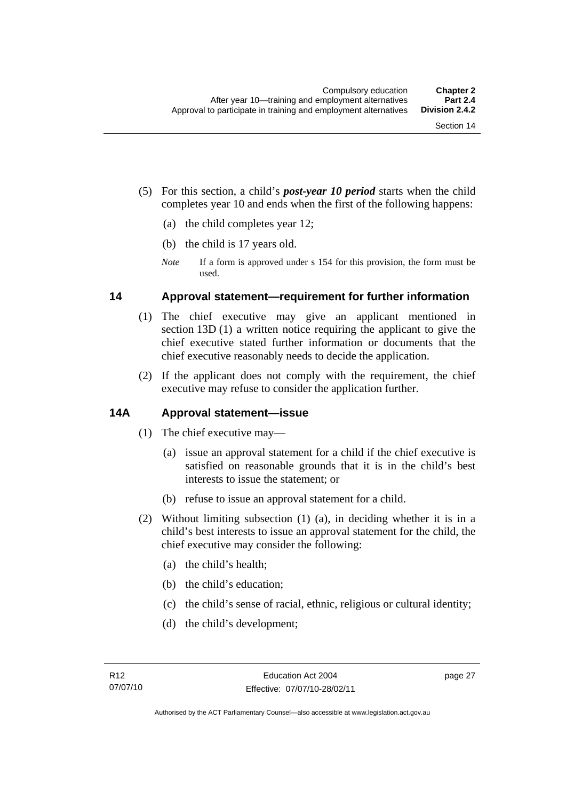- (5) For this section, a child's *post-year 10 period* starts when the child completes year 10 and ends when the first of the following happens:
	- (a) the child completes year 12;
	- (b) the child is 17 years old.
	- *Note* If a form is approved under s 154 for this provision, the form must be used.

## **14 Approval statement—requirement for further information**

- (1) The chief executive may give an applicant mentioned in section 13D (1) a written notice requiring the applicant to give the chief executive stated further information or documents that the chief executive reasonably needs to decide the application.
- (2) If the applicant does not comply with the requirement, the chief executive may refuse to consider the application further.

## **14A Approval statement—issue**

- (1) The chief executive may—
	- (a) issue an approval statement for a child if the chief executive is satisfied on reasonable grounds that it is in the child's best interests to issue the statement; or
	- (b) refuse to issue an approval statement for a child.
- (2) Without limiting subsection (1) (a), in deciding whether it is in a child's best interests to issue an approval statement for the child, the chief executive may consider the following:
	- (a) the child's health;
	- (b) the child's education;
	- (c) the child's sense of racial, ethnic, religious or cultural identity;
	- (d) the child's development;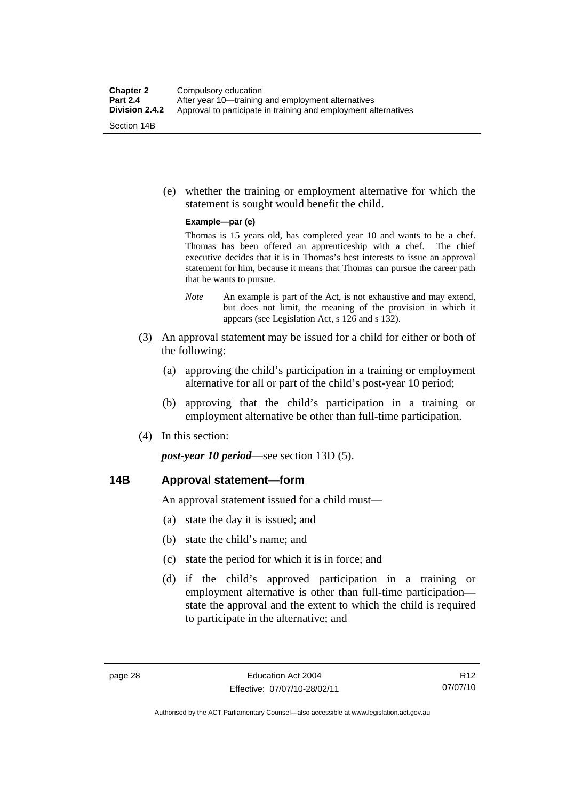(e) whether the training or employment alternative for which the statement is sought would benefit the child.

#### **Example—par (e)**

Thomas is 15 years old, has completed year 10 and wants to be a chef. Thomas has been offered an apprenticeship with a chef. The chief executive decides that it is in Thomas's best interests to issue an approval statement for him, because it means that Thomas can pursue the career path that he wants to pursue.

- *Note* An example is part of the Act, is not exhaustive and may extend, but does not limit, the meaning of the provision in which it appears (see Legislation Act, s 126 and s 132).
- (3) An approval statement may be issued for a child for either or both of the following:
	- (a) approving the child's participation in a training or employment alternative for all or part of the child's post-year 10 period;
	- (b) approving that the child's participation in a training or employment alternative be other than full-time participation.
- (4) In this section:

*post-year 10 period*—see section 13D (5).

## **14B Approval statement—form**

An approval statement issued for a child must—

- (a) state the day it is issued; and
- (b) state the child's name; and
- (c) state the period for which it is in force; and
- (d) if the child's approved participation in a training or employment alternative is other than full-time participation state the approval and the extent to which the child is required to participate in the alternative; and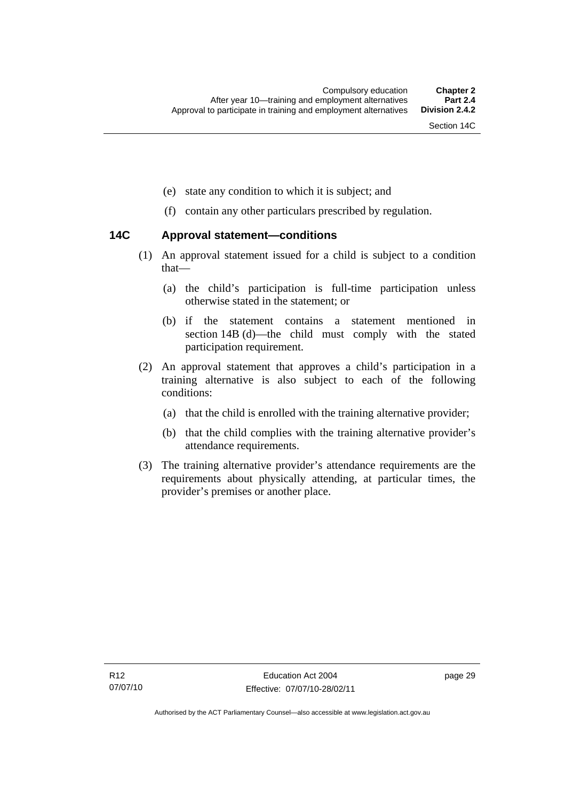- (e) state any condition to which it is subject; and
- (f) contain any other particulars prescribed by regulation.

## **14C Approval statement—conditions**

- (1) An approval statement issued for a child is subject to a condition that—
	- (a) the child's participation is full-time participation unless otherwise stated in the statement; or
	- (b) if the statement contains a statement mentioned in section 14B (d)—the child must comply with the stated participation requirement.
- (2) An approval statement that approves a child's participation in a training alternative is also subject to each of the following conditions:
	- (a) that the child is enrolled with the training alternative provider;
	- (b) that the child complies with the training alternative provider's attendance requirements.
- (3) The training alternative provider's attendance requirements are the requirements about physically attending, at particular times, the provider's premises or another place.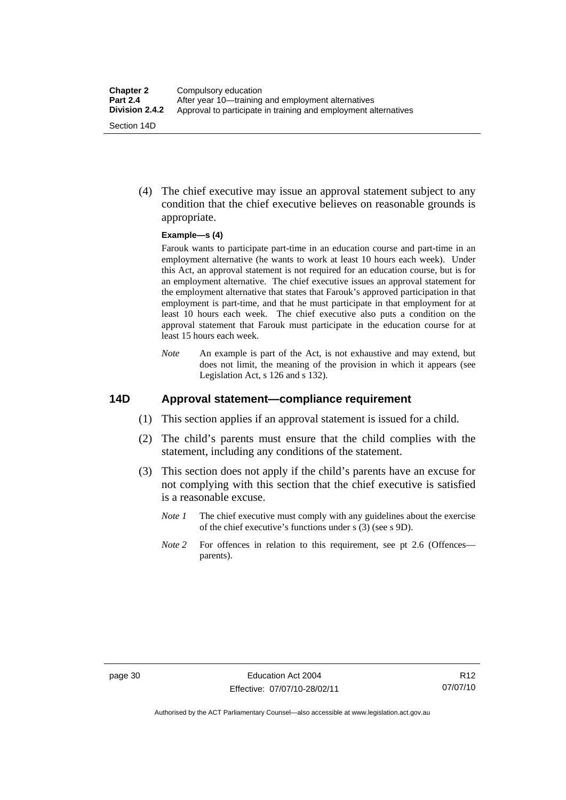(4) The chief executive may issue an approval statement subject to any condition that the chief executive believes on reasonable grounds is appropriate.

#### **Example—s (4)**

Farouk wants to participate part-time in an education course and part-time in an employment alternative (he wants to work at least 10 hours each week). Under this Act, an approval statement is not required for an education course, but is for an employment alternative. The chief executive issues an approval statement for the employment alternative that states that Farouk's approved participation in that employment is part-time, and that he must participate in that employment for at least 10 hours each week. The chief executive also puts a condition on the approval statement that Farouk must participate in the education course for at least 15 hours each week.

*Note* An example is part of the Act, is not exhaustive and may extend, but does not limit, the meaning of the provision in which it appears (see Legislation Act, s 126 and s 132).

## **14D Approval statement—compliance requirement**

- (1) This section applies if an approval statement is issued for a child.
- (2) The child's parents must ensure that the child complies with the statement, including any conditions of the statement.
- (3) This section does not apply if the child's parents have an excuse for not complying with this section that the chief executive is satisfied is a reasonable excuse.
	- *Note 1* The chief executive must comply with any guidelines about the exercise of the chief executive's functions under s (3) (see s 9D).
	- *Note 2* For offences in relation to this requirement, see pt 2.6 (Offences parents).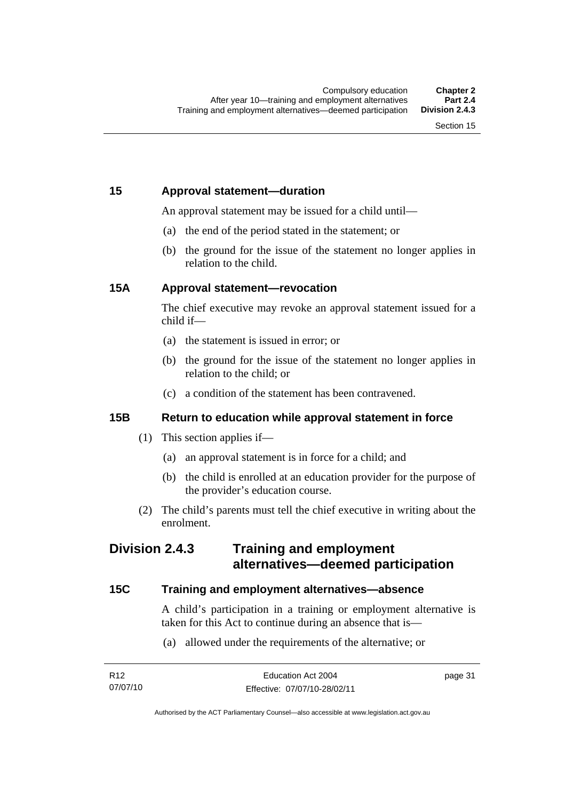## **15 Approval statement—duration**

An approval statement may be issued for a child until—

- (a) the end of the period stated in the statement; or
- (b) the ground for the issue of the statement no longer applies in relation to the child.

## **15A Approval statement—revocation**

The chief executive may revoke an approval statement issued for a child if—

- (a) the statement is issued in error; or
- (b) the ground for the issue of the statement no longer applies in relation to the child; or
- (c) a condition of the statement has been contravened.

## **15B Return to education while approval statement in force**

- (1) This section applies if—
	- (a) an approval statement is in force for a child; and
	- (b) the child is enrolled at an education provider for the purpose of the provider's education course.
- (2) The child's parents must tell the chief executive in writing about the enrolment.

## **Division 2.4.3 Training and employment alternatives—deemed participation**

## **15C Training and employment alternatives—absence**

A child's participation in a training or employment alternative is taken for this Act to continue during an absence that is—

(a) allowed under the requirements of the alternative; or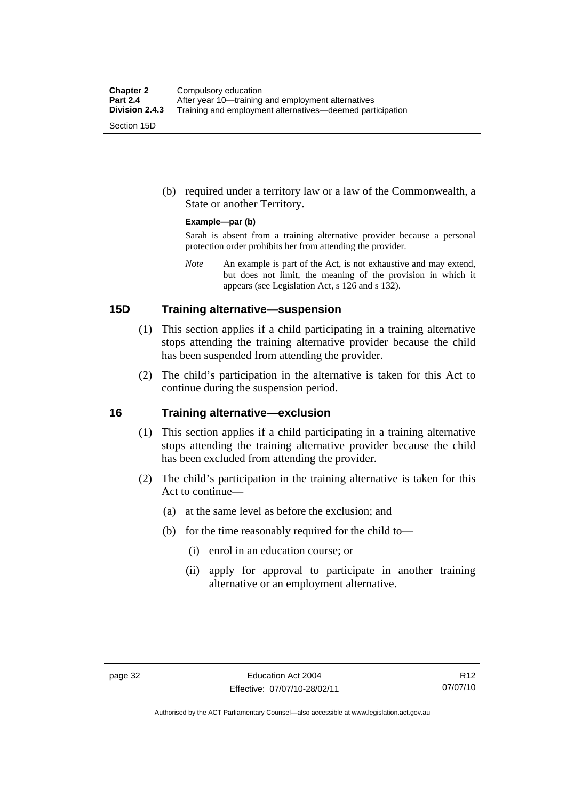(b) required under a territory law or a law of the Commonwealth, a State or another Territory.

#### **Example—par (b)**

Sarah is absent from a training alternative provider because a personal protection order prohibits her from attending the provider.

*Note* An example is part of the Act, is not exhaustive and may extend, but does not limit, the meaning of the provision in which it appears (see Legislation Act, s 126 and s 132).

### **15D Training alternative—suspension**

- (1) This section applies if a child participating in a training alternative stops attending the training alternative provider because the child has been suspended from attending the provider.
- (2) The child's participation in the alternative is taken for this Act to continue during the suspension period.

#### **16 Training alternative—exclusion**

- (1) This section applies if a child participating in a training alternative stops attending the training alternative provider because the child has been excluded from attending the provider.
- (2) The child's participation in the training alternative is taken for this Act to continue—
	- (a) at the same level as before the exclusion; and
	- (b) for the time reasonably required for the child to—
		- (i) enrol in an education course; or
		- (ii) apply for approval to participate in another training alternative or an employment alternative.

Authorised by the ACT Parliamentary Counsel—also accessible at www.legislation.act.gov.au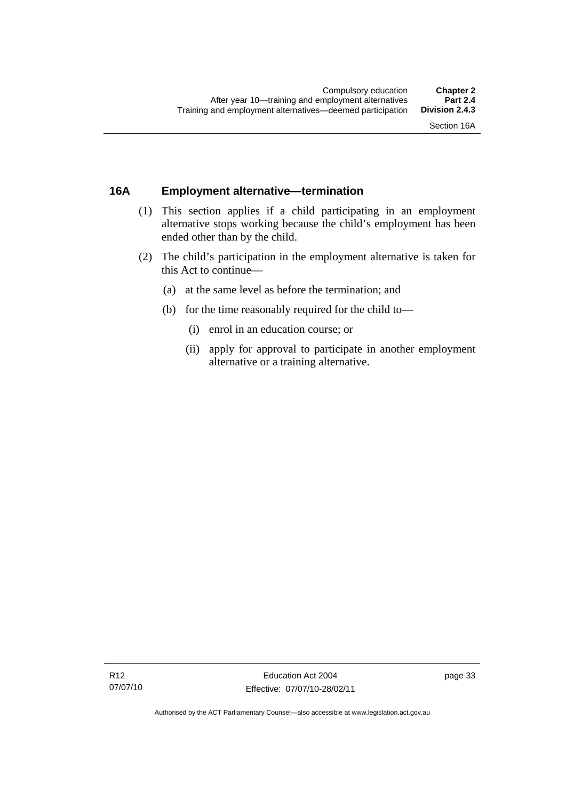## **16A Employment alternative—termination**

- (1) This section applies if a child participating in an employment alternative stops working because the child's employment has been ended other than by the child.
- (2) The child's participation in the employment alternative is taken for this Act to continue—
	- (a) at the same level as before the termination; and
	- (b) for the time reasonably required for the child to—
		- (i) enrol in an education course; or
		- (ii) apply for approval to participate in another employment alternative or a training alternative.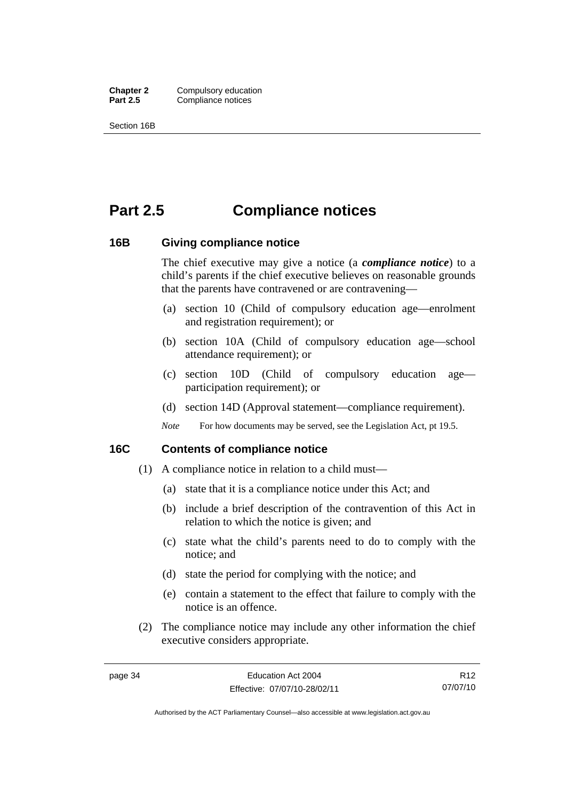**Chapter 2** Compulsory education<br>**Part 2.5** Compliance notices **Compliance notices** 

Section 16B

# **Part 2.5 Compliance notices**

### **16B Giving compliance notice**

The chief executive may give a notice (a *compliance notice*) to a child's parents if the chief executive believes on reasonable grounds that the parents have contravened or are contravening—

- (a) section 10 (Child of compulsory education age—enrolment and registration requirement); or
- (b) section 10A (Child of compulsory education age—school attendance requirement); or
- (c) section 10D (Child of compulsory education age participation requirement); or
- (d) section 14D (Approval statement—compliance requirement).
- *Note* For how documents may be served, see the Legislation Act, pt 19.5.

### **16C Contents of compliance notice**

- (1) A compliance notice in relation to a child must—
	- (a) state that it is a compliance notice under this Act; and
	- (b) include a brief description of the contravention of this Act in relation to which the notice is given; and
	- (c) state what the child's parents need to do to comply with the notice; and
	- (d) state the period for complying with the notice; and
	- (e) contain a statement to the effect that failure to comply with the notice is an offence.
- (2) The compliance notice may include any other information the chief executive considers appropriate.

R12 07/07/10

Authorised by the ACT Parliamentary Counsel—also accessible at www.legislation.act.gov.au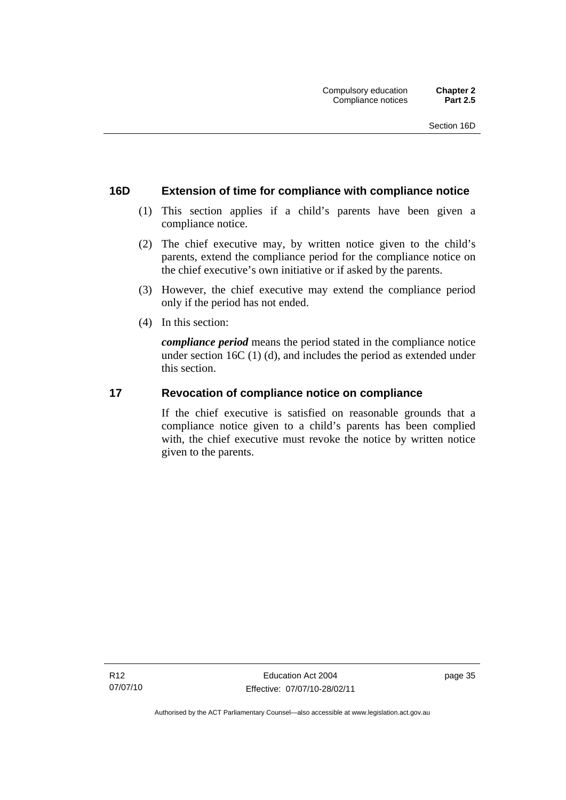## **16D Extension of time for compliance with compliance notice**

- (1) This section applies if a child's parents have been given a compliance notice.
- (2) The chief executive may, by written notice given to the child's parents, extend the compliance period for the compliance notice on the chief executive's own initiative or if asked by the parents.
- (3) However, the chief executive may extend the compliance period only if the period has not ended.
- (4) In this section:

*compliance period* means the period stated in the compliance notice under section 16C (1) (d), and includes the period as extended under this section.

## **17 Revocation of compliance notice on compliance**

If the chief executive is satisfied on reasonable grounds that a compliance notice given to a child's parents has been complied with, the chief executive must revoke the notice by written notice given to the parents.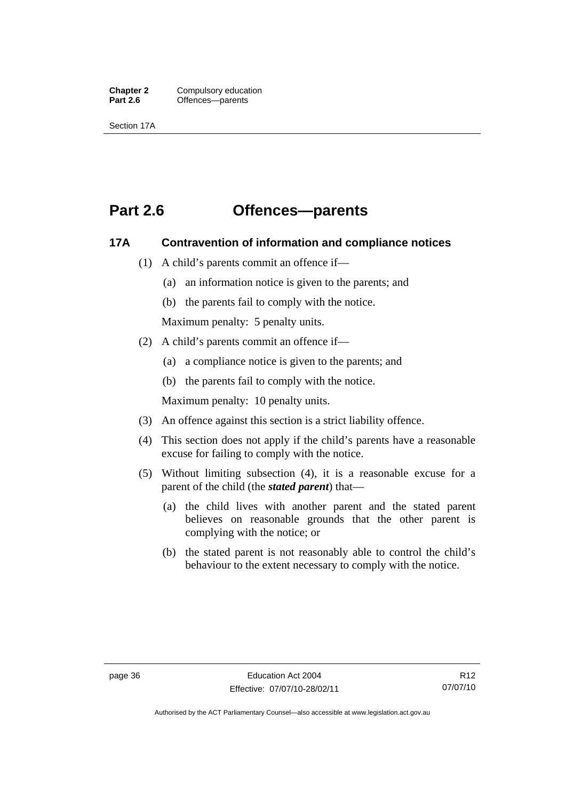**Chapter 2** Compulsory education<br> **Part 2.6 C** Offences—parents Offences—parents

Section 17A

# **Part 2.6 Offences—parents**

## **17A Contravention of information and compliance notices**

- (1) A child's parents commit an offence if—
	- (a) an information notice is given to the parents; and
	- (b) the parents fail to comply with the notice.

Maximum penalty: 5 penalty units.

- (2) A child's parents commit an offence if—
	- (a) a compliance notice is given to the parents; and
	- (b) the parents fail to comply with the notice.

Maximum penalty: 10 penalty units.

- (3) An offence against this section is a strict liability offence.
- (4) This section does not apply if the child's parents have a reasonable excuse for failing to comply with the notice.
- (5) Without limiting subsection (4), it is a reasonable excuse for a parent of the child (the *stated parent*) that—
	- (a) the child lives with another parent and the stated parent believes on reasonable grounds that the other parent is complying with the notice; or
	- (b) the stated parent is not reasonably able to control the child's behaviour to the extent necessary to comply with the notice.

Authorised by the ACT Parliamentary Counsel—also accessible at www.legislation.act.gov.au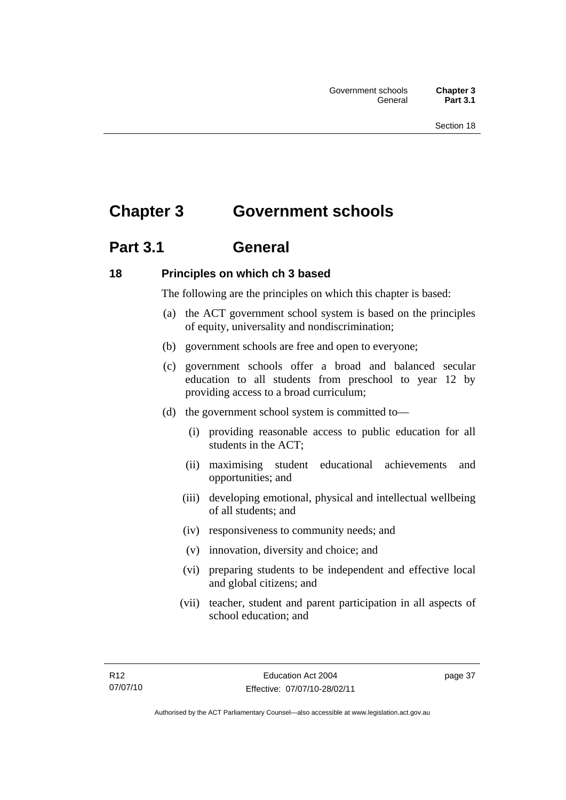# **Chapter 3 Government schools**

# **Part 3.1 General**

## **18 Principles on which ch 3 based**

The following are the principles on which this chapter is based:

- (a) the ACT government school system is based on the principles of equity, universality and nondiscrimination;
- (b) government schools are free and open to everyone;
- (c) government schools offer a broad and balanced secular education to all students from preschool to year 12 by providing access to a broad curriculum;
- (d) the government school system is committed to—
	- (i) providing reasonable access to public education for all students in the ACT;
	- (ii) maximising student educational achievements and opportunities; and
	- (iii) developing emotional, physical and intellectual wellbeing of all students; and
	- (iv) responsiveness to community needs; and
	- (v) innovation, diversity and choice; and
	- (vi) preparing students to be independent and effective local and global citizens; and
	- (vii) teacher, student and parent participation in all aspects of school education; and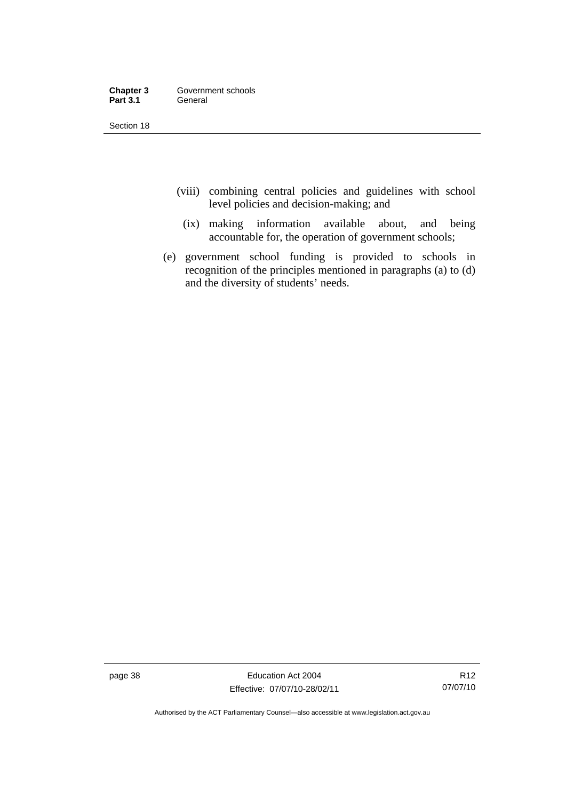| Chapter 3       | Government schools |
|-----------------|--------------------|
| <b>Part 3.1</b> | General            |

- (viii) combining central policies and guidelines with school level policies and decision-making; and
	- (ix) making information available about, and being accountable for, the operation of government schools;
- (e) government school funding is provided to schools in recognition of the principles mentioned in paragraphs (a) to (d) and the diversity of students' needs.

page 38 Education Act 2004 Effective: 07/07/10-28/02/11

Authorised by the ACT Parliamentary Counsel—also accessible at www.legislation.act.gov.au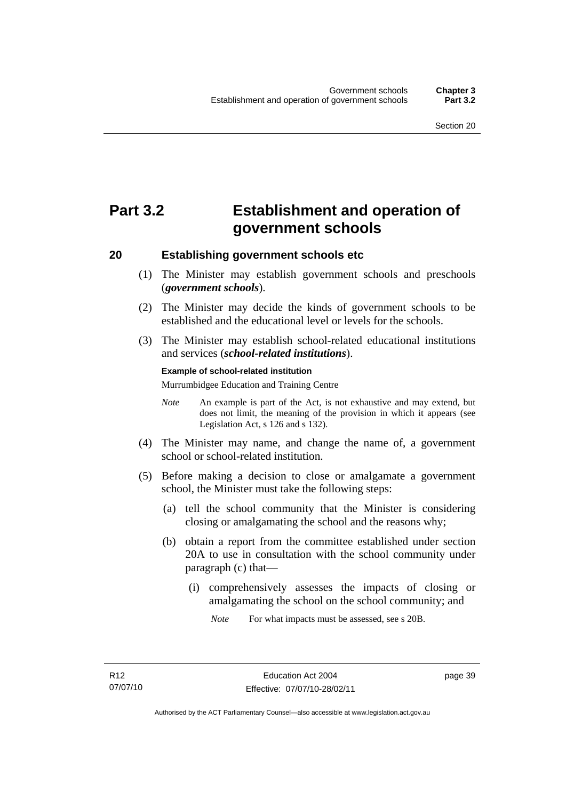# **Part 3.2 Establishment and operation of government schools**

### **20 Establishing government schools etc**

- (1) The Minister may establish government schools and preschools (*government schools*).
- (2) The Minister may decide the kinds of government schools to be established and the educational level or levels for the schools.
- (3) The Minister may establish school-related educational institutions and services (*school-related institutions*).

#### **Example of school-related institution**

Murrumbidgee Education and Training Centre

- *Note* An example is part of the Act, is not exhaustive and may extend, but does not limit, the meaning of the provision in which it appears (see Legislation Act, s 126 and s 132).
- (4) The Minister may name, and change the name of, a government school or school-related institution.
- (5) Before making a decision to close or amalgamate a government school, the Minister must take the following steps:
	- (a) tell the school community that the Minister is considering closing or amalgamating the school and the reasons why;
	- (b) obtain a report from the committee established under section 20A to use in consultation with the school community under paragraph (c) that—
		- (i) comprehensively assesses the impacts of closing or amalgamating the school on the school community; and

*Note* For what impacts must be assessed, see s 20B.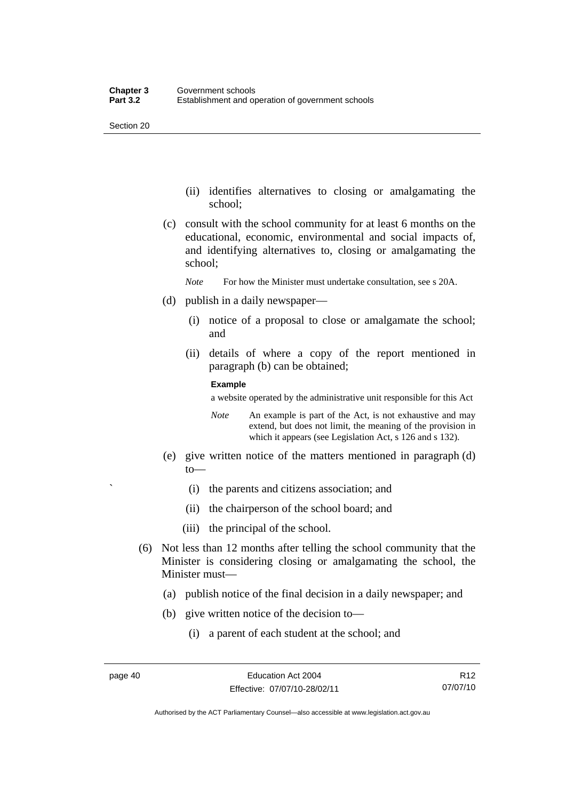- (ii) identifies alternatives to closing or amalgamating the school;
- (c) consult with the school community for at least 6 months on the educational, economic, environmental and social impacts of, and identifying alternatives to, closing or amalgamating the school;
	- *Note* For how the Minister must undertake consultation, see s 20A.
- (d) publish in a daily newspaper—
	- (i) notice of a proposal to close or amalgamate the school; and
	- (ii) details of where a copy of the report mentioned in paragraph (b) can be obtained;

#### **Example**

a website operated by the administrative unit responsible for this Act

- *Note* An example is part of the Act, is not exhaustive and may extend, but does not limit, the meaning of the provision in which it appears (see Legislation Act, s 126 and s 132).
- (e) give written notice of the matters mentioned in paragraph (d) to—
	- ` (i) the parents and citizens association; and
	- (ii) the chairperson of the school board; and
	- (iii) the principal of the school.
- (6) Not less than 12 months after telling the school community that the Minister is considering closing or amalgamating the school, the Minister must—
	- (a) publish notice of the final decision in a daily newspaper; and
	- (b) give written notice of the decision to—
		- (i) a parent of each student at the school; and

R12 07/07/10

Authorised by the ACT Parliamentary Counsel—also accessible at www.legislation.act.gov.au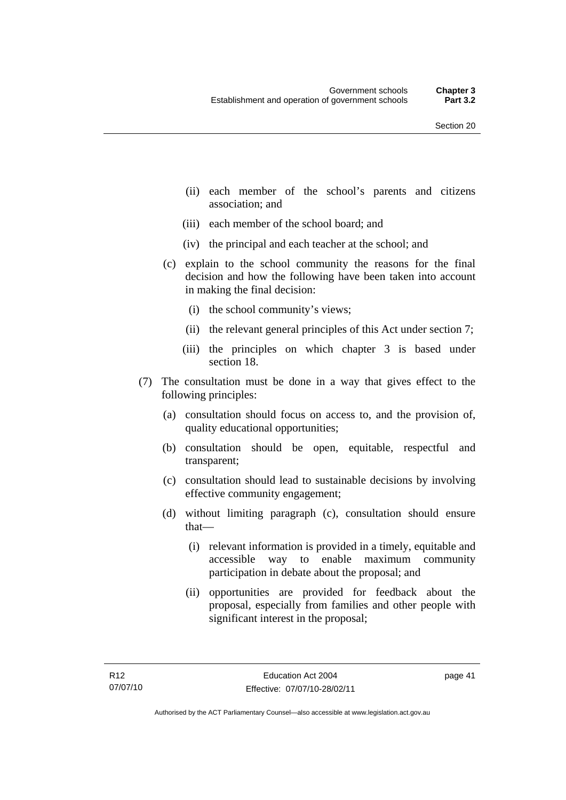- (ii) each member of the school's parents and citizens association; and
- (iii) each member of the school board; and
- (iv) the principal and each teacher at the school; and
- (c) explain to the school community the reasons for the final decision and how the following have been taken into account in making the final decision:
	- (i) the school community's views;
	- (ii) the relevant general principles of this Act under section 7;
	- (iii) the principles on which chapter 3 is based under section 18.
- (7) The consultation must be done in a way that gives effect to the following principles:
	- (a) consultation should focus on access to, and the provision of, quality educational opportunities;
	- (b) consultation should be open, equitable, respectful and transparent;
	- (c) consultation should lead to sustainable decisions by involving effective community engagement;
	- (d) without limiting paragraph (c), consultation should ensure that—
		- (i) relevant information is provided in a timely, equitable and accessible way to enable maximum community participation in debate about the proposal; and
		- (ii) opportunities are provided for feedback about the proposal, especially from families and other people with significant interest in the proposal;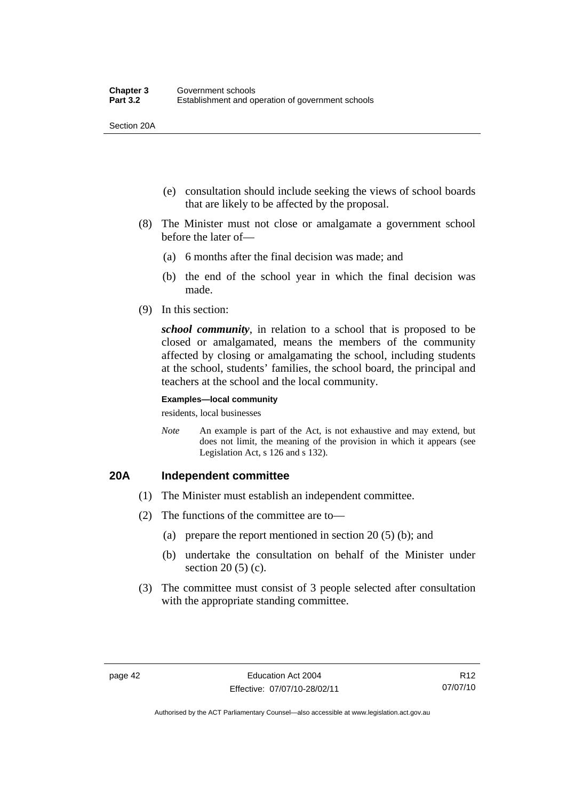Section 20A

- (e) consultation should include seeking the views of school boards that are likely to be affected by the proposal.
- (8) The Minister must not close or amalgamate a government school before the later of—
	- (a) 6 months after the final decision was made; and
	- (b) the end of the school year in which the final decision was made.
- (9) In this section:

*school community*, in relation to a school that is proposed to be closed or amalgamated, means the members of the community affected by closing or amalgamating the school, including students at the school, students' families, the school board, the principal and teachers at the school and the local community.

#### **Examples—local community**

residents, local businesses

*Note* An example is part of the Act, is not exhaustive and may extend, but does not limit, the meaning of the provision in which it appears (see Legislation Act, s 126 and s 132).

## **20A Independent committee**

- (1) The Minister must establish an independent committee.
- (2) The functions of the committee are to—
	- (a) prepare the report mentioned in section 20 (5) (b); and
	- (b) undertake the consultation on behalf of the Minister under section 20 (5) (c).
- (3) The committee must consist of 3 people selected after consultation with the appropriate standing committee.

R12 07/07/10

Authorised by the ACT Parliamentary Counsel—also accessible at www.legislation.act.gov.au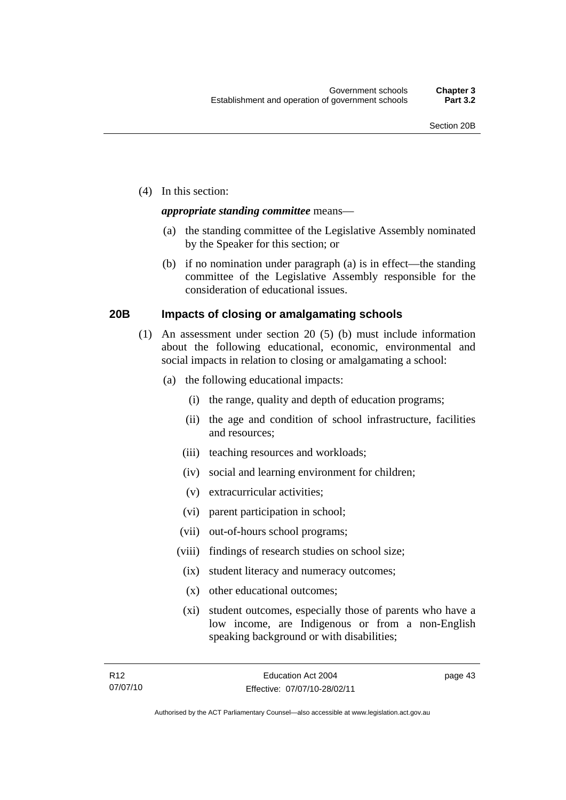(4) In this section:

## *appropriate standing committee* means—

- (a) the standing committee of the Legislative Assembly nominated by the Speaker for this section; or
- (b) if no nomination under paragraph (a) is in effect—the standing committee of the Legislative Assembly responsible for the consideration of educational issues.

## **20B Impacts of closing or amalgamating schools**

- (1) An assessment under section 20 (5) (b) must include information about the following educational, economic, environmental and social impacts in relation to closing or amalgamating a school:
	- (a) the following educational impacts:
		- (i) the range, quality and depth of education programs;
		- (ii) the age and condition of school infrastructure, facilities and resources;
		- (iii) teaching resources and workloads;
		- (iv) social and learning environment for children;
		- (v) extracurricular activities;
		- (vi) parent participation in school;
		- (vii) out-of-hours school programs;
		- (viii) findings of research studies on school size;
		- (ix) student literacy and numeracy outcomes;
		- (x) other educational outcomes;
		- (xi) student outcomes, especially those of parents who have a low income, are Indigenous or from a non-English speaking background or with disabilities;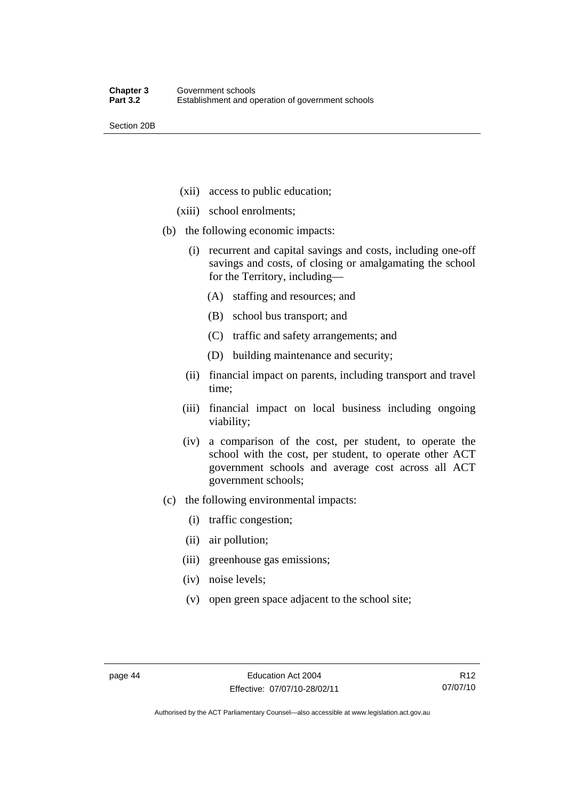Section 20B

- (xii) access to public education;
- (xiii) school enrolments;
- (b) the following economic impacts:
	- (i) recurrent and capital savings and costs, including one-off savings and costs, of closing or amalgamating the school for the Territory, including—
		- (A) staffing and resources; and
		- (B) school bus transport; and
		- (C) traffic and safety arrangements; and
		- (D) building maintenance and security;
	- (ii) financial impact on parents, including transport and travel time;
	- (iii) financial impact on local business including ongoing viability;
	- (iv) a comparison of the cost, per student, to operate the school with the cost, per student, to operate other ACT government schools and average cost across all ACT government schools;
- (c) the following environmental impacts:
	- (i) traffic congestion;
	- (ii) air pollution;
	- (iii) greenhouse gas emissions;
	- (iv) noise levels;
	- (v) open green space adjacent to the school site;

Authorised by the ACT Parliamentary Counsel—also accessible at www.legislation.act.gov.au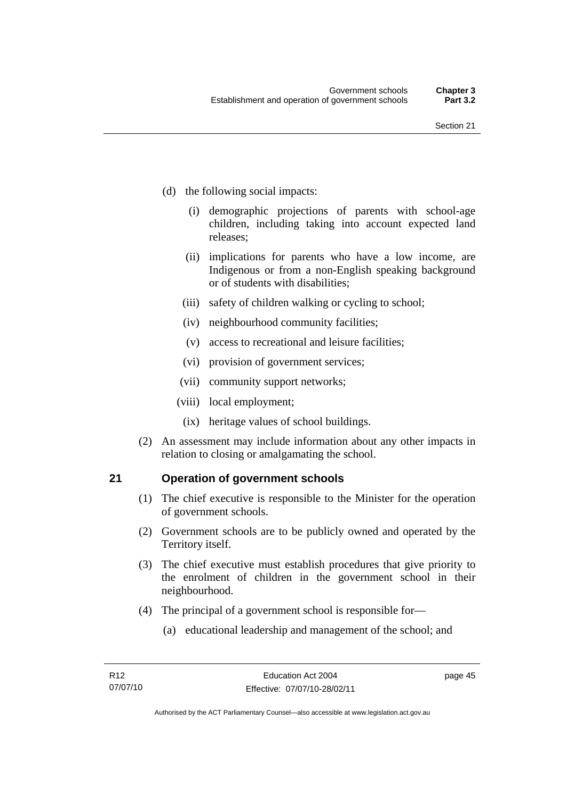- (d) the following social impacts:
	- (i) demographic projections of parents with school-age children, including taking into account expected land releases;
	- (ii) implications for parents who have a low income, are Indigenous or from a non-English speaking background or of students with disabilities;
	- (iii) safety of children walking or cycling to school;
	- (iv) neighbourhood community facilities;
	- (v) access to recreational and leisure facilities;
	- (vi) provision of government services;
	- (vii) community support networks;
	- (viii) local employment;
		- (ix) heritage values of school buildings.
- (2) An assessment may include information about any other impacts in relation to closing or amalgamating the school.

## **21 Operation of government schools**

- (1) The chief executive is responsible to the Minister for the operation of government schools.
- (2) Government schools are to be publicly owned and operated by the Territory itself.
- (3) The chief executive must establish procedures that give priority to the enrolment of children in the government school in their neighbourhood.
- (4) The principal of a government school is responsible for—
	- (a) educational leadership and management of the school; and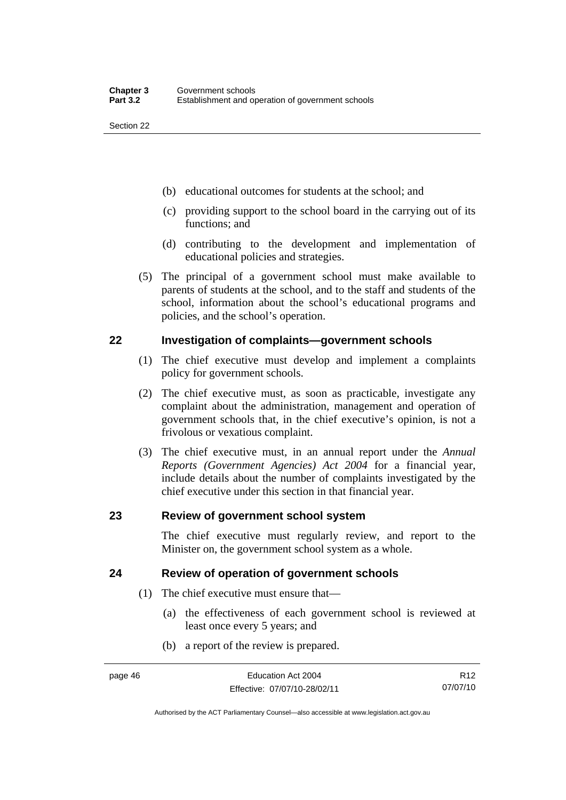- (b) educational outcomes for students at the school; and
- (c) providing support to the school board in the carrying out of its functions; and
- (d) contributing to the development and implementation of educational policies and strategies.
- (5) The principal of a government school must make available to parents of students at the school, and to the staff and students of the school, information about the school's educational programs and policies, and the school's operation.

## **22 Investigation of complaints—government schools**

- (1) The chief executive must develop and implement a complaints policy for government schools.
- (2) The chief executive must, as soon as practicable, investigate any complaint about the administration, management and operation of government schools that, in the chief executive's opinion, is not a frivolous or vexatious complaint.
- (3) The chief executive must, in an annual report under the *Annual Reports (Government Agencies) Act 2004* for a financial year, include details about the number of complaints investigated by the chief executive under this section in that financial year.

## **23 Review of government school system**

The chief executive must regularly review, and report to the Minister on, the government school system as a whole.

## **24 Review of operation of government schools**

- (1) The chief executive must ensure that—
	- (a) the effectiveness of each government school is reviewed at least once every 5 years; and
	- (b) a report of the review is prepared.

R12 07/07/10

Authorised by the ACT Parliamentary Counsel—also accessible at www.legislation.act.gov.au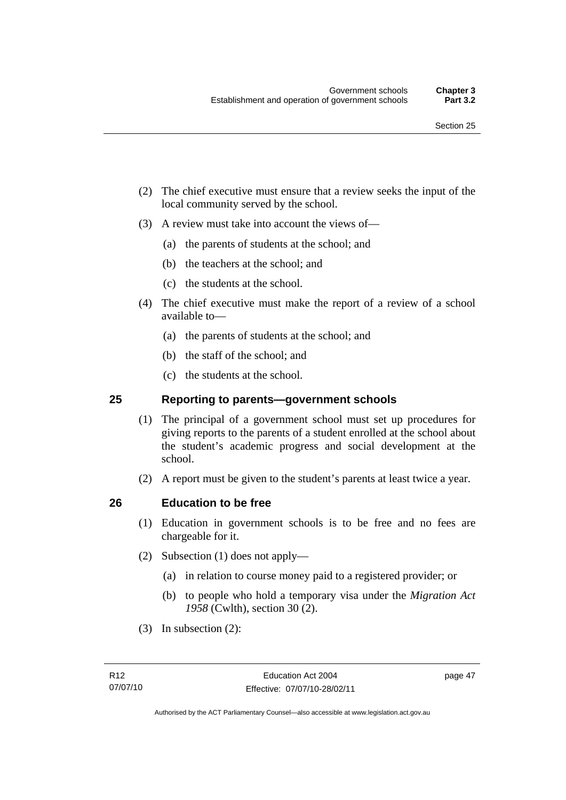- (2) The chief executive must ensure that a review seeks the input of the local community served by the school.
- (3) A review must take into account the views of—
	- (a) the parents of students at the school; and
	- (b) the teachers at the school; and
	- (c) the students at the school.
- (4) The chief executive must make the report of a review of a school available to—
	- (a) the parents of students at the school; and
	- (b) the staff of the school; and
	- (c) the students at the school.

## **25 Reporting to parents—government schools**

- (1) The principal of a government school must set up procedures for giving reports to the parents of a student enrolled at the school about the student's academic progress and social development at the school.
- (2) A report must be given to the student's parents at least twice a year.

## **26 Education to be free**

- (1) Education in government schools is to be free and no fees are chargeable for it.
- (2) Subsection (1) does not apply—
	- (a) in relation to course money paid to a registered provider; or
	- (b) to people who hold a temporary visa under the *Migration Act 1958* (Cwlth), section 30 (2).
- (3) In subsection (2):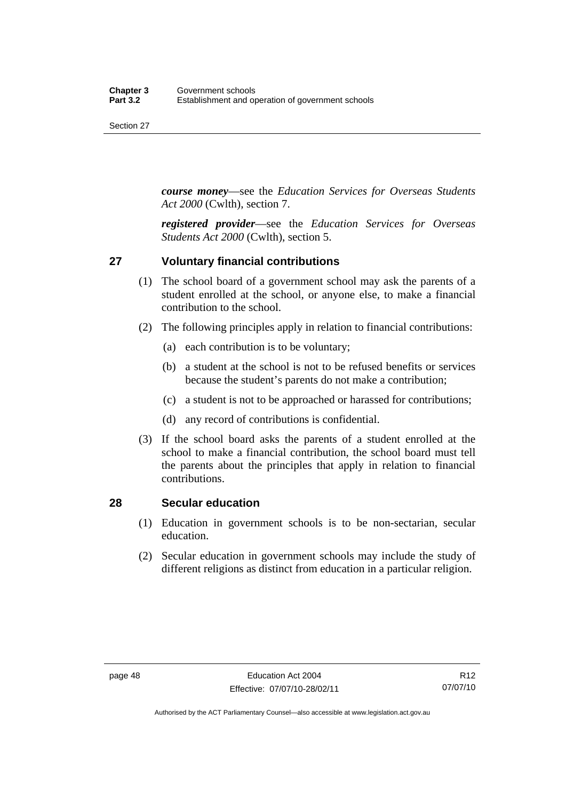*course money*—see the *Education Services for Overseas Students Act 2000* (Cwlth), section 7.

*registered provider*—see the *Education Services for Overseas Students Act 2000* (Cwlth), section 5.

## **27 Voluntary financial contributions**

- (1) The school board of a government school may ask the parents of a student enrolled at the school, or anyone else, to make a financial contribution to the school.
- (2) The following principles apply in relation to financial contributions:
	- (a) each contribution is to be voluntary;
	- (b) a student at the school is not to be refused benefits or services because the student's parents do not make a contribution;
	- (c) a student is not to be approached or harassed for contributions;
	- (d) any record of contributions is confidential.
- (3) If the school board asks the parents of a student enrolled at the school to make a financial contribution, the school board must tell the parents about the principles that apply in relation to financial contributions.

## **28 Secular education**

- (1) Education in government schools is to be non-sectarian, secular education.
- (2) Secular education in government schools may include the study of different religions as distinct from education in a particular religion.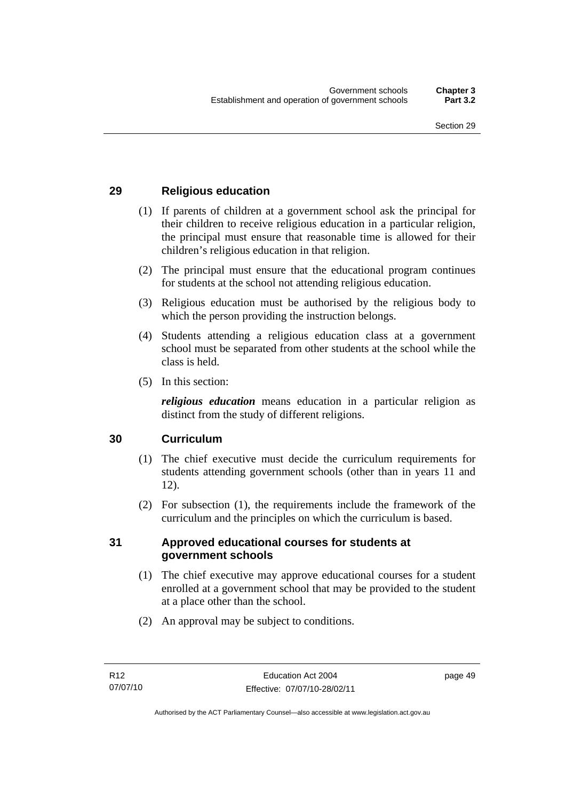## **29 Religious education**

- (1) If parents of children at a government school ask the principal for their children to receive religious education in a particular religion, the principal must ensure that reasonable time is allowed for their children's religious education in that religion.
- (2) The principal must ensure that the educational program continues for students at the school not attending religious education.
- (3) Religious education must be authorised by the religious body to which the person providing the instruction belongs.
- (4) Students attending a religious education class at a government school must be separated from other students at the school while the class is held.
- (5) In this section:

*religious education* means education in a particular religion as distinct from the study of different religions.

## **30 Curriculum**

- (1) The chief executive must decide the curriculum requirements for students attending government schools (other than in years 11 and 12).
- (2) For subsection (1), the requirements include the framework of the curriculum and the principles on which the curriculum is based.

## **31 Approved educational courses for students at government schools**

- (1) The chief executive may approve educational courses for a student enrolled at a government school that may be provided to the student at a place other than the school.
- (2) An approval may be subject to conditions.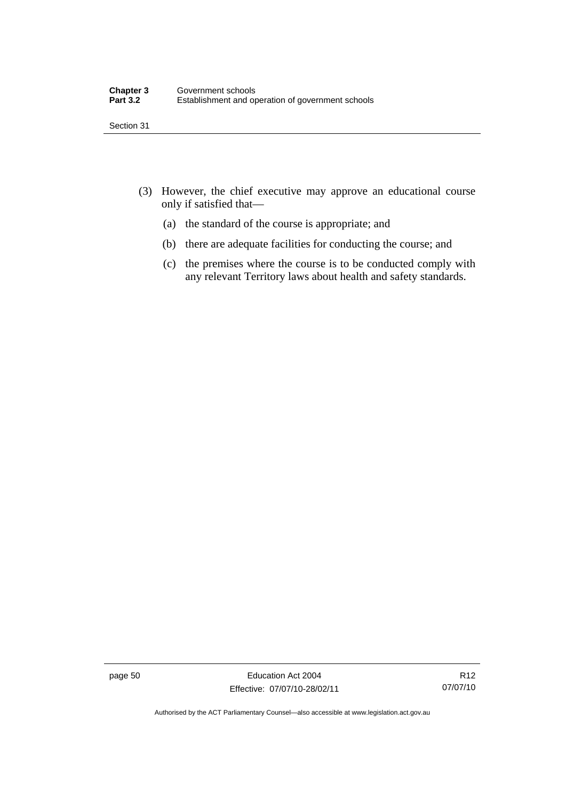- (3) However, the chief executive may approve an educational course only if satisfied that—
	- (a) the standard of the course is appropriate; and
	- (b) there are adequate facilities for conducting the course; and
	- (c) the premises where the course is to be conducted comply with any relevant Territory laws about health and safety standards.

page 50 Education Act 2004 Effective: 07/07/10-28/02/11

R12 07/07/10

Authorised by the ACT Parliamentary Counsel—also accessible at www.legislation.act.gov.au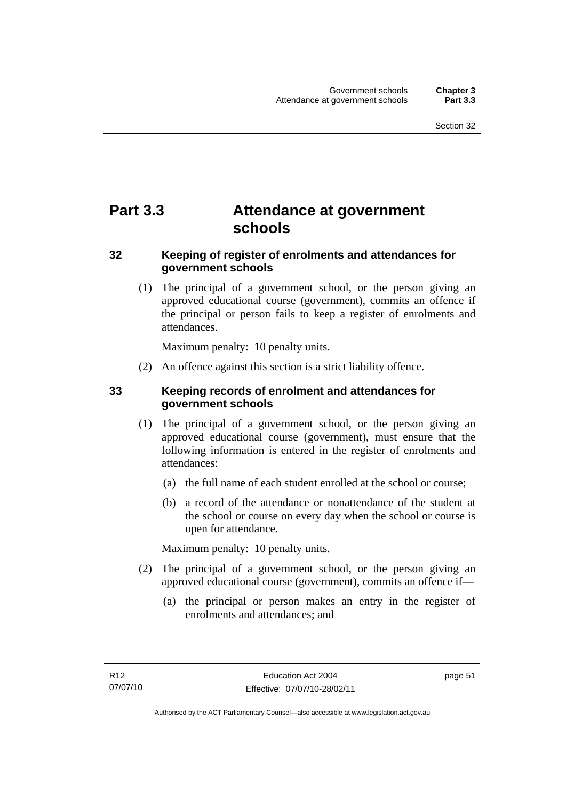# **Part 3.3 Attendance at government schools**

## **32 Keeping of register of enrolments and attendances for government schools**

 (1) The principal of a government school, or the person giving an approved educational course (government), commits an offence if the principal or person fails to keep a register of enrolments and attendances.

Maximum penalty: 10 penalty units.

(2) An offence against this section is a strict liability offence.

## **33 Keeping records of enrolment and attendances for government schools**

- (1) The principal of a government school, or the person giving an approved educational course (government), must ensure that the following information is entered in the register of enrolments and attendances:
	- (a) the full name of each student enrolled at the school or course;
	- (b) a record of the attendance or nonattendance of the student at the school or course on every day when the school or course is open for attendance.

Maximum penalty: 10 penalty units.

- (2) The principal of a government school, or the person giving an approved educational course (government), commits an offence if—
	- (a) the principal or person makes an entry in the register of enrolments and attendances; and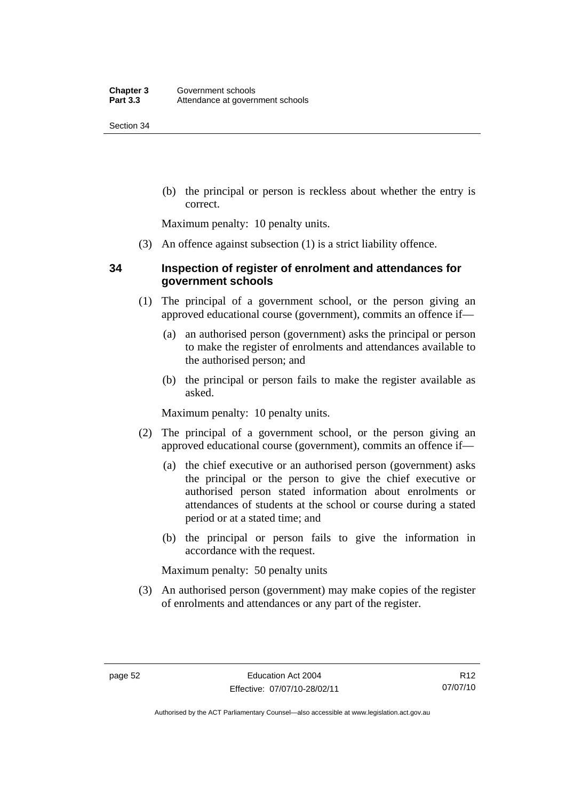(b) the principal or person is reckless about whether the entry is correct.

Maximum penalty: 10 penalty units.

(3) An offence against subsection (1) is a strict liability offence.

## **34 Inspection of register of enrolment and attendances for government schools**

- (1) The principal of a government school, or the person giving an approved educational course (government), commits an offence if—
	- (a) an authorised person (government) asks the principal or person to make the register of enrolments and attendances available to the authorised person; and
	- (b) the principal or person fails to make the register available as asked.

Maximum penalty: 10 penalty units.

- (2) The principal of a government school, or the person giving an approved educational course (government), commits an offence if—
	- (a) the chief executive or an authorised person (government) asks the principal or the person to give the chief executive or authorised person stated information about enrolments or attendances of students at the school or course during a stated period or at a stated time; and
	- (b) the principal or person fails to give the information in accordance with the request.

Maximum penalty: 50 penalty units

 (3) An authorised person (government) may make copies of the register of enrolments and attendances or any part of the register.

Authorised by the ACT Parliamentary Counsel—also accessible at www.legislation.act.gov.au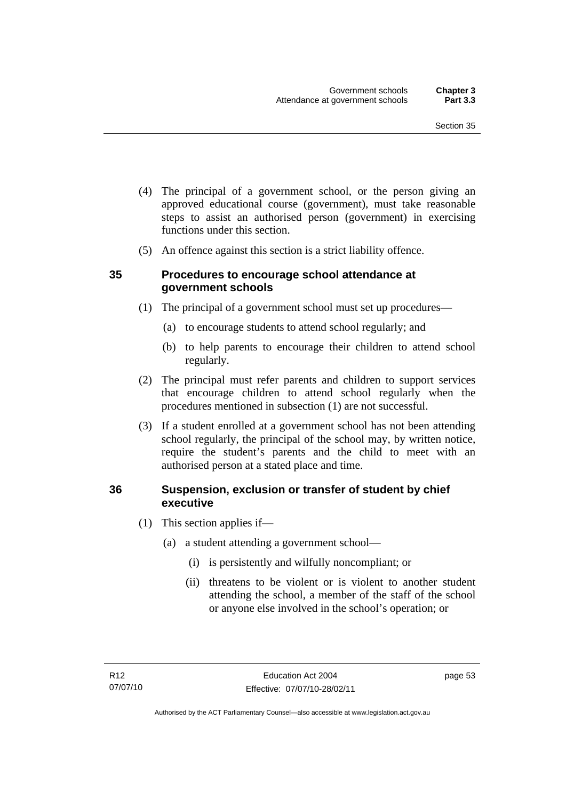- (4) The principal of a government school, or the person giving an approved educational course (government), must take reasonable steps to assist an authorised person (government) in exercising functions under this section.
- (5) An offence against this section is a strict liability offence.

## **35 Procedures to encourage school attendance at government schools**

- (1) The principal of a government school must set up procedures—
	- (a) to encourage students to attend school regularly; and
	- (b) to help parents to encourage their children to attend school regularly.
- (2) The principal must refer parents and children to support services that encourage children to attend school regularly when the procedures mentioned in subsection (1) are not successful.
- (3) If a student enrolled at a government school has not been attending school regularly, the principal of the school may, by written notice, require the student's parents and the child to meet with an authorised person at a stated place and time.

## **36 Suspension, exclusion or transfer of student by chief executive**

- (1) This section applies if—
	- (a) a student attending a government school—
		- (i) is persistently and wilfully noncompliant; or
		- (ii) threatens to be violent or is violent to another student attending the school, a member of the staff of the school or anyone else involved in the school's operation; or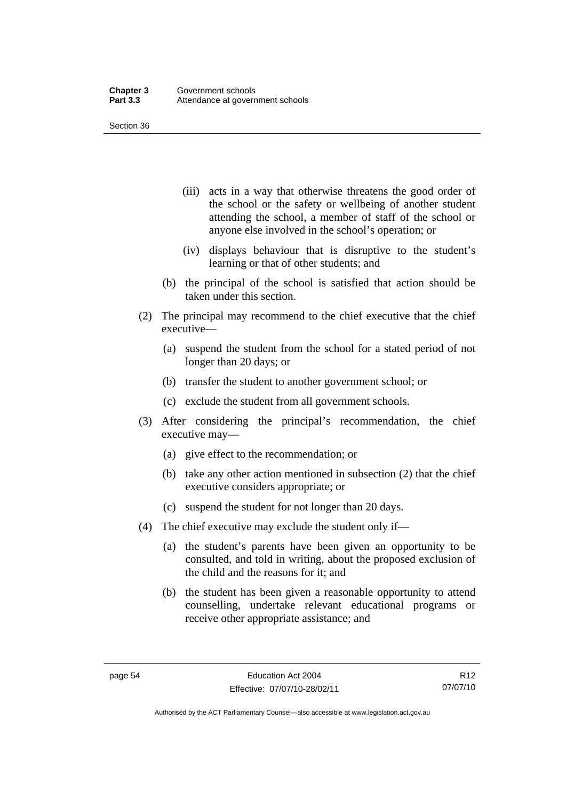- (iii) acts in a way that otherwise threatens the good order of the school or the safety or wellbeing of another student attending the school, a member of staff of the school or anyone else involved in the school's operation; or
- (iv) displays behaviour that is disruptive to the student's learning or that of other students; and
- (b) the principal of the school is satisfied that action should be taken under this section.
- (2) The principal may recommend to the chief executive that the chief executive—
	- (a) suspend the student from the school for a stated period of not longer than 20 days; or
	- (b) transfer the student to another government school; or
	- (c) exclude the student from all government schools.
- (3) After considering the principal's recommendation, the chief executive may—
	- (a) give effect to the recommendation; or
	- (b) take any other action mentioned in subsection (2) that the chief executive considers appropriate; or
	- (c) suspend the student for not longer than 20 days.
- (4) The chief executive may exclude the student only if—
	- (a) the student's parents have been given an opportunity to be consulted, and told in writing, about the proposed exclusion of the child and the reasons for it; and
	- (b) the student has been given a reasonable opportunity to attend counselling, undertake relevant educational programs or receive other appropriate assistance; and

R12 07/07/10

Authorised by the ACT Parliamentary Counsel—also accessible at www.legislation.act.gov.au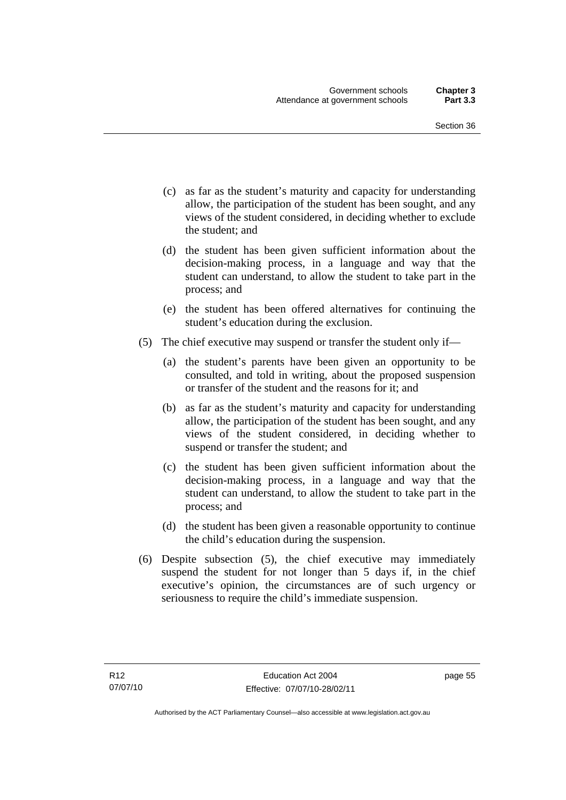- (c) as far as the student's maturity and capacity for understanding allow, the participation of the student has been sought, and any views of the student considered, in deciding whether to exclude the student; and
- (d) the student has been given sufficient information about the decision-making process, in a language and way that the student can understand, to allow the student to take part in the process; and
- (e) the student has been offered alternatives for continuing the student's education during the exclusion.
- (5) The chief executive may suspend or transfer the student only if—
	- (a) the student's parents have been given an opportunity to be consulted, and told in writing, about the proposed suspension or transfer of the student and the reasons for it; and
	- (b) as far as the student's maturity and capacity for understanding allow, the participation of the student has been sought, and any views of the student considered, in deciding whether to suspend or transfer the student; and
	- (c) the student has been given sufficient information about the decision-making process, in a language and way that the student can understand, to allow the student to take part in the process; and
	- (d) the student has been given a reasonable opportunity to continue the child's education during the suspension.
- (6) Despite subsection (5), the chief executive may immediately suspend the student for not longer than 5 days if, in the chief executive's opinion, the circumstances are of such urgency or seriousness to require the child's immediate suspension.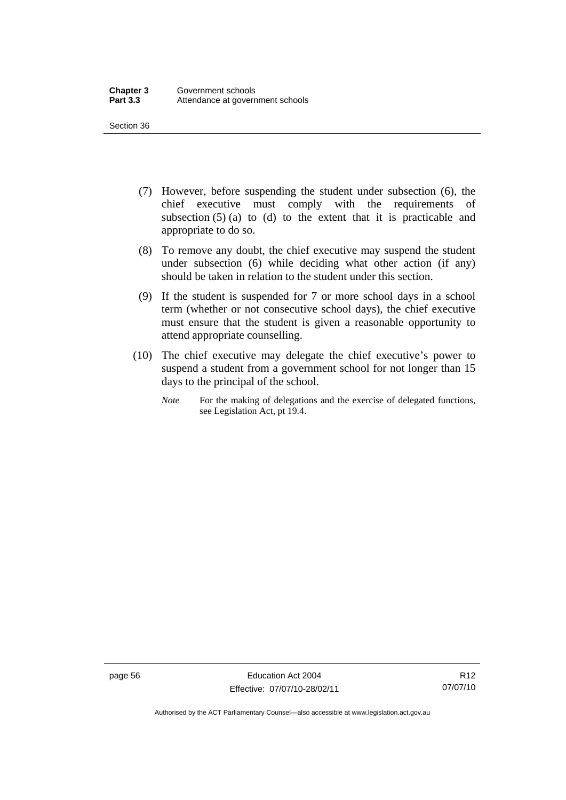- (7) However, before suspending the student under subsection (6), the chief executive must comply with the requirements of subsection  $(5)$  (a) to (d) to the extent that it is practicable and appropriate to do so.
- (8) To remove any doubt, the chief executive may suspend the student under subsection (6) while deciding what other action (if any) should be taken in relation to the student under this section.
- (9) If the student is suspended for 7 or more school days in a school term (whether or not consecutive school days), the chief executive must ensure that the student is given a reasonable opportunity to attend appropriate counselling.
- (10) The chief executive may delegate the chief executive's power to suspend a student from a government school for not longer than 15 days to the principal of the school.
	- *Note* For the making of delegations and the exercise of delegated functions, see Legislation Act, pt 19.4.

page 56 Education Act 2004 Effective: 07/07/10-28/02/11

Authorised by the ACT Parliamentary Counsel—also accessible at www.legislation.act.gov.au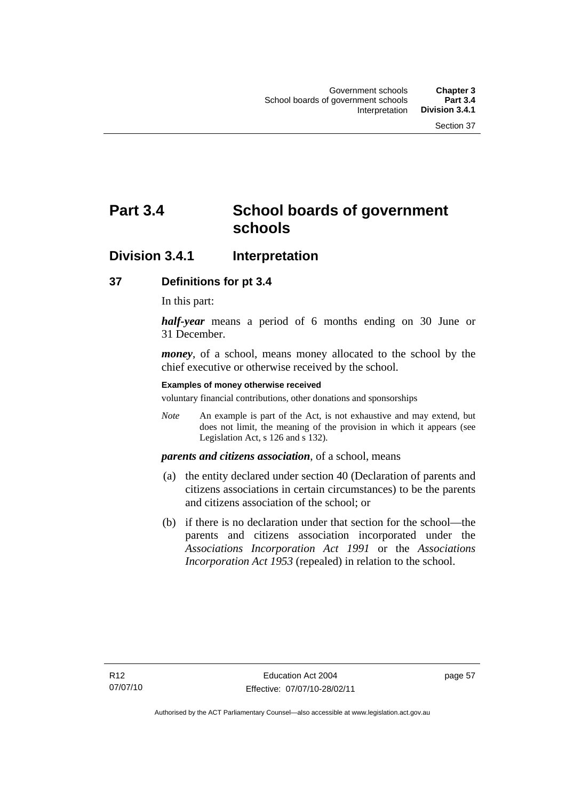# **Part 3.4 School boards of government schools**

## **Division 3.4.1 Interpretation**

## **37 Definitions for pt 3.4**

In this part:

*half-year* means a period of 6 months ending on 30 June or 31 December.

*money*, of a school, means money allocated to the school by the chief executive or otherwise received by the school.

#### **Examples of money otherwise received**

voluntary financial contributions, other donations and sponsorships

*Note* An example is part of the Act, is not exhaustive and may extend, but does not limit, the meaning of the provision in which it appears (see Legislation Act, s 126 and s 132).

## *parents and citizens association*, of a school, means

- (a) the entity declared under section 40 (Declaration of parents and citizens associations in certain circumstances) to be the parents and citizens association of the school; or
- (b) if there is no declaration under that section for the school—the parents and citizens association incorporated under the *Associations Incorporation Act 1991* or the *Associations Incorporation Act 1953* (repealed) in relation to the school.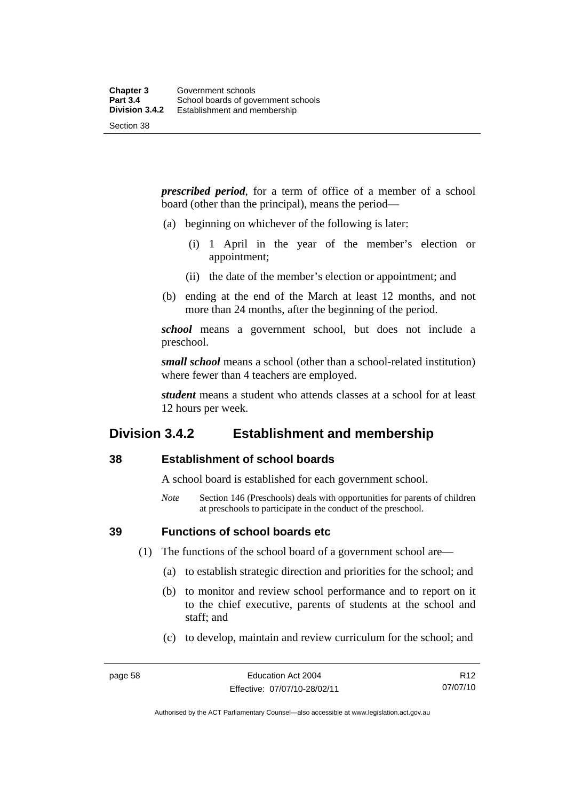*prescribed period*, for a term of office of a member of a school board (other than the principal), means the period—

- (a) beginning on whichever of the following is later:
	- (i) 1 April in the year of the member's election or appointment;
	- (ii) the date of the member's election or appointment; and
- (b) ending at the end of the March at least 12 months, and not more than 24 months, after the beginning of the period.

*school* means a government school, but does not include a preschool.

*small school* means a school (other than a school-related institution) where fewer than 4 teachers are employed.

*student* means a student who attends classes at a school for at least 12 hours per week.

## **Division 3.4.2 Establishment and membership**

## **38 Establishment of school boards**

A school board is established for each government school.

*Note* Section 146 (Preschools) deals with opportunities for parents of children at preschools to participate in the conduct of the preschool.

**39 Functions of school boards etc** 

- (1) The functions of the school board of a government school are—
	- (a) to establish strategic direction and priorities for the school; and
	- (b) to monitor and review school performance and to report on it to the chief executive, parents of students at the school and staff; and
	- (c) to develop, maintain and review curriculum for the school; and

Authorised by the ACT Parliamentary Counsel—also accessible at www.legislation.act.gov.au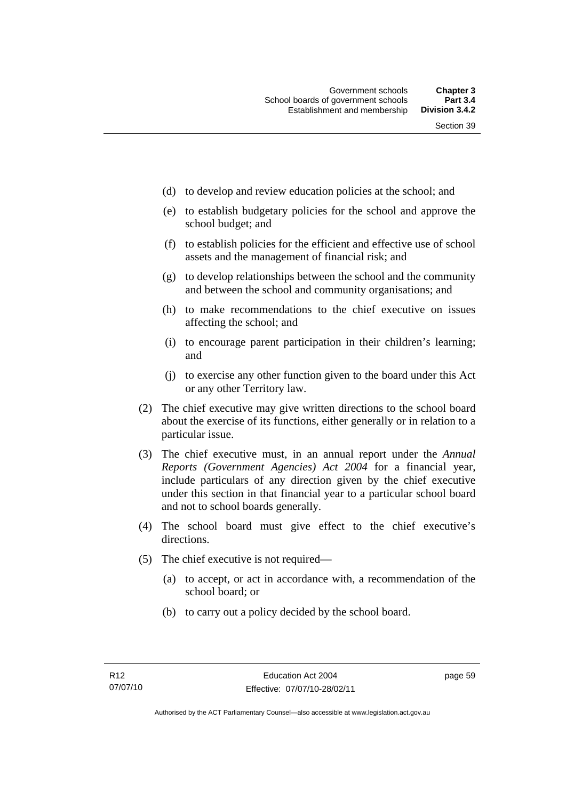- (d) to develop and review education policies at the school; and
- (e) to establish budgetary policies for the school and approve the school budget; and
- (f) to establish policies for the efficient and effective use of school assets and the management of financial risk; and
- (g) to develop relationships between the school and the community and between the school and community organisations; and
- (h) to make recommendations to the chief executive on issues affecting the school; and
- (i) to encourage parent participation in their children's learning; and
- (j) to exercise any other function given to the board under this Act or any other Territory law.
- (2) The chief executive may give written directions to the school board about the exercise of its functions, either generally or in relation to a particular issue.
- (3) The chief executive must, in an annual report under the *Annual Reports (Government Agencies) Act 2004* for a financial year, include particulars of any direction given by the chief executive under this section in that financial year to a particular school board and not to school boards generally.
- (4) The school board must give effect to the chief executive's directions.
- (5) The chief executive is not required—
	- (a) to accept, or act in accordance with, a recommendation of the school board; or
	- (b) to carry out a policy decided by the school board.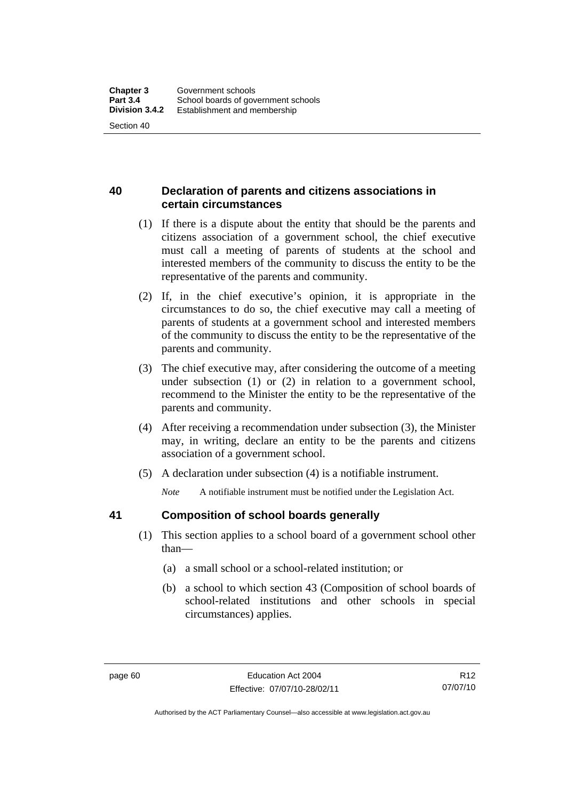## **40 Declaration of parents and citizens associations in certain circumstances**

- (1) If there is a dispute about the entity that should be the parents and citizens association of a government school, the chief executive must call a meeting of parents of students at the school and interested members of the community to discuss the entity to be the representative of the parents and community.
- (2) If, in the chief executive's opinion, it is appropriate in the circumstances to do so, the chief executive may call a meeting of parents of students at a government school and interested members of the community to discuss the entity to be the representative of the parents and community.
- (3) The chief executive may, after considering the outcome of a meeting under subsection (1) or (2) in relation to a government school, recommend to the Minister the entity to be the representative of the parents and community.
- (4) After receiving a recommendation under subsection (3), the Minister may, in writing, declare an entity to be the parents and citizens association of a government school.
- (5) A declaration under subsection (4) is a notifiable instrument.

*Note* A notifiable instrument must be notified under the Legislation Act.

## **41 Composition of school boards generally**

- (1) This section applies to a school board of a government school other than—
	- (a) a small school or a school-related institution; or
	- (b) a school to which section 43 (Composition of school boards of school-related institutions and other schools in special circumstances) applies.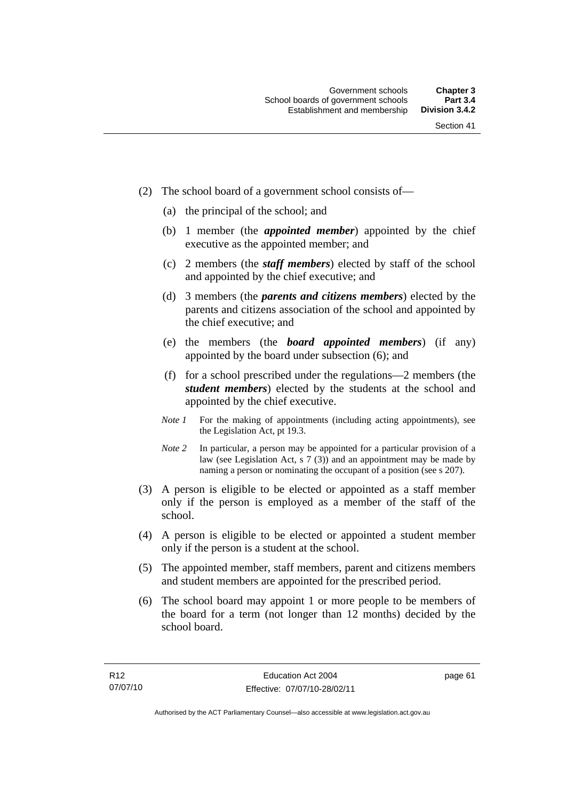- (2) The school board of a government school consists of—
	- (a) the principal of the school; and
	- (b) 1 member (the *appointed member*) appointed by the chief executive as the appointed member; and
	- (c) 2 members (the *staff members*) elected by staff of the school and appointed by the chief executive; and
	- (d) 3 members (the *parents and citizens members*) elected by the parents and citizens association of the school and appointed by the chief executive; and
	- (e) the members (the *board appointed members*) (if any) appointed by the board under subsection (6); and
	- (f) for a school prescribed under the regulations—2 members (the *student members*) elected by the students at the school and appointed by the chief executive.
	- *Note 1* For the making of appointments (including acting appointments), see the Legislation Act, pt 19.3.
	- *Note* 2 In particular, a person may be appointed for a particular provision of a law (see Legislation Act, s 7 (3)) and an appointment may be made by naming a person or nominating the occupant of a position (see s 207).
- (3) A person is eligible to be elected or appointed as a staff member only if the person is employed as a member of the staff of the school.
- (4) A person is eligible to be elected or appointed a student member only if the person is a student at the school.
- (5) The appointed member, staff members, parent and citizens members and student members are appointed for the prescribed period.
- (6) The school board may appoint 1 or more people to be members of the board for a term (not longer than 12 months) decided by the school board.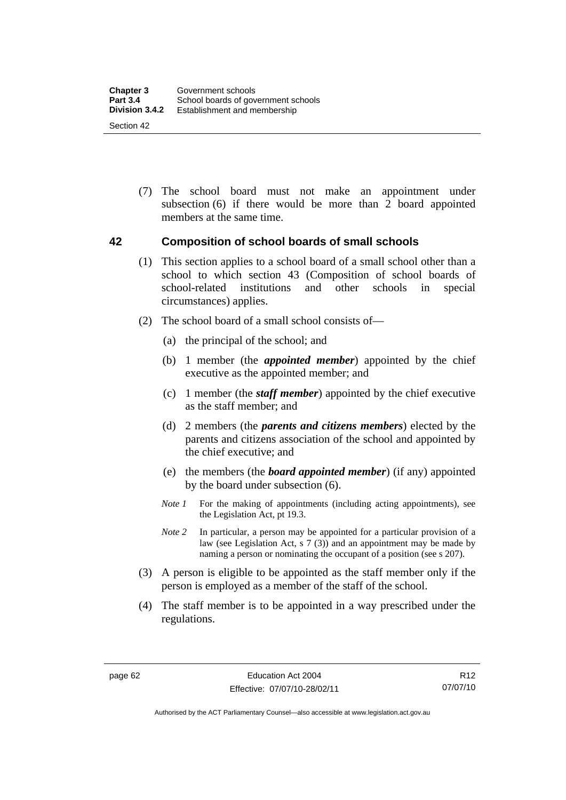(7) The school board must not make an appointment under subsection (6) if there would be more than 2 board appointed members at the same time.

## **42 Composition of school boards of small schools**

- (1) This section applies to a school board of a small school other than a school to which section 43 (Composition of school boards of school-related institutions and other schools in special circumstances) applies.
- (2) The school board of a small school consists of—
	- (a) the principal of the school; and
	- (b) 1 member (the *appointed member*) appointed by the chief executive as the appointed member; and
	- (c) 1 member (the *staff member*) appointed by the chief executive as the staff member; and
	- (d) 2 members (the *parents and citizens members*) elected by the parents and citizens association of the school and appointed by the chief executive; and
	- (e) the members (the *board appointed member*) (if any) appointed by the board under subsection (6).
	- *Note 1* For the making of appointments (including acting appointments), see the Legislation Act, pt 19.3.
	- *Note* 2 In particular, a person may be appointed for a particular provision of a law (see Legislation Act, s 7 (3)) and an appointment may be made by naming a person or nominating the occupant of a position (see s 207).
- (3) A person is eligible to be appointed as the staff member only if the person is employed as a member of the staff of the school.
- (4) The staff member is to be appointed in a way prescribed under the regulations.

R12 07/07/10

Authorised by the ACT Parliamentary Counsel—also accessible at www.legislation.act.gov.au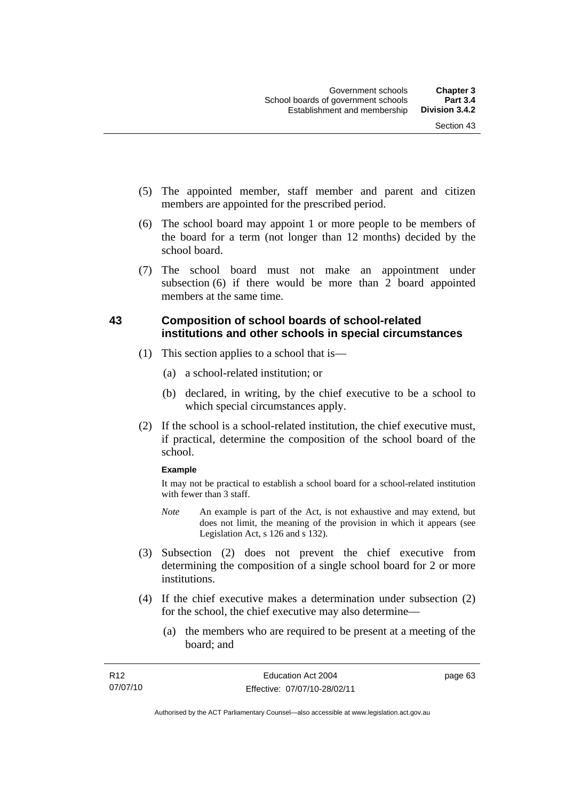- (5) The appointed member, staff member and parent and citizen members are appointed for the prescribed period.
- (6) The school board may appoint 1 or more people to be members of the board for a term (not longer than 12 months) decided by the school board.
- (7) The school board must not make an appointment under subsection (6) if there would be more than 2 board appointed members at the same time.

## **43 Composition of school boards of school-related institutions and other schools in special circumstances**

- (1) This section applies to a school that is—
	- (a) a school-related institution; or
	- (b) declared, in writing, by the chief executive to be a school to which special circumstances apply.
- (2) If the school is a school-related institution, the chief executive must, if practical, determine the composition of the school board of the school.

#### **Example**

It may not be practical to establish a school board for a school-related institution with fewer than 3 staff.

- *Note* An example is part of the Act, is not exhaustive and may extend, but does not limit, the meaning of the provision in which it appears (see Legislation Act, s 126 and s 132).
- (3) Subsection (2) does not prevent the chief executive from determining the composition of a single school board for 2 or more institutions.
- (4) If the chief executive makes a determination under subsection (2) for the school, the chief executive may also determine—
	- (a) the members who are required to be present at a meeting of the board; and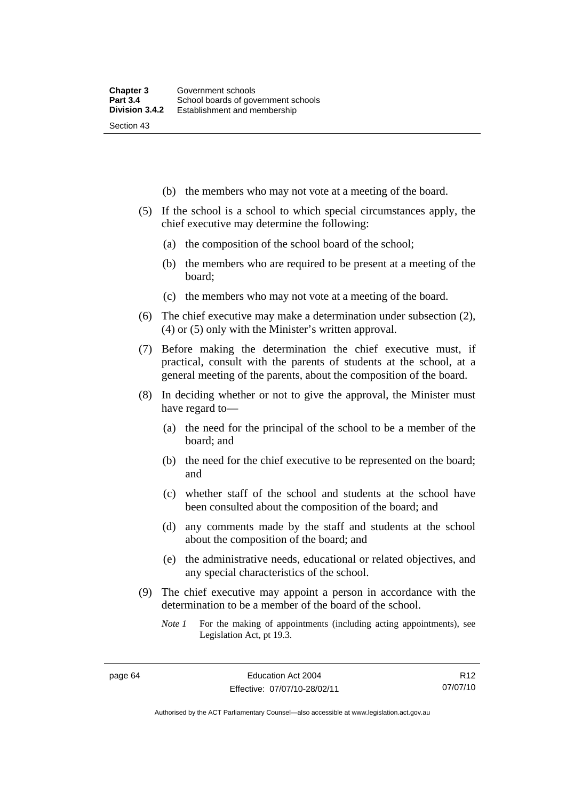- (b) the members who may not vote at a meeting of the board.
- (5) If the school is a school to which special circumstances apply, the chief executive may determine the following:
	- (a) the composition of the school board of the school;
	- (b) the members who are required to be present at a meeting of the board;
	- (c) the members who may not vote at a meeting of the board.
- (6) The chief executive may make a determination under subsection (2), (4) or (5) only with the Minister's written approval.
- (7) Before making the determination the chief executive must, if practical, consult with the parents of students at the school, at a general meeting of the parents, about the composition of the board.
- (8) In deciding whether or not to give the approval, the Minister must have regard to—
	- (a) the need for the principal of the school to be a member of the board; and
	- (b) the need for the chief executive to be represented on the board; and
	- (c) whether staff of the school and students at the school have been consulted about the composition of the board; and
	- (d) any comments made by the staff and students at the school about the composition of the board; and
	- (e) the administrative needs, educational or related objectives, and any special characteristics of the school.
- (9) The chief executive may appoint a person in accordance with the determination to be a member of the board of the school.
	- *Note 1* For the making of appointments (including acting appointments), see Legislation Act, pt 19.3.

R12 07/07/10

Authorised by the ACT Parliamentary Counsel—also accessible at www.legislation.act.gov.au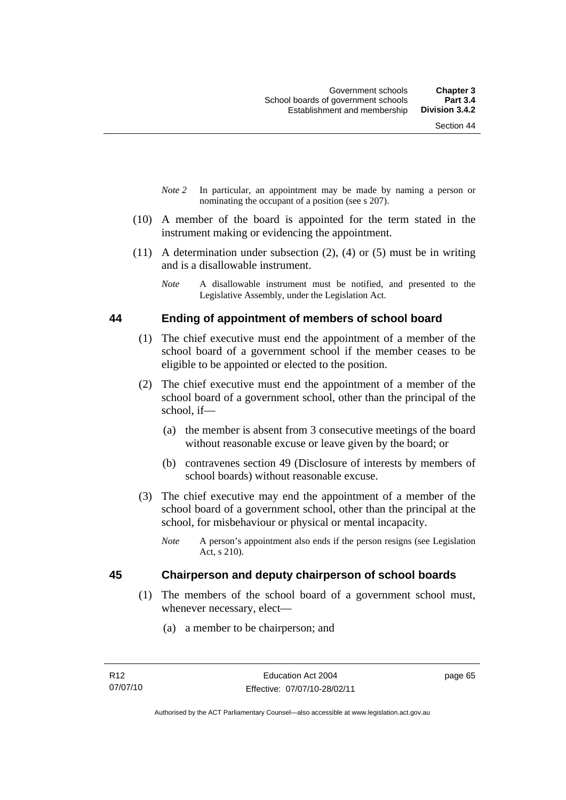- *Note 2* In particular, an appointment may be made by naming a person or nominating the occupant of a position (see s 207).
- (10) A member of the board is appointed for the term stated in the instrument making or evidencing the appointment.
- $(11)$  A determination under subsection  $(2)$ ,  $(4)$  or  $(5)$  must be in writing and is a disallowable instrument.
	- *Note* A disallowable instrument must be notified, and presented to the Legislative Assembly, under the Legislation Act.

#### **44 Ending of appointment of members of school board**

- (1) The chief executive must end the appointment of a member of the school board of a government school if the member ceases to be eligible to be appointed or elected to the position.
- (2) The chief executive must end the appointment of a member of the school board of a government school, other than the principal of the school, if—
	- (a) the member is absent from 3 consecutive meetings of the board without reasonable excuse or leave given by the board; or
	- (b) contravenes section 49 (Disclosure of interests by members of school boards) without reasonable excuse.
- (3) The chief executive may end the appointment of a member of the school board of a government school, other than the principal at the school, for misbehaviour or physical or mental incapacity.
	- *Note* A person's appointment also ends if the person resigns (see Legislation Act, s 210).

## **45 Chairperson and deputy chairperson of school boards**

- (1) The members of the school board of a government school must, whenever necessary, elect—
	- (a) a member to be chairperson; and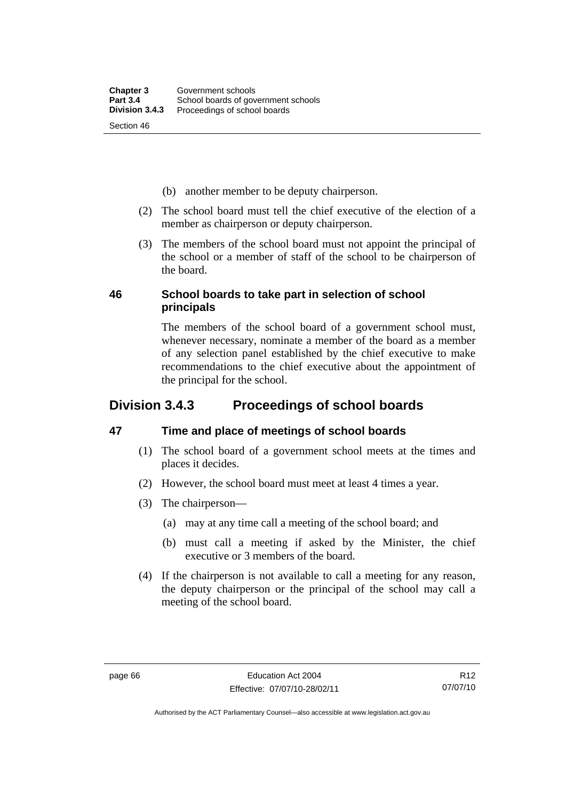- (b) another member to be deputy chairperson.
- (2) The school board must tell the chief executive of the election of a member as chairperson or deputy chairperson.
- (3) The members of the school board must not appoint the principal of the school or a member of staff of the school to be chairperson of the board.

## **46 School boards to take part in selection of school principals**

The members of the school board of a government school must, whenever necessary, nominate a member of the board as a member of any selection panel established by the chief executive to make recommendations to the chief executive about the appointment of the principal for the school.

## **Division 3.4.3 Proceedings of school boards**

## **47 Time and place of meetings of school boards**

- (1) The school board of a government school meets at the times and places it decides.
- (2) However, the school board must meet at least 4 times a year.
- (3) The chairperson—
	- (a) may at any time call a meeting of the school board; and
	- (b) must call a meeting if asked by the Minister, the chief executive or 3 members of the board.
- (4) If the chairperson is not available to call a meeting for any reason, the deputy chairperson or the principal of the school may call a meeting of the school board.

Authorised by the ACT Parliamentary Counsel—also accessible at www.legislation.act.gov.au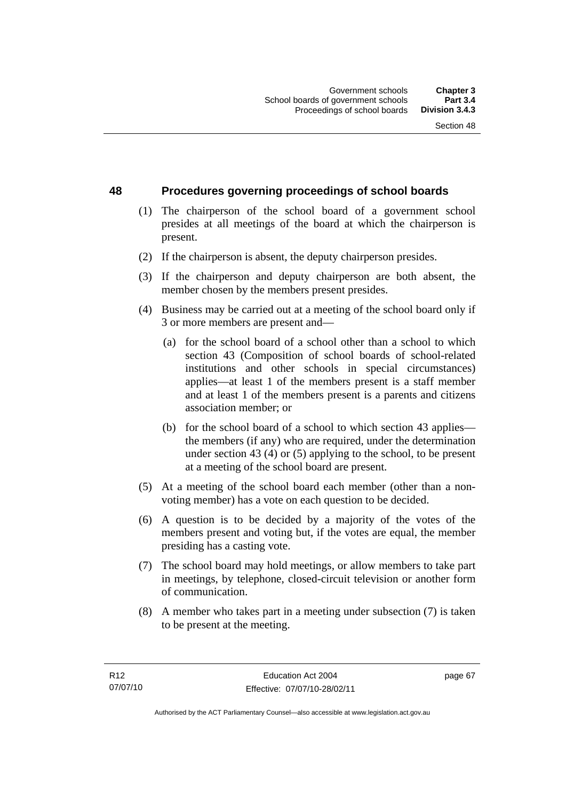## **48 Procedures governing proceedings of school boards**

- (1) The chairperson of the school board of a government school presides at all meetings of the board at which the chairperson is present.
- (2) If the chairperson is absent, the deputy chairperson presides.
- (3) If the chairperson and deputy chairperson are both absent, the member chosen by the members present presides.
- (4) Business may be carried out at a meeting of the school board only if 3 or more members are present and—
	- (a) for the school board of a school other than a school to which section 43 (Composition of school boards of school-related institutions and other schools in special circumstances) applies—at least 1 of the members present is a staff member and at least 1 of the members present is a parents and citizens association member; or
	- (b) for the school board of a school to which section 43 applies the members (if any) who are required, under the determination under section 43 (4) or (5) applying to the school, to be present at a meeting of the school board are present.
- (5) At a meeting of the school board each member (other than a nonvoting member) has a vote on each question to be decided.
- (6) A question is to be decided by a majority of the votes of the members present and voting but, if the votes are equal, the member presiding has a casting vote.
- (7) The school board may hold meetings, or allow members to take part in meetings, by telephone, closed-circuit television or another form of communication.
- (8) A member who takes part in a meeting under subsection (7) is taken to be present at the meeting.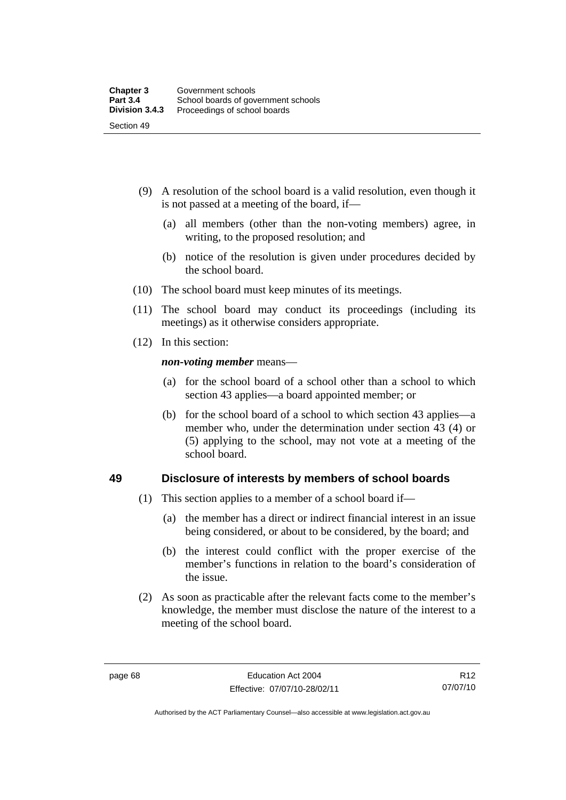- (9) A resolution of the school board is a valid resolution, even though it is not passed at a meeting of the board, if—
	- (a) all members (other than the non-voting members) agree, in writing, to the proposed resolution; and
	- (b) notice of the resolution is given under procedures decided by the school board.
- (10) The school board must keep minutes of its meetings.
- (11) The school board may conduct its proceedings (including its meetings) as it otherwise considers appropriate.
- (12) In this section:

*non-voting member* means—

- (a) for the school board of a school other than a school to which section 43 applies—a board appointed member; or
- (b) for the school board of a school to which section 43 applies—a member who, under the determination under section 43 (4) or (5) applying to the school, may not vote at a meeting of the school board.

## **49 Disclosure of interests by members of school boards**

- (1) This section applies to a member of a school board if—
	- (a) the member has a direct or indirect financial interest in an issue being considered, or about to be considered, by the board; and
	- (b) the interest could conflict with the proper exercise of the member's functions in relation to the board's consideration of the issue.
- (2) As soon as practicable after the relevant facts come to the member's knowledge, the member must disclose the nature of the interest to a meeting of the school board.

R12 07/07/10

Authorised by the ACT Parliamentary Counsel—also accessible at www.legislation.act.gov.au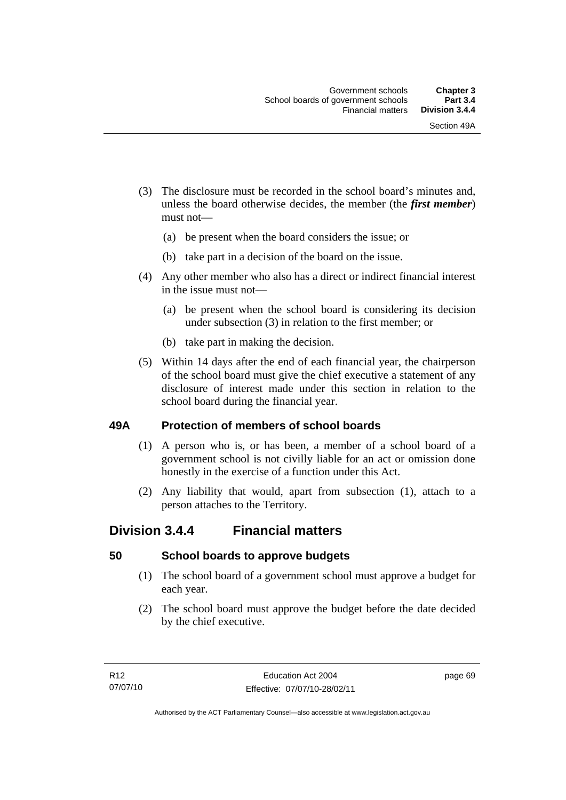- (3) The disclosure must be recorded in the school board's minutes and, unless the board otherwise decides, the member (the *first member*) must not—
	- (a) be present when the board considers the issue; or
	- (b) take part in a decision of the board on the issue.
- (4) Any other member who also has a direct or indirect financial interest in the issue must not—
	- (a) be present when the school board is considering its decision under subsection (3) in relation to the first member; or
	- (b) take part in making the decision.
- (5) Within 14 days after the end of each financial year, the chairperson of the school board must give the chief executive a statement of any disclosure of interest made under this section in relation to the school board during the financial year.

## **49A Protection of members of school boards**

- (1) A person who is, or has been, a member of a school board of a government school is not civilly liable for an act or omission done honestly in the exercise of a function under this Act.
- (2) Any liability that would, apart from subsection (1), attach to a person attaches to the Territory.

## **Division 3.4.4 Financial matters**

## **50 School boards to approve budgets**

- (1) The school board of a government school must approve a budget for each year.
- (2) The school board must approve the budget before the date decided by the chief executive.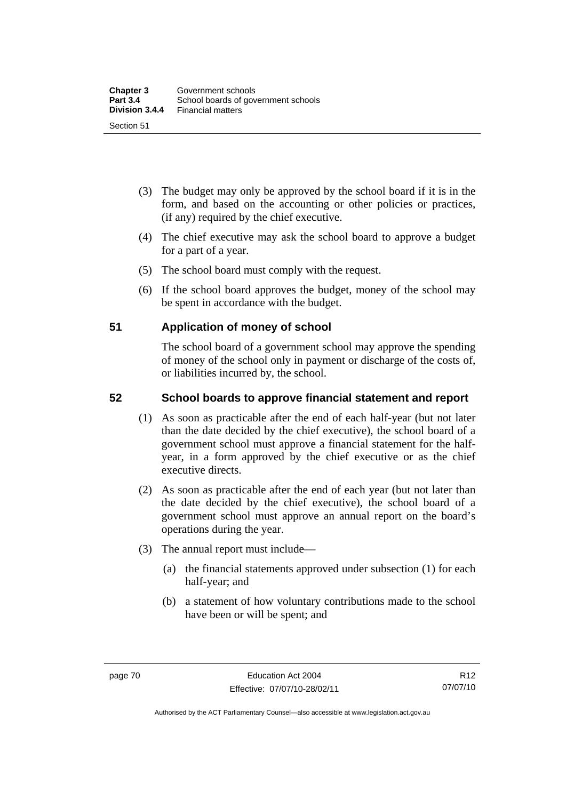- (3) The budget may only be approved by the school board if it is in the form, and based on the accounting or other policies or practices, (if any) required by the chief executive.
- (4) The chief executive may ask the school board to approve a budget for a part of a year.
- (5) The school board must comply with the request.
- (6) If the school board approves the budget, money of the school may be spent in accordance with the budget.

## **51 Application of money of school**

The school board of a government school may approve the spending of money of the school only in payment or discharge of the costs of, or liabilities incurred by, the school.

## **52 School boards to approve financial statement and report**

- (1) As soon as practicable after the end of each half-year (but not later than the date decided by the chief executive), the school board of a government school must approve a financial statement for the halfyear, in a form approved by the chief executive or as the chief executive directs.
- (2) As soon as practicable after the end of each year (but not later than the date decided by the chief executive), the school board of a government school must approve an annual report on the board's operations during the year.
- (3) The annual report must include—
	- (a) the financial statements approved under subsection (1) for each half-year; and
	- (b) a statement of how voluntary contributions made to the school have been or will be spent; and

R12 07/07/10

Authorised by the ACT Parliamentary Counsel—also accessible at www.legislation.act.gov.au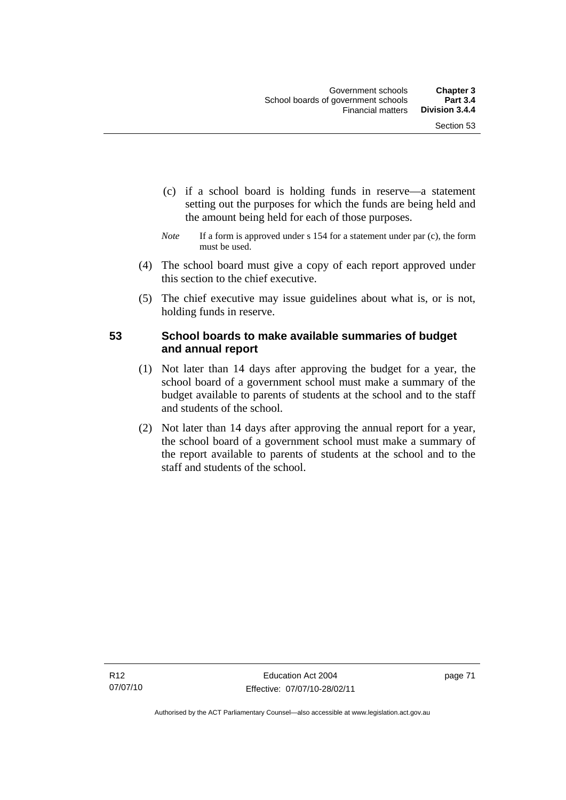- (c) if a school board is holding funds in reserve—a statement setting out the purposes for which the funds are being held and the amount being held for each of those purposes.
- *Note* If a form is approved under s 154 for a statement under par (c), the form must be used.
- (4) The school board must give a copy of each report approved under this section to the chief executive.
- (5) The chief executive may issue guidelines about what is, or is not, holding funds in reserve.

## **53 School boards to make available summaries of budget and annual report**

- (1) Not later than 14 days after approving the budget for a year, the school board of a government school must make a summary of the budget available to parents of students at the school and to the staff and students of the school.
- (2) Not later than 14 days after approving the annual report for a year, the school board of a government school must make a summary of the report available to parents of students at the school and to the staff and students of the school.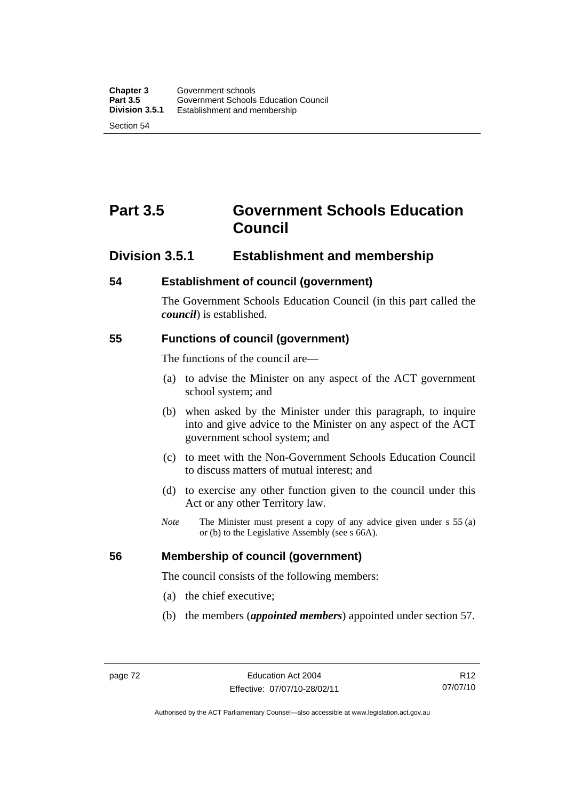# **Part 3.5 Government Schools Education Council**

## **Division 3.5.1 Establishment and membership**

## **54 Establishment of council (government)**

The Government Schools Education Council (in this part called the *council*) is established.

## **55 Functions of council (government)**

The functions of the council are—

- (a) to advise the Minister on any aspect of the ACT government school system; and
- (b) when asked by the Minister under this paragraph, to inquire into and give advice to the Minister on any aspect of the ACT government school system; and
- (c) to meet with the Non-Government Schools Education Council to discuss matters of mutual interest; and
- (d) to exercise any other function given to the council under this Act or any other Territory law.
- *Note* The Minister must present a copy of any advice given under s 55 (a) or (b) to the Legislative Assembly (see s 66A).

## **56 Membership of council (government)**

The council consists of the following members:

- (a) the chief executive;
- (b) the members (*appointed members*) appointed under section 57.

R12 07/07/10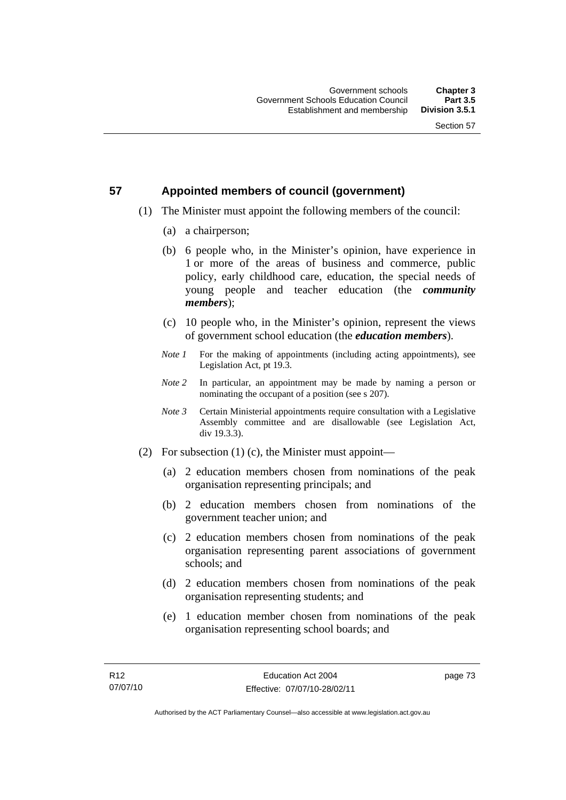## **57 Appointed members of council (government)**

- (1) The Minister must appoint the following members of the council:
	- (a) a chairperson;
	- (b) 6 people who, in the Minister's opinion, have experience in 1 or more of the areas of business and commerce, public policy, early childhood care, education, the special needs of young people and teacher education (the *community members*);
	- (c) 10 people who, in the Minister's opinion, represent the views of government school education (the *education members*).
	- *Note 1* For the making of appointments (including acting appointments), see Legislation Act, pt 19.3.
	- *Note 2* In particular, an appointment may be made by naming a person or nominating the occupant of a position (see s 207).
	- *Note 3* Certain Ministerial appointments require consultation with a Legislative Assembly committee and are disallowable (see Legislation Act, div 19.3.3).
- (2) For subsection (1) (c), the Minister must appoint—
	- (a) 2 education members chosen from nominations of the peak organisation representing principals; and
	- (b) 2 education members chosen from nominations of the government teacher union; and
	- (c) 2 education members chosen from nominations of the peak organisation representing parent associations of government schools; and
	- (d) 2 education members chosen from nominations of the peak organisation representing students; and
	- (e) 1 education member chosen from nominations of the peak organisation representing school boards; and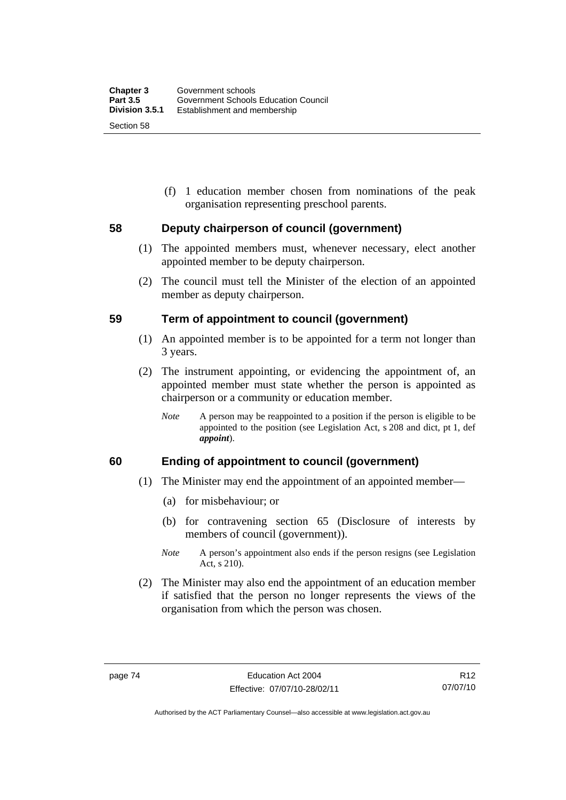(f) 1 education member chosen from nominations of the peak organisation representing preschool parents.

## **58 Deputy chairperson of council (government)**

- (1) The appointed members must, whenever necessary, elect another appointed member to be deputy chairperson.
- (2) The council must tell the Minister of the election of an appointed member as deputy chairperson.

## **59 Term of appointment to council (government)**

- (1) An appointed member is to be appointed for a term not longer than 3 years.
- (2) The instrument appointing, or evidencing the appointment of, an appointed member must state whether the person is appointed as chairperson or a community or education member.
	- *Note* A person may be reappointed to a position if the person is eligible to be appointed to the position (see Legislation Act, s 208 and dict, pt 1, def *appoint*).

## **60 Ending of appointment to council (government)**

- (1) The Minister may end the appointment of an appointed member—
	- (a) for misbehaviour; or
	- (b) for contravening section 65 (Disclosure of interests by members of council (government)).
	- *Note* A person's appointment also ends if the person resigns (see Legislation Act, s 210).
- (2) The Minister may also end the appointment of an education member if satisfied that the person no longer represents the views of the organisation from which the person was chosen.

R12 07/07/10

Authorised by the ACT Parliamentary Counsel—also accessible at www.legislation.act.gov.au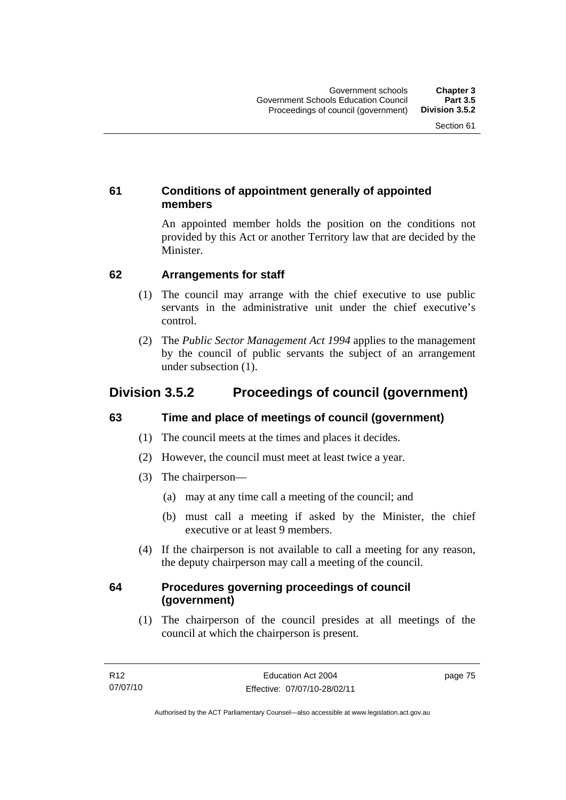## **61 Conditions of appointment generally of appointed members**

An appointed member holds the position on the conditions not provided by this Act or another Territory law that are decided by the Minister.

## **62 Arrangements for staff**

- (1) The council may arrange with the chief executive to use public servants in the administrative unit under the chief executive's control.
- (2) The *Public Sector Management Act 1994* applies to the management by the council of public servants the subject of an arrangement under subsection (1).

# **Division 3.5.2 Proceedings of council (government)**

## **63 Time and place of meetings of council (government)**

- (1) The council meets at the times and places it decides.
- (2) However, the council must meet at least twice a year.
- (3) The chairperson—
	- (a) may at any time call a meeting of the council; and
	- (b) must call a meeting if asked by the Minister, the chief executive or at least 9 members.
- (4) If the chairperson is not available to call a meeting for any reason, the deputy chairperson may call a meeting of the council.

## **64 Procedures governing proceedings of council (government)**

 (1) The chairperson of the council presides at all meetings of the council at which the chairperson is present.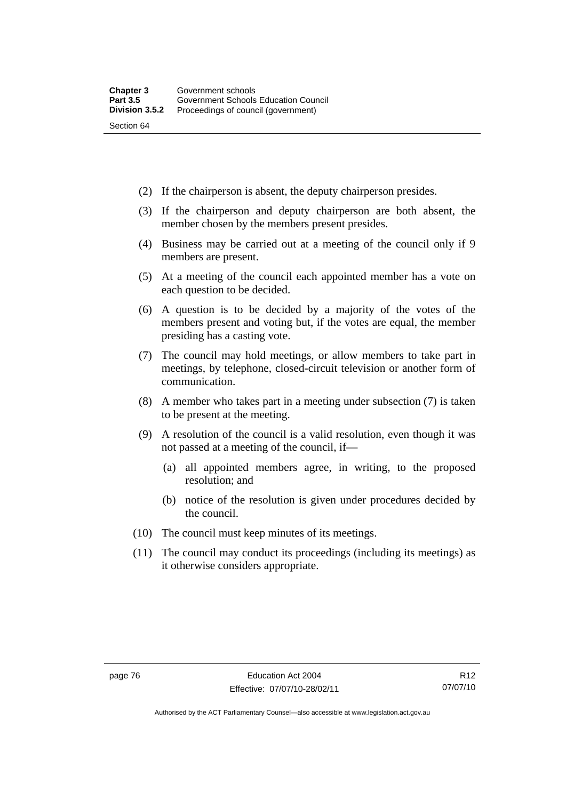- (2) If the chairperson is absent, the deputy chairperson presides.
- (3) If the chairperson and deputy chairperson are both absent, the member chosen by the members present presides.
- (4) Business may be carried out at a meeting of the council only if 9 members are present.
- (5) At a meeting of the council each appointed member has a vote on each question to be decided.
- (6) A question is to be decided by a majority of the votes of the members present and voting but, if the votes are equal, the member presiding has a casting vote.
- (7) The council may hold meetings, or allow members to take part in meetings, by telephone, closed-circuit television or another form of communication.
- (8) A member who takes part in a meeting under subsection (7) is taken to be present at the meeting.
- (9) A resolution of the council is a valid resolution, even though it was not passed at a meeting of the council, if—
	- (a) all appointed members agree, in writing, to the proposed resolution; and
	- (b) notice of the resolution is given under procedures decided by the council.
- (10) The council must keep minutes of its meetings.
- (11) The council may conduct its proceedings (including its meetings) as it otherwise considers appropriate.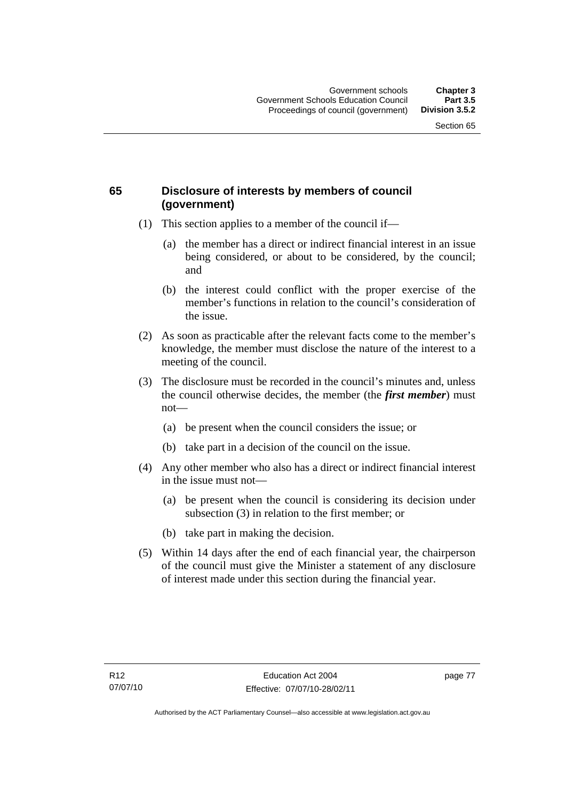## **65 Disclosure of interests by members of council (government)**

- (1) This section applies to a member of the council if—
	- (a) the member has a direct or indirect financial interest in an issue being considered, or about to be considered, by the council; and
	- (b) the interest could conflict with the proper exercise of the member's functions in relation to the council's consideration of the issue.
- (2) As soon as practicable after the relevant facts come to the member's knowledge, the member must disclose the nature of the interest to a meeting of the council.
- (3) The disclosure must be recorded in the council's minutes and, unless the council otherwise decides, the member (the *first member*) must not—
	- (a) be present when the council considers the issue; or
	- (b) take part in a decision of the council on the issue.
- (4) Any other member who also has a direct or indirect financial interest in the issue must not—
	- (a) be present when the council is considering its decision under subsection (3) in relation to the first member; or
	- (b) take part in making the decision.
- (5) Within 14 days after the end of each financial year, the chairperson of the council must give the Minister a statement of any disclosure of interest made under this section during the financial year.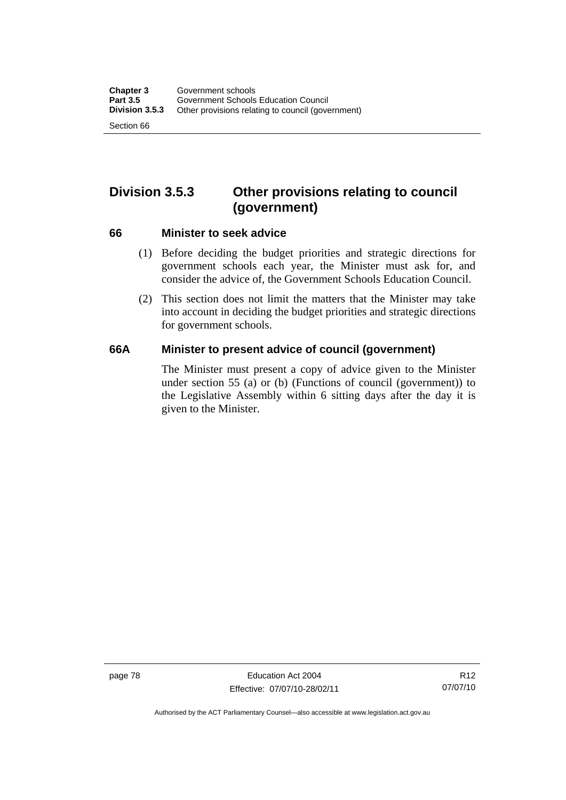# **Division 3.5.3 Other provisions relating to council (government)**

#### **66 Minister to seek advice**

- (1) Before deciding the budget priorities and strategic directions for government schools each year, the Minister must ask for, and consider the advice of, the Government Schools Education Council.
- (2) This section does not limit the matters that the Minister may take into account in deciding the budget priorities and strategic directions for government schools.

## **66A Minister to present advice of council (government)**

The Minister must present a copy of advice given to the Minister under section 55 (a) or (b) (Functions of council (government)) to the Legislative Assembly within 6 sitting days after the day it is given to the Minister.

page 78 Education Act 2004 Effective: 07/07/10-28/02/11

Authorised by the ACT Parliamentary Counsel—also accessible at www.legislation.act.gov.au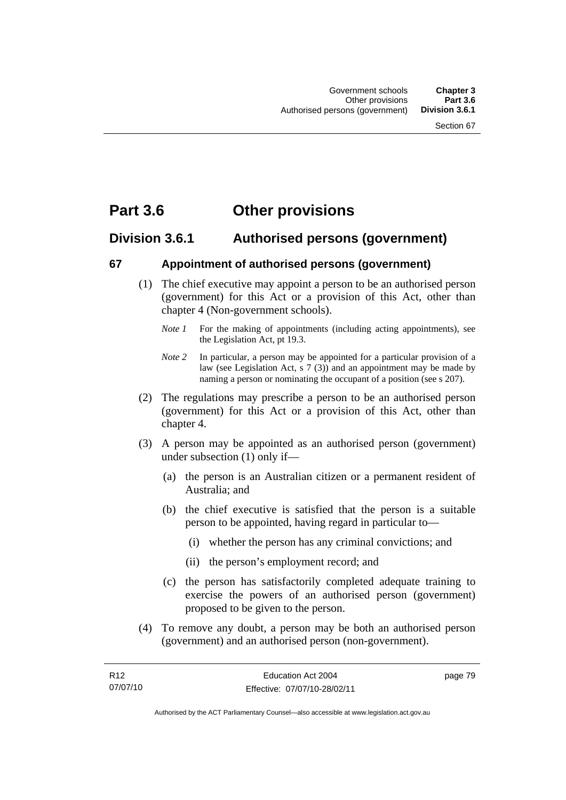# **Part 3.6 Other provisions**

## **Division 3.6.1 Authorised persons (government)**

## **67 Appointment of authorised persons (government)**

- (1) The chief executive may appoint a person to be an authorised person (government) for this Act or a provision of this Act, other than chapter 4 (Non-government schools).
	- *Note 1* For the making of appointments (including acting appointments), see the Legislation Act, pt 19.3.
	- *Note 2* In particular, a person may be appointed for a particular provision of a law (see Legislation Act, s 7 (3)) and an appointment may be made by naming a person or nominating the occupant of a position (see s 207).
- (2) The regulations may prescribe a person to be an authorised person (government) for this Act or a provision of this Act, other than chapter 4.
- (3) A person may be appointed as an authorised person (government) under subsection (1) only if—
	- (a) the person is an Australian citizen or a permanent resident of Australia; and
	- (b) the chief executive is satisfied that the person is a suitable person to be appointed, having regard in particular to—
		- (i) whether the person has any criminal convictions; and
		- (ii) the person's employment record; and
	- (c) the person has satisfactorily completed adequate training to exercise the powers of an authorised person (government) proposed to be given to the person.
- (4) To remove any doubt, a person may be both an authorised person (government) and an authorised person (non-government).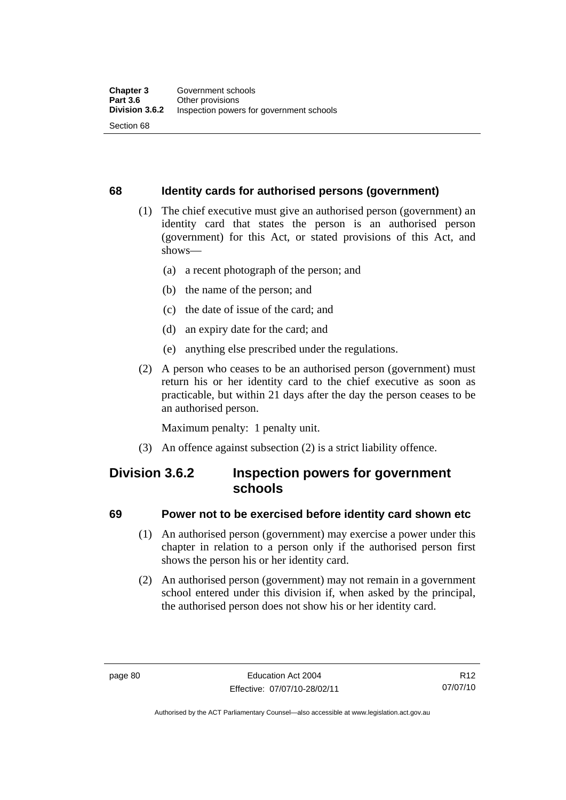## **68 Identity cards for authorised persons (government)**

- (1) The chief executive must give an authorised person (government) an identity card that states the person is an authorised person (government) for this Act, or stated provisions of this Act, and shows—
	- (a) a recent photograph of the person; and
	- (b) the name of the person; and
	- (c) the date of issue of the card; and
	- (d) an expiry date for the card; and
	- (e) anything else prescribed under the regulations.
- (2) A person who ceases to be an authorised person (government) must return his or her identity card to the chief executive as soon as practicable, but within 21 days after the day the person ceases to be an authorised person.

Maximum penalty: 1 penalty unit.

(3) An offence against subsection (2) is a strict liability offence.

## **Division 3.6.2 Inspection powers for government schools**

## **69 Power not to be exercised before identity card shown etc**

- (1) An authorised person (government) may exercise a power under this chapter in relation to a person only if the authorised person first shows the person his or her identity card.
- (2) An authorised person (government) may not remain in a government school entered under this division if, when asked by the principal, the authorised person does not show his or her identity card.

R12 07/07/10

Authorised by the ACT Parliamentary Counsel—also accessible at www.legislation.act.gov.au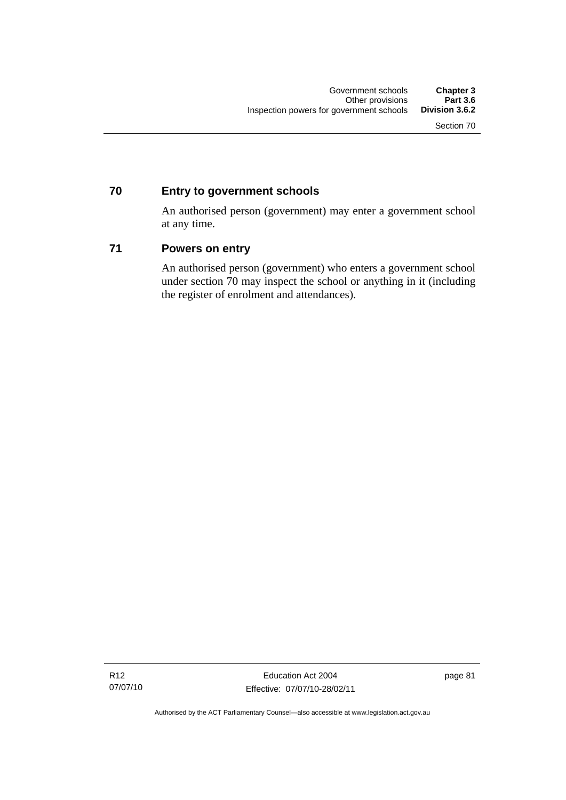## **70 Entry to government schools**

An authorised person (government) may enter a government school at any time.

## **71 Powers on entry**

An authorised person (government) who enters a government school under section 70 may inspect the school or anything in it (including the register of enrolment and attendances).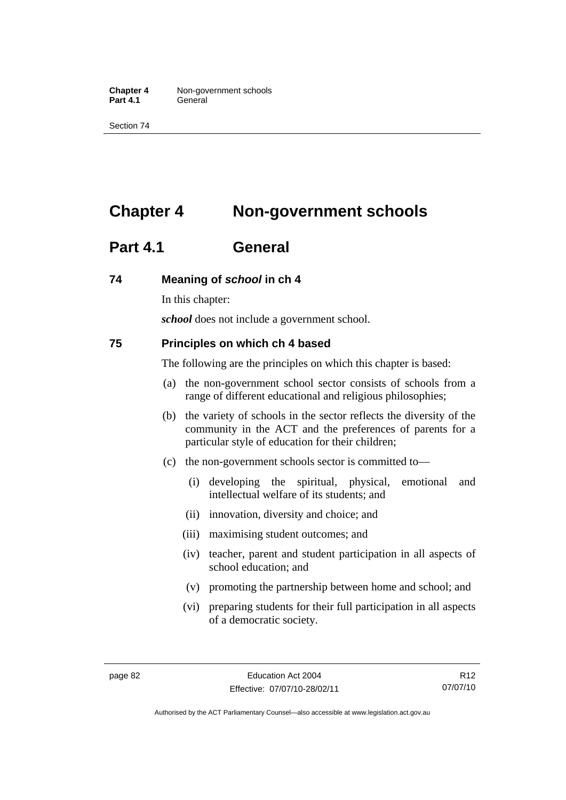**Chapter 4** Non-government schools Part 4.1 **General** 

Section 74

# **Chapter 4 Non-government schools**

# **Part 4.1 General**

## **74 Meaning of** *school* **in ch 4**

In this chapter:

*school* does not include a government school.

#### **75 Principles on which ch 4 based**

The following are the principles on which this chapter is based:

- (a) the non-government school sector consists of schools from a range of different educational and religious philosophies;
- (b) the variety of schools in the sector reflects the diversity of the community in the ACT and the preferences of parents for a particular style of education for their children;
- (c) the non-government schools sector is committed to—
	- (i) developing the spiritual, physical, emotional and intellectual welfare of its students; and
	- (ii) innovation, diversity and choice; and
	- (iii) maximising student outcomes; and
	- (iv) teacher, parent and student participation in all aspects of school education; and
	- (v) promoting the partnership between home and school; and
	- (vi) preparing students for their full participation in all aspects of a democratic society.

Authorised by the ACT Parliamentary Counsel—also accessible at www.legislation.act.gov.au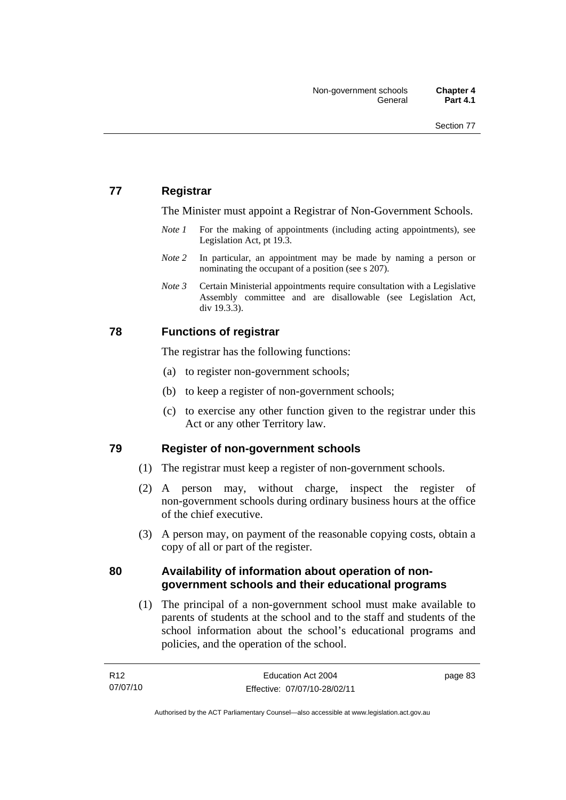## **77 Registrar**

The Minister must appoint a Registrar of Non-Government Schools.

- *Note 1* For the making of appointments (including acting appointments), see Legislation Act, pt 19.3.
- *Note* 2 In particular, an appointment may be made by naming a person or nominating the occupant of a position (see s 207).
- *Note 3* Certain Ministerial appointments require consultation with a Legislative Assembly committee and are disallowable (see Legislation Act, div 19.3.3).

## **78 Functions of registrar**

The registrar has the following functions:

- (a) to register non-government schools;
- (b) to keep a register of non-government schools;
- (c) to exercise any other function given to the registrar under this Act or any other Territory law.

## **79 Register of non-government schools**

- (1) The registrar must keep a register of non-government schools.
- (2) A person may, without charge, inspect the register of non-government schools during ordinary business hours at the office of the chief executive.
- (3) A person may, on payment of the reasonable copying costs, obtain a copy of all or part of the register.

## **80 Availability of information about operation of nongovernment schools and their educational programs**

 (1) The principal of a non-government school must make available to parents of students at the school and to the staff and students of the school information about the school's educational programs and policies, and the operation of the school.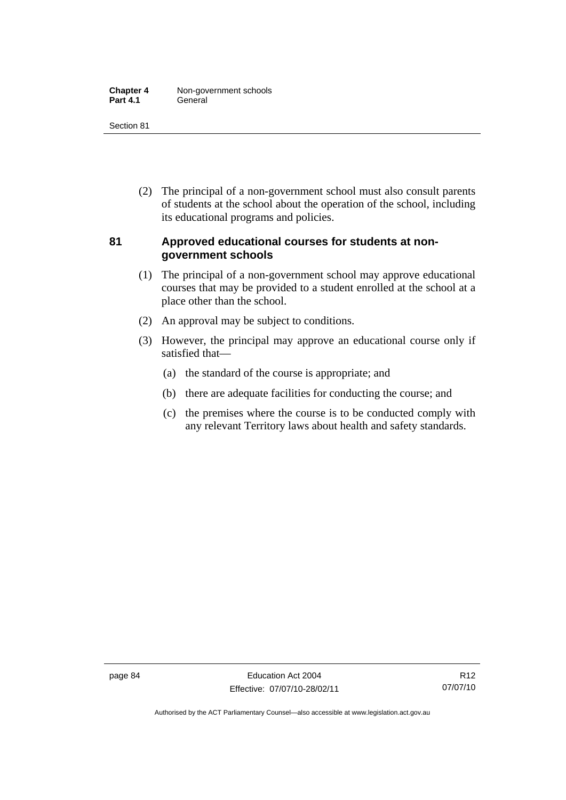| <b>Chapter 4</b> | Non-government schools |
|------------------|------------------------|
| <b>Part 4.1</b>  | General                |

 (2) The principal of a non-government school must also consult parents of students at the school about the operation of the school, including its educational programs and policies.

## **81 Approved educational courses for students at nongovernment schools**

- (1) The principal of a non-government school may approve educational courses that may be provided to a student enrolled at the school at a place other than the school.
- (2) An approval may be subject to conditions.
- (3) However, the principal may approve an educational course only if satisfied that—
	- (a) the standard of the course is appropriate; and
	- (b) there are adequate facilities for conducting the course; and
	- (c) the premises where the course is to be conducted comply with any relevant Territory laws about health and safety standards.

Authorised by the ACT Parliamentary Counsel—also accessible at www.legislation.act.gov.au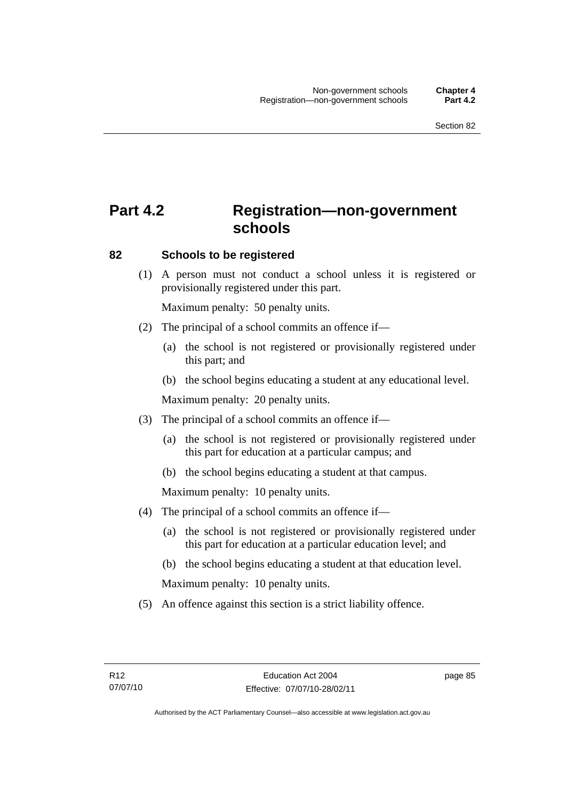# **Part 4.2 Registration—non-government schools**

#### **82 Schools to be registered**

 (1) A person must not conduct a school unless it is registered or provisionally registered under this part.

Maximum penalty: 50 penalty units.

- (2) The principal of a school commits an offence if—
	- (a) the school is not registered or provisionally registered under this part; and
	- (b) the school begins educating a student at any educational level.

Maximum penalty: 20 penalty units.

- (3) The principal of a school commits an offence if—
	- (a) the school is not registered or provisionally registered under this part for education at a particular campus; and
	- (b) the school begins educating a student at that campus.

Maximum penalty: 10 penalty units.

- (4) The principal of a school commits an offence if—
	- (a) the school is not registered or provisionally registered under this part for education at a particular education level; and
	- (b) the school begins educating a student at that education level.

Maximum penalty: 10 penalty units.

(5) An offence against this section is a strict liability offence.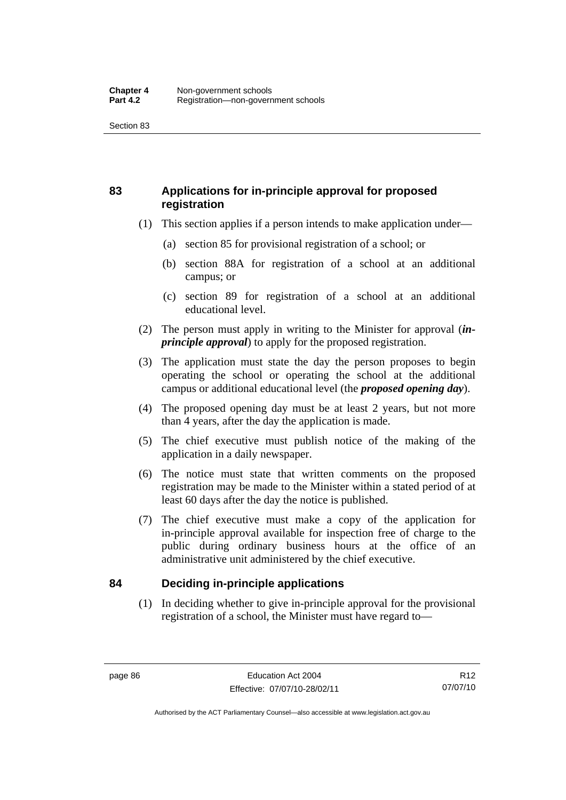## **83 Applications for in-principle approval for proposed registration**

- (1) This section applies if a person intends to make application under—
	- (a) section 85 for provisional registration of a school; or
	- (b) section 88A for registration of a school at an additional campus; or
	- (c) section 89 for registration of a school at an additional educational level.
- (2) The person must apply in writing to the Minister for approval (*inprinciple approval*) to apply for the proposed registration.
- (3) The application must state the day the person proposes to begin operating the school or operating the school at the additional campus or additional educational level (the *proposed opening day*).
- (4) The proposed opening day must be at least 2 years, but not more than 4 years, after the day the application is made.
- (5) The chief executive must publish notice of the making of the application in a daily newspaper.
- (6) The notice must state that written comments on the proposed registration may be made to the Minister within a stated period of at least 60 days after the day the notice is published.
- (7) The chief executive must make a copy of the application for in-principle approval available for inspection free of charge to the public during ordinary business hours at the office of an administrative unit administered by the chief executive.

## **84 Deciding in-principle applications**

 (1) In deciding whether to give in-principle approval for the provisional registration of a school, the Minister must have regard to—

Authorised by the ACT Parliamentary Counsel—also accessible at www.legislation.act.gov.au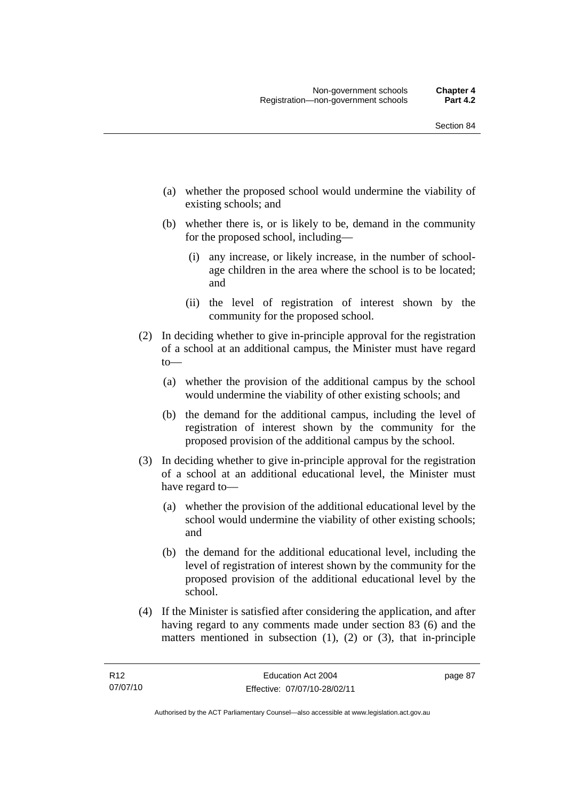- (a) whether the proposed school would undermine the viability of existing schools; and
- (b) whether there is, or is likely to be, demand in the community for the proposed school, including—
	- (i) any increase, or likely increase, in the number of schoolage children in the area where the school is to be located; and
	- (ii) the level of registration of interest shown by the community for the proposed school.
- (2) In deciding whether to give in-principle approval for the registration of a school at an additional campus, the Minister must have regard to—
	- (a) whether the provision of the additional campus by the school would undermine the viability of other existing schools; and
	- (b) the demand for the additional campus, including the level of registration of interest shown by the community for the proposed provision of the additional campus by the school.
- (3) In deciding whether to give in-principle approval for the registration of a school at an additional educational level, the Minister must have regard to—
	- (a) whether the provision of the additional educational level by the school would undermine the viability of other existing schools; and
	- (b) the demand for the additional educational level, including the level of registration of interest shown by the community for the proposed provision of the additional educational level by the school.
- (4) If the Minister is satisfied after considering the application, and after having regard to any comments made under section 83 (6) and the matters mentioned in subsection (1), (2) or (3), that in-principle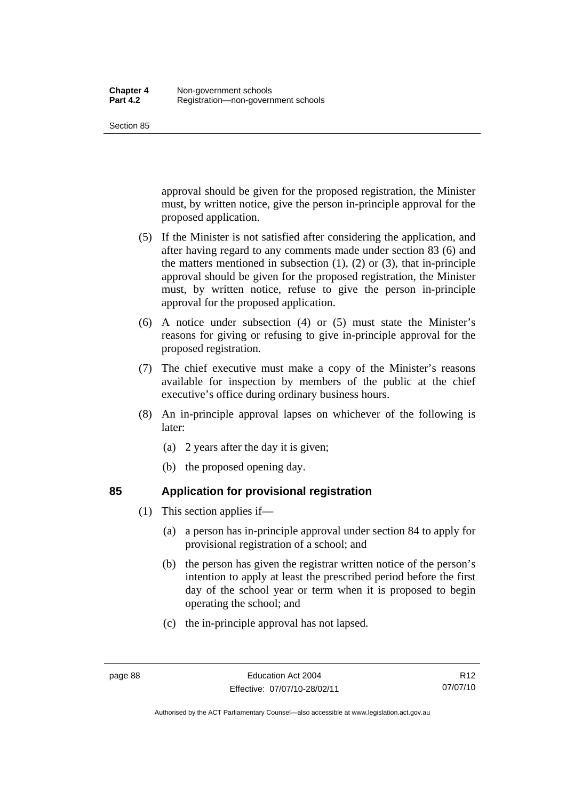approval should be given for the proposed registration, the Minister must, by written notice, give the person in-principle approval for the proposed application.

- (5) If the Minister is not satisfied after considering the application, and after having regard to any comments made under section 83 (6) and the matters mentioned in subsection  $(1)$ ,  $(2)$  or  $(3)$ , that in-principle approval should be given for the proposed registration, the Minister must, by written notice, refuse to give the person in-principle approval for the proposed application.
- (6) A notice under subsection (4) or (5) must state the Minister's reasons for giving or refusing to give in-principle approval for the proposed registration.
- (7) The chief executive must make a copy of the Minister's reasons available for inspection by members of the public at the chief executive's office during ordinary business hours.
- (8) An in-principle approval lapses on whichever of the following is later:
	- (a) 2 years after the day it is given;
	- (b) the proposed opening day.

- **85 Application for provisional registration** 
	- (1) This section applies if—
		- (a) a person has in-principle approval under section 84 to apply for provisional registration of a school; and
		- (b) the person has given the registrar written notice of the person's intention to apply at least the prescribed period before the first day of the school year or term when it is proposed to begin operating the school; and
		- (c) the in-principle approval has not lapsed.

Authorised by the ACT Parliamentary Counsel—also accessible at www.legislation.act.gov.au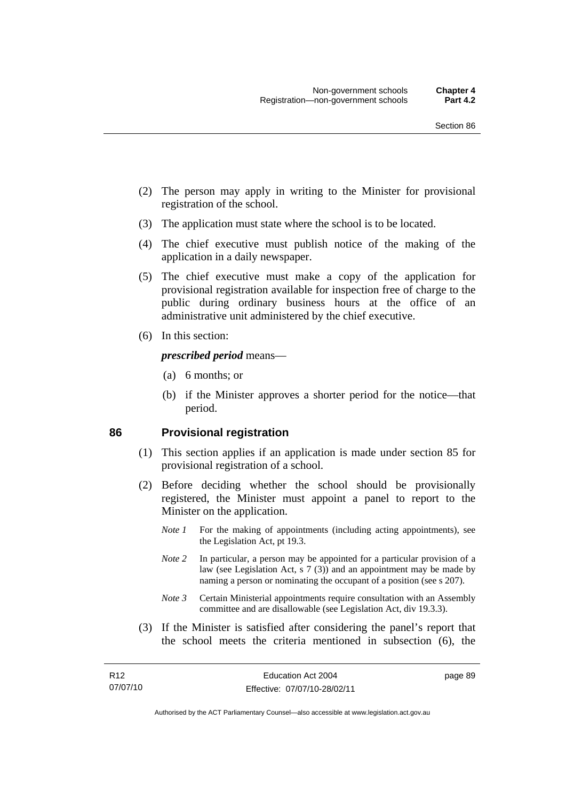- (2) The person may apply in writing to the Minister for provisional registration of the school.
- (3) The application must state where the school is to be located.
- (4) The chief executive must publish notice of the making of the application in a daily newspaper.
- (5) The chief executive must make a copy of the application for provisional registration available for inspection free of charge to the public during ordinary business hours at the office of an administrative unit administered by the chief executive.
- (6) In this section:

#### *prescribed period* means—

- (a) 6 months; or
- (b) if the Minister approves a shorter period for the notice—that period.

#### **86 Provisional registration**

- (1) This section applies if an application is made under section 85 for provisional registration of a school.
- (2) Before deciding whether the school should be provisionally registered, the Minister must appoint a panel to report to the Minister on the application.
	- *Note 1* For the making of appointments (including acting appointments), see the Legislation Act, pt 19.3.
	- *Note 2* In particular, a person may be appointed for a particular provision of a law (see Legislation Act, s 7 (3)) and an appointment may be made by naming a person or nominating the occupant of a position (see s 207).
	- *Note 3* Certain Ministerial appointments require consultation with an Assembly committee and are disallowable (see Legislation Act, div 19.3.3).
- (3) If the Minister is satisfied after considering the panel's report that the school meets the criteria mentioned in subsection (6), the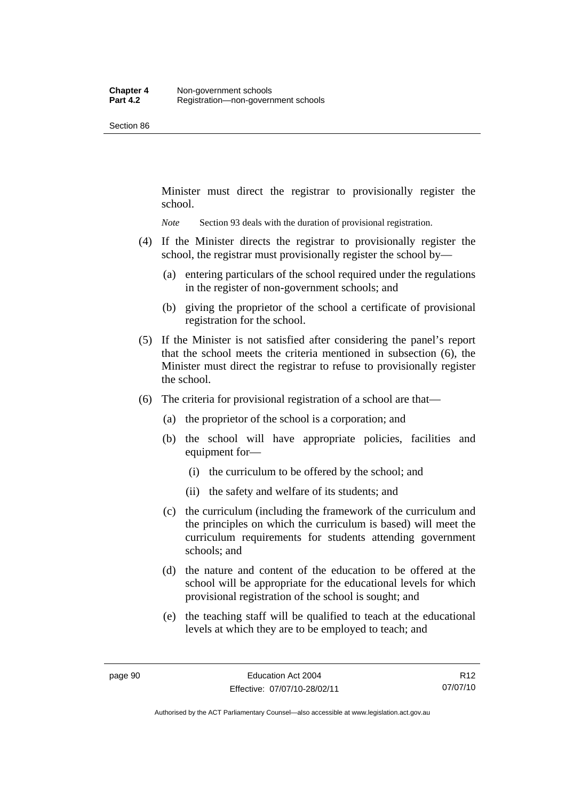Minister must direct the registrar to provisionally register the school.

*Note* Section 93 deals with the duration of provisional registration.

- (4) If the Minister directs the registrar to provisionally register the school, the registrar must provisionally register the school by—
	- (a) entering particulars of the school required under the regulations in the register of non-government schools; and
	- (b) giving the proprietor of the school a certificate of provisional registration for the school.
- (5) If the Minister is not satisfied after considering the panel's report that the school meets the criteria mentioned in subsection (6), the Minister must direct the registrar to refuse to provisionally register the school.
- (6) The criteria for provisional registration of a school are that—
	- (a) the proprietor of the school is a corporation; and
	- (b) the school will have appropriate policies, facilities and equipment for—
		- (i) the curriculum to be offered by the school; and
		- (ii) the safety and welfare of its students; and
	- (c) the curriculum (including the framework of the curriculum and the principles on which the curriculum is based) will meet the curriculum requirements for students attending government schools; and
	- (d) the nature and content of the education to be offered at the school will be appropriate for the educational levels for which provisional registration of the school is sought; and
	- (e) the teaching staff will be qualified to teach at the educational levels at which they are to be employed to teach; and

R12 07/07/10

Authorised by the ACT Parliamentary Counsel—also accessible at www.legislation.act.gov.au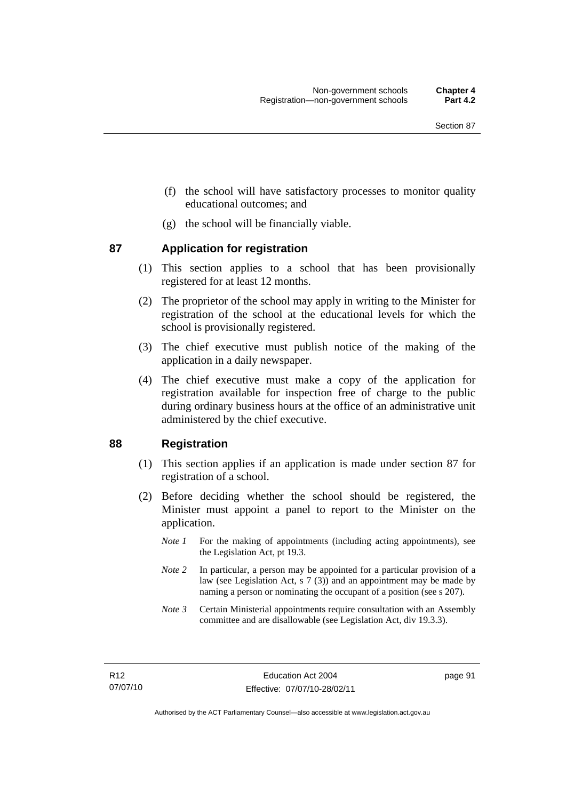- (f) the school will have satisfactory processes to monitor quality educational outcomes; and
- (g) the school will be financially viable.

## **87 Application for registration**

- (1) This section applies to a school that has been provisionally registered for at least 12 months.
- (2) The proprietor of the school may apply in writing to the Minister for registration of the school at the educational levels for which the school is provisionally registered.
- (3) The chief executive must publish notice of the making of the application in a daily newspaper.
- (4) The chief executive must make a copy of the application for registration available for inspection free of charge to the public during ordinary business hours at the office of an administrative unit administered by the chief executive.

## **88 Registration**

- (1) This section applies if an application is made under section 87 for registration of a school.
- (2) Before deciding whether the school should be registered, the Minister must appoint a panel to report to the Minister on the application.
	- *Note 1* For the making of appointments (including acting appointments), see the Legislation Act, pt 19.3.
	- *Note 2* In particular, a person may be appointed for a particular provision of a law (see Legislation Act, s 7 (3)) and an appointment may be made by naming a person or nominating the occupant of a position (see s 207).
	- *Note 3* Certain Ministerial appointments require consultation with an Assembly committee and are disallowable (see Legislation Act, div 19.3.3).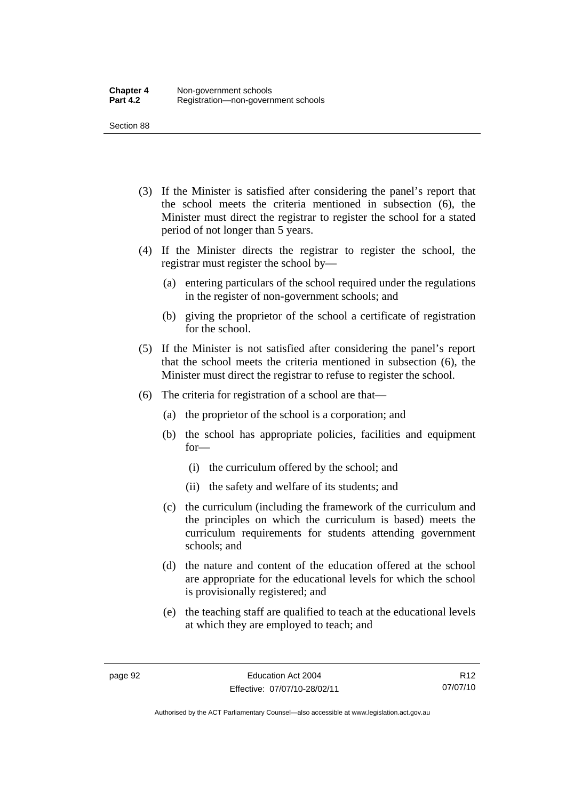- (3) If the Minister is satisfied after considering the panel's report that the school meets the criteria mentioned in subsection (6), the Minister must direct the registrar to register the school for a stated period of not longer than 5 years.
- (4) If the Minister directs the registrar to register the school, the registrar must register the school by—
	- (a) entering particulars of the school required under the regulations in the register of non-government schools; and
	- (b) giving the proprietor of the school a certificate of registration for the school.
- (5) If the Minister is not satisfied after considering the panel's report that the school meets the criteria mentioned in subsection (6), the Minister must direct the registrar to refuse to register the school.
- (6) The criteria for registration of a school are that—
	- (a) the proprietor of the school is a corporation; and
	- (b) the school has appropriate policies, facilities and equipment for—
		- (i) the curriculum offered by the school; and
		- (ii) the safety and welfare of its students; and
	- (c) the curriculum (including the framework of the curriculum and the principles on which the curriculum is based) meets the curriculum requirements for students attending government schools; and
	- (d) the nature and content of the education offered at the school are appropriate for the educational levels for which the school is provisionally registered; and
	- (e) the teaching staff are qualified to teach at the educational levels at which they are employed to teach; and

R12 07/07/10

Authorised by the ACT Parliamentary Counsel—also accessible at www.legislation.act.gov.au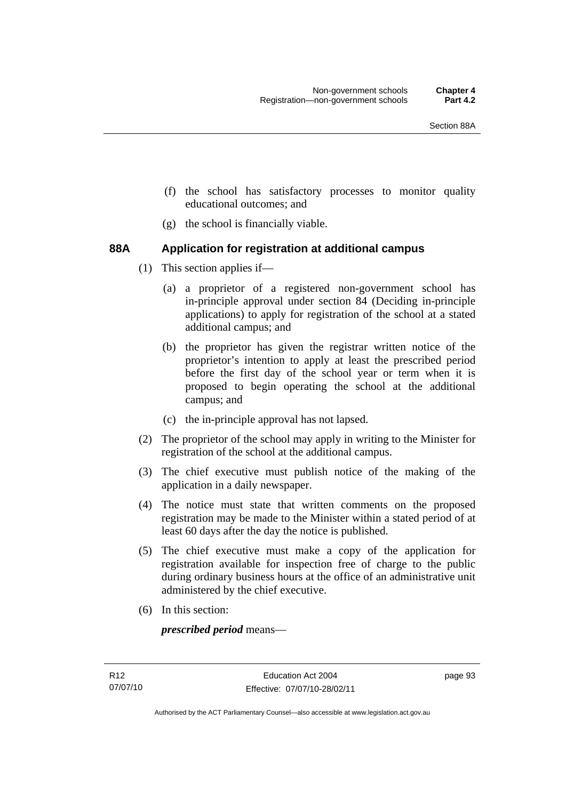- (f) the school has satisfactory processes to monitor quality educational outcomes; and
- (g) the school is financially viable.

## **88A Application for registration at additional campus**

- (1) This section applies if—
	- (a) a proprietor of a registered non-government school has in-principle approval under section 84 (Deciding in-principle applications) to apply for registration of the school at a stated additional campus; and
	- (b) the proprietor has given the registrar written notice of the proprietor's intention to apply at least the prescribed period before the first day of the school year or term when it is proposed to begin operating the school at the additional campus; and
	- (c) the in-principle approval has not lapsed.
- (2) The proprietor of the school may apply in writing to the Minister for registration of the school at the additional campus.
- (3) The chief executive must publish notice of the making of the application in a daily newspaper.
- (4) The notice must state that written comments on the proposed registration may be made to the Minister within a stated period of at least 60 days after the day the notice is published.
- (5) The chief executive must make a copy of the application for registration available for inspection free of charge to the public during ordinary business hours at the office of an administrative unit administered by the chief executive.
- (6) In this section:

*prescribed period* means—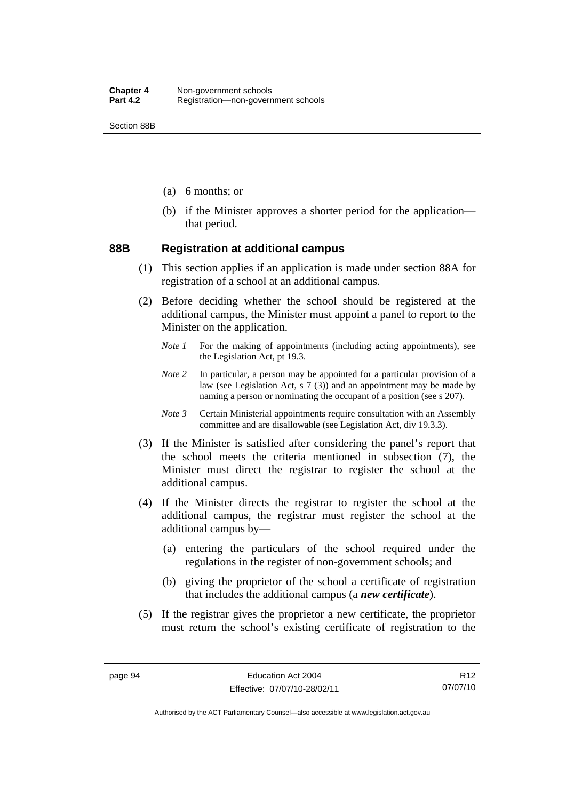Section 88B

- (a) 6 months; or
- (b) if the Minister approves a shorter period for the application that period.

#### **88B Registration at additional campus**

- (1) This section applies if an application is made under section 88A for registration of a school at an additional campus.
- (2) Before deciding whether the school should be registered at the additional campus, the Minister must appoint a panel to report to the Minister on the application.
	- *Note 1* For the making of appointments (including acting appointments), see the Legislation Act, pt 19.3.
	- *Note 2* In particular, a person may be appointed for a particular provision of a law (see Legislation Act, s 7 (3)) and an appointment may be made by naming a person or nominating the occupant of a position (see s 207).
	- *Note 3* Certain Ministerial appointments require consultation with an Assembly committee and are disallowable (see Legislation Act, div 19.3.3).
- (3) If the Minister is satisfied after considering the panel's report that the school meets the criteria mentioned in subsection (7), the Minister must direct the registrar to register the school at the additional campus.
- (4) If the Minister directs the registrar to register the school at the additional campus, the registrar must register the school at the additional campus by—
	- (a) entering the particulars of the school required under the regulations in the register of non-government schools; and
	- (b) giving the proprietor of the school a certificate of registration that includes the additional campus (a *new certificate*).
- (5) If the registrar gives the proprietor a new certificate, the proprietor must return the school's existing certificate of registration to the

R12 07/07/10

Authorised by the ACT Parliamentary Counsel—also accessible at www.legislation.act.gov.au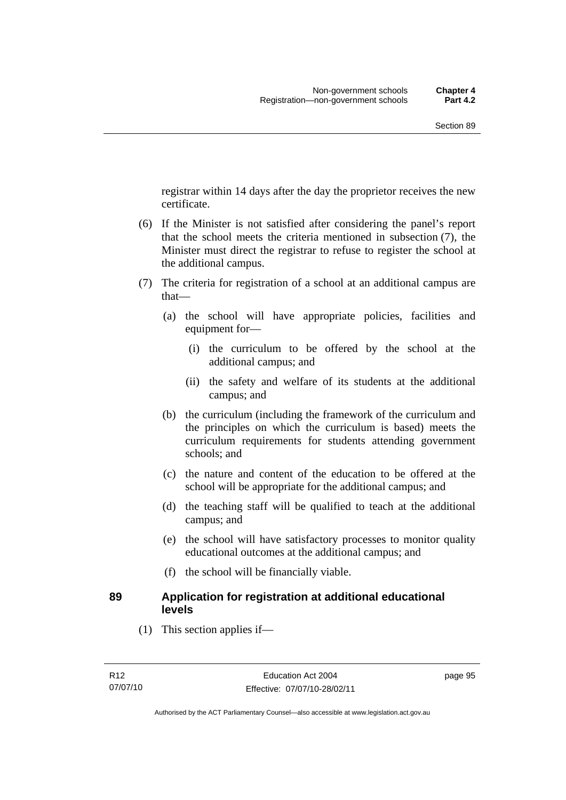registrar within 14 days after the day the proprietor receives the new certificate.

- (6) If the Minister is not satisfied after considering the panel's report that the school meets the criteria mentioned in subsection (7), the Minister must direct the registrar to refuse to register the school at the additional campus.
- (7) The criteria for registration of a school at an additional campus are that—
	- (a) the school will have appropriate policies, facilities and equipment for—
		- (i) the curriculum to be offered by the school at the additional campus; and
		- (ii) the safety and welfare of its students at the additional campus; and
	- (b) the curriculum (including the framework of the curriculum and the principles on which the curriculum is based) meets the curriculum requirements for students attending government schools; and
	- (c) the nature and content of the education to be offered at the school will be appropriate for the additional campus; and
	- (d) the teaching staff will be qualified to teach at the additional campus; and
	- (e) the school will have satisfactory processes to monitor quality educational outcomes at the additional campus; and
	- (f) the school will be financially viable.

## **89 Application for registration at additional educational levels**

(1) This section applies if—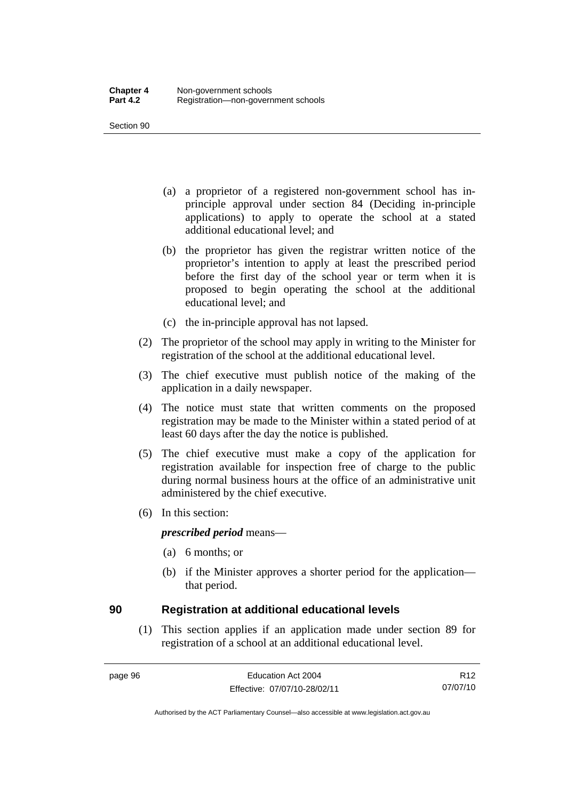- (a) a proprietor of a registered non-government school has inprinciple approval under section 84 (Deciding in-principle applications) to apply to operate the school at a stated additional educational level; and
- (b) the proprietor has given the registrar written notice of the proprietor's intention to apply at least the prescribed period before the first day of the school year or term when it is proposed to begin operating the school at the additional educational level; and
- (c) the in-principle approval has not lapsed.
- (2) The proprietor of the school may apply in writing to the Minister for registration of the school at the additional educational level.
- (3) The chief executive must publish notice of the making of the application in a daily newspaper.
- (4) The notice must state that written comments on the proposed registration may be made to the Minister within a stated period of at least 60 days after the day the notice is published.
- (5) The chief executive must make a copy of the application for registration available for inspection free of charge to the public during normal business hours at the office of an administrative unit administered by the chief executive.
- (6) In this section:

#### *prescribed period* means—

- (a) 6 months; or
- (b) if the Minister approves a shorter period for the application that period.

## **90 Registration at additional educational levels**

 (1) This section applies if an application made under section 89 for registration of a school at an additional educational level.

R12 07/07/10

Authorised by the ACT Parliamentary Counsel—also accessible at www.legislation.act.gov.au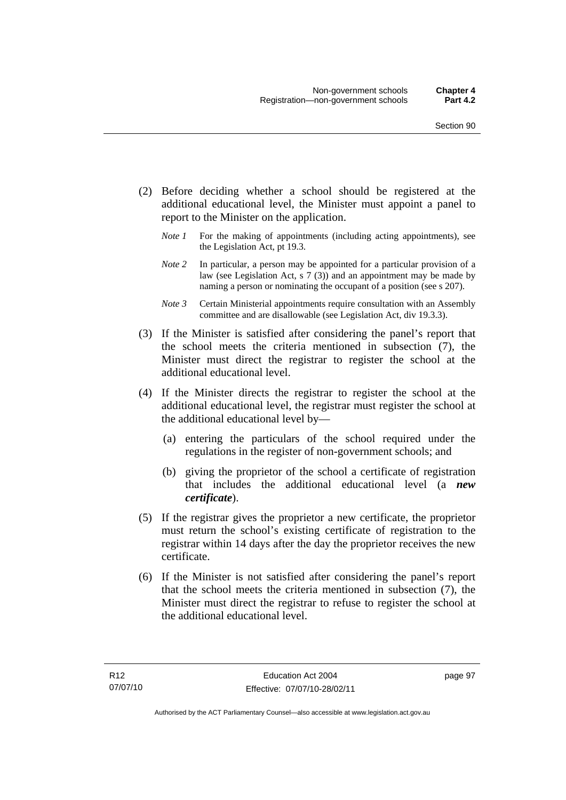- (2) Before deciding whether a school should be registered at the additional educational level, the Minister must appoint a panel to report to the Minister on the application.
	- *Note 1* For the making of appointments (including acting appointments), see the Legislation Act, pt 19.3.
	- *Note 2* In particular, a person may be appointed for a particular provision of a law (see Legislation Act, s 7 (3)) and an appointment may be made by naming a person or nominating the occupant of a position (see s 207).
	- *Note 3* Certain Ministerial appointments require consultation with an Assembly committee and are disallowable (see Legislation Act, div 19.3.3).
- (3) If the Minister is satisfied after considering the panel's report that the school meets the criteria mentioned in subsection (7), the Minister must direct the registrar to register the school at the additional educational level.
- (4) If the Minister directs the registrar to register the school at the additional educational level, the registrar must register the school at the additional educational level by—
	- (a) entering the particulars of the school required under the regulations in the register of non-government schools; and
	- (b) giving the proprietor of the school a certificate of registration that includes the additional educational level (a *new certificate*).
- (5) If the registrar gives the proprietor a new certificate, the proprietor must return the school's existing certificate of registration to the registrar within 14 days after the day the proprietor receives the new certificate.
- (6) If the Minister is not satisfied after considering the panel's report that the school meets the criteria mentioned in subsection (7), the Minister must direct the registrar to refuse to register the school at the additional educational level.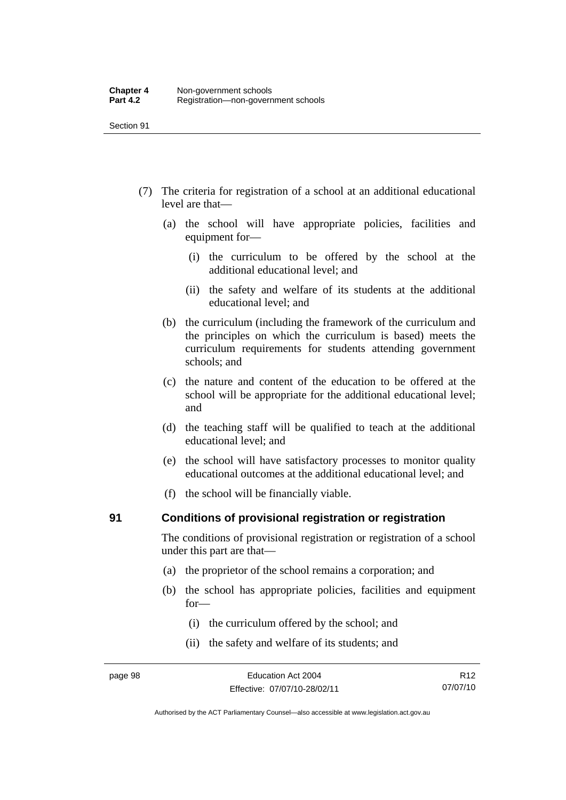- (7) The criteria for registration of a school at an additional educational level are that—
	- (a) the school will have appropriate policies, facilities and equipment for—
		- (i) the curriculum to be offered by the school at the additional educational level; and
		- (ii) the safety and welfare of its students at the additional educational level; and
	- (b) the curriculum (including the framework of the curriculum and the principles on which the curriculum is based) meets the curriculum requirements for students attending government schools; and
	- (c) the nature and content of the education to be offered at the school will be appropriate for the additional educational level; and
	- (d) the teaching staff will be qualified to teach at the additional educational level; and
	- (e) the school will have satisfactory processes to monitor quality educational outcomes at the additional educational level; and
	- (f) the school will be financially viable.

#### **91 Conditions of provisional registration or registration**

The conditions of provisional registration or registration of a school under this part are that—

- (a) the proprietor of the school remains a corporation; and
- (b) the school has appropriate policies, facilities and equipment for—
	- (i) the curriculum offered by the school; and
	- (ii) the safety and welfare of its students; and

Authorised by the ACT Parliamentary Counsel—also accessible at www.legislation.act.gov.au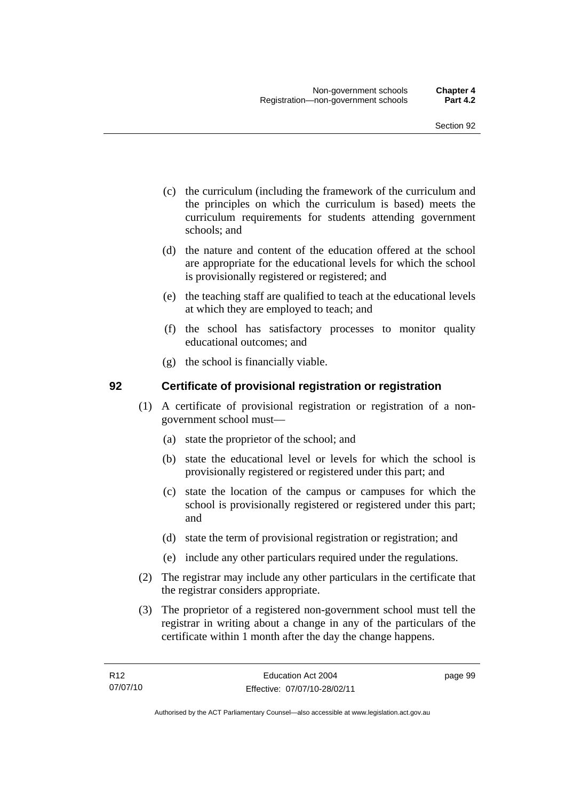- (c) the curriculum (including the framework of the curriculum and the principles on which the curriculum is based) meets the curriculum requirements for students attending government schools; and
- (d) the nature and content of the education offered at the school are appropriate for the educational levels for which the school is provisionally registered or registered; and
- (e) the teaching staff are qualified to teach at the educational levels at which they are employed to teach; and
- (f) the school has satisfactory processes to monitor quality educational outcomes; and
- (g) the school is financially viable.

## **92 Certificate of provisional registration or registration**

- (1) A certificate of provisional registration or registration of a nongovernment school must—
	- (a) state the proprietor of the school; and
	- (b) state the educational level or levels for which the school is provisionally registered or registered under this part; and
	- (c) state the location of the campus or campuses for which the school is provisionally registered or registered under this part; and
	- (d) state the term of provisional registration or registration; and
	- (e) include any other particulars required under the regulations.
- (2) The registrar may include any other particulars in the certificate that the registrar considers appropriate.
- (3) The proprietor of a registered non-government school must tell the registrar in writing about a change in any of the particulars of the certificate within 1 month after the day the change happens.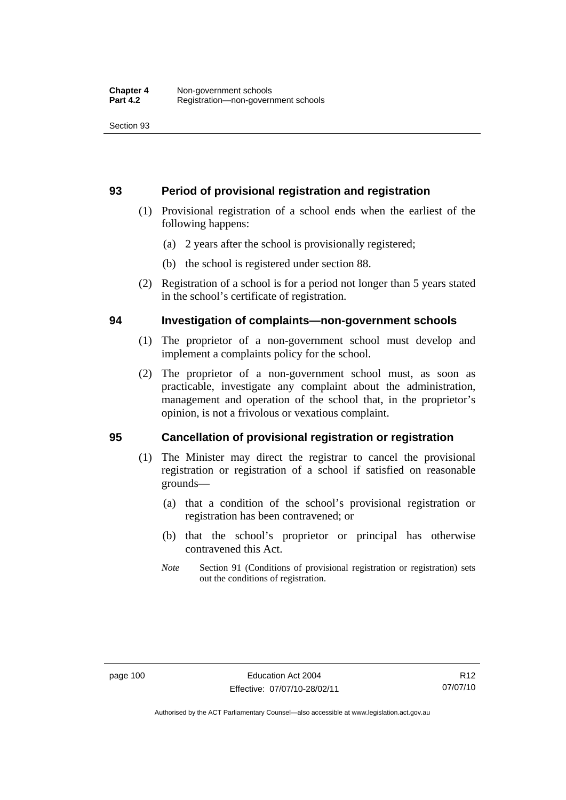#### **93 Period of provisional registration and registration**

- (1) Provisional registration of a school ends when the earliest of the following happens:
	- (a) 2 years after the school is provisionally registered;
	- (b) the school is registered under section 88.
- (2) Registration of a school is for a period not longer than 5 years stated in the school's certificate of registration.

#### **94 Investigation of complaints—non-government schools**

- (1) The proprietor of a non-government school must develop and implement a complaints policy for the school.
- (2) The proprietor of a non-government school must, as soon as practicable, investigate any complaint about the administration, management and operation of the school that, in the proprietor's opinion, is not a frivolous or vexatious complaint.

## **95 Cancellation of provisional registration or registration**

- (1) The Minister may direct the registrar to cancel the provisional registration or registration of a school if satisfied on reasonable grounds—
	- (a) that a condition of the school's provisional registration or registration has been contravened; or
	- (b) that the school's proprietor or principal has otherwise contravened this Act.
	- *Note* Section 91 (Conditions of provisional registration or registration) sets out the conditions of registration.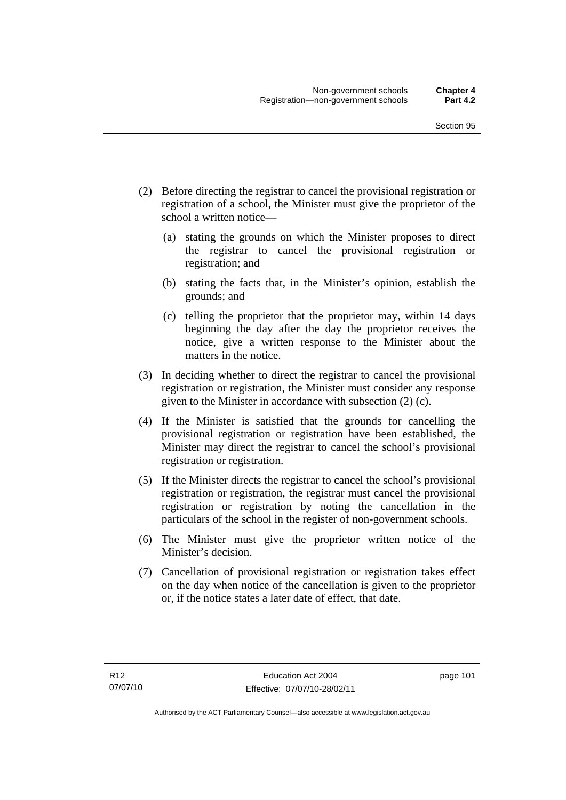- (2) Before directing the registrar to cancel the provisional registration or registration of a school, the Minister must give the proprietor of the school a written notice—
	- (a) stating the grounds on which the Minister proposes to direct the registrar to cancel the provisional registration or registration; and
	- (b) stating the facts that, in the Minister's opinion, establish the grounds; and
	- (c) telling the proprietor that the proprietor may, within 14 days beginning the day after the day the proprietor receives the notice, give a written response to the Minister about the matters in the notice.
- (3) In deciding whether to direct the registrar to cancel the provisional registration or registration, the Minister must consider any response given to the Minister in accordance with subsection (2) (c).
- (4) If the Minister is satisfied that the grounds for cancelling the provisional registration or registration have been established, the Minister may direct the registrar to cancel the school's provisional registration or registration.
- (5) If the Minister directs the registrar to cancel the school's provisional registration or registration, the registrar must cancel the provisional registration or registration by noting the cancellation in the particulars of the school in the register of non-government schools.
- (6) The Minister must give the proprietor written notice of the Minister's decision.
- (7) Cancellation of provisional registration or registration takes effect on the day when notice of the cancellation is given to the proprietor or, if the notice states a later date of effect, that date.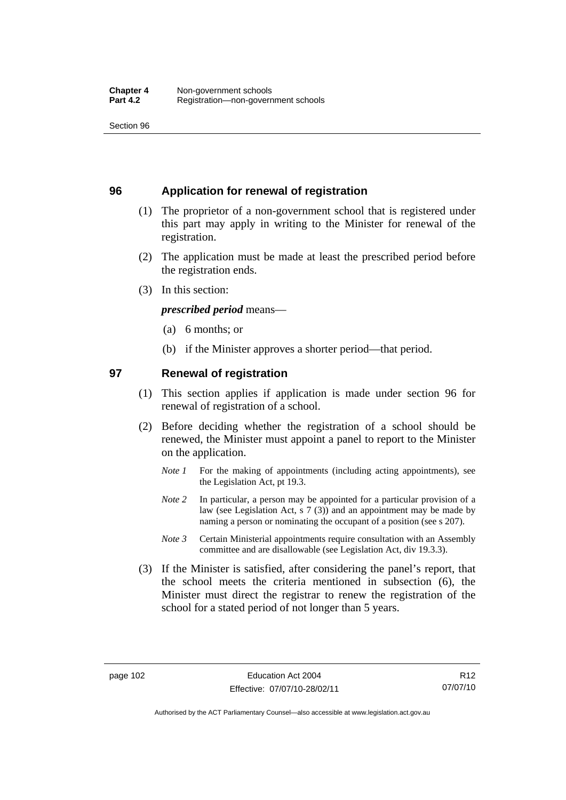#### **96 Application for renewal of registration**

- (1) The proprietor of a non-government school that is registered under this part may apply in writing to the Minister for renewal of the registration.
- (2) The application must be made at least the prescribed period before the registration ends.
- (3) In this section:

*prescribed period* means—

- (a) 6 months; or
- (b) if the Minister approves a shorter period—that period.

## **97 Renewal of registration**

- (1) This section applies if application is made under section 96 for renewal of registration of a school.
- (2) Before deciding whether the registration of a school should be renewed, the Minister must appoint a panel to report to the Minister on the application.
	- *Note 1* For the making of appointments (including acting appointments), see the Legislation Act, pt 19.3.
	- *Note* 2 In particular, a person may be appointed for a particular provision of a law (see Legislation Act, s 7 (3)) and an appointment may be made by naming a person or nominating the occupant of a position (see s 207).
	- *Note 3* Certain Ministerial appointments require consultation with an Assembly committee and are disallowable (see Legislation Act, div 19.3.3).
- (3) If the Minister is satisfied, after considering the panel's report, that the school meets the criteria mentioned in subsection (6), the Minister must direct the registrar to renew the registration of the school for a stated period of not longer than 5 years.

R12 07/07/10

Authorised by the ACT Parliamentary Counsel—also accessible at www.legislation.act.gov.au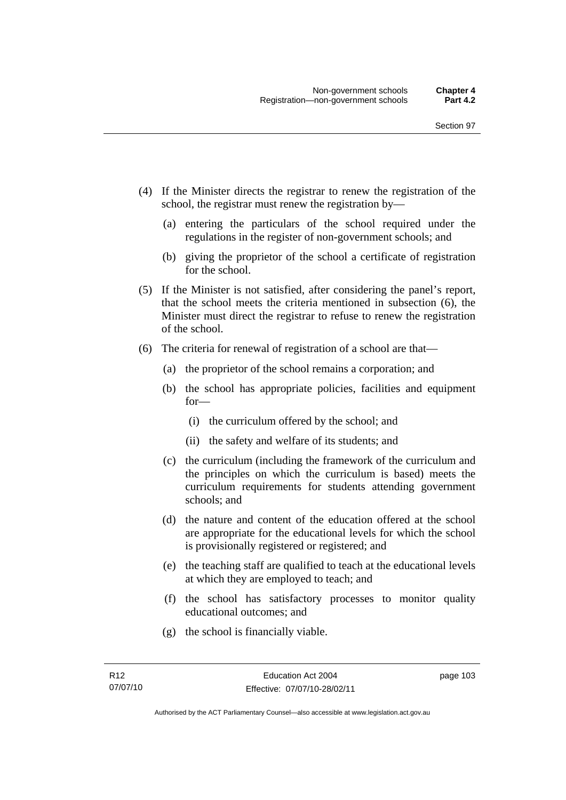- (4) If the Minister directs the registrar to renew the registration of the school, the registrar must renew the registration by—
	- (a) entering the particulars of the school required under the regulations in the register of non-government schools; and
	- (b) giving the proprietor of the school a certificate of registration for the school.
- (5) If the Minister is not satisfied, after considering the panel's report, that the school meets the criteria mentioned in subsection (6), the Minister must direct the registrar to refuse to renew the registration of the school.
- (6) The criteria for renewal of registration of a school are that—
	- (a) the proprietor of the school remains a corporation; and
	- (b) the school has appropriate policies, facilities and equipment for—
		- (i) the curriculum offered by the school; and
		- (ii) the safety and welfare of its students; and
	- (c) the curriculum (including the framework of the curriculum and the principles on which the curriculum is based) meets the curriculum requirements for students attending government schools; and
	- (d) the nature and content of the education offered at the school are appropriate for the educational levels for which the school is provisionally registered or registered; and
	- (e) the teaching staff are qualified to teach at the educational levels at which they are employed to teach; and
	- (f) the school has satisfactory processes to monitor quality educational outcomes; and
	- (g) the school is financially viable.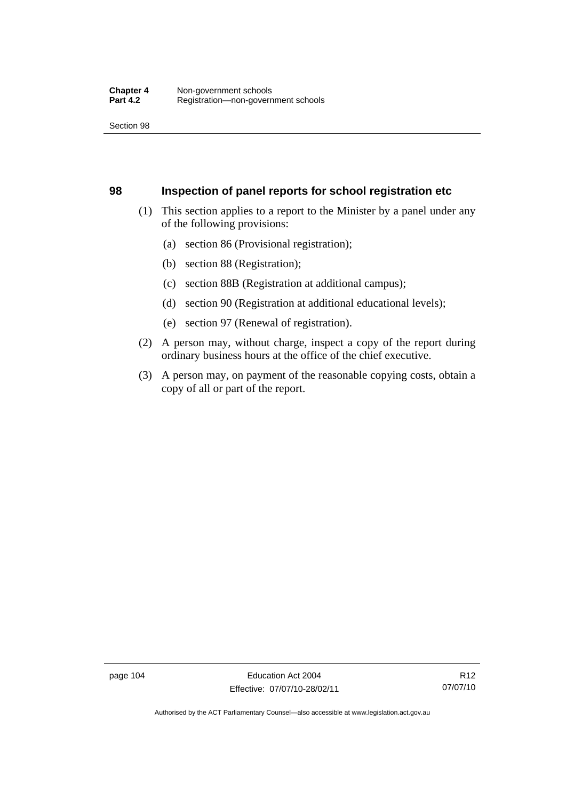#### **98 Inspection of panel reports for school registration etc**

- (1) This section applies to a report to the Minister by a panel under any of the following provisions:
	- (a) section 86 (Provisional registration);
	- (b) section 88 (Registration);
	- (c) section 88B (Registration at additional campus);
	- (d) section 90 (Registration at additional educational levels);
	- (e) section 97 (Renewal of registration).
- (2) A person may, without charge, inspect a copy of the report during ordinary business hours at the office of the chief executive.
- (3) A person may, on payment of the reasonable copying costs, obtain a copy of all or part of the report.

page 104 Education Act 2004 Effective: 07/07/10-28/02/11

Authorised by the ACT Parliamentary Counsel—also accessible at www.legislation.act.gov.au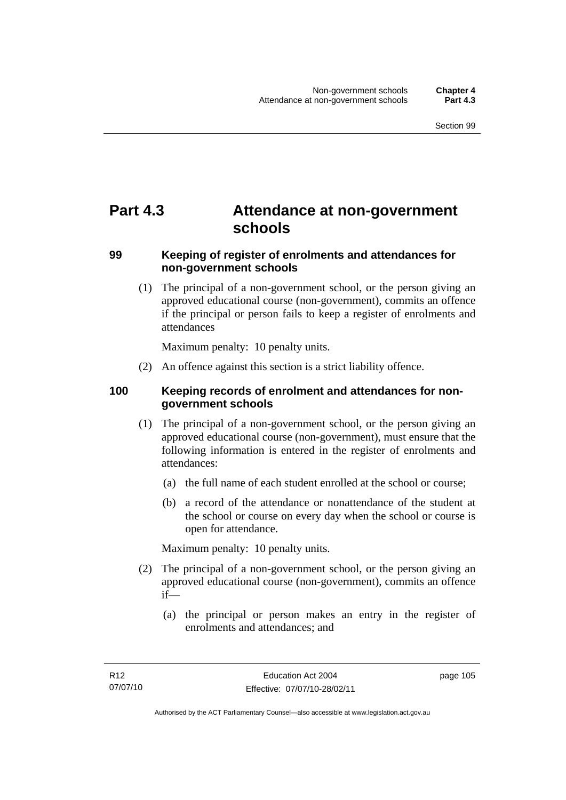# **Part 4.3 Attendance at non-government schools**

## **99 Keeping of register of enrolments and attendances for non-government schools**

 (1) The principal of a non-government school, or the person giving an approved educational course (non-government), commits an offence if the principal or person fails to keep a register of enrolments and attendances

Maximum penalty: 10 penalty units.

(2) An offence against this section is a strict liability offence.

## **100 Keeping records of enrolment and attendances for nongovernment schools**

- (1) The principal of a non-government school, or the person giving an approved educational course (non-government), must ensure that the following information is entered in the register of enrolments and attendances:
	- (a) the full name of each student enrolled at the school or course;
	- (b) a record of the attendance or nonattendance of the student at the school or course on every day when the school or course is open for attendance.

Maximum penalty: 10 penalty units.

- (2) The principal of a non-government school, or the person giving an approved educational course (non-government), commits an offence if—
	- (a) the principal or person makes an entry in the register of enrolments and attendances; and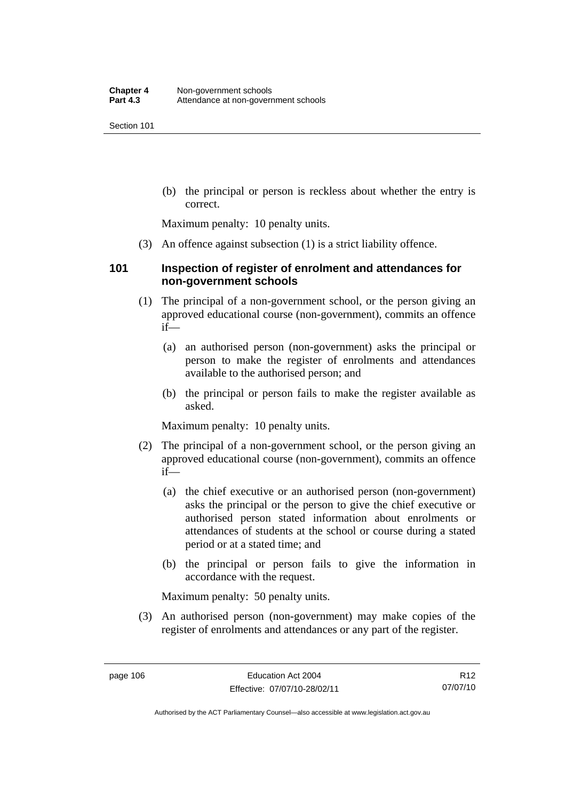(b) the principal or person is reckless about whether the entry is correct.

Maximum penalty: 10 penalty units.

(3) An offence against subsection (1) is a strict liability offence.

#### **101 Inspection of register of enrolment and attendances for non-government schools**

- (1) The principal of a non-government school, or the person giving an approved educational course (non-government), commits an offence if—
	- (a) an authorised person (non-government) asks the principal or person to make the register of enrolments and attendances available to the authorised person; and
	- (b) the principal or person fails to make the register available as asked.

Maximum penalty: 10 penalty units.

- (2) The principal of a non-government school, or the person giving an approved educational course (non-government), commits an offence if—
	- (a) the chief executive or an authorised person (non-government) asks the principal or the person to give the chief executive or authorised person stated information about enrolments or attendances of students at the school or course during a stated period or at a stated time; and
	- (b) the principal or person fails to give the information in accordance with the request.

Maximum penalty: 50 penalty units.

 (3) An authorised person (non-government) may make copies of the register of enrolments and attendances or any part of the register.

R12 07/07/10

Authorised by the ACT Parliamentary Counsel—also accessible at www.legislation.act.gov.au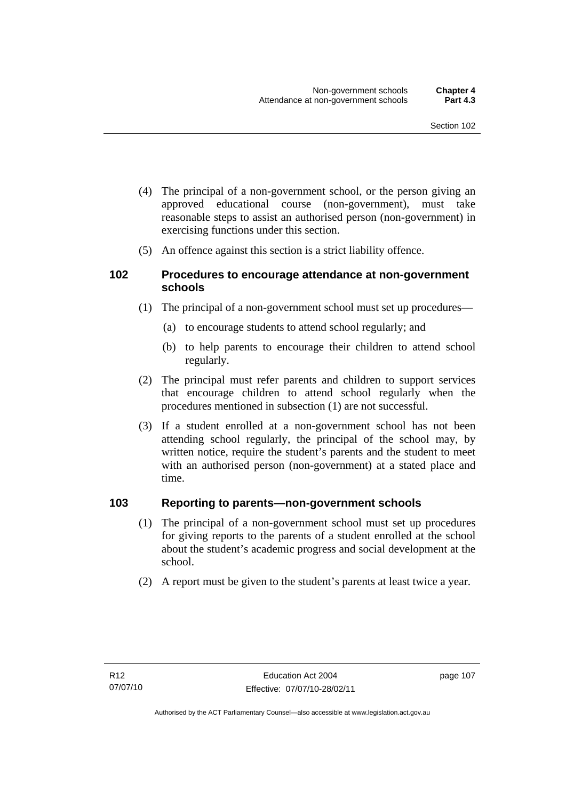- (4) The principal of a non-government school, or the person giving an approved educational course (non-government), must take reasonable steps to assist an authorised person (non-government) in exercising functions under this section.
- (5) An offence against this section is a strict liability offence.

#### **102 Procedures to encourage attendance at non-government schools**

- (1) The principal of a non-government school must set up procedures—
	- (a) to encourage students to attend school regularly; and
	- (b) to help parents to encourage their children to attend school regularly.
- (2) The principal must refer parents and children to support services that encourage children to attend school regularly when the procedures mentioned in subsection (1) are not successful.
- (3) If a student enrolled at a non-government school has not been attending school regularly, the principal of the school may, by written notice, require the student's parents and the student to meet with an authorised person (non-government) at a stated place and time.

#### **103 Reporting to parents—non-government schools**

- (1) The principal of a non-government school must set up procedures for giving reports to the parents of a student enrolled at the school about the student's academic progress and social development at the school.
- (2) A report must be given to the student's parents at least twice a year.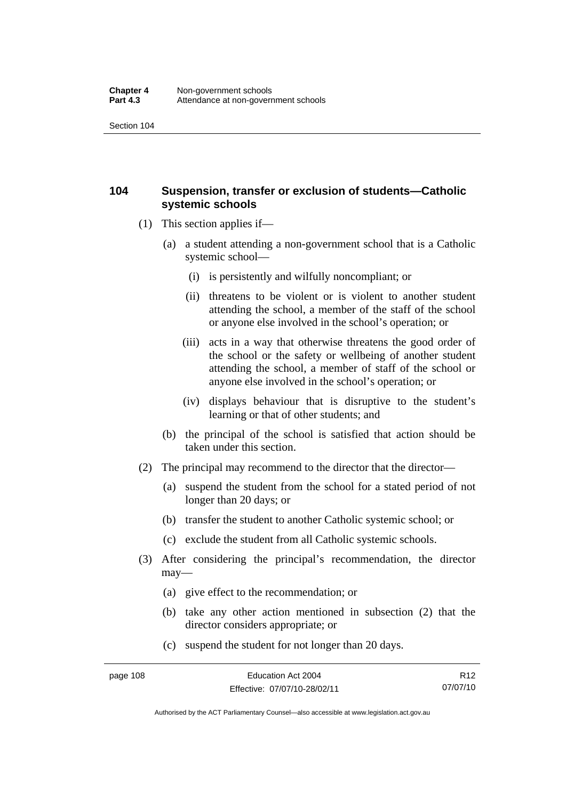## **104 Suspension, transfer or exclusion of students—Catholic systemic schools**

- (1) This section applies if—
	- (a) a student attending a non-government school that is a Catholic systemic school—
		- (i) is persistently and wilfully noncompliant; or
		- (ii) threatens to be violent or is violent to another student attending the school, a member of the staff of the school or anyone else involved in the school's operation; or
		- (iii) acts in a way that otherwise threatens the good order of the school or the safety or wellbeing of another student attending the school, a member of staff of the school or anyone else involved in the school's operation; or
		- (iv) displays behaviour that is disruptive to the student's learning or that of other students; and
	- (b) the principal of the school is satisfied that action should be taken under this section.
- (2) The principal may recommend to the director that the director-
	- (a) suspend the student from the school for a stated period of not longer than 20 days; or
	- (b) transfer the student to another Catholic systemic school; or
	- (c) exclude the student from all Catholic systemic schools.
- (3) After considering the principal's recommendation, the director may—
	- (a) give effect to the recommendation; or
	- (b) take any other action mentioned in subsection (2) that the director considers appropriate; or
	- (c) suspend the student for not longer than 20 days.

Authorised by the ACT Parliamentary Counsel—also accessible at www.legislation.act.gov.au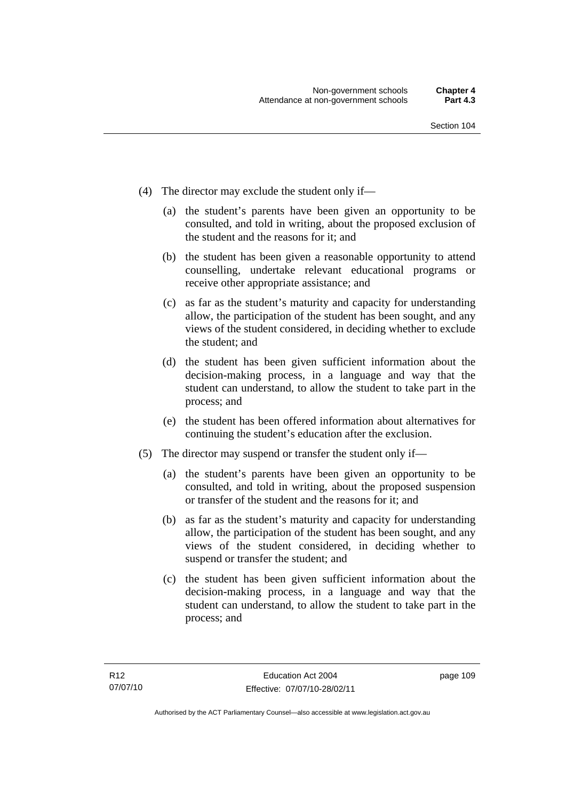- (4) The director may exclude the student only if—
	- (a) the student's parents have been given an opportunity to be consulted, and told in writing, about the proposed exclusion of the student and the reasons for it; and
	- (b) the student has been given a reasonable opportunity to attend counselling, undertake relevant educational programs or receive other appropriate assistance; and
	- (c) as far as the student's maturity and capacity for understanding allow, the participation of the student has been sought, and any views of the student considered, in deciding whether to exclude the student; and
	- (d) the student has been given sufficient information about the decision-making process, in a language and way that the student can understand, to allow the student to take part in the process; and
	- (e) the student has been offered information about alternatives for continuing the student's education after the exclusion.
- (5) The director may suspend or transfer the student only if—
	- (a) the student's parents have been given an opportunity to be consulted, and told in writing, about the proposed suspension or transfer of the student and the reasons for it; and
	- (b) as far as the student's maturity and capacity for understanding allow, the participation of the student has been sought, and any views of the student considered, in deciding whether to suspend or transfer the student; and
	- (c) the student has been given sufficient information about the decision-making process, in a language and way that the student can understand, to allow the student to take part in the process; and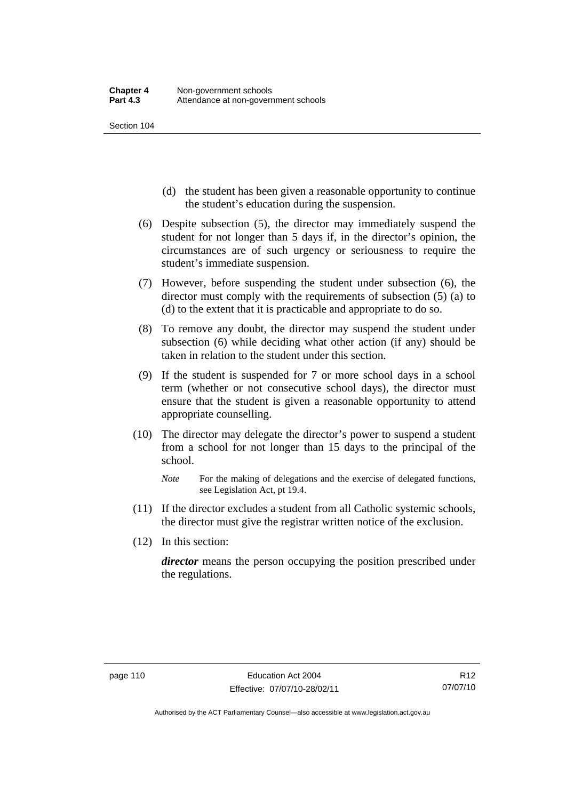- (d) the student has been given a reasonable opportunity to continue the student's education during the suspension.
- (6) Despite subsection (5), the director may immediately suspend the student for not longer than 5 days if, in the director's opinion, the circumstances are of such urgency or seriousness to require the student's immediate suspension.
- (7) However, before suspending the student under subsection (6), the director must comply with the requirements of subsection (5) (a) to (d) to the extent that it is practicable and appropriate to do so.
- (8) To remove any doubt, the director may suspend the student under subsection (6) while deciding what other action (if any) should be taken in relation to the student under this section.
- (9) If the student is suspended for 7 or more school days in a school term (whether or not consecutive school days), the director must ensure that the student is given a reasonable opportunity to attend appropriate counselling.
- (10) The director may delegate the director's power to suspend a student from a school for not longer than 15 days to the principal of the school.
	- *Note* For the making of delegations and the exercise of delegated functions, see Legislation Act, pt 19.4.
- (11) If the director excludes a student from all Catholic systemic schools, the director must give the registrar written notice of the exclusion.
- (12) In this section:

*director* means the person occupying the position prescribed under the regulations.

Authorised by the ACT Parliamentary Counsel—also accessible at www.legislation.act.gov.au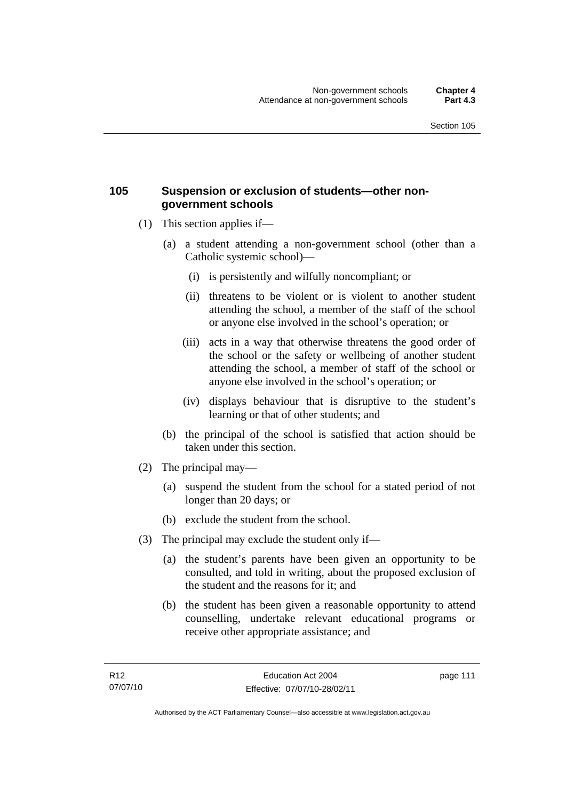#### **105 Suspension or exclusion of students—other nongovernment schools**

- (1) This section applies if—
	- (a) a student attending a non-government school (other than a Catholic systemic school)—
		- (i) is persistently and wilfully noncompliant; or
		- (ii) threatens to be violent or is violent to another student attending the school, a member of the staff of the school or anyone else involved in the school's operation; or
		- (iii) acts in a way that otherwise threatens the good order of the school or the safety or wellbeing of another student attending the school, a member of staff of the school or anyone else involved in the school's operation; or
		- (iv) displays behaviour that is disruptive to the student's learning or that of other students; and
	- (b) the principal of the school is satisfied that action should be taken under this section.
- (2) The principal may—
	- (a) suspend the student from the school for a stated period of not longer than 20 days; or
	- (b) exclude the student from the school.
- (3) The principal may exclude the student only if—
	- (a) the student's parents have been given an opportunity to be consulted, and told in writing, about the proposed exclusion of the student and the reasons for it; and
	- (b) the student has been given a reasonable opportunity to attend counselling, undertake relevant educational programs or receive other appropriate assistance; and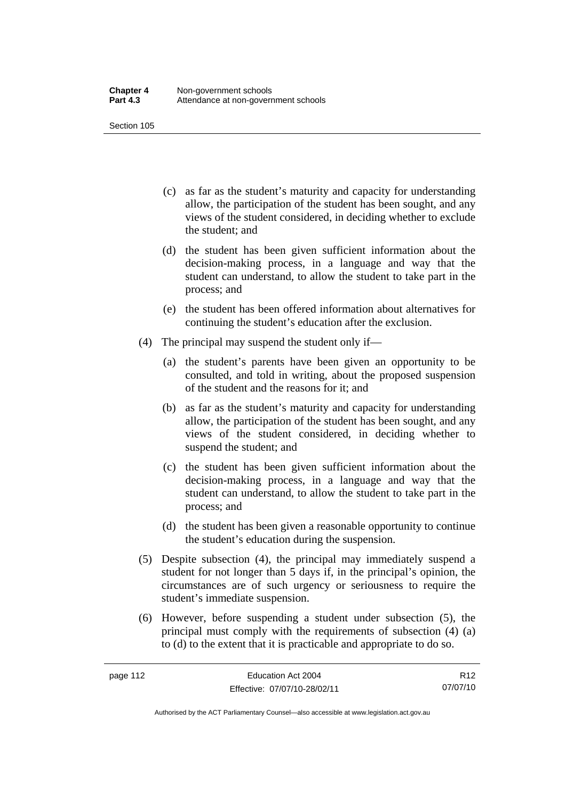- (c) as far as the student's maturity and capacity for understanding allow, the participation of the student has been sought, and any views of the student considered, in deciding whether to exclude the student; and
- (d) the student has been given sufficient information about the decision-making process, in a language and way that the student can understand, to allow the student to take part in the process; and
- (e) the student has been offered information about alternatives for continuing the student's education after the exclusion.
- (4) The principal may suspend the student only if—
	- (a) the student's parents have been given an opportunity to be consulted, and told in writing, about the proposed suspension of the student and the reasons for it; and
	- (b) as far as the student's maturity and capacity for understanding allow, the participation of the student has been sought, and any views of the student considered, in deciding whether to suspend the student; and
	- (c) the student has been given sufficient information about the decision-making process, in a language and way that the student can understand, to allow the student to take part in the process; and
	- (d) the student has been given a reasonable opportunity to continue the student's education during the suspension.
- (5) Despite subsection (4), the principal may immediately suspend a student for not longer than 5 days if, in the principal's opinion, the circumstances are of such urgency or seriousness to require the student's immediate suspension.
- (6) However, before suspending a student under subsection (5), the principal must comply with the requirements of subsection (4) (a) to (d) to the extent that it is practicable and appropriate to do so.

R12 07/07/10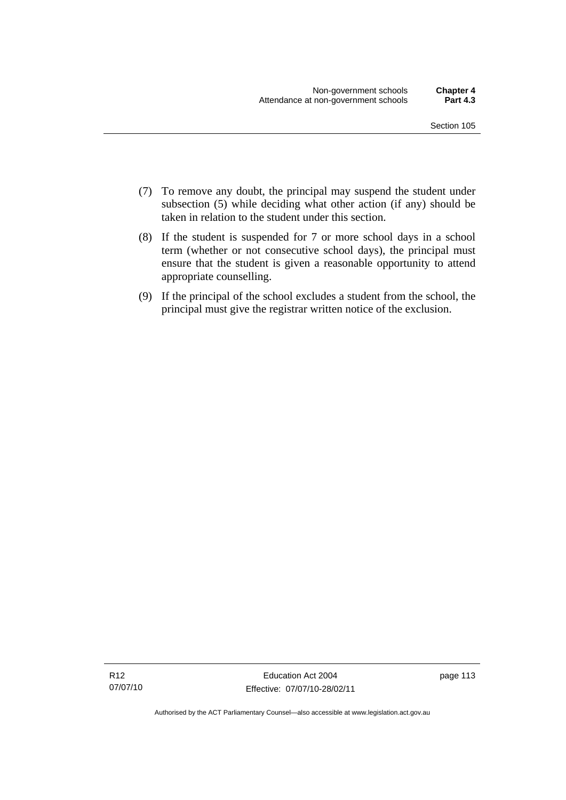- (7) To remove any doubt, the principal may suspend the student under subsection (5) while deciding what other action (if any) should be taken in relation to the student under this section.
- (8) If the student is suspended for 7 or more school days in a school term (whether or not consecutive school days), the principal must ensure that the student is given a reasonable opportunity to attend appropriate counselling.
- (9) If the principal of the school excludes a student from the school, the principal must give the registrar written notice of the exclusion.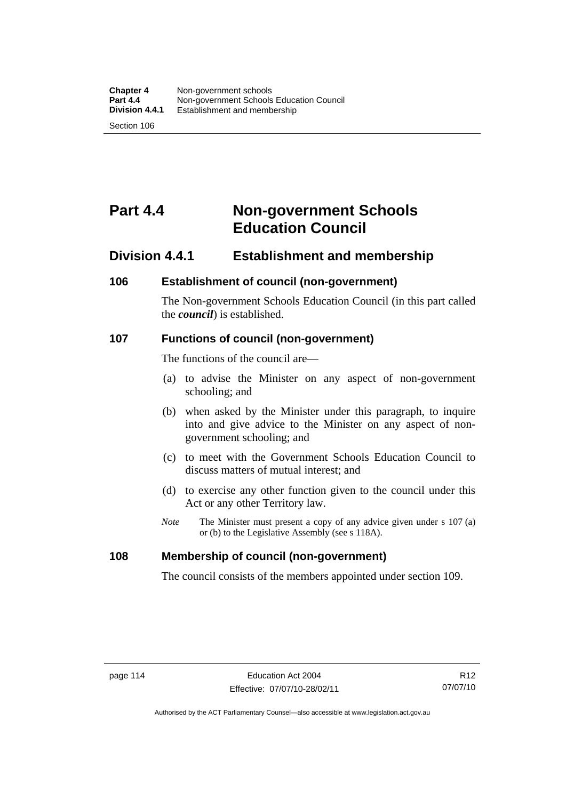# **Part 4.4 Non-government Schools Education Council**

## **Division 4.4.1 Establishment and membership**

#### **106 Establishment of council (non-government)**

The Non-government Schools Education Council (in this part called the *council*) is established.

#### **107 Functions of council (non-government)**

The functions of the council are—

- (a) to advise the Minister on any aspect of non-government schooling; and
- (b) when asked by the Minister under this paragraph, to inquire into and give advice to the Minister on any aspect of nongovernment schooling; and
- (c) to meet with the Government Schools Education Council to discuss matters of mutual interest; and
- (d) to exercise any other function given to the council under this Act or any other Territory law.
- *Note* The Minister must present a copy of any advice given under s 107 (a) or (b) to the Legislative Assembly (see s 118A).

## **108 Membership of council (non-government)**

The council consists of the members appointed under section 109.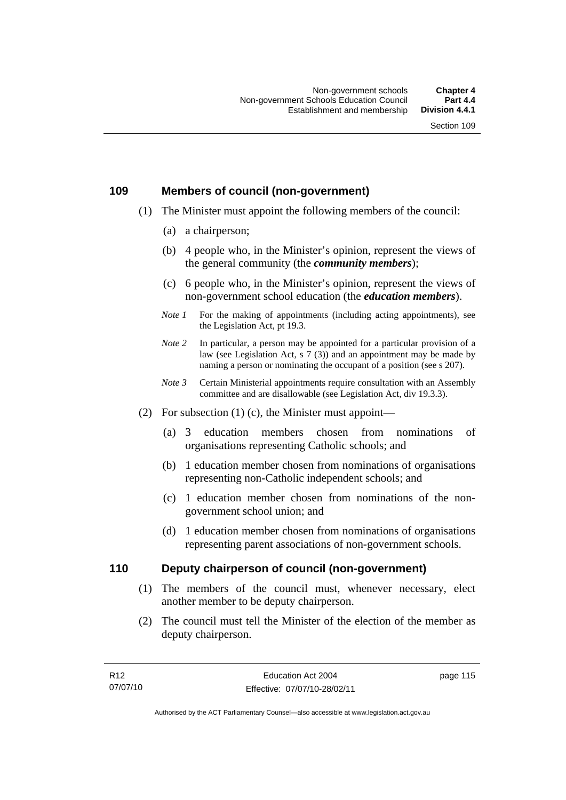#### **109 Members of council (non-government)**

- (1) The Minister must appoint the following members of the council:
	- (a) a chairperson;
	- (b) 4 people who, in the Minister's opinion, represent the views of the general community (the *community members*);
	- (c) 6 people who, in the Minister's opinion, represent the views of non-government school education (the *education members*).
	- *Note 1* For the making of appointments (including acting appointments), see the Legislation Act, pt 19.3.
	- *Note* 2 In particular, a person may be appointed for a particular provision of a law (see Legislation Act, s 7 (3)) and an appointment may be made by naming a person or nominating the occupant of a position (see s 207).
	- *Note 3* Certain Ministerial appointments require consultation with an Assembly committee and are disallowable (see Legislation Act, div 19.3.3).
- (2) For subsection  $(1)$  (c), the Minister must appoint—
	- (a) 3 education members chosen from nominations of organisations representing Catholic schools; and
	- (b) 1 education member chosen from nominations of organisations representing non-Catholic independent schools; and
	- (c) 1 education member chosen from nominations of the nongovernment school union; and
	- (d) 1 education member chosen from nominations of organisations representing parent associations of non-government schools.

#### **110 Deputy chairperson of council (non-government)**

- (1) The members of the council must, whenever necessary, elect another member to be deputy chairperson.
- (2) The council must tell the Minister of the election of the member as deputy chairperson.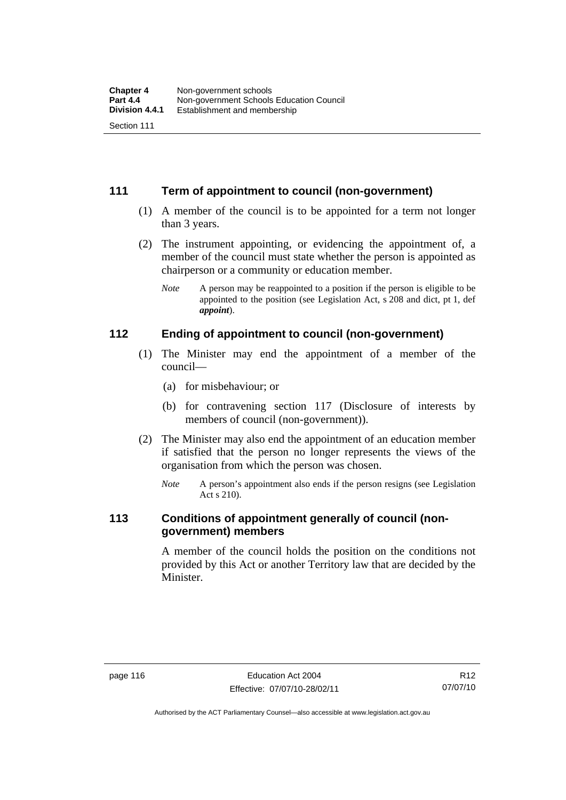#### **111 Term of appointment to council (non-government)**

- (1) A member of the council is to be appointed for a term not longer than 3 years.
- (2) The instrument appointing, or evidencing the appointment of, a member of the council must state whether the person is appointed as chairperson or a community or education member.
	- *Note* A person may be reappointed to a position if the person is eligible to be appointed to the position (see Legislation Act, s 208 and dict, pt 1, def *appoint*).

#### **112 Ending of appointment to council (non-government)**

- (1) The Minister may end the appointment of a member of the council—
	- (a) for misbehaviour; or
	- (b) for contravening section 117 (Disclosure of interests by members of council (non-government)).
- (2) The Minister may also end the appointment of an education member if satisfied that the person no longer represents the views of the organisation from which the person was chosen.
	- *Note* A person's appointment also ends if the person resigns (see Legislation Act s 210).

## **113 Conditions of appointment generally of council (nongovernment) members**

A member of the council holds the position on the conditions not provided by this Act or another Territory law that are decided by the Minister.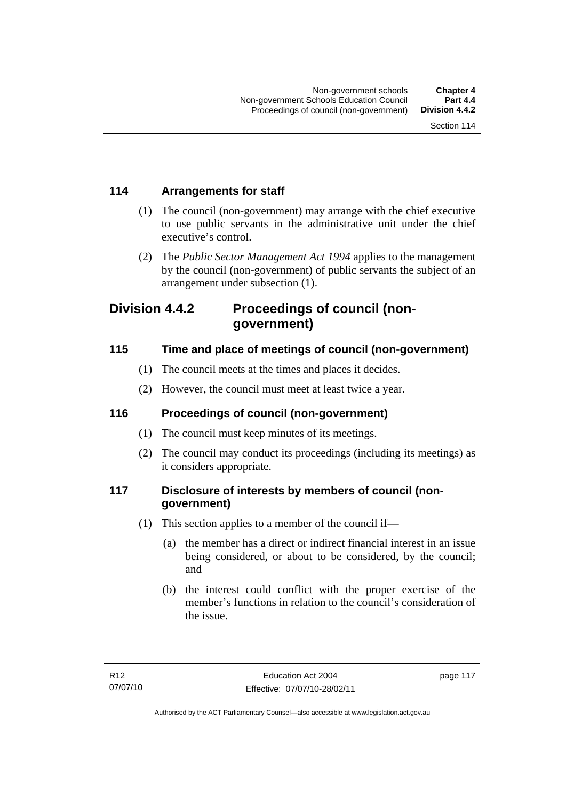## **114 Arrangements for staff**

- (1) The council (non-government) may arrange with the chief executive to use public servants in the administrative unit under the chief executive's control.
- (2) The *Public Sector Management Act 1994* applies to the management by the council (non-government) of public servants the subject of an arrangement under subsection (1).

## **Division 4.4.2 Proceedings of council (nongovernment)**

## **115 Time and place of meetings of council (non-government)**

- (1) The council meets at the times and places it decides.
- (2) However, the council must meet at least twice a year.

## **116 Proceedings of council (non-government)**

- (1) The council must keep minutes of its meetings.
- (2) The council may conduct its proceedings (including its meetings) as it considers appropriate.

## **117 Disclosure of interests by members of council (nongovernment)**

- (1) This section applies to a member of the council if—
	- (a) the member has a direct or indirect financial interest in an issue being considered, or about to be considered, by the council; and
	- (b) the interest could conflict with the proper exercise of the member's functions in relation to the council's consideration of the issue.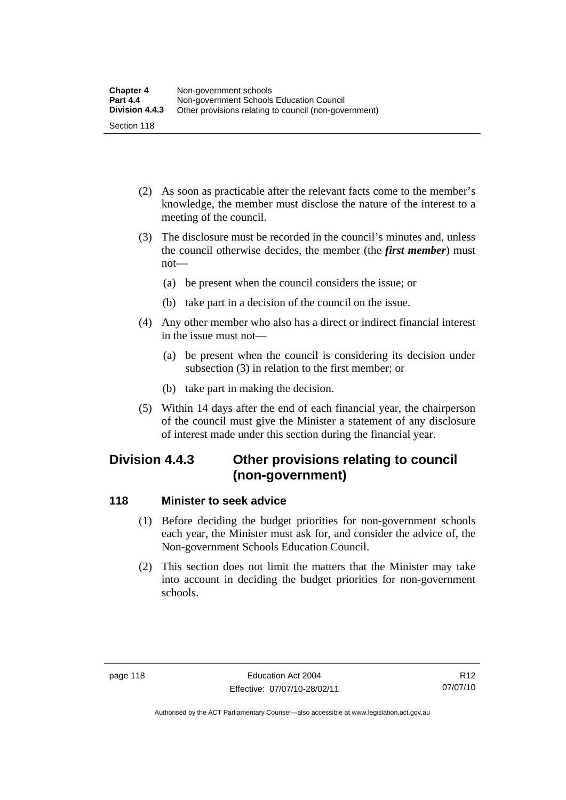- (2) As soon as practicable after the relevant facts come to the member's knowledge, the member must disclose the nature of the interest to a meeting of the council.
- (3) The disclosure must be recorded in the council's minutes and, unless the council otherwise decides, the member (the *first member*) must not—
	- (a) be present when the council considers the issue; or
	- (b) take part in a decision of the council on the issue.
- (4) Any other member who also has a direct or indirect financial interest in the issue must not—
	- (a) be present when the council is considering its decision under subsection (3) in relation to the first member; or
	- (b) take part in making the decision.
- (5) Within 14 days after the end of each financial year, the chairperson of the council must give the Minister a statement of any disclosure of interest made under this section during the financial year.

## **Division 4.4.3 Other provisions relating to council (non-government)**

## **118 Minister to seek advice**

- (1) Before deciding the budget priorities for non-government schools each year, the Minister must ask for, and consider the advice of, the Non-government Schools Education Council.
- (2) This section does not limit the matters that the Minister may take into account in deciding the budget priorities for non-government schools.

Authorised by the ACT Parliamentary Counsel—also accessible at www.legislation.act.gov.au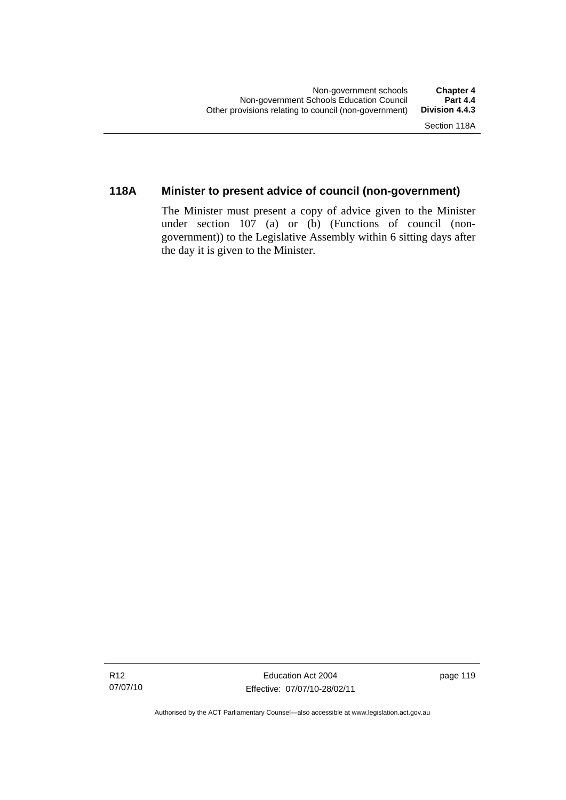## **118A Minister to present advice of council (non-government)**

The Minister must present a copy of advice given to the Minister under section 107 (a) or (b) (Functions of council (nongovernment)) to the Legislative Assembly within 6 sitting days after the day it is given to the Minister.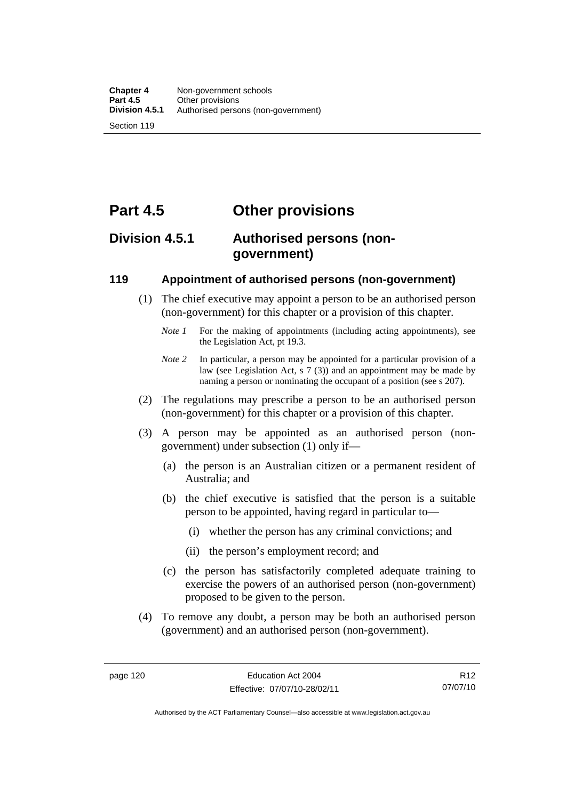## **Part 4.5 Other provisions**

## **Division 4.5.1 Authorised persons (nongovernment)**

#### **119 Appointment of authorised persons (non-government)**

- (1) The chief executive may appoint a person to be an authorised person (non-government) for this chapter or a provision of this chapter.
	- *Note 1* For the making of appointments (including acting appointments), see the Legislation Act, pt 19.3.
	- *Note 2* In particular, a person may be appointed for a particular provision of a law (see Legislation Act, s 7 (3)) and an appointment may be made by naming a person or nominating the occupant of a position (see s 207).
- (2) The regulations may prescribe a person to be an authorised person (non-government) for this chapter or a provision of this chapter.
- (3) A person may be appointed as an authorised person (nongovernment) under subsection (1) only if—
	- (a) the person is an Australian citizen or a permanent resident of Australia; and
	- (b) the chief executive is satisfied that the person is a suitable person to be appointed, having regard in particular to—
		- (i) whether the person has any criminal convictions; and
		- (ii) the person's employment record; and
	- (c) the person has satisfactorily completed adequate training to exercise the powers of an authorised person (non-government) proposed to be given to the person.
- (4) To remove any doubt, a person may be both an authorised person (government) and an authorised person (non-government).

R12 07/07/10

Authorised by the ACT Parliamentary Counsel—also accessible at www.legislation.act.gov.au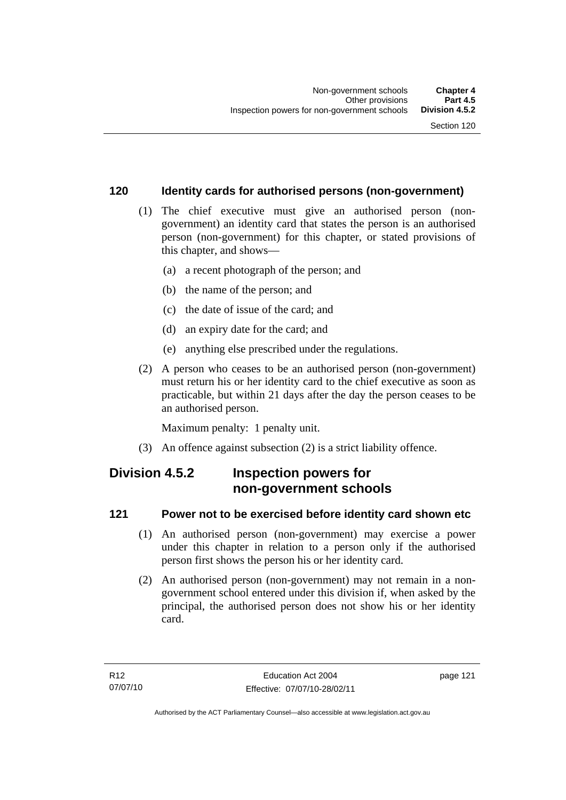## **120 Identity cards for authorised persons (non-government)**

- (1) The chief executive must give an authorised person (nongovernment) an identity card that states the person is an authorised person (non-government) for this chapter, or stated provisions of this chapter, and shows—
	- (a) a recent photograph of the person; and
	- (b) the name of the person; and
	- (c) the date of issue of the card; and
	- (d) an expiry date for the card; and
	- (e) anything else prescribed under the regulations.
- (2) A person who ceases to be an authorised person (non-government) must return his or her identity card to the chief executive as soon as practicable, but within 21 days after the day the person ceases to be an authorised person.

Maximum penalty: 1 penalty unit.

(3) An offence against subsection (2) is a strict liability offence.

## **Division 4.5.2 Inspection powers for non-government schools**

## **121 Power not to be exercised before identity card shown etc**

- (1) An authorised person (non-government) may exercise a power under this chapter in relation to a person only if the authorised person first shows the person his or her identity card.
- (2) An authorised person (non-government) may not remain in a nongovernment school entered under this division if, when asked by the principal, the authorised person does not show his or her identity card.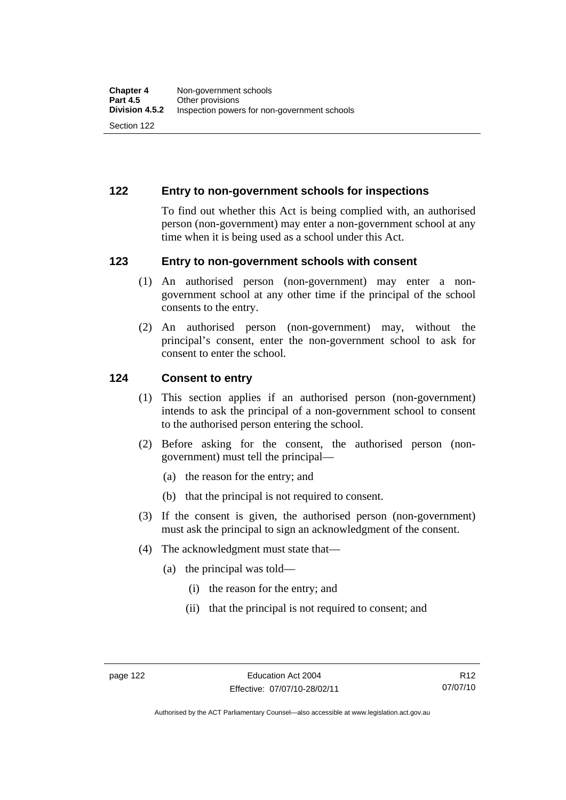#### **122 Entry to non-government schools for inspections**

To find out whether this Act is being complied with, an authorised person (non-government) may enter a non-government school at any time when it is being used as a school under this Act.

#### **123 Entry to non-government schools with consent**

- (1) An authorised person (non-government) may enter a nongovernment school at any other time if the principal of the school consents to the entry.
- (2) An authorised person (non-government) may, without the principal's consent, enter the non-government school to ask for consent to enter the school.

#### **124 Consent to entry**

- (1) This section applies if an authorised person (non-government) intends to ask the principal of a non-government school to consent to the authorised person entering the school.
- (2) Before asking for the consent, the authorised person (nongovernment) must tell the principal—
	- (a) the reason for the entry; and
	- (b) that the principal is not required to consent.
- (3) If the consent is given, the authorised person (non-government) must ask the principal to sign an acknowledgment of the consent.
- (4) The acknowledgment must state that—
	- (a) the principal was told—
		- (i) the reason for the entry; and
		- (ii) that the principal is not required to consent; and

Authorised by the ACT Parliamentary Counsel—also accessible at www.legislation.act.gov.au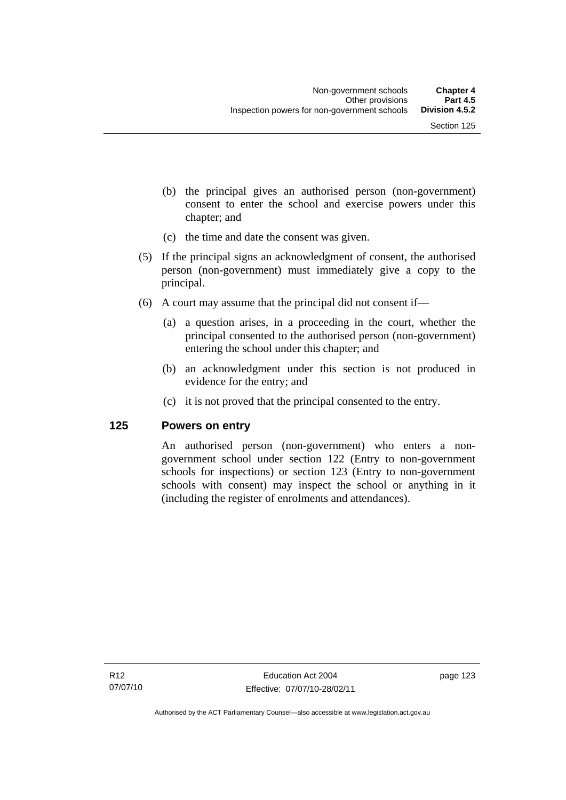- (b) the principal gives an authorised person (non-government) consent to enter the school and exercise powers under this chapter; and
- (c) the time and date the consent was given.
- (5) If the principal signs an acknowledgment of consent, the authorised person (non-government) must immediately give a copy to the principal.
- (6) A court may assume that the principal did not consent if—
	- (a) a question arises, in a proceeding in the court, whether the principal consented to the authorised person (non-government) entering the school under this chapter; and
	- (b) an acknowledgment under this section is not produced in evidence for the entry; and
	- (c) it is not proved that the principal consented to the entry.

#### **125 Powers on entry**

An authorised person (non-government) who enters a nongovernment school under section 122 (Entry to non-government schools for inspections) or section 123 (Entry to non-government schools with consent) may inspect the school or anything in it (including the register of enrolments and attendances).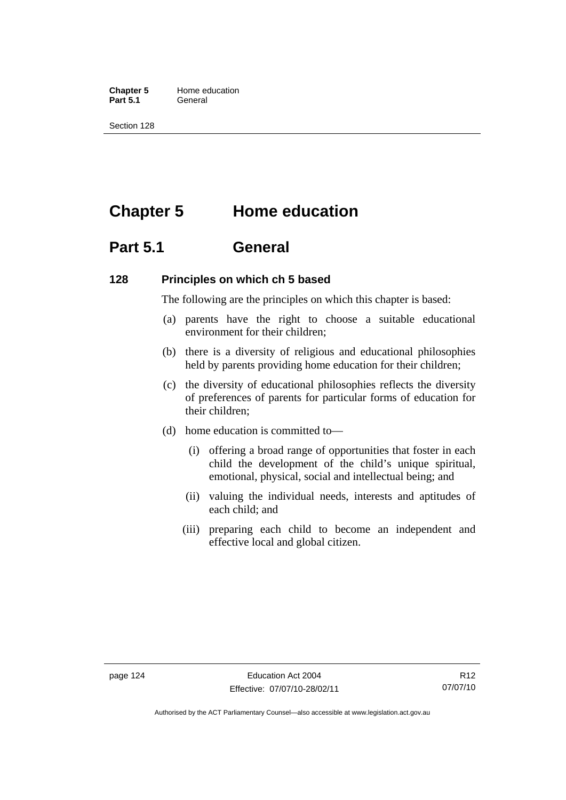**Chapter 5** Home education Part 5.1 **General** 

Section 128

# **Chapter 5 Home education**

## **Part 5.1 General**

#### **128 Principles on which ch 5 based**

The following are the principles on which this chapter is based:

- (a) parents have the right to choose a suitable educational environment for their children;
- (b) there is a diversity of religious and educational philosophies held by parents providing home education for their children;
- (c) the diversity of educational philosophies reflects the diversity of preferences of parents for particular forms of education for their children;
- (d) home education is committed to—
	- (i) offering a broad range of opportunities that foster in each child the development of the child's unique spiritual, emotional, physical, social and intellectual being; and
	- (ii) valuing the individual needs, interests and aptitudes of each child; and
	- (iii) preparing each child to become an independent and effective local and global citizen.

Authorised by the ACT Parliamentary Counsel—also accessible at www.legislation.act.gov.au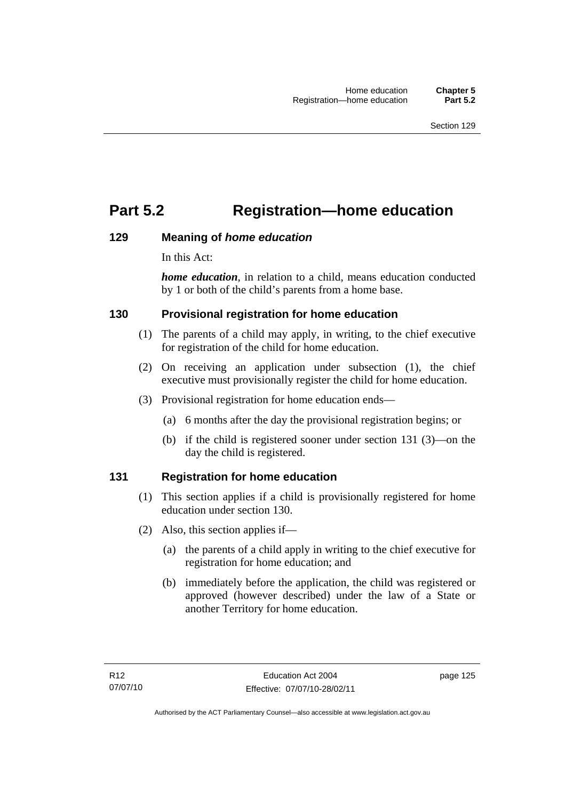# **Part 5.2 Registration—home education**

## **129 Meaning of** *home education*

In this Act:

*home education*, in relation to a child, means education conducted by 1 or both of the child's parents from a home base.

## **130 Provisional registration for home education**

- (1) The parents of a child may apply, in writing, to the chief executive for registration of the child for home education.
- (2) On receiving an application under subsection (1), the chief executive must provisionally register the child for home education.
- (3) Provisional registration for home education ends—
	- (a) 6 months after the day the provisional registration begins; or
	- (b) if the child is registered sooner under section 131 (3)—on the day the child is registered.

## **131 Registration for home education**

- (1) This section applies if a child is provisionally registered for home education under section 130.
- (2) Also, this section applies if—
	- (a) the parents of a child apply in writing to the chief executive for registration for home education; and
	- (b) immediately before the application, the child was registered or approved (however described) under the law of a State or another Territory for home education.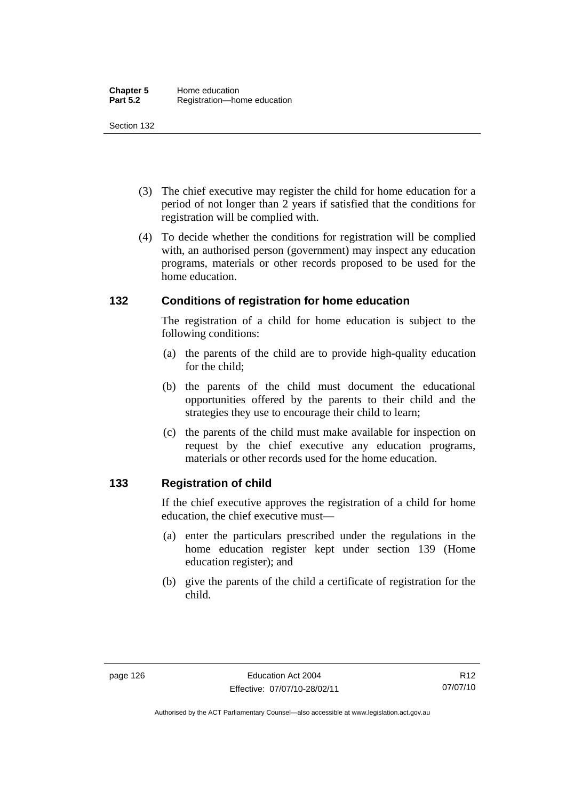- (3) The chief executive may register the child for home education for a period of not longer than 2 years if satisfied that the conditions for registration will be complied with.
- (4) To decide whether the conditions for registration will be complied with, an authorised person (government) may inspect any education programs, materials or other records proposed to be used for the home education.

#### **132 Conditions of registration for home education**

The registration of a child for home education is subject to the following conditions:

- (a) the parents of the child are to provide high-quality education for the child;
- (b) the parents of the child must document the educational opportunities offered by the parents to their child and the strategies they use to encourage their child to learn;
- (c) the parents of the child must make available for inspection on request by the chief executive any education programs, materials or other records used for the home education.

## **133 Registration of child**

If the chief executive approves the registration of a child for home education, the chief executive must—

- (a) enter the particulars prescribed under the regulations in the home education register kept under section 139 (Home education register); and
- (b) give the parents of the child a certificate of registration for the child.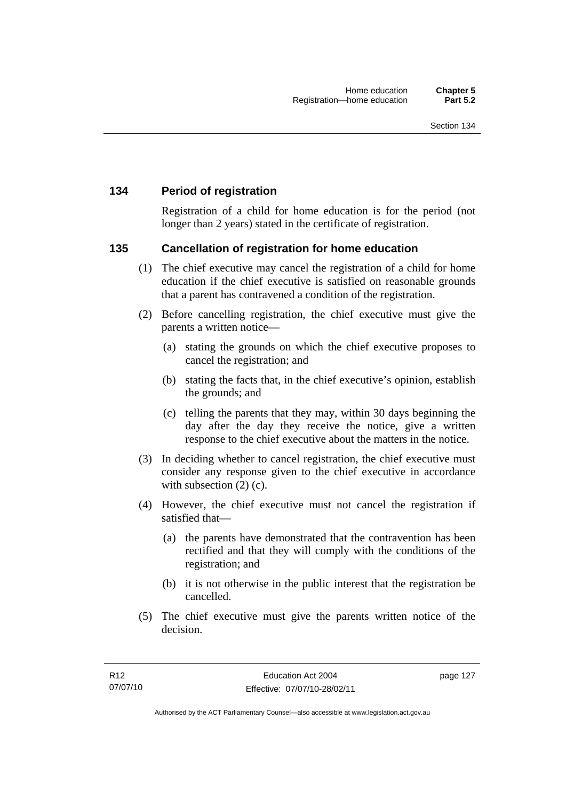#### **134 Period of registration**

Registration of a child for home education is for the period (not longer than 2 years) stated in the certificate of registration.

#### **135 Cancellation of registration for home education**

- (1) The chief executive may cancel the registration of a child for home education if the chief executive is satisfied on reasonable grounds that a parent has contravened a condition of the registration.
- (2) Before cancelling registration, the chief executive must give the parents a written notice—
	- (a) stating the grounds on which the chief executive proposes to cancel the registration; and
	- (b) stating the facts that, in the chief executive's opinion, establish the grounds; and
	- (c) telling the parents that they may, within 30 days beginning the day after the day they receive the notice, give a written response to the chief executive about the matters in the notice.
- (3) In deciding whether to cancel registration, the chief executive must consider any response given to the chief executive in accordance with subsection  $(2)$  (c).
- (4) However, the chief executive must not cancel the registration if satisfied that—
	- (a) the parents have demonstrated that the contravention has been rectified and that they will comply with the conditions of the registration; and
	- (b) it is not otherwise in the public interest that the registration be cancelled.
- (5) The chief executive must give the parents written notice of the decision.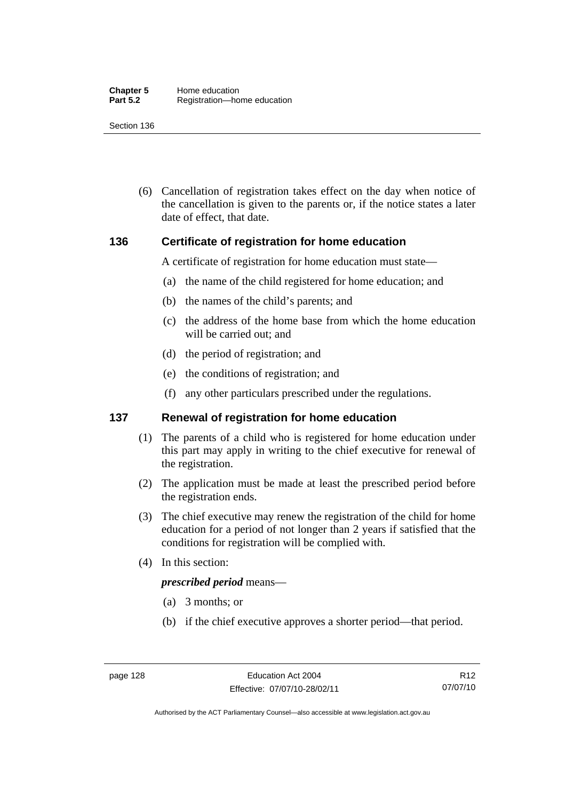(6) Cancellation of registration takes effect on the day when notice of the cancellation is given to the parents or, if the notice states a later date of effect, that date.

#### **136 Certificate of registration for home education**

A certificate of registration for home education must state—

- (a) the name of the child registered for home education; and
- (b) the names of the child's parents; and
- (c) the address of the home base from which the home education will be carried out; and
- (d) the period of registration; and
- (e) the conditions of registration; and
- (f) any other particulars prescribed under the regulations.

#### **137 Renewal of registration for home education**

- (1) The parents of a child who is registered for home education under this part may apply in writing to the chief executive for renewal of the registration.
- (2) The application must be made at least the prescribed period before the registration ends.
- (3) The chief executive may renew the registration of the child for home education for a period of not longer than 2 years if satisfied that the conditions for registration will be complied with.
- (4) In this section:

#### *prescribed period* means—

- (a) 3 months; or
- (b) if the chief executive approves a shorter period—that period.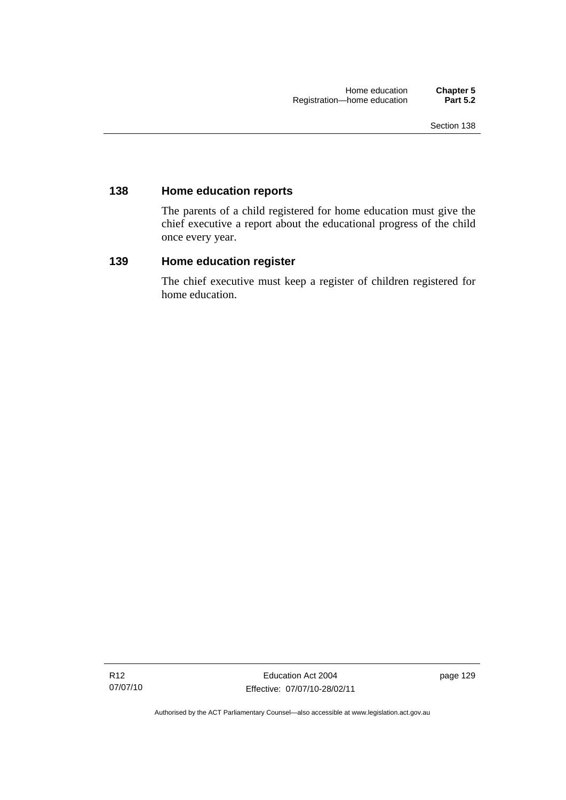#### **138 Home education reports**

The parents of a child registered for home education must give the chief executive a report about the educational progress of the child once every year.

#### **139 Home education register**

The chief executive must keep a register of children registered for home education.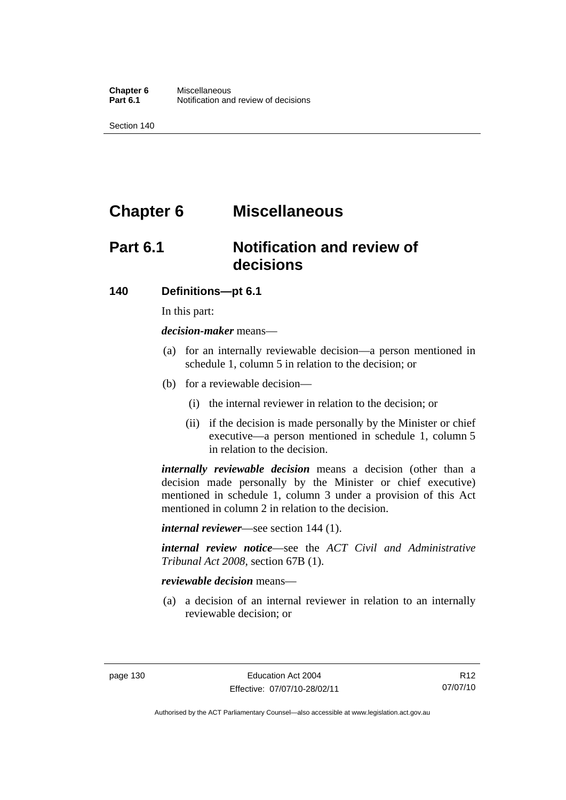# **Chapter 6 Miscellaneous**

# **Part 6.1 Notification and review of decisions**

#### **140 Definitions***—***pt 6.1**

In this part:

*decision-maker* means—

- (a) for an internally reviewable decision—a person mentioned in schedule 1, column 5 in relation to the decision; or
- (b) for a reviewable decision—
	- (i) the internal reviewer in relation to the decision; or
	- (ii) if the decision is made personally by the Minister or chief executive—a person mentioned in schedule 1, column 5 in relation to the decision.

*internally reviewable decision* means a decision (other than a decision made personally by the Minister or chief executive) mentioned in schedule 1, column 3 under a provision of this Act mentioned in column 2 in relation to the decision.

*internal reviewer*—see section 144 (1).

*internal review notice*—see the *ACT Civil and Administrative Tribunal Act 2008*, section 67B (1).

#### *reviewable decision* means—

 (a) a decision of an internal reviewer in relation to an internally reviewable decision; or

Authorised by the ACT Parliamentary Counsel—also accessible at www.legislation.act.gov.au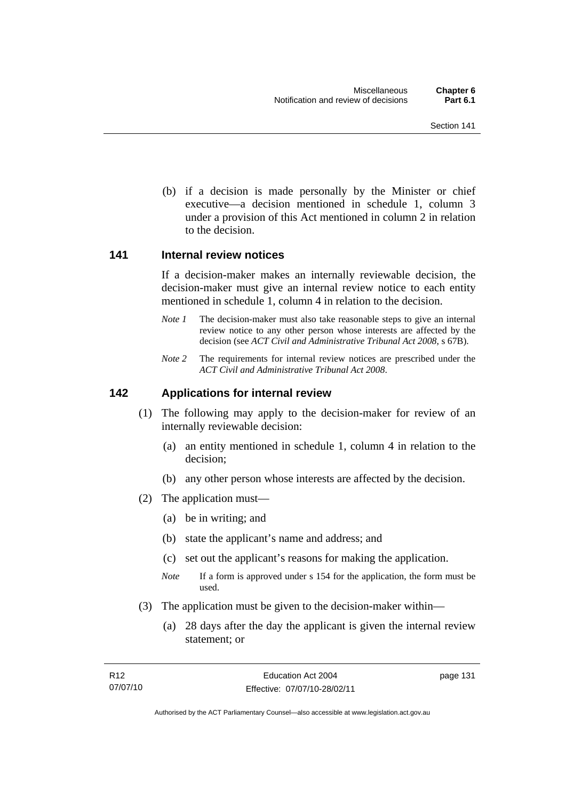(b) if a decision is made personally by the Minister or chief executive—a decision mentioned in schedule 1, column 3 under a provision of this Act mentioned in column 2 in relation to the decision.

#### **141 Internal review notices**

If a decision-maker makes an internally reviewable decision, the decision-maker must give an internal review notice to each entity mentioned in schedule 1, column 4 in relation to the decision.

- *Note 1* The decision-maker must also take reasonable steps to give an internal review notice to any other person whose interests are affected by the decision (see *ACT Civil and Administrative Tribunal Act 2008*, s 67B).
- *Note* 2 The requirements for internal review notices are prescribed under the *ACT Civil and Administrative Tribunal Act 2008*.

#### **142 Applications for internal review**

- (1) The following may apply to the decision-maker for review of an internally reviewable decision:
	- (a) an entity mentioned in schedule 1, column 4 in relation to the decision;
	- (b) any other person whose interests are affected by the decision.
- (2) The application must—
	- (a) be in writing; and
	- (b) state the applicant's name and address; and
	- (c) set out the applicant's reasons for making the application.
	- *Note* If a form is approved under s 154 for the application, the form must be used.
- (3) The application must be given to the decision-maker within—
	- (a) 28 days after the day the applicant is given the internal review statement; or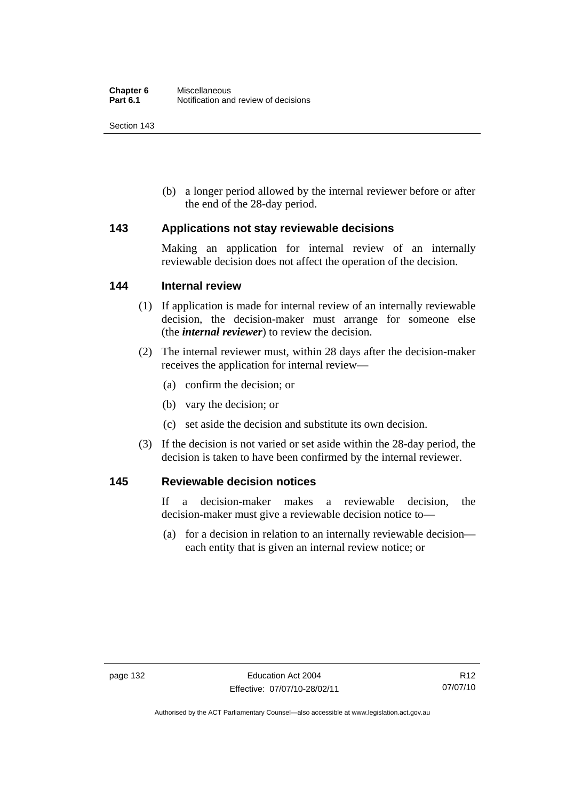(b) a longer period allowed by the internal reviewer before or after the end of the 28-day period.

#### **143 Applications not stay reviewable decisions**

Making an application for internal review of an internally reviewable decision does not affect the operation of the decision.

#### **144 Internal review**

- (1) If application is made for internal review of an internally reviewable decision, the decision-maker must arrange for someone else (the *internal reviewer*) to review the decision.
- (2) The internal reviewer must, within 28 days after the decision-maker receives the application for internal review—
	- (a) confirm the decision; or
	- (b) vary the decision; or
	- (c) set aside the decision and substitute its own decision.
- (3) If the decision is not varied or set aside within the 28-day period, the decision is taken to have been confirmed by the internal reviewer.

#### **145 Reviewable decision notices**

If a decision-maker makes a reviewable decision, the decision-maker must give a reviewable decision notice to—

 (a) for a decision in relation to an internally reviewable decision each entity that is given an internal review notice; or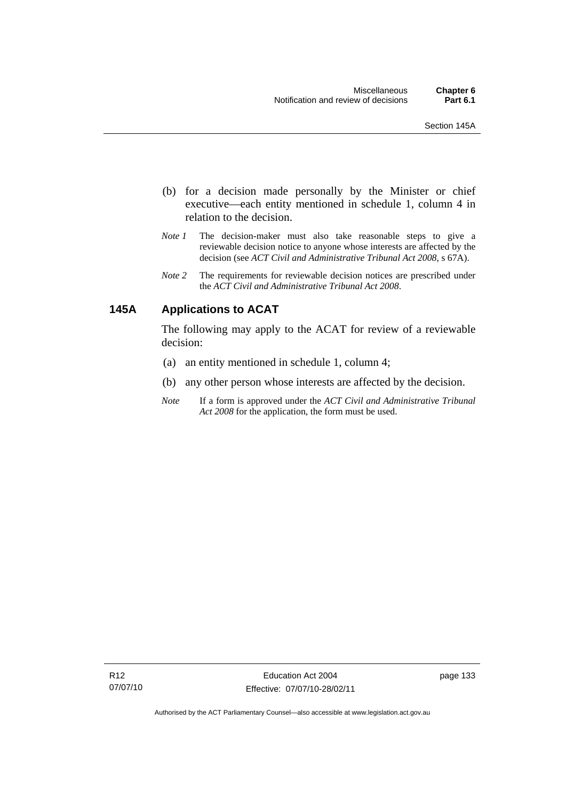- (b) for a decision made personally by the Minister or chief executive—each entity mentioned in schedule 1, column 4 in relation to the decision.
- *Note 1* The decision-maker must also take reasonable steps to give a reviewable decision notice to anyone whose interests are affected by the decision (see *ACT Civil and Administrative Tribunal Act 2008*, s 67A).
- *Note 2* The requirements for reviewable decision notices are prescribed under the *ACT Civil and Administrative Tribunal Act 2008*.

# **145A Applications to ACAT**

The following may apply to the ACAT for review of a reviewable decision:

- (a) an entity mentioned in schedule 1, column 4;
- (b) any other person whose interests are affected by the decision.
- *Note* If a form is approved under the *ACT Civil and Administrative Tribunal Act 2008* for the application, the form must be used.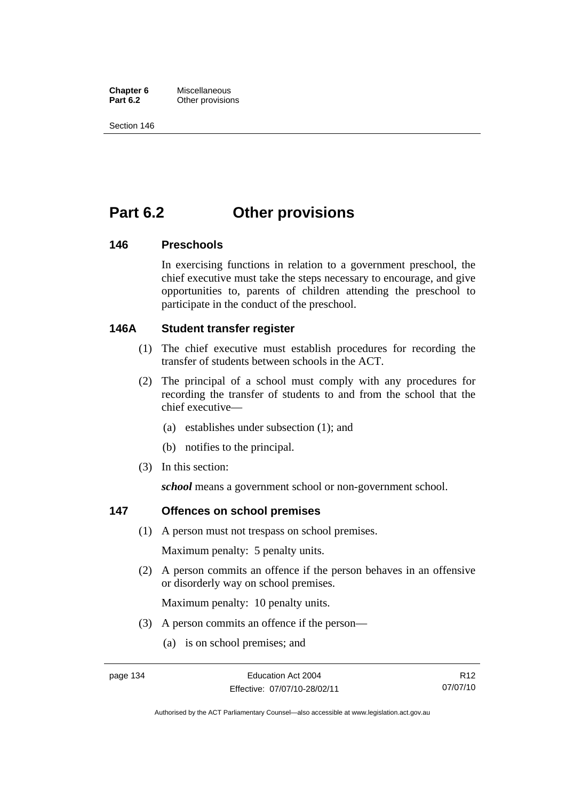**Chapter 6** Miscellaneous<br>**Part 6.2** Other provision **Other provisions** 

Section 146

# **Part 6.2 Other provisions**

## **146 Preschools**

In exercising functions in relation to a government preschool, the chief executive must take the steps necessary to encourage, and give opportunities to, parents of children attending the preschool to participate in the conduct of the preschool.

# **146A Student transfer register**

- (1) The chief executive must establish procedures for recording the transfer of students between schools in the ACT.
- (2) The principal of a school must comply with any procedures for recording the transfer of students to and from the school that the chief executive—
	- (a) establishes under subsection (1); and
	- (b) notifies to the principal.
- (3) In this section:

*school* means a government school or non-government school.

# **147 Offences on school premises**

(1) A person must not trespass on school premises.

Maximum penalty: 5 penalty units.

 (2) A person commits an offence if the person behaves in an offensive or disorderly way on school premises.

Maximum penalty: 10 penalty units.

- (3) A person commits an offence if the person—
	- (a) is on school premises; and

R12 07/07/10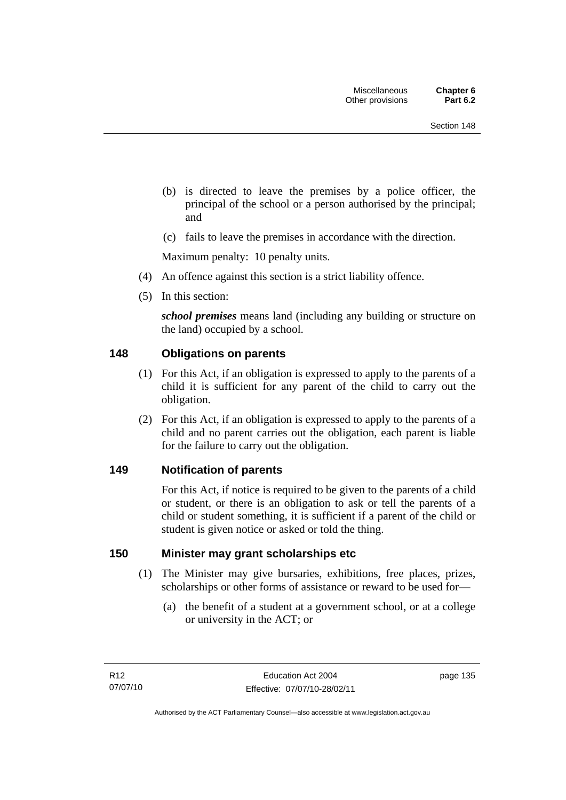- (b) is directed to leave the premises by a police officer, the principal of the school or a person authorised by the principal; and
- (c) fails to leave the premises in accordance with the direction.

Maximum penalty: 10 penalty units.

- (4) An offence against this section is a strict liability offence.
- (5) In this section:

*school premises* means land (including any building or structure on the land) occupied by a school.

## **148 Obligations on parents**

- (1) For this Act, if an obligation is expressed to apply to the parents of a child it is sufficient for any parent of the child to carry out the obligation.
- (2) For this Act, if an obligation is expressed to apply to the parents of a child and no parent carries out the obligation, each parent is liable for the failure to carry out the obligation.

### **149 Notification of parents**

For this Act, if notice is required to be given to the parents of a child or student, or there is an obligation to ask or tell the parents of a child or student something, it is sufficient if a parent of the child or student is given notice or asked or told the thing.

## **150 Minister may grant scholarships etc**

- (1) The Minister may give bursaries, exhibitions, free places, prizes, scholarships or other forms of assistance or reward to be used for—
	- (a) the benefit of a student at a government school, or at a college or university in the ACT; or

page 135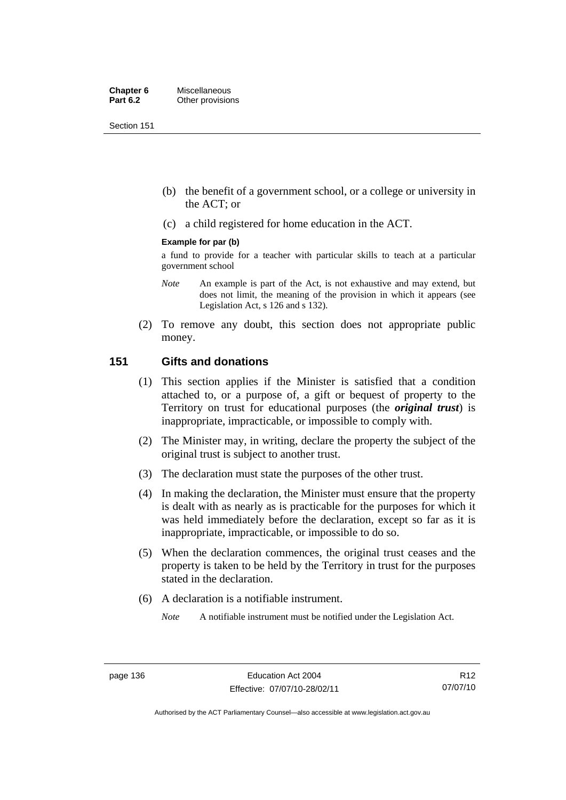Section 151

- (b) the benefit of a government school, or a college or university in the ACT; or
- (c) a child registered for home education in the ACT.

#### **Example for par (b)**

a fund to provide for a teacher with particular skills to teach at a particular government school

- *Note* An example is part of the Act, is not exhaustive and may extend, but does not limit, the meaning of the provision in which it appears (see Legislation Act, s 126 and s 132).
- (2) To remove any doubt, this section does not appropriate public money.

# **151 Gifts and donations**

- (1) This section applies if the Minister is satisfied that a condition attached to, or a purpose of, a gift or bequest of property to the Territory on trust for educational purposes (the *original trust*) is inappropriate, impracticable, or impossible to comply with.
- (2) The Minister may, in writing, declare the property the subject of the original trust is subject to another trust.
- (3) The declaration must state the purposes of the other trust.
- (4) In making the declaration, the Minister must ensure that the property is dealt with as nearly as is practicable for the purposes for which it was held immediately before the declaration, except so far as it is inappropriate, impracticable, or impossible to do so.
- (5) When the declaration commences, the original trust ceases and the property is taken to be held by the Territory in trust for the purposes stated in the declaration.
- (6) A declaration is a notifiable instrument.
	- *Note* A notifiable instrument must be notified under the Legislation Act.

R12 07/07/10

Authorised by the ACT Parliamentary Counsel—also accessible at www.legislation.act.gov.au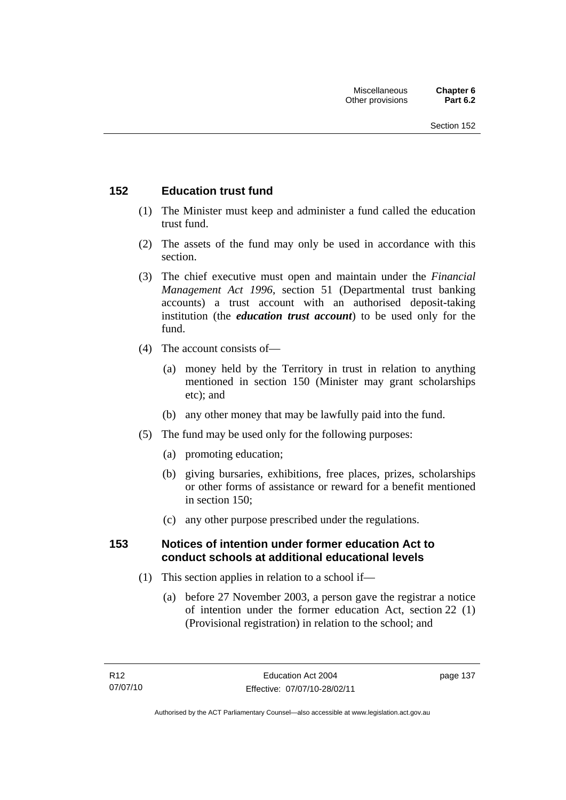# **152 Education trust fund**

- (1) The Minister must keep and administer a fund called the education trust fund.
- (2) The assets of the fund may only be used in accordance with this section.
- (3) The chief executive must open and maintain under the *Financial Management Act 1996*, section 51 (Departmental trust banking accounts) a trust account with an authorised deposit-taking institution (the *education trust account*) to be used only for the fund.
- (4) The account consists of—
	- (a) money held by the Territory in trust in relation to anything mentioned in section 150 (Minister may grant scholarships etc); and
	- (b) any other money that may be lawfully paid into the fund.
- (5) The fund may be used only for the following purposes:
	- (a) promoting education;
	- (b) giving bursaries, exhibitions, free places, prizes, scholarships or other forms of assistance or reward for a benefit mentioned in section 150;
	- (c) any other purpose prescribed under the regulations.

# **153 Notices of intention under former education Act to conduct schools at additional educational levels**

- (1) This section applies in relation to a school if—
	- (a) before 27 November 2003, a person gave the registrar a notice of intention under the former education Act, section 22 (1) (Provisional registration) in relation to the school; and

page 137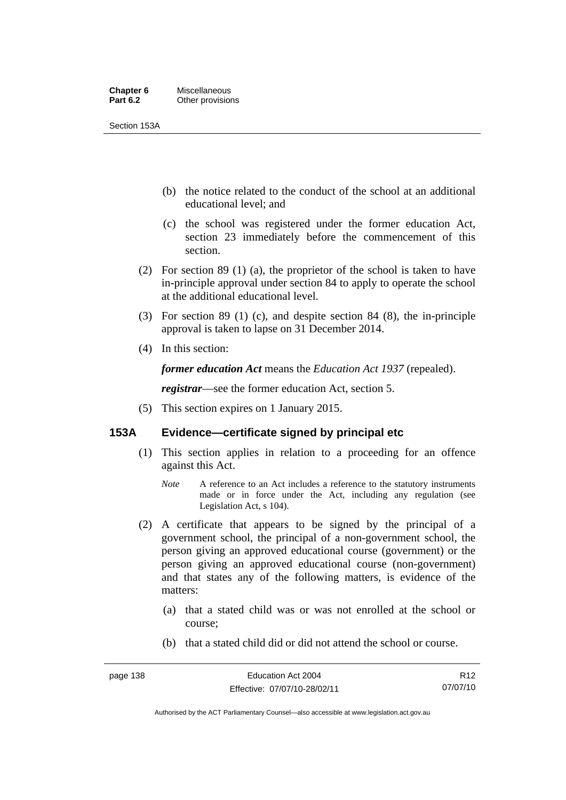#### **Chapter 6** Miscellaneous<br>**Part 6.2** Other provision **Other provisions**

Section 153A

- (b) the notice related to the conduct of the school at an additional educational level; and
- (c) the school was registered under the former education Act, section 23 immediately before the commencement of this section.
- (2) For section 89 (1) (a), the proprietor of the school is taken to have in-principle approval under section 84 to apply to operate the school at the additional educational level.
- (3) For section 89 (1) (c), and despite section 84 (8), the in-principle approval is taken to lapse on 31 December 2014.
- (4) In this section:

*former education Act* means the *Education Act 1937* (repealed).

*registrar*—see the former education Act, section 5.

(5) This section expires on 1 January 2015.

## **153A Evidence—certificate signed by principal etc**

- (1) This section applies in relation to a proceeding for an offence against this Act.
	- *Note* A reference to an Act includes a reference to the statutory instruments made or in force under the Act, including any regulation (see Legislation Act, s 104).
- (2) A certificate that appears to be signed by the principal of a government school, the principal of a non-government school, the person giving an approved educational course (government) or the person giving an approved educational course (non-government) and that states any of the following matters, is evidence of the matters:
	- (a) that a stated child was or was not enrolled at the school or course;
	- (b) that a stated child did or did not attend the school or course.

R12 07/07/10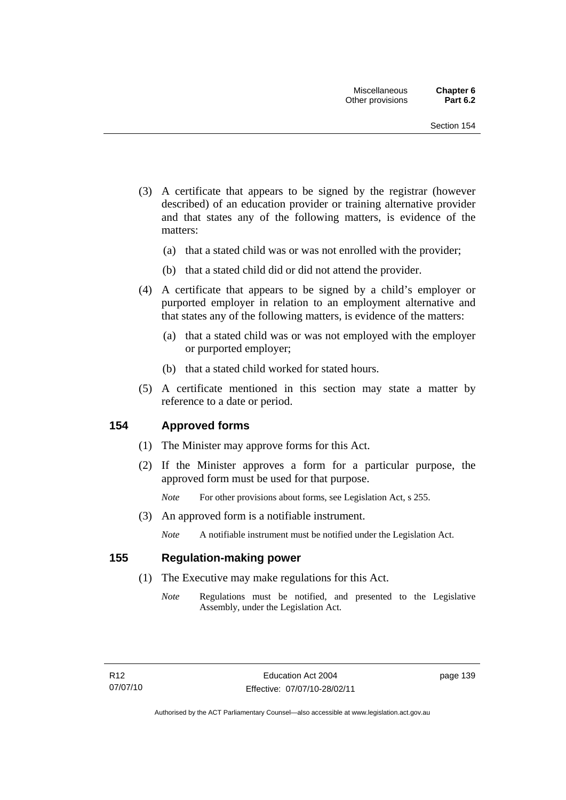- (3) A certificate that appears to be signed by the registrar (however described) of an education provider or training alternative provider and that states any of the following matters, is evidence of the matters:
	- (a) that a stated child was or was not enrolled with the provider;
	- (b) that a stated child did or did not attend the provider.
- (4) A certificate that appears to be signed by a child's employer or purported employer in relation to an employment alternative and that states any of the following matters, is evidence of the matters:
	- (a) that a stated child was or was not employed with the employer or purported employer;
	- (b) that a stated child worked for stated hours.
- (5) A certificate mentioned in this section may state a matter by reference to a date or period.

### **154 Approved forms**

- (1) The Minister may approve forms for this Act.
- (2) If the Minister approves a form for a particular purpose, the approved form must be used for that purpose.

*Note* For other provisions about forms, see Legislation Act, s 255.

(3) An approved form is a notifiable instrument.

*Note* A notifiable instrument must be notified under the Legislation Act.

## **155 Regulation-making power**

- (1) The Executive may make regulations for this Act.
	- *Note* Regulations must be notified, and presented to the Legislative Assembly, under the Legislation Act.

page 139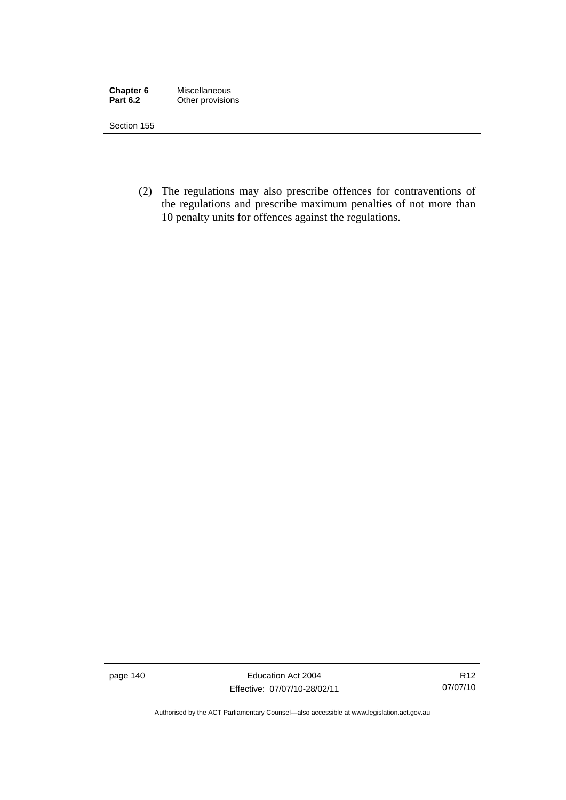| Chapter 6       | Miscellaneous    |
|-----------------|------------------|
| <b>Part 6.2</b> | Other provisions |

Section 155

 (2) The regulations may also prescribe offences for contraventions of the regulations and prescribe maximum penalties of not more than 10 penalty units for offences against the regulations.

page 140 **Education Act 2004** Effective: 07/07/10-28/02/11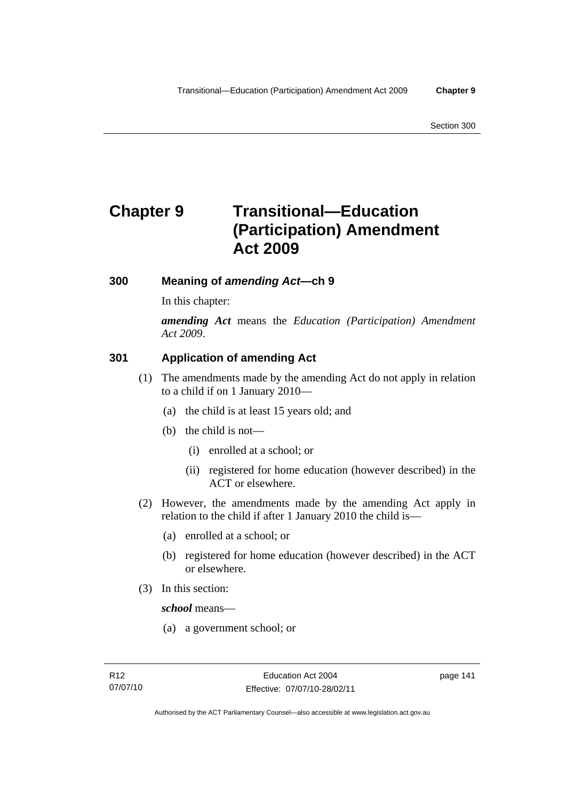# **Chapter 9 Transitional—Education (Participation) Amendment Act 2009**

# **300 Meaning of** *amending Act***—ch 9**

In this chapter:

*amending Act* means the *Education (Participation) Amendment Act 2009*.

# **301 Application of amending Act**

- (1) The amendments made by the amending Act do not apply in relation to a child if on 1 January 2010—
	- (a) the child is at least 15 years old; and
	- (b) the child is not—
		- (i) enrolled at a school; or
		- (ii) registered for home education (however described) in the ACT or elsewhere.
- (2) However, the amendments made by the amending Act apply in relation to the child if after 1 January 2010 the child is—
	- (a) enrolled at a school; or
	- (b) registered for home education (however described) in the ACT or elsewhere.
- (3) In this section:

*school* means—

(a) a government school; or

page 141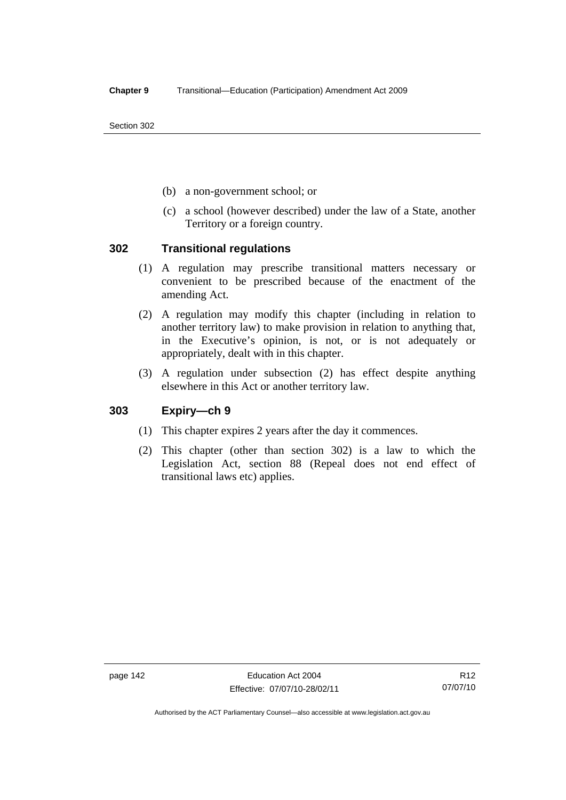Section 302

- (b) a non-government school; or
- (c) a school (however described) under the law of a State, another Territory or a foreign country.

## **302 Transitional regulations**

- (1) A regulation may prescribe transitional matters necessary or convenient to be prescribed because of the enactment of the amending Act.
- (2) A regulation may modify this chapter (including in relation to another territory law) to make provision in relation to anything that, in the Executive's opinion, is not, or is not adequately or appropriately, dealt with in this chapter.
- (3) A regulation under subsection (2) has effect despite anything elsewhere in this Act or another territory law.

# **303 Expiry—ch 9**

- (1) This chapter expires 2 years after the day it commences.
- (2) This chapter (other than section 302) is a law to which the Legislation Act, section 88 (Repeal does not end effect of transitional laws etc) applies.

page 142 Education Act 2004 Effective: 07/07/10-28/02/11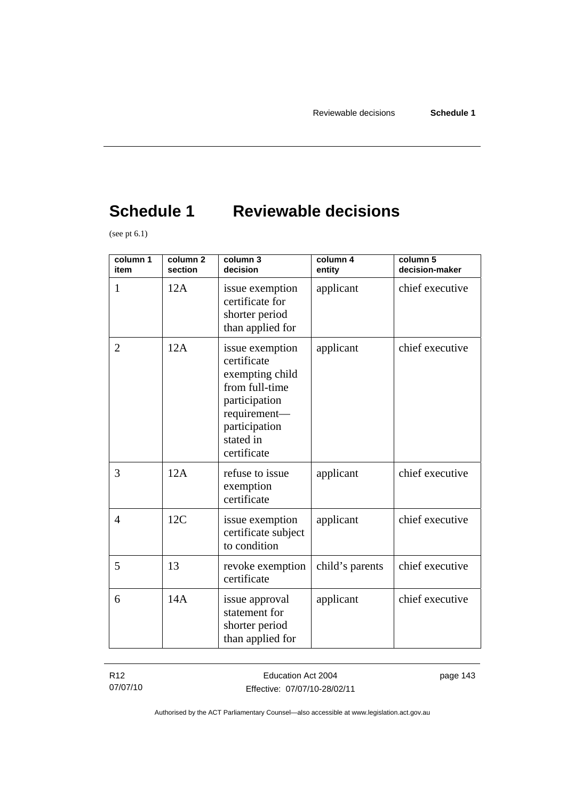# **Schedule 1 Reviewable decisions**

(see pt  $6.1$ )

| column 1<br>item | column <sub>2</sub><br>section | column 3<br>decision                                                                                                                              | column 4<br>entity | column 5<br>decision-maker |
|------------------|--------------------------------|---------------------------------------------------------------------------------------------------------------------------------------------------|--------------------|----------------------------|
| $\mathbf{1}$     | 12A                            | issue exemption<br>certificate for<br>shorter period<br>than applied for                                                                          | applicant          | chief executive            |
| $\overline{2}$   | 12A                            | issue exemption<br>certificate<br>exempting child<br>from full-time<br>participation<br>requirement-<br>participation<br>stated in<br>certificate | applicant          | chief executive            |
| 3                | 12A                            | refuse to issue<br>exemption<br>certificate                                                                                                       | applicant          | chief executive            |
| 4                | 12C                            | issue exemption<br>certificate subject<br>to condition                                                                                            | applicant          | chief executive            |
| 5                | 13                             | revoke exemption<br>certificate                                                                                                                   | child's parents    | chief executive            |
| 6                | 14A                            | issue approval<br>statement for<br>shorter period<br>than applied for                                                                             | applicant          | chief executive            |

R12 07/07/10 page 143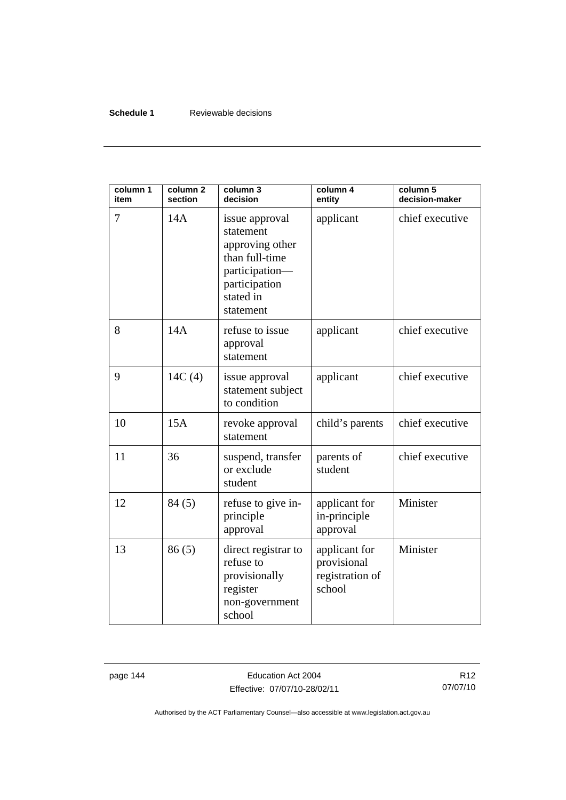## **Schedule 1** Reviewable decisions

| column 1<br>item | column <sub>2</sub><br>section | column 3<br>decision                                                                                                          | column 4<br>entity                                        | column $5$<br>decision-maker |
|------------------|--------------------------------|-------------------------------------------------------------------------------------------------------------------------------|-----------------------------------------------------------|------------------------------|
| 7                | 14A                            | issue approval<br>statement<br>approving other<br>than full-time<br>participation-<br>participation<br>stated in<br>statement | applicant                                                 | chief executive              |
| 8                | 14A                            | refuse to issue<br>approval<br>statement                                                                                      | applicant                                                 | chief executive              |
| 9                | 14C(4)                         | issue approval<br>statement subject<br>to condition                                                                           | applicant                                                 | chief executive              |
| 10               | 15A                            | revoke approval<br>statement                                                                                                  | child's parents                                           | chief executive              |
| 11               | 36                             | suspend, transfer<br>or exclude<br>student                                                                                    | parents of<br>student                                     | chief executive              |
| 12               | 84(5)                          | refuse to give in-<br>principle<br>approval                                                                                   | applicant for<br>in-principle<br>approval                 | Minister                     |
| 13               | 86(5)                          | direct registrar to<br>refuse to<br>provisionally<br>register<br>non-government<br>school                                     | applicant for<br>provisional<br>registration of<br>school | Minister                     |

page 144 **Education Act 2004** Effective: 07/07/10-28/02/11

R12 07/07/10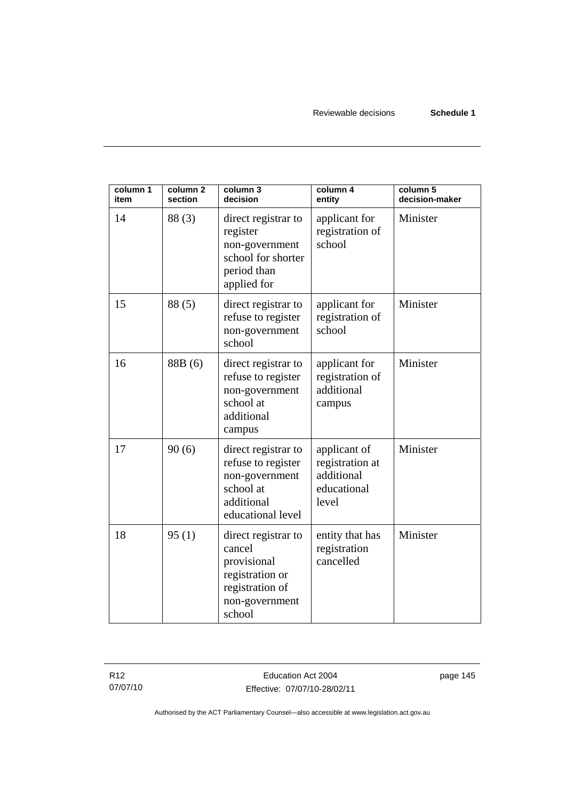Reviewable decisions **Schedule 1** 

| column 1<br>item | column <sub>2</sub><br>section | column 3<br>decision                                                                                           | column 4<br>entity                                                    | column 5<br>decision-maker |
|------------------|--------------------------------|----------------------------------------------------------------------------------------------------------------|-----------------------------------------------------------------------|----------------------------|
| 14               | 88(3)                          | direct registrar to<br>register<br>non-government<br>school for shorter<br>period than<br>applied for          | applicant for<br>registration of<br>school                            | Minister                   |
| 15               | 88(5)                          | direct registrar to<br>refuse to register<br>non-government<br>school                                          | applicant for<br>registration of<br>school                            | Minister                   |
| 16               | 88B (6)                        | direct registrar to<br>refuse to register<br>non-government<br>school at<br>additional<br>campus               | applicant for<br>registration of<br>additional<br>campus              | Minister                   |
| 17               | 90(6)                          | direct registrar to<br>refuse to register<br>non-government<br>school at<br>additional<br>educational level    | applicant of<br>registration at<br>additional<br>educational<br>level | Minister                   |
| 18               | 95(1)                          | direct registrar to<br>cancel<br>provisional<br>registration or<br>registration of<br>non-government<br>school | entity that has<br>registration<br>cancelled                          | Minister                   |

R12 07/07/10

Education Act 2004 Effective: 07/07/10-28/02/11 page 145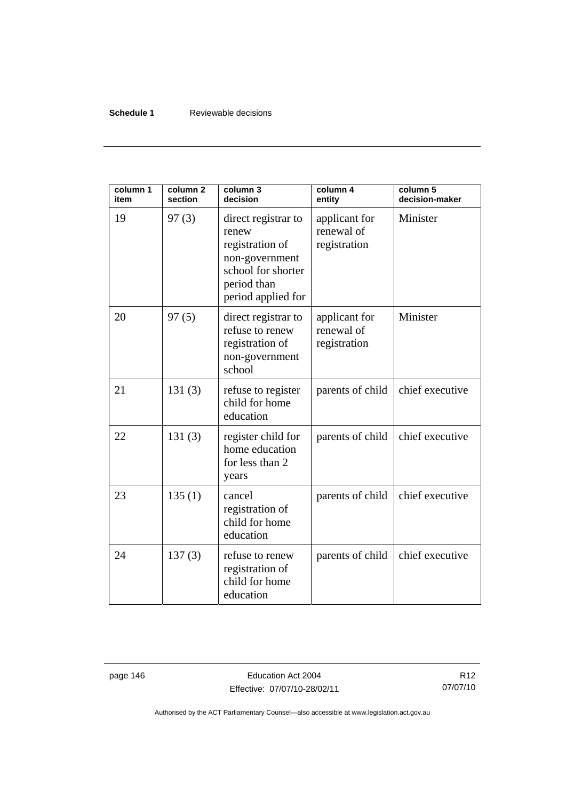### **Schedule 1** Reviewable decisions

| column 1<br>item | column <sub>2</sub><br>section | column 3<br>decision                                                                                                         | column 4<br>entity                          | column 5<br>decision-maker |
|------------------|--------------------------------|------------------------------------------------------------------------------------------------------------------------------|---------------------------------------------|----------------------------|
| 19               | 97(3)                          | direct registrar to<br>renew<br>registration of<br>non-government<br>school for shorter<br>period than<br>period applied for | applicant for<br>renewal of<br>registration | Minister                   |
| 20               | 97(5)                          | direct registrar to<br>refuse to renew<br>registration of<br>non-government<br>school                                        | applicant for<br>renewal of<br>registration | Minister                   |
| 21               | 131(3)                         | refuse to register<br>child for home<br>education                                                                            | parents of child                            | chief executive            |
| 22               | 131(3)                         | register child for<br>home education<br>for less than 2<br>years                                                             | parents of child                            | chief executive            |
| 23               | 135(1)                         | cancel<br>registration of<br>child for home<br>education                                                                     | parents of child                            | chief executive            |
| 24               | 137(3)                         | refuse to renew<br>registration of<br>child for home<br>education                                                            | parents of child                            | chief executive            |

page 146 **Education Act 2004** Effective: 07/07/10-28/02/11

R12 07/07/10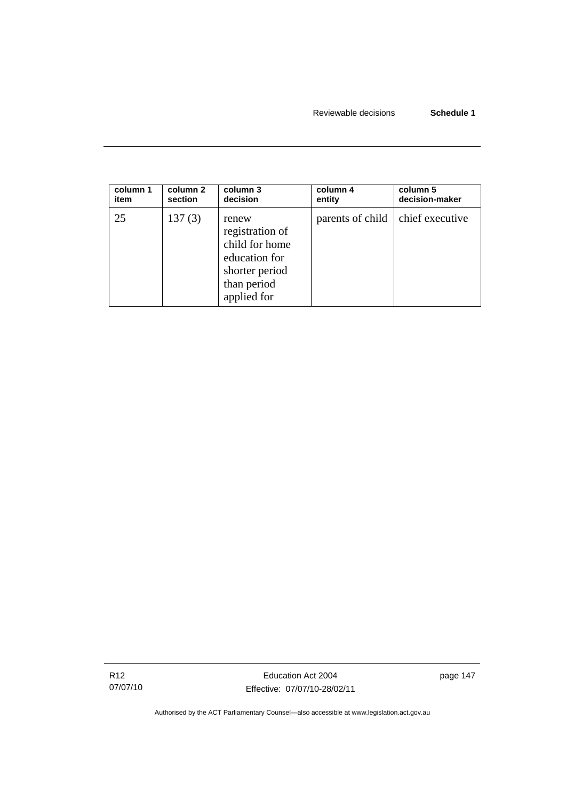| column 1 | column 2 | column 3                                                                                                    | column 4                           | column 5       |
|----------|----------|-------------------------------------------------------------------------------------------------------------|------------------------------------|----------------|
| item     | section  | decision                                                                                                    | entity                             | decision-maker |
| 25       | 137(3)   | renew<br>registration of<br>child for home<br>education for<br>shorter period<br>than period<br>applied for | parents of child   chief executive |                |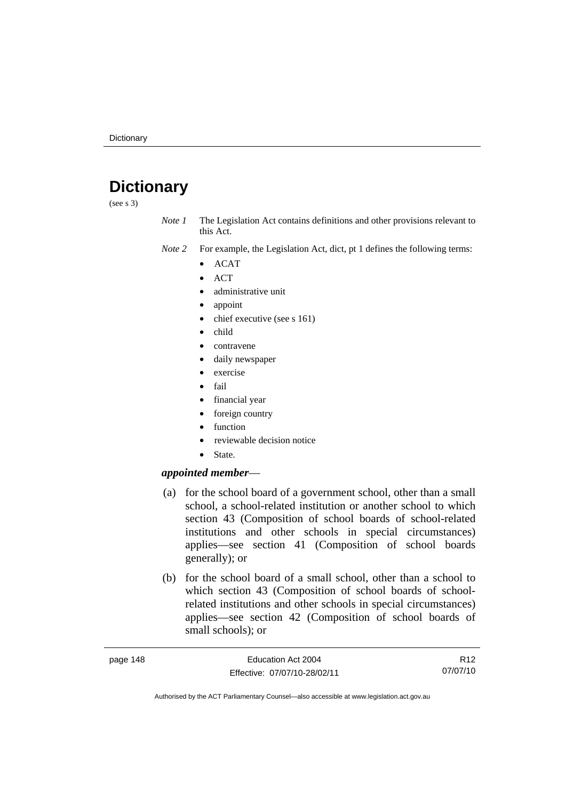# **Dictionary**

(see s 3)

*Note 1* The Legislation Act contains definitions and other provisions relevant to this Act.

- *Note 2* For example, the Legislation Act, dict, pt 1 defines the following terms:
	- ACAT
	- ACT
	- administrative unit
	- appoint
	- chief executive (see s 161)
	- child
	- contravene
	- daily newspaper
	- exercise
	- fail
	- financial year
	- foreign country
	- function
	- reviewable decision notice
	- State.

#### *appointed member*—

- (a) for the school board of a government school, other than a small school, a school-related institution or another school to which section 43 (Composition of school boards of school-related institutions and other schools in special circumstances) applies—see section 41 (Composition of school boards generally); or
- (b) for the school board of a small school, other than a school to which section 43 (Composition of school boards of schoolrelated institutions and other schools in special circumstances) applies—see section 42 (Composition of school boards of small schools); or

| page 148 | Education Act 2004           | R <sub>12</sub> |
|----------|------------------------------|-----------------|
|          | Effective: 07/07/10-28/02/11 | 07/07/10        |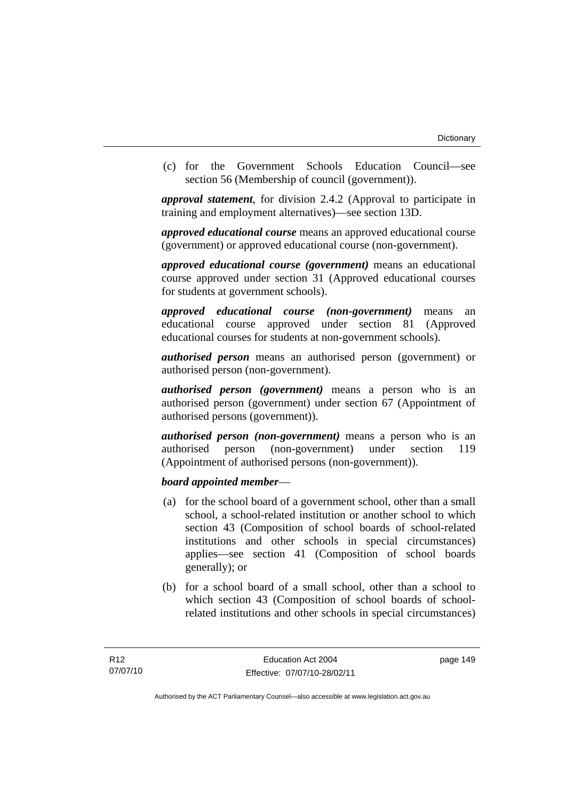(c) for the Government Schools Education Council—see section 56 (Membership of council (government)).

*approval statement*, for division 2.4.2 (Approval to participate in training and employment alternatives)—see section 13D.

*approved educational course* means an approved educational course (government) or approved educational course (non-government).

*approved educational course (government)* means an educational course approved under section 31 (Approved educational courses for students at government schools).

*approved educational course (non-government)* means an educational course approved under section 81 (Approved educational courses for students at non-government schools).

*authorised person* means an authorised person (government) or authorised person (non-government).

*authorised person (government)* means a person who is an authorised person (government) under section 67 (Appointment of authorised persons (government)).

*authorised person (non-government)* means a person who is an authorised person (non-government) under section 119 (Appointment of authorised persons (non-government)).

### *board appointed member*—

- (a) for the school board of a government school, other than a small school, a school-related institution or another school to which section 43 (Composition of school boards of school-related institutions and other schools in special circumstances) applies—see section 41 (Composition of school boards generally); or
- (b) for a school board of a small school, other than a school to which section 43 (Composition of school boards of schoolrelated institutions and other schools in special circumstances)

page 149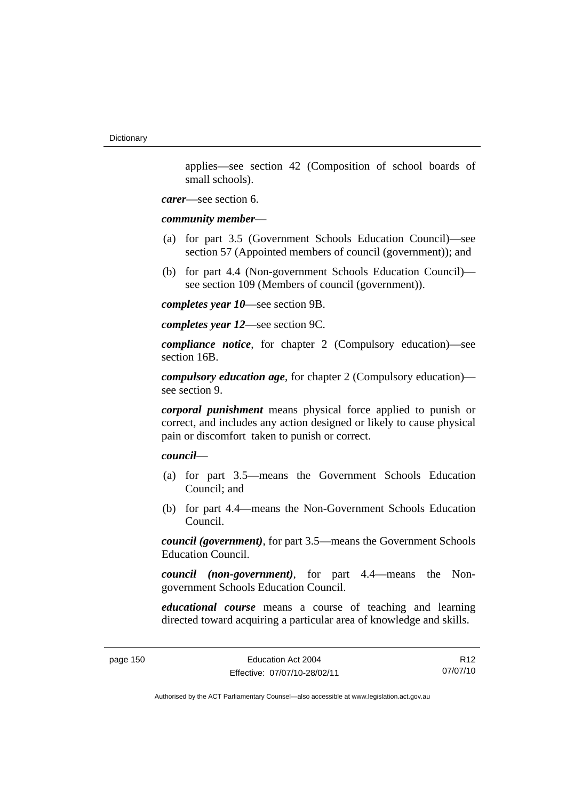applies—see section 42 (Composition of school boards of small schools).

*carer*—see section 6.

*community member*—

- (a) for part 3.5 (Government Schools Education Council)—see section 57 (Appointed members of council (government)); and
- (b) for part 4.4 (Non-government Schools Education Council) see section 109 (Members of council (government)).

*completes year 10*—see section 9B.

*completes year 12*—see section 9C.

*compliance notice*, for chapter 2 (Compulsory education)—see section 16B.

*compulsory education age*, for chapter 2 (Compulsory education) see section 9.

*corporal punishment* means physical force applied to punish or correct, and includes any action designed or likely to cause physical pain or discomfort taken to punish or correct.

*council*—

- (a) for part 3.5—means the Government Schools Education Council; and
- (b) for part 4.4—means the Non-Government Schools Education Council.

*council (government)*, for part 3.5—means the Government Schools Education Council.

*council (non-government)*, for part 4.4—means the Nongovernment Schools Education Council.

*educational course* means a course of teaching and learning directed toward acquiring a particular area of knowledge and skills.

page 150 **Education Act 2004** Effective: 07/07/10-28/02/11

R12 07/07/10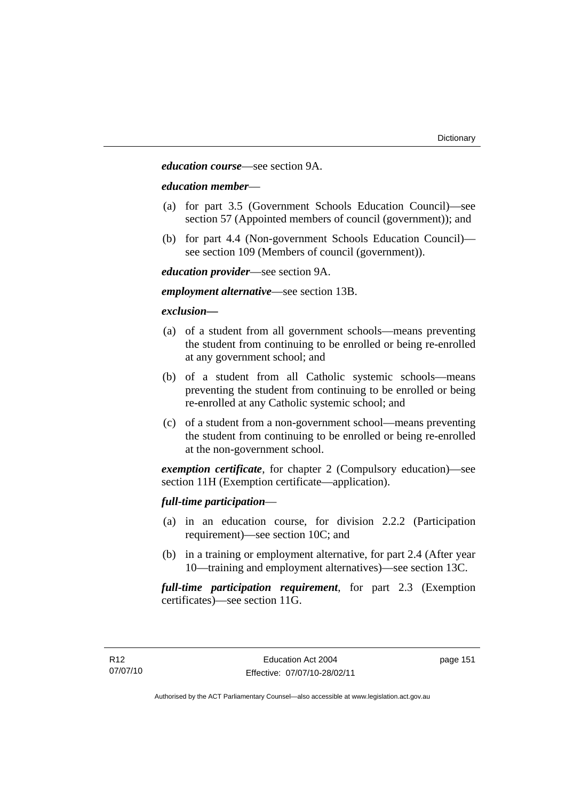*education course*—see section 9A.

#### *education member*—

- (a) for part 3.5 (Government Schools Education Council)—see section 57 (Appointed members of council (government)); and
- (b) for part 4.4 (Non-government Schools Education Council) see section 109 (Members of council (government)).

*education provider*—see section 9A.

*employment alternative*—see section 13B.

## *exclusion***—**

- (a) of a student from all government schools—means preventing the student from continuing to be enrolled or being re-enrolled at any government school; and
- (b) of a student from all Catholic systemic schools—means preventing the student from continuing to be enrolled or being re-enrolled at any Catholic systemic school; and
- (c) of a student from a non-government school—means preventing the student from continuing to be enrolled or being re-enrolled at the non-government school.

*exemption certificate*, for chapter 2 (Compulsory education)—see section 11H (Exemption certificate—application).

### *full-time participation*—

- (a) in an education course, for division 2.2.2 (Participation requirement)—see section 10C; and
- (b) in a training or employment alternative, for part 2.4 (After year 10—training and employment alternatives)—see section 13C.

*full-time participation requirement*, for part 2.3 (Exemption certificates)—see section 11G.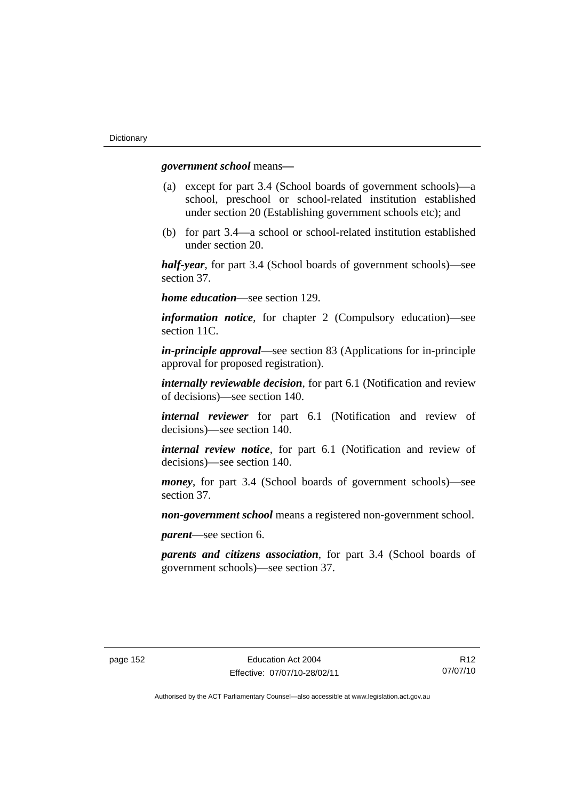*government school* means*—*

- (a) except for part 3.4 (School boards of government schools)—a school, preschool or school-related institution established under section 20 (Establishing government schools etc); and
- (b) for part 3.4—a school or school-related institution established under section 20.

*half-year*, for part 3.4 (School boards of government schools)—see section 37.

*home education*—see section 129.

*information notice*, for chapter 2 (Compulsory education)—see section 11C.

*in-principle approval*—see section 83 (Applications for in-principle approval for proposed registration).

*internally reviewable decision*, for part 6.1 (Notification and review of decisions)—see section 140.

*internal reviewer* for part 6.1 (Notification and review of decisions)—see section 140.

*internal review notice*, for part 6.1 (Notification and review of decisions)—see section 140.

*money*, for part 3.4 (School boards of government schools)—see section 37.

*non-government school* means a registered non-government school.

*parent*—see section 6.

*parents and citizens association*, for part 3.4 (School boards of government schools)—see section 37.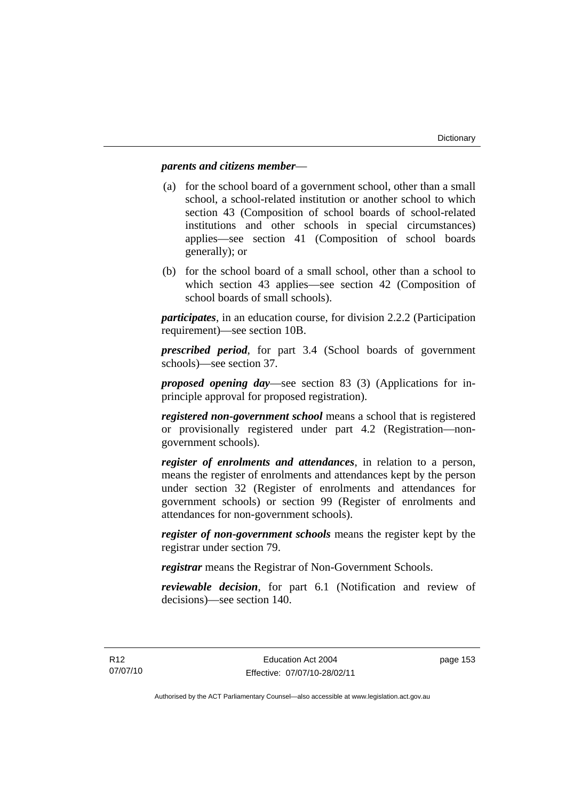## *parents and citizens member*—

- (a) for the school board of a government school, other than a small school, a school-related institution or another school to which section 43 (Composition of school boards of school-related institutions and other schools in special circumstances) applies—see section 41 (Composition of school boards generally); or
- (b) for the school board of a small school, other than a school to which section 43 applies—see section 42 (Composition of school boards of small schools).

*participates*, in an education course, for division 2.2.2 (Participation requirement)—see section 10B.

*prescribed period*, for part 3.4 (School boards of government schools)—see section 37.

*proposed opening day*—see section 83 (3) (Applications for inprinciple approval for proposed registration).

*registered non-government school* means a school that is registered or provisionally registered under part 4.2 (Registration—nongovernment schools).

*register of enrolments and attendances*, in relation to a person, means the register of enrolments and attendances kept by the person under section 32 (Register of enrolments and attendances for government schools) or section 99 (Register of enrolments and attendances for non-government schools).

*register of non-government schools* means the register kept by the registrar under section 79.

*registrar* means the Registrar of Non-Government Schools.

*reviewable decision*, for part 6.1 (Notification and review of decisions)—see section 140.

page 153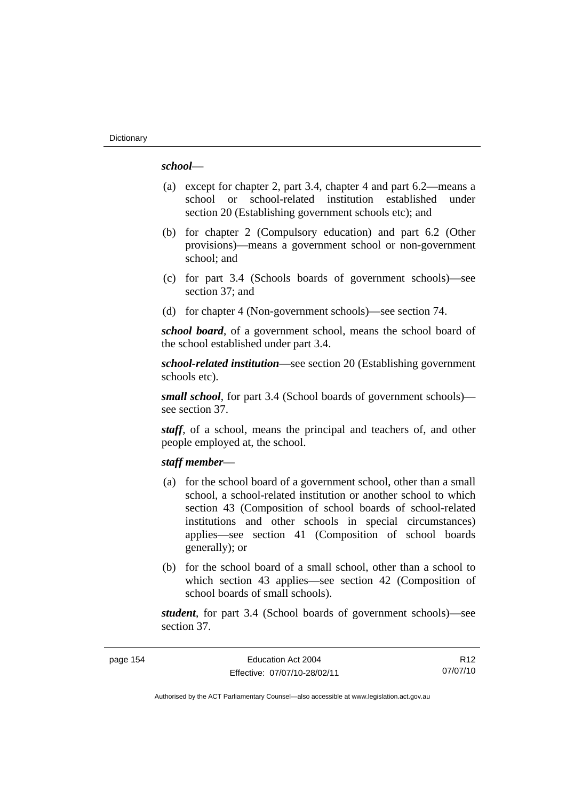## *school*—

- (a) except for chapter 2, part 3.4, chapter 4 and part 6.2—means a school or school-related institution established under section 20 (Establishing government schools etc); and
- (b) for chapter 2 (Compulsory education) and part 6.2 (Other provisions)—means a government school or non-government school; and
- (c) for part 3.4 (Schools boards of government schools)—see section 37; and
- (d) for chapter 4 (Non-government schools)—see section 74.

*school board*, of a government school, means the school board of the school established under part 3.4.

*school-related institution*—see section 20 (Establishing government schools etc).

*small school*, for part 3.4 (School boards of government schools) see section 37.

*staff*, of a school, means the principal and teachers of, and other people employed at, the school.

#### *staff member*—

- (a) for the school board of a government school, other than a small school, a school-related institution or another school to which section 43 (Composition of school boards of school-related institutions and other schools in special circumstances) applies—see section 41 (Composition of school boards generally); or
- (b) for the school board of a small school, other than a school to which section 43 applies—see section 42 (Composition of school boards of small schools).

*student*, for part 3.4 (School boards of government schools)—see section 37.

page 154 Education Act 2004 Effective: 07/07/10-28/02/11

R12 07/07/10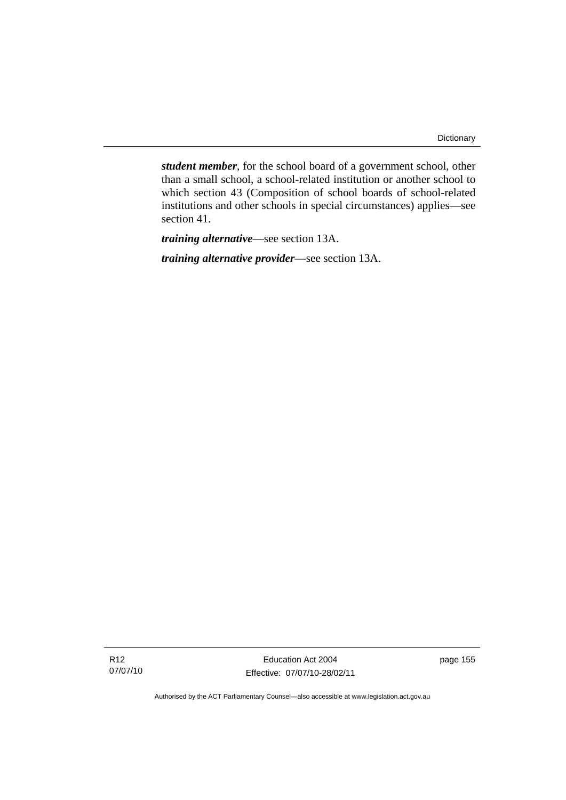*student member*, for the school board of a government school, other than a small school, a school-related institution or another school to which section 43 (Composition of school boards of school-related institutions and other schools in special circumstances) applies—see section 41.

*training alternative*—see section 13A.

*training alternative provider*—see section 13A.

Education Act 2004 Effective: 07/07/10-28/02/11 page 155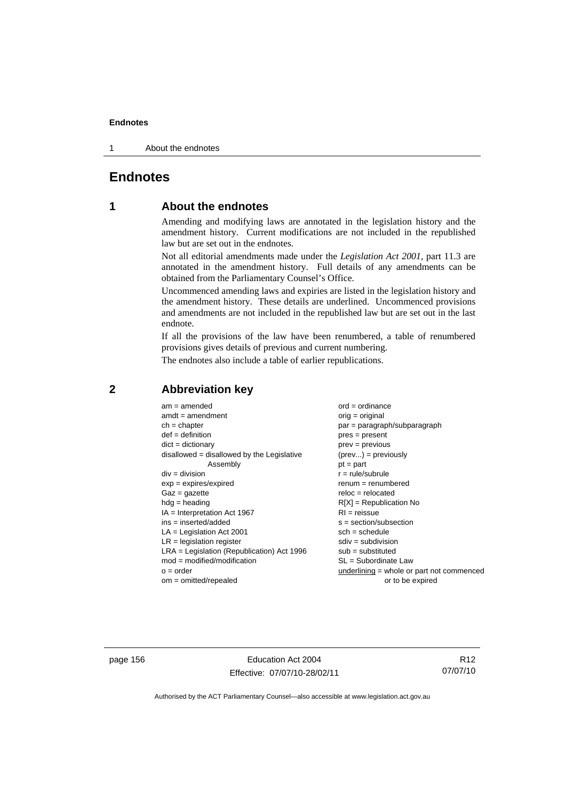1 About the endnotes

# **Endnotes**

# **1 About the endnotes**

Amending and modifying laws are annotated in the legislation history and the amendment history. Current modifications are not included in the republished law but are set out in the endnotes.

Not all editorial amendments made under the *Legislation Act 2001*, part 11.3 are annotated in the amendment history. Full details of any amendments can be obtained from the Parliamentary Counsel's Office.

Uncommenced amending laws and expiries are listed in the legislation history and the amendment history. These details are underlined. Uncommenced provisions and amendments are not included in the republished law but are set out in the last endnote.

If all the provisions of the law have been renumbered, a table of renumbered provisions gives details of previous and current numbering.

The endnotes also include a table of earlier republications.

| $am = amended$                               | $ord = ordinance$                         |
|----------------------------------------------|-------------------------------------------|
| $amdt = amendment$                           | $orig = original$                         |
| $ch = chapter$                               | par = paragraph/subparagraph              |
| $def = definition$                           | $pres = present$                          |
| $dict = dictionary$                          | $prev = previous$                         |
| $disallowed = disallowed by the Legislative$ | $(\text{prev}) = \text{previously}$       |
| Assembly                                     | $pt = part$                               |
| $div = division$                             | $r = rule/subrule$                        |
| $exp = expires/expired$                      | $remum = renumbered$                      |
| $Gaz = gazette$                              | $reloc = relocated$                       |
| $hdg =$ heading                              | $R[X]$ = Republication No                 |
| $IA = Interpretation Act 1967$               | $RI = reissue$                            |
| $ins = inserted/added$                       | $s = section/subsection$                  |
| $LA =$ Legislation Act 2001                  | $sch = schedule$                          |
| $LR =$ legislation register                  | $sdiv = subdivision$                      |
| $LRA =$ Legislation (Republication) Act 1996 | $sub = substituted$                       |
| $mod = modified/modification$                | $SL = Subordinate$ Law                    |
| $o = order$                                  | underlining = whole or part not commenced |
| $om = omitted/report$                        | or to be expired                          |
|                                              |                                           |

## **2 Abbreviation key**

page 156 **Education Act 2004** Effective: 07/07/10-28/02/11

R12 07/07/10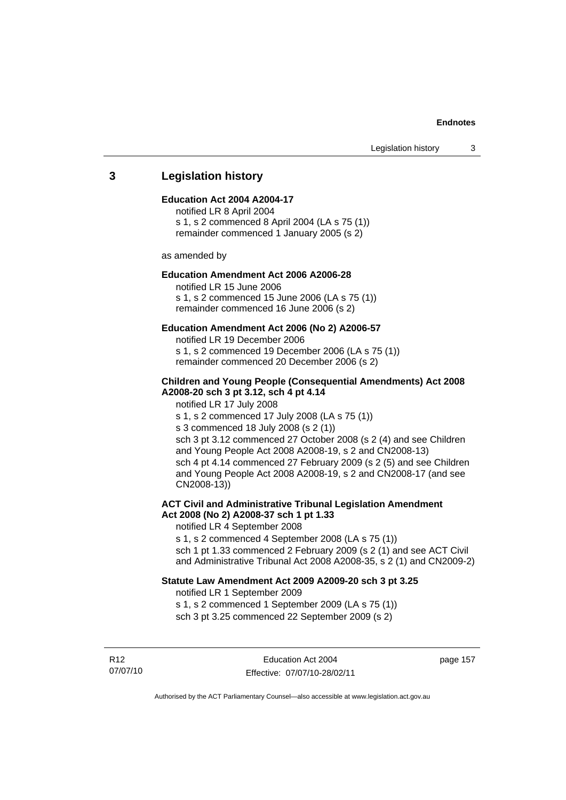## **3 Legislation history**

#### **Education Act 2004 A2004-17**

notified LR 8 April 2004 s 1, s 2 commenced 8 April 2004 (LA s 75 (1)) remainder commenced 1 January 2005 (s 2)

as amended by

#### **Education Amendment Act 2006 A2006-28**

notified LR 15 June 2006 s 1, s 2 commenced 15 June 2006 (LA s 75 (1)) remainder commenced 16 June 2006 (s 2)

#### **Education Amendment Act 2006 (No 2) A2006-57**

notified LR 19 December 2006 s 1, s 2 commenced 19 December 2006 (LA s 75 (1)) remainder commenced 20 December 2006 (s 2)

#### **Children and Young People (Consequential Amendments) Act 2008 A2008-20 sch 3 pt 3.12, sch 4 pt 4.14**

notified LR 17 July 2008

s 1, s 2 commenced 17 July 2008 (LA s 75 (1))

s 3 commenced 18 July 2008 (s 2 (1))

sch 3 pt 3.12 commenced 27 October 2008 (s 2 (4) and see Children and Young People Act 2008 A2008-19, s 2 and CN2008-13) sch 4 pt 4.14 commenced 27 February 2009 (s 2 (5) and see Children and Young People Act 2008 A2008-19, s 2 and CN2008-17 (and see CN2008-13))

#### **ACT Civil and Administrative Tribunal Legislation Amendment Act 2008 (No 2) A2008-37 sch 1 pt 1.33**

notified LR 4 September 2008

s 1, s 2 commenced 4 September 2008 (LA s 75 (1)) sch 1 pt 1.33 commenced 2 February 2009 (s 2 (1) and see ACT Civil and Administrative Tribunal Act 2008 A2008-35, s 2 (1) and CN2009-2)

#### **Statute Law Amendment Act 2009 A2009-20 sch 3 pt 3.25**

notified LR 1 September 2009 s 1, s 2 commenced 1 September 2009 (LA s 75 (1)) sch 3 pt 3.25 commenced 22 September 2009 (s 2)

R12 07/07/10

Education Act 2004 Effective: 07/07/10-28/02/11 page 157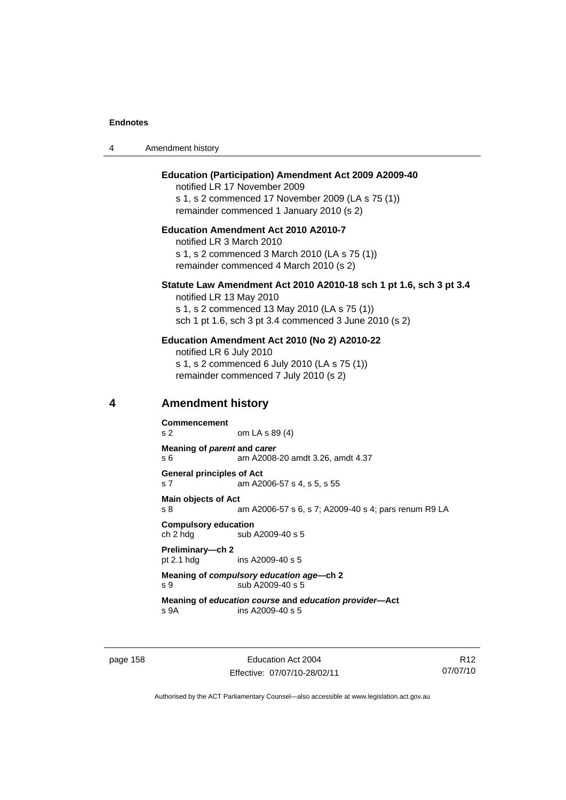4

| 4 | Amendment history                                                                                                                                                                                  |  |  |
|---|----------------------------------------------------------------------------------------------------------------------------------------------------------------------------------------------------|--|--|
|   | <b>Education (Participation) Amendment Act 2009 A2009-40</b><br>notified LR 17 November 2009<br>s 1, s 2 commenced 17 November 2009 (LA s 75 (1))<br>remainder commenced 1 January 2010 (s 2)      |  |  |
|   | <b>Education Amendment Act 2010 A2010-7</b><br>notified LR 3 March 2010<br>s 1, s 2 commenced 3 March 2010 (LA s 75 (1))<br>remainder commenced 4 March 2010 (s 2)                                 |  |  |
|   | Statute Law Amendment Act 2010 A2010-18 sch 1 pt 1.6, sch 3 p<br>notified LR 13 May 2010<br>s 1, s 2 commenced 13 May 2010 (LA s 75 (1))<br>sch 1 pt 1.6, sch 3 pt 3.4 commenced 3 June 2010 (s 2) |  |  |
|   | Education Amendment Act 2010 (No 2) A2010-22<br>notified LR 6 July 2010<br>s 1, s 2 commenced 6 July 2010 (LA s 75 (1))<br>remainder commenced 7 July 2010 (s 2)                                   |  |  |
| 4 | <b>Amendment history</b>                                                                                                                                                                           |  |  |
|   | <b>Commencement</b><br>s 2<br>om LA s 89 (4)                                                                                                                                                       |  |  |
|   | Meaning of parent and carer<br>s 6<br>am A2008-20 amdt 3.26, amdt 4.37                                                                                                                             |  |  |
|   | <b>General principles of Act</b><br>s 7<br>am A2006-57 s 4, s 5, s 55                                                                                                                              |  |  |
|   | <b>Main objects of Act</b><br>s 8<br>am A2006-57 s 6, s 7; A2009-40 s 4; pars renum R9 LA                                                                                                          |  |  |
|   | <b>Compulsory education</b><br>ch 2 hdg<br>sub A2009-40 s 5                                                                                                                                        |  |  |
|   | Preliminary-ch 2<br>pt 2.1 hdg<br>ins A2009-40 s 5                                                                                                                                                 |  |  |
|   | Meaning of compulsory education age-ch 2<br>sub A2009-40 s 5<br>s 9                                                                                                                                |  |  |
|   | Meaning of education course and education provider-Act<br>ins A2009-40 s 5<br>s 9A                                                                                                                 |  |  |
|   |                                                                                                                                                                                                    |  |  |
|   |                                                                                                                                                                                                    |  |  |

page 158 **Education Act 2004** Effective: 07/07/10-28/02/11

R12 07/07/10

**3 pt 3.4**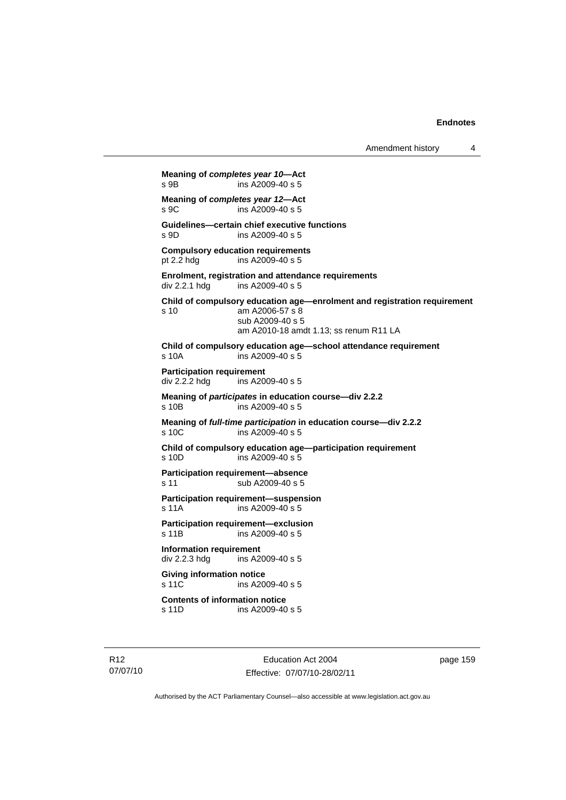Amendment history 4

**Meaning of** *completes year 10***—Act**  s 9B ins A2009-40 s 5 **Meaning of** *completes year 12***—Act** <br>s 9C **ins A2009-40 s 5**  $ins$  A2009-40 s 5 **Guidelines—certain chief executive functions**  s 9D ins A2009-40 s 5 **Compulsory education requirements**  pt 2.2 hdg ins A2009-40 s 5 **Enrolment, registration and attendance requirements**  ins A2009-40 s 5 **Child of compulsory education age—enrolment and registration requirement**  s 10 am A2006-57 s 8 sub A2009-40 s 5 am A2010-18 amdt 1.13; ss renum R11 LA **Child of compulsory education age—school attendance requirement**  s 10A ins A2009-40 s 5 **Participation requirement**  div 2.2.2 hdg ins A2009-40 s 5 **Meaning of** *participates* **in education course—div 2.2.2**  s 10B ins A2009-40 s 5 **Meaning of** *full-time participation* **in education course—div 2.2.2**  s 10C ins A2009-40 s 5 **Child of compulsory education age—participation requirement**  s 10D ins A2009-40 s 5 **Participation requirement—absence**  s 11 sub A2009-40 s 5 **Participation requirement—suspension**  s 11A ins A2009-40 s 5 **Participation requirement—exclusion**  s 11B ins A2009-40 s 5 **Information requirement**  div 2.2.3 hdg ins A2009-40 s 5 **Giving information notice**  s 11C ins A2009-40 s 5 **Contents of information notice**  ins A2009-40 s 5

Education Act 2004 Effective: 07/07/10-28/02/11 page 159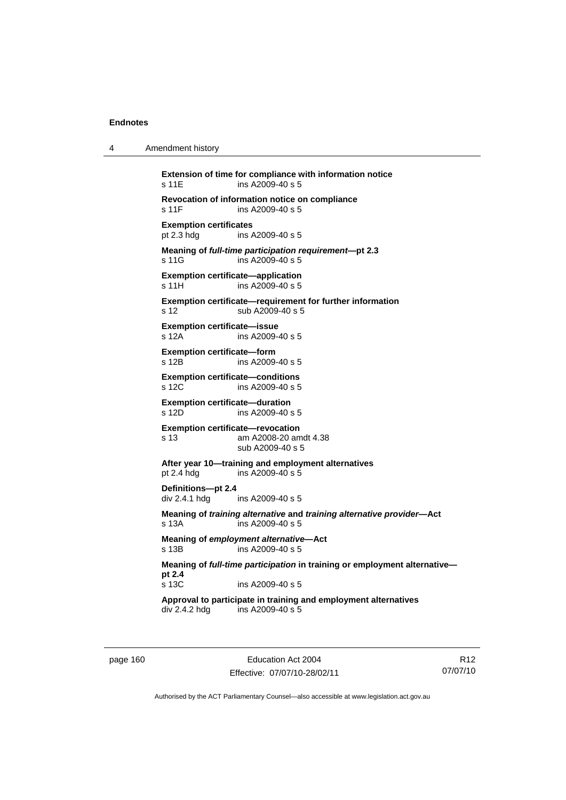4 Amendment history

```
Extension of time for compliance with information notice 
s 11E ins A2009-40 s 5 
Revocation of information notice on compliance 
s 11F ins A2009-40 s 5 
Exemption certificates 
pt 2.3 hdg ins A2009-40 s 5 
Meaning of full-time participation requirement—pt 2.3 
s 11G ins A2009-40 s 5
Exemption certificate—application 
s 11H ins A2009-40 s 5
Exemption certificate—requirement for further information 
s 12 sub A2009-40 s 5 
Exemption certificate—issue 
s 12A ins A2009-40 s 5 
Exemption certificate—form 
s 12B ins A2009-40 s 5 
Exemption certificate—conditions 
s 12C ins A2009-40 s 5
Exemption certificate—duration 
s 12D ins A2009-40 s 5 
Exemption certificate—revocation 
s 13 am A2008-20 amdt 4.38 
                 sub A2009-40 s 5 
After year 10—training and employment alternatives 
                ins A2009-40 s 5Definitions—pt 2.4 
div 2.4.1 hdg ins A2009-40 s 5
Meaning of training alternative and training alternative provider—Act 
s 13A ins A2009-40 s 5 
Meaning of employment alternative—Act 
s 13B ins A2009-40 s 5 
Meaning of full-time participation in training or employment alternative—
pt 2.4 
s 13C ins A2009-40 s 5 
Approval to participate in training and employment alternatives 
div 2.4.2 hdg ins A2009-40 s 5
```
page 160 Education Act 2004 Effective: 07/07/10-28/02/11

R12 07/07/10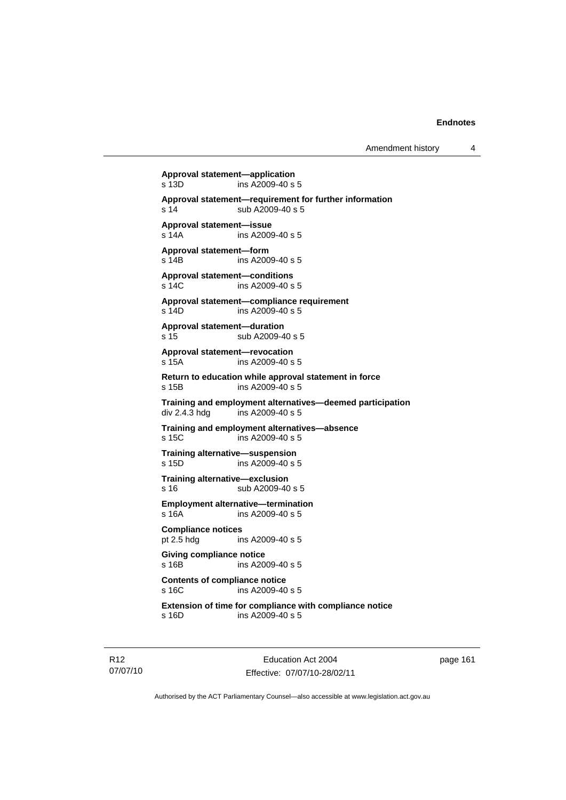**Approval statement—application**   $ins$  A2009-40 s 5 **Approval statement—requirement for further information**  s 14 sub A2009-40 s 5 **Approval statement—issue**  s 14A ins A2009-40 s 5 **Approval statement—form**  s 14B ins A2009-40 s 5 **Approval statement—conditions**  s 14C ins A2009-40 s 5 **Approval statement—compliance requirement**  s 14D ins A2009-40 s 5 **Approval statement—duration**  s 15 sub A2009-40 s 5 **Approval statement—revocation**  s 15A ins A2009-40 s 5 **Return to education while approval statement in force**  s 15B ins A2009-40 s 5 **Training and employment alternatives—deemed participation**  div 2.4.3 hdg ins A2009-40 s 5 **Training and employment alternatives—absence**  s 15C ins A2009-40 s 5 **Training alternative—suspension**  s 15D ins A2009-40 s 5 **Training alternative—exclusion**  s 16 sub A2009-40 s 5 **Employment alternative—termination**  s 16A ins A2009-40 s 5 **Compliance notices**<br>
pt 2.5 hda **in** ins A2009-40 s 5 **Giving compliance notice**  s 16B ins A2009-40 s 5 **Contents of compliance notice**  s 16C ins A2009-40 s 5 **Extension of time for compliance with compliance notice**  s 16D ins A2009-40 s 5

R12 07/07/10

Education Act 2004 Effective: 07/07/10-28/02/11 page 161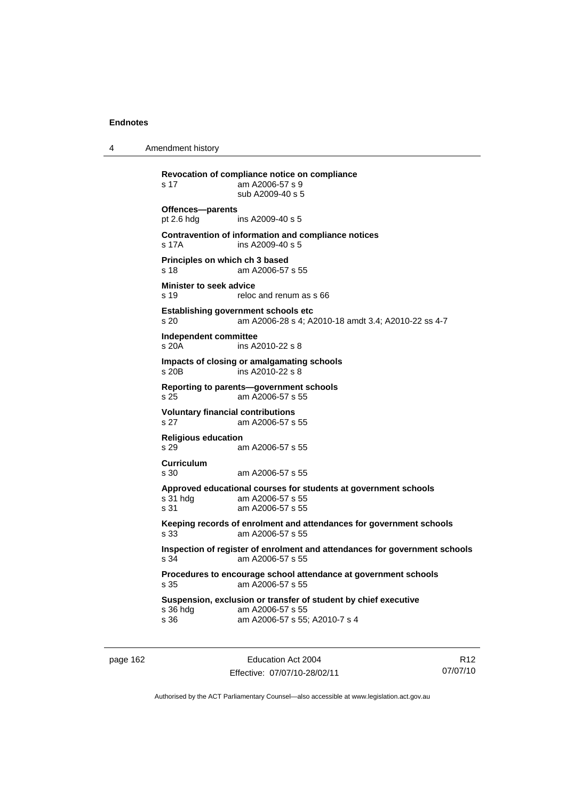4 Amendment history

**Revocation of compliance notice on compliance**  s 17 am A2006-57 s 9 sub A2009-40 s 5 **Offences—parents**  pt 2.6 hdg ins A2009-40 s 5 **Contravention of information and compliance notices**  s 17A ins A2009-40 s 5 **Principles on which ch 3 based**  s 18 am A2006-57 s 55 **Minister to seek advice**  s 19 reloc and renum as s 66 **Establishing government schools etc**  s 20 am A2006-28 s 4; A2010-18 amdt 3.4; A2010-22 ss 4-7 **Independent committee**  s 20A ins A2010-22 s 8 **Impacts of closing or amalgamating schools**  s 20B ins A2010-22 s 8 **Reporting to parents—government schools**  s 25 am A2006-57 s 55 **Voluntary financial contributions**  s 27 am A2006-57 s 55 **Religious education**  s 29 am A2006-57 s 55 **Curriculum**  am A2006-57 s 55 **Approved educational courses for students at government schools**  s 31 hdg am A2006-57 s 55 s 31 am A2006-57 s 55 **Keeping records of enrolment and attendances for government schools**  s 33 am A2006-57 s 55 **Inspection of register of enrolment and attendances for government schools**  s 34 am A2006-57 s 55 **Procedures to encourage school attendance at government schools**  s 35 am A2006-57 s 55 **Suspension, exclusion or transfer of student by chief executive**  s 36 hdg am A2006-57 s 55<br>s 36 am A2006-57 s 55; am A2006-57 s 55; A2010-7 s 4

page 162 **Education Act 2004** Effective: 07/07/10-28/02/11

R12 07/07/10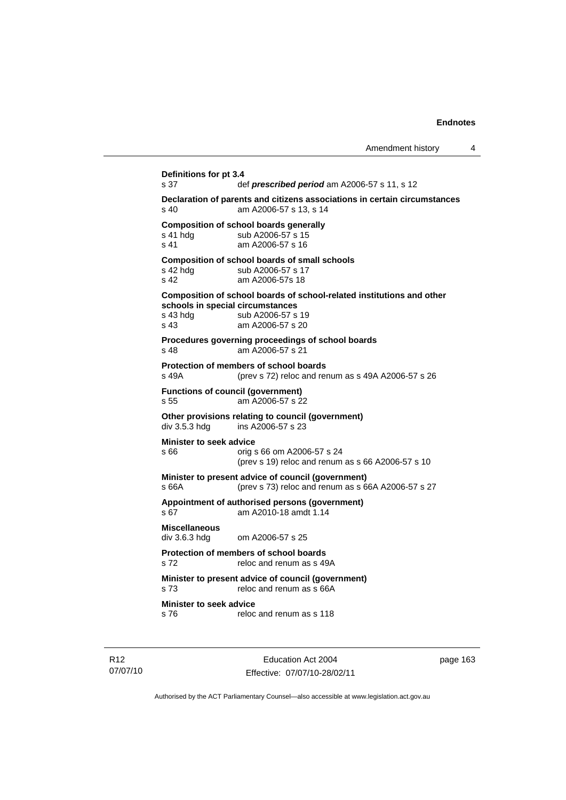```
Definitions for pt 3.4 
s 37 def prescribed period am A2006-57 s 11, s 12
Declaration of parents and citizens associations in certain circumstances 
                am A2006-57 s 13, s 14
Composition of school boards generally<br>s 41 hdg sub A2006-57 s 15
                sub A2006-57 s 15
s 41 am A2006-57 s 16 
Composition of school boards of small schools 
s 42 hdg sub A2006-57 s 17
s 42 am A2006-57s 18 
Composition of school boards of school-related institutions and other 
schools in special circumstances 
                sub A2006-57 s 19
s 43 am A2006-57 s 20 
Procedures governing proceedings of school boards 
s 48 am A2006-57 s 21 
Protection of members of school boards 
s 49A (prev s 72) reloc and renum as s 49A A2006-57 s 26 
Functions of council (government) 
s 55 am A2006-57 s 22 
Other provisions relating to council (government) 
div 3.5.3 hdg ins A2006-57 s 23 
Minister to seek advice 
s 66 orig s 66 om A2006-57 s 24 
                  (prev s 19) reloc and renum as s 66 A2006-57 s 10 
Minister to present advice of council (government) 
s 66A (prev s 73) reloc and renum as s 66A A2006-57 s 27 
Appointment of authorised persons (government) 
s 67 am A2010-18 amdt 1.14 
Miscellaneous 
div 3.6.3 hdg om A2006-57 s 25 
Protection of members of school boards 
s 72 reloc and renum as s 49A
Minister to present advice of council (government) 
s 73 reloc and renum as s 66A
Minister to seek advice 
s 76 reloc and renum as s 118
```
R12 07/07/10

Education Act 2004 Effective: 07/07/10-28/02/11 page 163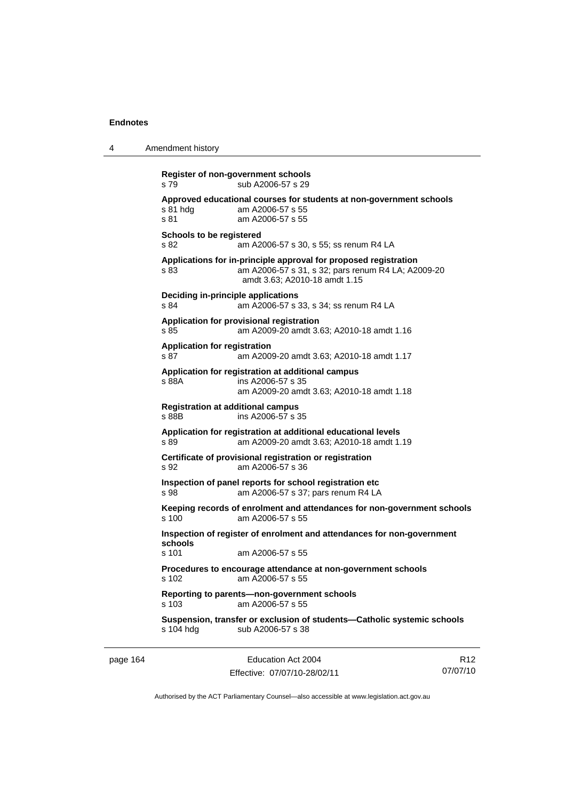| 4 | Amendment history                                                                                                                                               |
|---|-----------------------------------------------------------------------------------------------------------------------------------------------------------------|
|   | Register of non-government schools<br>sub A2006-57 s 29<br>s 79                                                                                                 |
|   | Approved educational courses for students at non-government schools<br>am A2006-57 s 55<br>s 81 hdg<br>s 81<br>am A2006-57 s 55                                 |
|   | Schools to be registered<br>s 82<br>am A2006-57 s 30, s 55; ss renum R4 LA                                                                                      |
|   | Applications for in-principle approval for proposed registration<br>s 83<br>am A2006-57 s 31, s 32; pars renum R4 LA; A2009-20<br>amdt 3.63; A2010-18 amdt 1.15 |
|   | Deciding in-principle applications<br>s 84<br>am A2006-57 s 33, s 34; ss renum R4 LA                                                                            |
|   | Application for provisional registration<br>s 85<br>am A2009-20 amdt 3.63; A2010-18 amdt 1.16                                                                   |
|   | <b>Application for registration</b><br>s 87<br>am A2009-20 amdt 3.63; A2010-18 amdt 1.17                                                                        |
|   | Application for registration at additional campus<br>s 88A<br>ins A2006-57 s 35<br>am A2009-20 amdt 3.63; A2010-18 amdt 1.18                                    |
|   | <b>Registration at additional campus</b><br>ins A2006-57 s 35<br>s 88B                                                                                          |
|   | Application for registration at additional educational levels<br>s 89<br>am A2009-20 amdt 3.63; A2010-18 amdt 1.19                                              |
|   | Certificate of provisional registration or registration<br>s 92<br>am A2006-57 s 36                                                                             |
|   | Inspection of panel reports for school registration etc<br>s 98<br>am A2006-57 s 37; pars renum R4 LA                                                           |
|   | Keeping records of enrolment and attendances for non-government schools<br>s 100<br>am A2006-57 s 55                                                            |
|   | Inspection of register of enrolment and attendances for non-government<br>schools<br>s 101<br>am A2006-57 s 55                                                  |
|   | Procedures to encourage attendance at non-government schools<br>am A2006-57 s 55<br>s 102                                                                       |
|   | Reporting to parents-non-government schools<br>am A2006-57 s 55<br>s 103                                                                                        |
|   | Suspension, transfer or exclusion of students-Catholic systemic schools<br>sub A2006-57 s 38<br>s 104 hdg                                                       |
|   |                                                                                                                                                                 |

page 164 Education Act 2004 Effective: 07/07/10-28/02/11

R12 07/07/10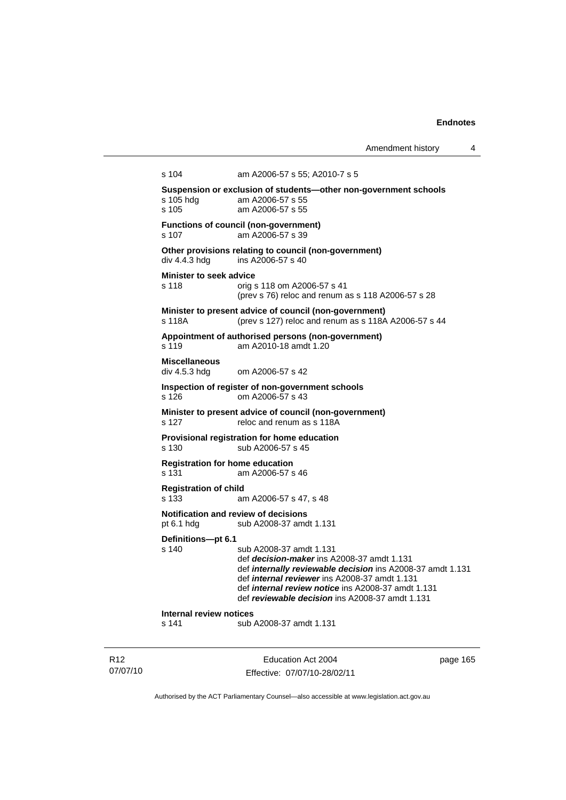Amendment history 4

```
s 104 am A2006-57 s 55; A2010-7 s 5 
Suspension or exclusion of students—other non-government schools 
s 105 hdg am A2006-57 s 55 
s 105 am A2006-57 s 55 
Functions of council (non-government) 
s 107 am A2006-57 s 39 
Other provisions relating to council (non-government) 
div 4.4.3 hdg ins A2006-57 s 40 
Minister to seek advice 
s 118 orig s 118 om A2006-57 s 41 
                 (prev s 76) reloc and renum as s 118 A2006-57 s 28 
Minister to present advice of council (non-government) 
s 118A (prev s 127) reloc and renum as s 118A A2006-57 s 44 
Appointment of authorised persons (non-government) 
s 119 am A2010-18 amdt 1.20 
Miscellaneous 
                om A2006-57 s 42
Inspection of register of non-government schools 
s 126 om A2006-57 s 43 
Minister to present advice of council (non-government) 
s 127 reloc and renum as s 118A
Provisional registration for home education 
s 130 sub A2006-57 s 45
Registration for home education 
s 131 am A2006-57 s 46 
Registration of child 
s 133 am A2006-57 s 47, s 48 
Notification and review of decisions 
pt 6.1 hdg sub A2008-37 amdt 1.131 
Definitions—pt 6.1 
s 140 sub A2008-37 amdt 1.131 
                 def decision-maker ins A2008-37 amdt 1.131 
                 def internally reviewable decision ins A2008-37 amdt 1.131 
                 def internal reviewer ins A2008-37 amdt 1.131 
                 def internal review notice ins A2008-37 amdt 1.131 
                 def reviewable decision ins A2008-37 amdt 1.131 
Internal review notices 
s 141 sub A2008-37 amdt 1.131
```
R12 07/07/10

Education Act 2004 Effective: 07/07/10-28/02/11 page 165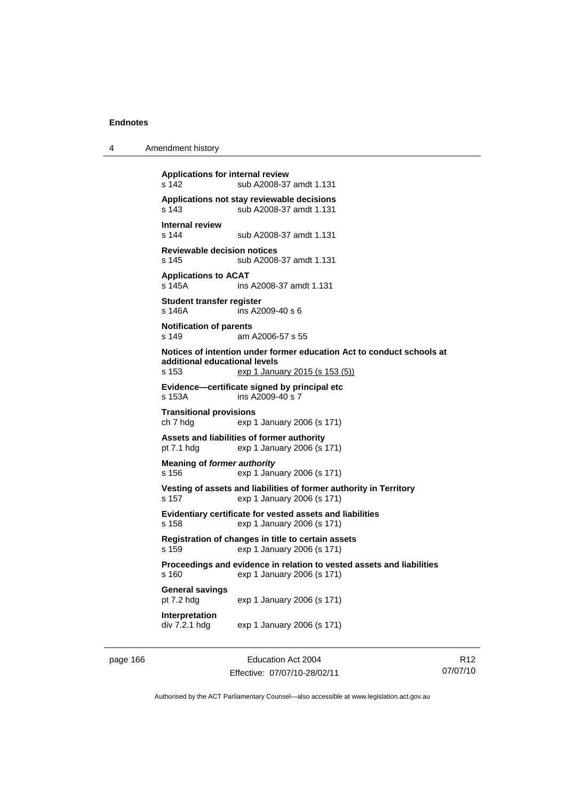4 Amendment history

```
Applications for internal review 
s 142 sub A2008-37 amdt 1.131 
Applications not stay reviewable decisions 
s 143 sub A2008-37 amdt 1.131 
Internal review 
                 sub A2008-37 amdt 1.131
Reviewable decision notices 
s 145 sub A2008-37 amdt 1.131 
Applications to ACAT 
                 ins A2008-37 amdt 1.131
Student transfer register 
s 146A ins A2009-40 s 6 
Notification of parents 
s 149 am A2006-57 s 55 
Notices of intention under former education Act to conduct schools at 
additional educational levels 
                 exp 1 January 2015 (s 153 (5))
Evidence—certificate signed by principal etc 
s 153A ins A2009-40 s 7 
Transitional provisions 
ch 7 hdg exp 1 January 2006 (s 171) 
Assets and liabilities of former authority 
pt 7.1 hdg exp 1 January 2006 (s 171) 
Meaning of former authority
s 156 exp 1 January 2006 (s 171) 
Vesting of assets and liabilities of former authority in Territory 
s 157 exp 1 January 2006 (s 171) 
Evidentiary certificate for vested assets and liabilities 
s 158 exp 1 January 2006 (s 171) 
Registration of changes in title to certain assets 
s 159 exp 1 January 2006 (s 171) 
Proceedings and evidence in relation to vested assets and liabilities 
s 160 exp 1 January 2006 (s 171) 
General savings 
pt 7.2 hdg exp 1 January 2006 (s 171) 
Interpretation 
div 7.2.1 hdg exp 1 January 2006 (s 171)
```
page 166 **Education Act 2004** Effective: 07/07/10-28/02/11

R12 07/07/10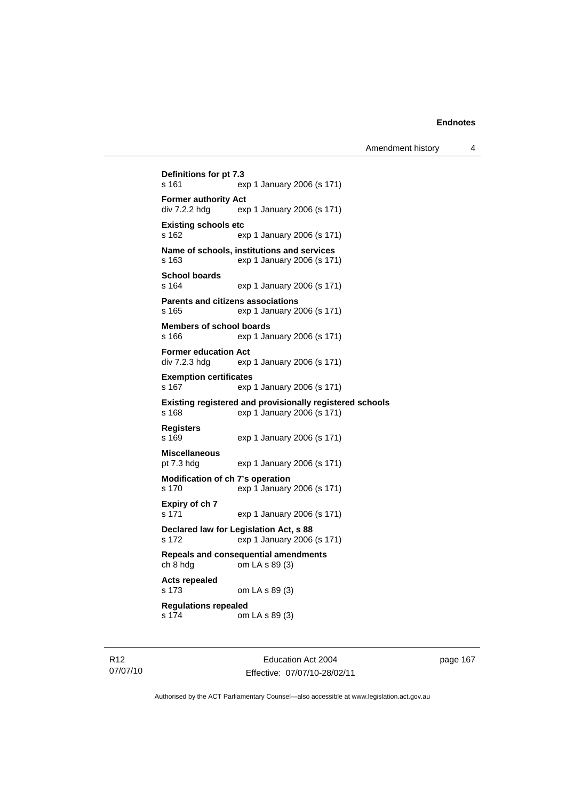```
Definitions for pt 7.3 
s 161 exp 1 January 2006 (s 171) 
Former authority Act 
div 7.2.2 hdg exp 1 January 2006 (s 171) 
Existing schools etc 
s 162 exp 1 January 2006 (s 171) 
Name of schools, institutions and services 
s 163 exp 1 January 2006 (s 171) 
School boards 
                exp 1 January 2006 (s 171)
Parents and citizens associations 
s 165 exp 1 January 2006 (s 171) 
Members of school boards 
s 166 exp 1 January 2006 (s 171) 
Former education Act 
div 7.2.3 hdg exp 1 January 2006 (s 171) 
Exemption certificates 
s 167 exp 1 January 2006 (s 171) 
Existing registered and provisionally registered schools 
s 168 exp 1 January 2006 (s 171) 
Registers 
s 169 exp 1 January 2006 (s 171) 
Miscellaneous 
pt 7.3 hdg exp 1 January 2006 (s 171) 
Modification of ch 7's operation 
s 170 exp 1 January 2006 (s 171) 
Expiry of ch 7 
s 171 exp 1 January 2006 (s 171) 
Declared law for Legislation Act, s 88 
s 172 exp 1 January 2006 (s 171) 
Repeals and consequential amendments 
ch 8 hdg om LA s 89 (3) 
Acts repealed 
s 173 om LA s 89 (3) 
Regulations repealed 
s 174 om LA s 89 (3)
```
R12 07/07/10

Education Act 2004 Effective: 07/07/10-28/02/11 page 167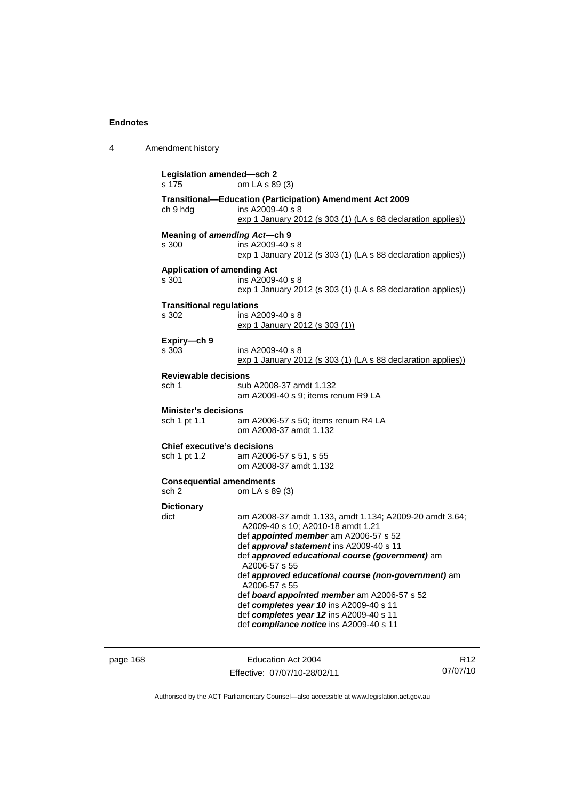| 4 | Amendment history                                  |                                                                                                                                                                                                                                                                                                                                                                                                                                                                                                                      |
|---|----------------------------------------------------|----------------------------------------------------------------------------------------------------------------------------------------------------------------------------------------------------------------------------------------------------------------------------------------------------------------------------------------------------------------------------------------------------------------------------------------------------------------------------------------------------------------------|
|   | Legislation amended-sch 2<br>s 175                 | om LA s 89 (3)                                                                                                                                                                                                                                                                                                                                                                                                                                                                                                       |
|   | ch 9 hdg                                           | <b>Transitional-Education (Participation) Amendment Act 2009</b><br>ins A2009-40 s 8<br>exp 1 January 2012 (s 303 (1) (LA s 88 declaration applies))                                                                                                                                                                                                                                                                                                                                                                 |
|   | Meaning of amending Act--ch 9<br>s 300             | ins A2009-40 s 8<br>exp 1 January 2012 (s 303 (1) (LA s 88 declaration applies))                                                                                                                                                                                                                                                                                                                                                                                                                                     |
|   | <b>Application of amending Act</b><br>s 301        | ins A2009-40 s 8<br>$\frac{\exp 1 \cdot \sin 1}{\exp 1}$ January 2012 (s 303 (1) (LA s 88 declaration applies))                                                                                                                                                                                                                                                                                                                                                                                                      |
|   | <b>Transitional regulations</b><br>s 302           | ins A2009-40 s 8<br><u>exp 1 January 2012 (s 303 (1))</u>                                                                                                                                                                                                                                                                                                                                                                                                                                                            |
|   | Expiry-ch 9<br>s 303                               | ins A2009-40 s 8<br>exp 1 January 2012 (s 303 (1) (LA s 88 declaration applies))                                                                                                                                                                                                                                                                                                                                                                                                                                     |
|   | <b>Reviewable decisions</b><br>sch 1               | sub A2008-37 amdt 1.132<br>am A2009-40 s 9; items renum R9 LA                                                                                                                                                                                                                                                                                                                                                                                                                                                        |
|   | <b>Minister's decisions</b><br>sch 1 pt 1.1        | am A2006-57 s 50; items renum R4 LA<br>om A2008-37 amdt 1.132                                                                                                                                                                                                                                                                                                                                                                                                                                                        |
|   | <b>Chief executive's decisions</b><br>sch 1 pt 1.2 | am A2006-57 s 51, s 55<br>om A2008-37 amdt 1.132                                                                                                                                                                                                                                                                                                                                                                                                                                                                     |
|   | <b>Consequential amendments</b><br>sch 2           | om LA s 89 (3)                                                                                                                                                                                                                                                                                                                                                                                                                                                                                                       |
|   | <b>Dictionary</b><br>dict                          | am A2008-37 amdt 1.133, amdt 1.134; A2009-20 amdt 3.64;<br>A2009-40 s 10; A2010-18 amdt 1.21<br>def <i>appointed member</i> am A2006-57 s 52<br>def approval statement ins A2009-40 s 11<br>def approved educational course (government) am<br>A2006-57 s 55<br>def approved educational course (non-government) am<br>A2006-57 s 55<br>def board appointed member am A2006-57 s 52<br>def completes year 10 ins A2009-40 s 11<br>def completes year 12 ins A2009-40 s 11<br>def compliance notice ins A2009-40 s 11 |

page 168 **Education Act 2004** Effective: 07/07/10-28/02/11

R12 07/07/10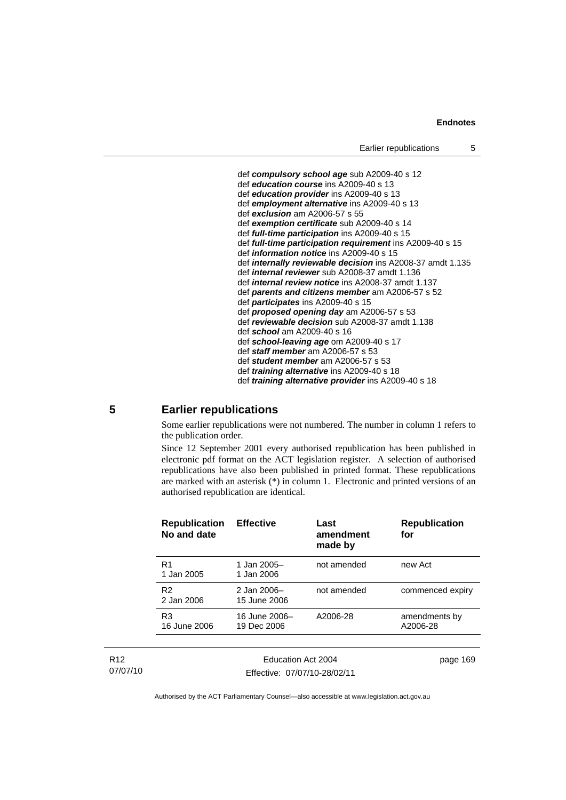## **Endnotes**

```
 def compulsory school age sub A2009-40 s 12 
def education course ins A2009-40 s 13 
def education provider ins A2009-40 s 13 
def employment alternative ins A2009-40 s 13 
def exclusion am A2006-57 s 55 
def exemption certificate sub A2009-40 s 14 
def full-time participation ins A2009-40 s 15 
def full-time participation requirement ins A2009-40 s 15 
def information notice ins A2009-40 s 15 
def internally reviewable decision ins A2008-37 amdt 1.135 
def internal reviewer sub A2008-37 amdt 1.136 
def internal review notice ins A2008-37 amdt 1.137 
def parents and citizens member am A2006-57 s 52
def participates ins A2009-40 s 15 
def proposed opening day am A2006-57 s 53
def reviewable decision sub A2008-37 amdt 1.138 
def school am A2009-40 s 16 
def school-leaving age om A2009-40 s 17 
def staff member am A2006-57 s 53
def student member am A2006-57 s 53 
def training alternative ins A2009-40 s 18 
def training alternative provider ins A2009-40 s 18
```
## **5 Earlier republications**

Some earlier republications were not numbered. The number in column 1 refers to the publication order.

Since 12 September 2001 every authorised republication has been published in electronic pdf format on the ACT legislation register. A selection of authorised republications have also been published in printed format. These republications are marked with an asterisk (\*) in column 1. Electronic and printed versions of an authorised republication are identical.

| <b>Republication</b><br>No and date | <b>Effective</b>             | Last<br>amendment<br>made by | <b>Republication</b><br>for |
|-------------------------------------|------------------------------|------------------------------|-----------------------------|
| R <sub>1</sub><br>1 Jan 2005        | 1 Jan 2005-<br>1 Jan 2006    | not amended                  | new Act                     |
| R <sub>2</sub><br>2 Jan 2006        | 2 Jan 2006-<br>15 June 2006  | not amended                  | commenced expiry            |
| R <sub>3</sub><br>16 June 2006      | 16 June 2006-<br>19 Dec 2006 | A2006-28                     | amendments by<br>A2006-28   |
|                                     |                              |                              |                             |
| Education Act 2004                  |                              | page 169                     |                             |

R12 07/07/10

Effective: 07/07/10-28/02/11

page 169

Authorised by the ACT Parliamentary Counsel—also accessible at www.legislation.act.gov.au